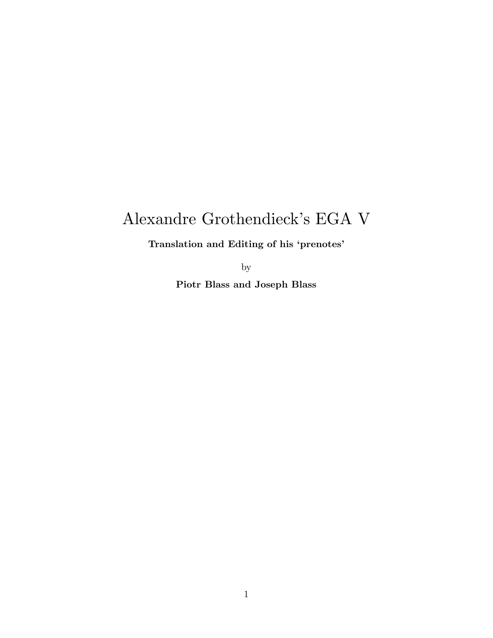# Alexandre Grothendieck's EGA V

Translation and Editing of his 'prenotes'

by

Piotr Blass and Joseph Blass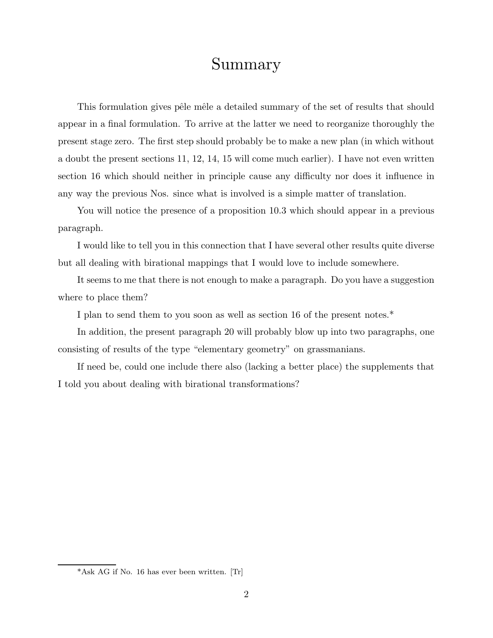# Summary

This formulation gives pêle mêle a detailed summary of the set of results that should appear in a final formulation. To arrive at the latter we need to reorganize thoroughly the present stage zero. The first step should probably be to make a new plan (in which without a doubt the present sections 11, 12, 14, 15 will come much earlier). I have not even written section 16 which should neither in principle cause any difficulty nor does it influence in any way the previous Nos. since what is involved is a simple matter of translation.

You will notice the presence of a proposition 10.3 which should appear in a previous paragraph.

I would like to tell you in this connection that I have several other results quite diverse but all dealing with birational mappings that I would love to include somewhere.

It seems to me that there is not enough to make a paragraph. Do you have a suggestion where to place them?

I plan to send them to you soon as well as section 16 of the present notes.\*

In addition, the present paragraph 20 will probably blow up into two paragraphs, one consisting of results of the type "elementary geometry" on grassmanians.

If need be, could one include there also (lacking a better place) the supplements that I told you about dealing with birational transformations?

<sup>\*</sup>Ask AG if No. 16 has ever been written. [Tr]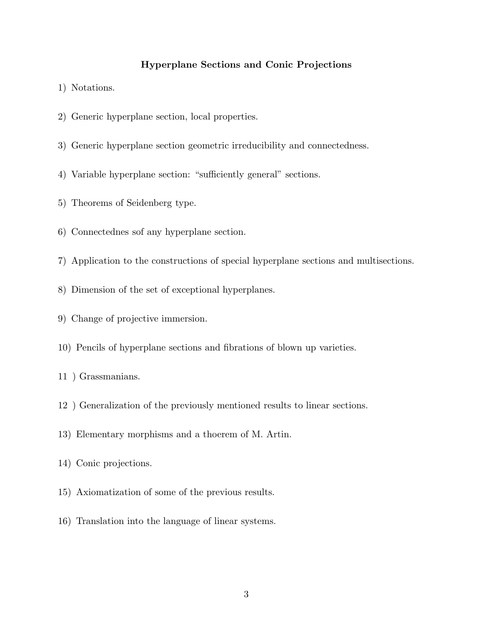# Hyperplane Sections and Conic Projections

- 1) Notations.
- 2) Generic hyperplane section, local properties.
- 3) Generic hyperplane section geometric irreducibility and connectedness.
- 4) Variable hyperplane section: "sufficiently general" sections.
- 5) Theorems of Seidenberg type.
- 6) Connectednes sof any hyperplane section.
- 7) Application to the constructions of special hyperplane sections and multisections.
- 8) Dimension of the set of exceptional hyperplanes.
- 9) Change of projective immersion.
- 10) Pencils of hyperplane sections and fibrations of blown up varieties.
- 11 ) Grassmanians.
- 12 ) Generalization of the previously mentioned results to linear sections.
- 13) Elementary morphisms and a thoerem of M. Artin.
- 14) Conic projections.
- 15) Axiomatization of some of the previous results.
- 16) Translation into the language of linear systems.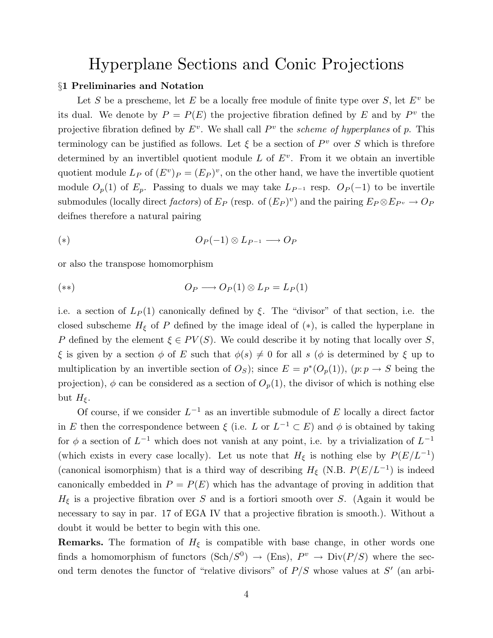# Hyperplane Sections and Conic Projections

## §1 Preliminaries and Notation

Let S be a prescheme, let E be a locally free module of finite type over S, let  $E^v$  be its dual. We denote by  $P = P(E)$  the projective fibration defined by E and by  $P^v$  the projective fibration defined by  $E^v$ . We shall call  $P^v$  the scheme of hyperplanes of p. This terminology can be justified as follows. Let  $\xi$  be a section of  $P^v$  over S which is threfore determined by an invertiblel quotient module  $L$  of  $E^v$ . From it we obtain an invertible quotient module  $L_P$  of  $(E^v)_P = (E_P)^v$ , on the other hand, we have the invertible quotient module  $O_p(1)$  of  $E_p$ . Passing to duals we may take  $L_{P^{-1}}$  resp.  $O_P(-1)$  to be invertile submodules (locally direct *factors*) of  $E_P$  (resp. of  $(E_P)^v$ ) and the pairing  $E_P \otimes E_{P^v} \to O_P$ deifnes therefore a natural pairing

$$
(*) \t\t\t O_P(-1) \otimes L_{P^{-1}} \longrightarrow O_P
$$

or also the transpose homomorphism

$$
O_P \longrightarrow O_P(1) \otimes L_P = L_P(1)
$$

i.e. a section of  $L_P(1)$  canonically defined by  $\xi$ . The "divisor" of that section, i.e. the closed subscheme  $H_{\xi}$  of P defined by the image ideal of (\*), is called the hyperplane in P defined by the element  $\xi \in PV(S)$ . We could describe it by noting that locally over S, ξ is given by a section  $\phi$  of E such that  $\phi(s) \neq 0$  for all s ( $\phi$  is determined by ξ up to multiplication by an invertible section of  $O_S$ ); since  $E = p^*(O_p(1))$ ,  $(p: p \to S$  being the projection),  $\phi$  can be considered as a section of  $O_p(1)$ , the divisor of which is nothing else but  $H_{\xi}$ .

Of course, if we consider  $L^{-1}$  as an invertible submodule of E locally a direct factor in E then the correspondence between  $\xi$  (i.e. L or  $L^{-1} \subset E$ ) and  $\phi$  is obtained by taking for  $\phi$  a section of  $L^{-1}$  which does not vanish at any point, i.e. by a trivialization of  $L^{-1}$ (which exists in every case locally). Let us note that  $H_{\xi}$  is nothing else by  $P(E/L^{-1})$ (canonical isomorphism) that is a third way of describing  $H_{\xi}$  (N.B.  $P(E/L^{-1})$ ) is indeed canonically embedded in  $P = P(E)$  which has the advantage of proving in addition that  $H_{\xi}$  is a projective fibration over S and is a fortiori smooth over S. (Again it would be necessary to say in par. 17 of EGA IV that a projective fibration is smooth.). Without a doubt it would be better to begin with this one.

**Remarks.** The formation of  $H_{\xi}$  is compatible with base change, in other words one finds a homomorphism of functors  $(\text{Sch}/S^0) \rightarrow (\text{Ens})$ ,  $P^v \rightarrow \text{Div}(P/S)$  where the second term denotes the functor of "relative divisors" of  $P/S$  whose values at  $S'$  (an arbi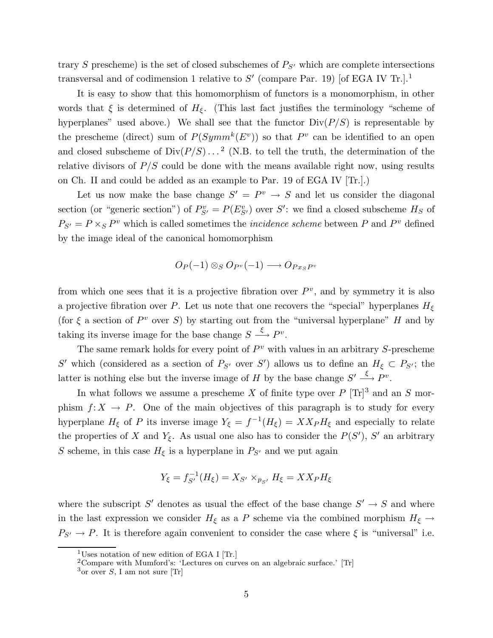trary S prescheme) is the set of closed subschemes of  $P_{S}$  which are complete intersections transversal and of codimension 1 relative to  $S'$  (compare Par. 19) [of EGA IV Tr.].<sup>1</sup>

It is easy to show that this homomorphism of functors is a monomorphism, in other words that  $\xi$  is determined of  $H_{\xi}$ . (This last fact justifies the terminology "scheme of hyperplanes" used above.) We shall see that the functor  $Div(P/S)$  is representable by the prescheme (direct) sum of  $P(Symm^k(E^v))$  so that  $P^v$  can be identified to an open and closed subscheme of  $Div(P/S) \dots^2$  (N.B. to tell the truth, the determination of the relative divisors of  $P/S$  could be done with the means available right now, using results on Ch. II and could be added as an example to Par. 19 of EGA IV [Tr.].)

Let us now make the base change  $S' = P^v \rightarrow S$  and let us consider the diagonal section (or "generic section") of  $P_{S'}^v = P(E_{S'}^v)$  over S': we find a closed subscheme  $H_S$  of  $P_{S'} = P \times_S P^v$  which is called sometimes the *incidence scheme* between P and  $P^v$  defined by the image ideal of the canonical homomorphism

$$
O_P(-1) \otimes_S O_{P^v}(-1) \longrightarrow O_{P x_S P^v}
$$

from which one sees that it is a projective fibration over  $P^v$ , and by symmetry it is also a projective fibration over P. Let us note that one recovers the "special" hyperplanes  $H_{\xi}$ (for  $\xi$  a section of  $P^v$  over S) by starting out from the "universal hyperplane" H and by taking its inverse image for the base change  $S \xrightarrow{\xi} P^v$ .

The same remark holds for every point of  $P<sup>v</sup>$  with values in an arbitrary S-prescheme S' which (considered as a section of  $P_{S'}$  over S') allows us to define an  $H_{\xi} \subset P_{S'}$ ; the latter is nothing else but the inverse image of H by the base change  $S' \stackrel{\xi}{\longrightarrow} P^v$ .

In what follows we assume a prescheme X of finite type over  $P [\text{Tr}]^3$  and an S morphism  $f: X \to P$ . One of the main objectives of this paragraph is to study for every hyperplane  $H_{\xi}$  of P its inverse image  $Y_{\xi} = f^{-1}(H_{\xi}) = X X_P H_{\xi}$  and especially to relate the properties of X and  $Y_{\xi}$ . As usual one also has to consider the  $P(S')$ , S' an arbitrary S scheme, in this case  $H_{\xi}$  is a hyperplane in  $P_{S'}$  and we put again

$$
Y_{\xi} = f_{S'}^{-1}(H_{\xi}) = X_{S'} \times_{p_{S'}} H_{\xi} = X X_{P} H_{\xi}
$$

where the subscript S' denotes as usual the effect of the base change  $S' \to S$  and where in the last expression we consider  $H_{\xi}$  as a P scheme via the combined morphism  $H_{\xi} \rightarrow$  $P_{S'} \rightarrow P$ . It is therefore again convenient to consider the case where  $\xi$  is "universal" i.e.

<sup>&</sup>lt;sup>1</sup>Uses notation of new edition of EGA I [Tr.]

<sup>&</sup>lt;sup>2</sup>Compare with Mumford's: 'Lectures on curves on an algebraic surface.' [Tr]

 $3$ or over S, I am not sure [Tr]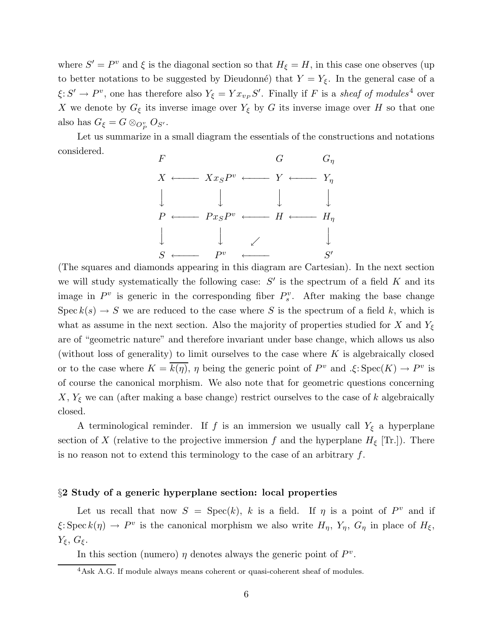where  $S' = P^v$  and  $\xi$  is the diagonal section so that  $H_{\xi} = H$ , in this case one observes (up to better notations to be suggested by Dieudonné) that  $Y = Y_{\xi}$ . In the general case of a  $\xi: S' \to P^v$ , one has therefore also  $Y_{\xi} = Yx_{v_P}S'$ . Finally if F is a sheaf of modules<sup>4</sup> over X we denote by  $G_{\xi}$  its inverse image over  $Y_{\xi}$  by G its inverse image over H so that one also has  $G_{\xi} = G \otimes_{O_P^v} O_{S'}$ .

Let us summarize in a small diagram the essentials of the constructions and notations considered.



(The squares and diamonds appearing in this diagram are Cartesian). In the next section we will study systematically the following case:  $S'$  is the spectrum of a field K and its image in  $P^v$  is generic in the corresponding fiber  $P_s^v$ . After making the base change Spec  $k(s) \to S$  we are reduced to the case where S is the spectrum of a field k, which is what as assume in the next section. Also the majority of properties studied for X and  $Y_{\xi}$ are of "geometric nature" and therefore invariant under base change, which allows us also (without loss of generality) to limit ourselves to the case where  $K$  is algebraically closed or to the case where  $K = \overline{k(\eta)}$ ,  $\eta$  being the generic point of  $P^v$  and  $\mathcal{L}: \text{Spec}(K) \to P^v$  is of course the canonical morphism. We also note that for geometric questions concerning  $X, Y_{\xi}$  we can (after making a base change) restrict ourselves to the case of k algebraically closed.

A terminological reminder. If f is an immersion we usually call  $Y_{\xi}$  a hyperplane section of X (relative to the projective immersion f and the hyperplane  $H_{\xi}$  [Tr.]). There is no reason not to extend this terminology to the case of an arbitrary  $f$ .

#### §2 Study of a generic hyperplane section: local properties

Let us recall that now  $S = \text{Spec}(k)$ , k is a field. If  $\eta$  is a point of  $P^v$  and if  $\xi: \text{Spec } k(\eta) \to P^v$  is the canonical morphism we also write  $H_{\eta}$ ,  $Y_{\eta}$ ,  $G_{\eta}$  in place of  $H_{\xi}$ ,  $Y_{\xi}, G_{\xi}.$ 

In this section (numero)  $\eta$  denotes always the generic point of  $P^v$ .

<sup>&</sup>lt;sup>4</sup>Ask A.G. If module always means coherent or quasi-coherent sheaf of modules.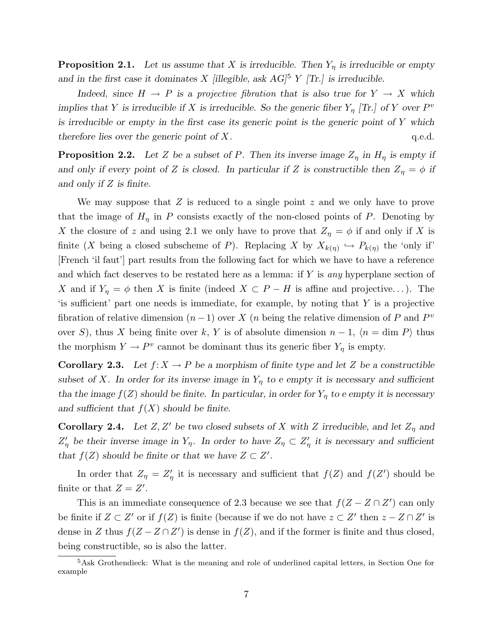**Proposition 2.1.** Let us assume that X is irreducible. Then  $Y_{\eta}$  is irreducible or empty and in the first case it dominates X [illegible, ask  $AG$ <sup>5</sup> Y [Tr.] is irreducible.

Indeed, since  $H \to P$  is a projective fibration that is also true for  $Y \to X$  which implies that Y is irreducible if X is irreducible. So the generic fiber  $Y_{\eta}$  [Tr.] of Y over  $P^v$ is irreducible or empty in the first case its generic point is the generic point of  $Y$  which therefore lies over the generic point of  $X$ .  $q.e.d.$ 

**Proposition 2.2.** Let Z be a subset of P. Then its inverse image  $Z_{\eta}$  in  $H_{\eta}$  is empty if and only if every point of Z is closed. In particular if Z is constructible then  $Z_{\eta} = \phi$  if and only if Z is finite.

We may suppose that  $Z$  is reduced to a single point  $z$  and we only have to prove that the image of  $H<sub>\eta</sub>$  in P consists exactly of the non-closed points of P. Denoting by X the closure of z and using 2.1 we only have to prove that  $Z_{\eta} = \phi$  if and only if X is finite (X being a closed subscheme of P). Replacing X by  $X_{k(\eta)} \hookrightarrow P_{k(\eta)}$  the 'only if' [French 'il faut'] part results from the following fact for which we have to have a reference and which fact deserves to be restated here as a lemma: if  $Y$  is any hyperplane section of X and if  $Y_{\eta} = \phi$  then X is finite (indeed  $X \subset P - H$  is affine and projective...). The 'is sufficient' part one needs is immediate, for example, by noting that  $Y$  is a projective fibration of relative dimension  $(n-1)$  over X  $(n)$  being the relative dimension of P and  $P<sup>v</sup>$ over S), thus X being finite over k, Y is of absolute dimension  $n-1$ ,  $\langle n = \dim P \rangle$  thus the morphism  $Y \to P^v$  cannot be dominant thus its generic fiber  $Y_\eta$  is empty.

**Corollary 2.3.** Let  $f: X \to P$  be a morphism of finite type and let Z be a constructible subset of X. In order for its inverse image in  $Y_{\eta}$  to e empty it is necessary and sufficient tha the image  $f(Z)$  should be finite. In particular, in order for  $Y_{\eta}$  to e empty it is necessary and sufficient that  $f(X)$  should be finite.

**Corollary 2.4.** Let  $Z, Z'$  be two closed subsets of X with Z irreducible, and let  $Z_{\eta}$  and  $Z'_{\eta}$  be their inverse image in  $Y_{\eta}$ . In order to have  $Z_{\eta} \subset Z'_{\eta}$  it is necessary and sufficient that  $f(Z)$  should be finite or that we have  $Z \subset Z'$ .

In order that  $Z_{\eta} = Z_{\eta}'$  it is necessary and sufficient that  $f(Z)$  and  $f(Z')$  should be finite or that  $Z = Z'$ .

This is an immediate consequence of 2.3 because we see that  $f(Z - Z \cap Z')$  can only be finite if  $Z \subset Z'$  or if  $f(Z)$  is finite (because if we do not have  $z \subset Z'$  then  $z - Z \cap Z'$  is dense in Z thus  $f(Z - Z \cap Z')$  is dense in  $f(Z)$ , and if the former is finite and thus closed, being constructible, so is also the latter.

<sup>5</sup>Ask Grothendieck: What is the meaning and role of underlined capital letters, in Section One for example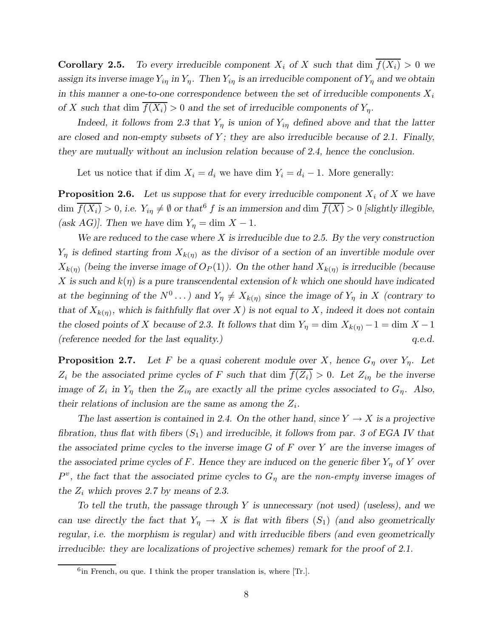**Corollary 2.5.** To every irreducible component  $X_i$  of X such that dim  $\overline{f(X_i)} > 0$  we assign its inverse image  $Y_{i\eta}$  in  $Y_{\eta}$ . Then  $Y_{i\eta}$  is an irreducible component of  $Y_{\eta}$  and we obtain in this manner a one-to-one correspondence between the set of irreducible components  $X_i$ of X such that dim  $\overline{f(X_i)} > 0$  and the set of irreducible components of  $Y_n$ .

Indeed, it follows from 2.3 that  $Y_{\eta}$  is union of  $Y_{i\eta}$  defined above and that the latter are closed and non-empty subsets of  $Y$ ; they are also irreducible because of 2.1. Finally, they are mutually without an inclusion relation because of 2.4, hence the conclusion.

Let us notice that if dim  $X_i = d_i$  we have dim  $Y_i = d_i - 1$ . More generally:

**Proposition 2.6.** Let us suppose that for every irreducible component  $X_i$  of X we have dim  $\overline{f(X_i)} > 0$ , i.e.  $Y_{i\eta} \neq \emptyset$  or that f f is an immersion and dim  $\overline{f(X)} > 0$  [slightly illegible, (ask AG)]. Then we have dim  $Y_{\eta} = \dim X - 1$ .

We are reduced to the case where  $X$  is irreducible due to 2.5. By the very construction  $Y_{\eta}$  is defined starting from  $X_{k(\eta)}$  as the divisor of a section of an invertible module over  $X_{k(\eta)}$  (being the inverse image of  $O_P(1)$ ). On the other hand  $X_{k(\eta)}$  is irreducible (because X is such and  $k(\eta)$  is a pure transcendental extension of k which one should have indicated at the beginning of the  $N^0 \dots$ ) and  $Y_\eta \neq X_{k(\eta)}$  since the image of  $Y_\eta$  in X (contrary to that of  $X_{k(\eta)}$ , which is faithfully flat over X) is not equal to X, indeed it does not contain the closed points of X because of 2.3. It follows that dim  $Y_{\eta} = \dim X_{k(\eta)} - 1 = \dim X - 1$ (reference needed for the last equality.)  $q.e.d.$ 

**Proposition 2.7.** Let F be a quasi coherent module over X, hence  $G_{\eta}$  over  $Y_{\eta}$ . Let  $Z_i$  be the associated prime cycles of F such that dim  $\overline{f(Z_i)} > 0$ . Let  $Z_{i\eta}$  be the inverse image of  $Z_i$  in  $Y_\eta$  then the  $Z_{i\eta}$  are exactly all the prime cycles associated to  $G_\eta$ . Also, their relations of inclusion are the same as among the  $Z_i$ .

The last assertion is contained in 2.4. On the other hand, since  $Y \to X$  is a projective fibration, thus flat with fibers  $(S_1)$  and irreducible, it follows from par. 3 of EGA IV that the associated prime cycles to the inverse image  $G$  of  $F$  over  $Y$  are the inverse images of the associated prime cycles of F. Hence they are induced on the generic fiber  $Y_n$  of Y over  $P^v$ , the fact that the associated prime cycles to  $G_\eta$  are the non-empty inverse images of the  $Z_i$  which proves 2.7 by means of 2.3.

To tell the truth, the passage through  $Y$  is unnecessary (not used) (useless), and we can use directly the fact that  $Y_{\eta} \to X$  is flat with fibers  $(S_1)$  (and also geometrically regular, i.e. the morphism is regular) and with irreducible fibers (and even geometrically irreducible: they are localizations of projective schemes) remark for the proof of 2.1.

 $6$ in French, ou que. I think the proper translation is, where [Tr.].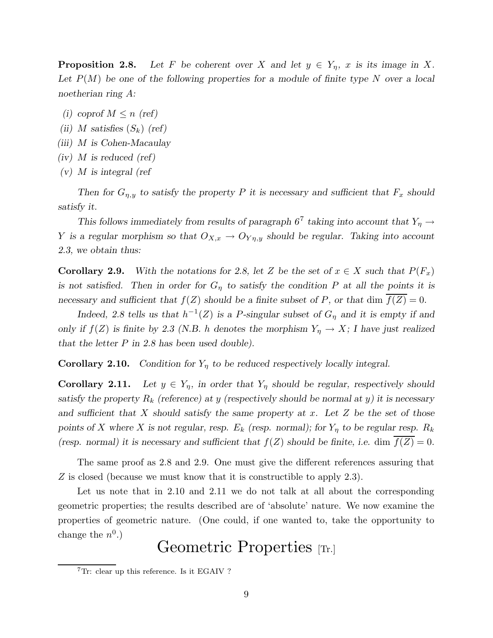**Proposition 2.8.** Let F be coherent over X and let  $y \in Y_\eta$ , x is its image in X. Let  $P(M)$  be one of the following properties for a module of finite type N over a local noetherian ring A:

- (i) coprof  $M \leq n$  (ref)
- (ii) M satisfies  $(S_k)$  (ref)
- (iii) M is Cohen-Macaulay
- $(iv)$  *M* is reduced (ref)
- $(v)$  *M* is integral (ref

Then for  $G_{\eta,y}$  to satisfy the property P it is necessary and sufficient that  $F_x$  should satisfy it.

This follows immediately from results of paragraph  $6^7$  taking into account that  $Y_\eta \to$ Y is a regular morphism so that  $O_{X,x} \to O_{Y\eta,y}$  should be regular. Taking into account 2.3, we obtain thus:

**Corollary 2.9.** With the notations for 2.8, let Z be the set of  $x \in X$  such that  $P(F_x)$ is not satisfied. Then in order for  $G_n$  to satisfy the condition P at all the points it is necessary and sufficient that  $f(Z)$  should be a finite subset of P, or that dim  $f(Z) = 0$ .

Indeed, 2.8 tells us that  $h^{-1}(Z)$  is a P-singular subset of  $G_{\eta}$  and it is empty if and only if  $f(Z)$  is finite by 2.3 (N.B. h denotes the morphism  $Y_{\eta} \to X$ ; I have just realized that the letter P in 2.8 has been used double).

**Corollary 2.10.** Condition for  $Y_{\eta}$  to be reduced respectively locally integral.

**Corollary 2.11.** Let  $y \in Y_\eta$ , in order that  $Y_\eta$  should be regular, respectively should satisfy the property  $R_k$  (reference) at y (respectively should be normal at y) it is necessary and sufficient that X should satisfy the same property at x. Let  $Z$  be the set of those points of X where X is not regular, resp.  $E_k$  (resp. normal); for  $Y_\eta$  to be regular resp.  $R_k$ (resp. normal) it is necessary and sufficient that  $f(Z)$  should be finite, i.e. dim  $\overline{f(Z)} = 0$ .

The same proof as 2.8 and 2.9. One must give the different references assuring that Z is closed (because we must know that it is constructible to apply 2.3).

Let us note that in 2.10 and 2.11 we do not talk at all about the corresponding geometric properties; the results described are of 'absolute' nature. We now examine the properties of geometric nature. (One could, if one wanted to, take the opportunity to change the  $n^0$ .)

# Geometric Properties [Tr.]

<sup>&</sup>lt;sup>7</sup>Tr: clear up this reference. Is it EGAIV ?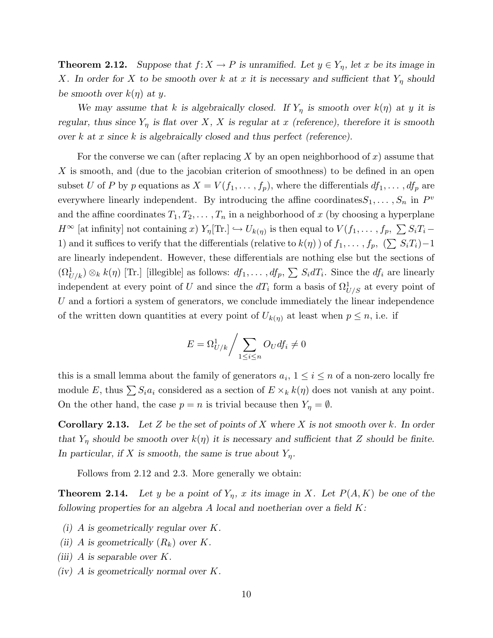**Theorem 2.12.** Suppose that  $f: X \to P$  is unramified. Let  $y \in Y_\eta$ , let x be its image in X. In order for X to be smooth over k at x it is necessary and sufficient that  $Y_n$  should be smooth over  $k(\eta)$  at y.

We may assume that k is algebraically closed. If  $Y_{\eta}$  is smooth over  $k(\eta)$  at y it is regular, thus since  $Y_{\eta}$  is flat over X, X is regular at x (reference), therefore it is smooth over k at x since k is algebraically closed and thus perfect (reference).

For the converse we can (after replacing X by an open neighborhood of x) assume that X is smooth, and (due to the jacobian criterion of smoothness) to be defined in an open subset U of P by p equations as  $X = V(f_1, \ldots, f_p)$ , where the differentials  $df_1, \ldots, df_p$  are everywhere linearly independent. By introducing the affine coordinates  $S_1, \ldots, S_n$  in  $P^v$ and the affine coordinates  $T_1, T_2, \ldots, T_n$  in a neighborhood of x (by choosing a hyperplane  $H^{\infty}$  [at infinity] not containing x)  $Y_{\eta}[\text{Tr.}] \hookrightarrow U_{k(\eta)}$  is then equal to  $V(f_1, \ldots, f_p, \sum S_i T_i -$ 1) and it suffices to verify that the differentials (relative to  $k(\eta)$ ) of  $f_1, \ldots, f_p$ ,  $(\sum S_i T_i) - 1$ are linearly independent. However, these differentials are nothing else but the sections of  $(\Omega_{U/k}^1) \otimes_k k(\eta)$  [Tr.] [illegible] as follows:  $df_1, \ldots, df_p, \sum S_i dT_i$ . Since the  $df_i$  are linearly independent at every point of U and since the  $dT_i$  form a basis of  $\Omega_{U/S}^1$  at every point of U and a fortiori a system of generators, we conclude immediately the linear independence of the written down quantities at every point of  $U_{k(\eta)}$  at least when  $p \leq n$ , i.e. if

$$
E = \Omega_{U/k}^1 / \sum_{1 \le i \le n} O_U df_i \neq 0
$$

this is a small lemma about the family of generators  $a_i$ ,  $1 \le i \le n$  of a non-zero locally fre module E, thus  $\sum S_i a_i$  considered as a section of  $E \times_k k(\eta)$  does not vanish at any point. On the other hand, the case  $p = n$  is trivial because then  $Y_{\eta} = \emptyset$ .

**Corollary 2.13.** Let Z be the set of points of X where X is not smooth over k. In order that  $Y_{\eta}$  should be smooth over  $k(\eta)$  it is necessary and sufficient that Z should be finite. In particular, if X is smooth, the same is true about  $Y_{\eta}$ .

Follows from 2.12 and 2.3. More generally we obtain:

**Theorem 2.14.** Let y be a point of  $Y_{\eta}$ , x its image in X. Let  $P(A, K)$  be one of the following properties for an algebra A local and noetherian over a field  $K$ :

- (i) A is geometrically regular over K.
- (ii) A is geometrically  $(R_k)$  over K.
- (iii) A is separable over  $K$ .
- (iv) A is geometrically normal over K.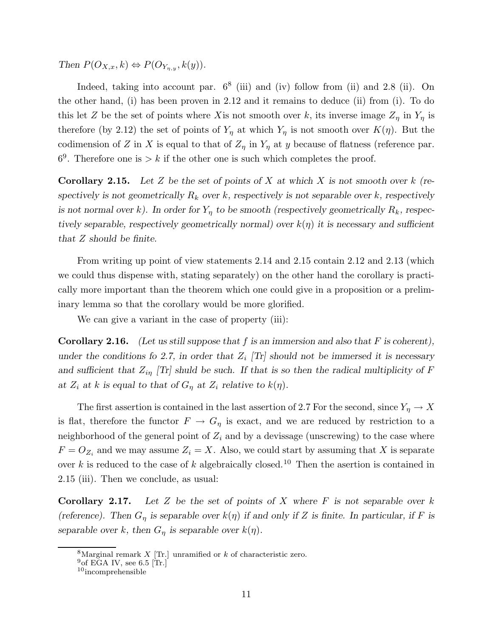Then  $P(O_{X,x}, k) \Leftrightarrow P(O_{Y_{\eta,y}}, k(y)).$ 

Indeed, taking into account par.  $6^8$  (iii) and (iv) follow from (ii) and 2.8 (ii). On the other hand, (i) has been proven in 2.12 and it remains to deduce (ii) from (i). To do this let Z be the set of points where X is not smooth over k, its inverse image  $Z_{\eta}$  in  $Y_{\eta}$  is therefore (by 2.12) the set of points of  $Y_{\eta}$  at which  $Y_{\eta}$  is not smooth over  $K(\eta)$ . But the codimension of Z in X is equal to that of  $Z_{\eta}$  in  $Y_{\eta}$  at y because of flatness (reference par.  $6<sup>9</sup>$ . Therefore one is  $> k$  if the other one is such which completes the proof.

**Corollary 2.15.** Let Z be the set of points of X at which X is not smooth over k (respectively is not geometrically  $R_k$  over k, respectively is not separable over k, respectively is not normal over k). In order for  $Y_n$  to be smooth (respectively geometrically  $R_k$ , respectively separable, respectively geometrically normal) over  $k(\eta)$  it is necessary and sufficient that Z should be finite.

From writing up point of view statements 2.14 and 2.15 contain 2.12 and 2.13 (which we could thus dispense with, stating separately) on the other hand the corollary is practically more important than the theorem which one could give in a proposition or a preliminary lemma so that the corollary would be more glorified.

We can give a variant in the case of property (iii):

**Corollary 2.16.** (Let us still suppose that f is an immersion and also that F is coherent), under the conditions fo 2.7, in order that  $Z_i$  [Tr] should not be immersed it is necessary and sufficient that  $Z_{i\eta}$  [Tr] shuld be such. If that is so then the radical multiplicity of F at  $Z_i$  at k is equal to that of  $G_n$  at  $Z_i$  relative to  $k(\eta)$ .

The first assertion is contained in the last assertion of 2.7 For the second, since  $Y_{\eta} \to X$ is flat, therefore the functor  $F \to G_\eta$  is exact, and we are reduced by restriction to a neighborhood of the general point of  $Z_i$  and by a devissage (unscrewing) to the case where  $F = O_{Z_i}$  and we may assume  $Z_i = X$ . Also, we could start by assuming that X is separate over k is reduced to the case of k algebraically closed.<sup>10</sup> Then the asertion is contained in 2.15 (iii). Then we conclude, as usual:

**Corollary 2.17.** Let Z be the set of points of X where  $F$  is not separable over  $k$ (reference). Then  $G_{\eta}$  is separable over  $k(\eta)$  if and only if Z is finite. In particular, if F is separable over k, then  $G_{\eta}$  is separable over  $k(\eta)$ .

<sup>&</sup>lt;sup>8</sup>Marginal remark  $X$  [Tr.] unramified or  $k$  of characteristic zero.

 $^{9}$ of EGA IV, see 6.5 [Tr.]

 $10$ incomprehensible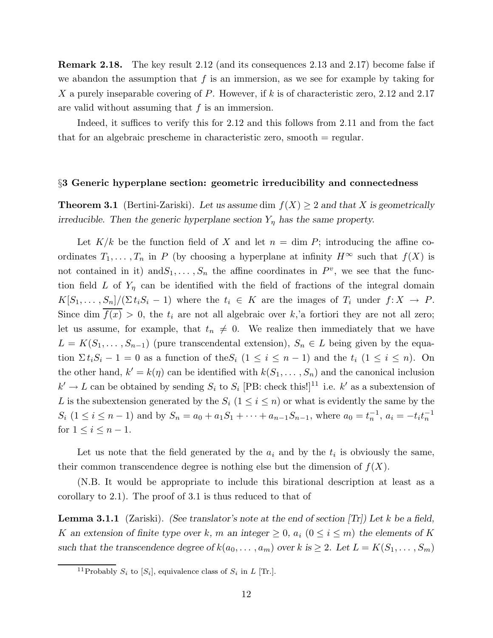Remark 2.18. The key result 2.12 (and its consequences 2.13 and 2.17) become false if we abandon the assumption that  $f$  is an immersion, as we see for example by taking for X a purely inseparable covering of P. However, if k is of characteristic zero, 2.12 and 2.17 are valid without assuming that  $f$  is an immersion.

Indeed, it suffices to verify this for 2.12 and this follows from 2.11 and from the fact that for an algebraic prescheme in characteristic zero, smooth = regular.

## §3 Generic hyperplane section: geometric irreducibility and connectedness

**Theorem 3.1** (Bertini-Zariski). Let us assume dim  $f(X) \geq 2$  and that X is geometrically irreducible. Then the generic hyperplane section  $Y_{\eta}$  has the same property.

Let  $K/k$  be the function field of X and let  $n = \dim P$ ; introducing the affine coordinates  $T_1, \ldots, T_n$  in P (by choosing a hyperplane at infinity  $H^{\infty}$  such that  $f(X)$  is not contained in it) and  $S_1, \ldots, S_n$  the affine coordinates in  $P^v$ , we see that the function field L of  $Y_{\eta}$  can be identified with the field of fractions of the integral domain  $K[S_1, \ldots, S_n]/(\Sigma t_iS_i - 1)$  where the  $t_i \in K$  are the images of  $T_i$  under  $f: X \to P$ . Since dim  $\overline{f(x)} > 0$ , the  $t_i$  are not all algebraic over k,'a fortiori they are not all zero; let us assume, for example, that  $t_n \neq 0$ . We realize then immediately that we have  $L = K(S_1, \ldots, S_{n-1})$  (pure transcendental extension),  $S_n \in L$  being given by the equation  $\sum t_iS_i - 1 = 0$  as a function of the  $S_i$   $(1 \le i \le n - 1)$  and the  $t_i$   $(1 \le i \le n)$ . On the other hand,  $k' = k(\eta)$  can be identified with  $k(S_1, \ldots, S_n)$  and the canonical inclusion  $k' \to L$  can be obtained by sending  $S_i$  to  $S_i$  [PB: check this!]<sup>11</sup> i.e. k' as a subextension of L is the subextension generated by the  $S_i$   $(1 \leq i \leq n)$  or what is evidently the same by the  $S_i$   $(1 \le i \le n-1)$  and by  $S_n = a_0 + a_1 S_1 + \cdots + a_{n-1} S_{n-1}$ , where  $a_0 = t_n^{-1}$ ,  $a_i = -t_i t_n^{-1}$ for  $1 \leq i \leq n-1$ .

Let us note that the field generated by the  $a_i$  and by the  $t_i$  is obviously the same, their common transcendence degree is nothing else but the dimension of  $f(X)$ .

(N.B. It would be appropriate to include this birational description at least as a corollary to 2.1). The proof of 3.1 is thus reduced to that of

**Lemma 3.1.1** (Zariski). (See translator's note at the end of section  $|Tr|$ ) Let k be a field, K an extension of finite type over k, m an integer  $\geq 0$ ,  $a_i$   $(0 \leq i \leq m)$  the elements of K such that the transcendence degree of  $k(a_0, \ldots, a_m)$  over k is  $\geq 2$ . Let  $L = K(S_1, \ldots, S_m)$ 

<sup>&</sup>lt;sup>11</sup>Probably  $S_i$  to  $[S_i]$ , equivalence class of  $S_i$  in L [Tr.].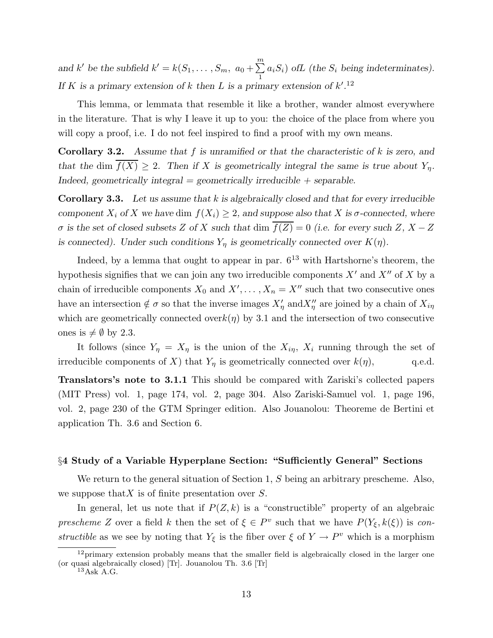and k' be the subfield  $k' = k(S_1, \ldots, S_m, a_0 + \sum^m)$ 1  $a_iS_i)$  of L (the  $S_i$  being indeterminates). If K is a primary extension of k then L is a primary extension of  $k'.^{12}$ 

This lemma, or lemmata that resemble it like a brother, wander almost everywhere in the literature. That is why I leave it up to you: the choice of the place from where you will copy a proof, i.e. I do not feel inspired to find a proof with my own means.

**Corollary 3.2.** Assume that  $f$  is unramified or that the characteristic of  $k$  is zero, and that the dim  $\overline{f(X)} \geq 2$ . Then if X is geometrically integral the same is true about  $Y_n$ . Indeed, geometrically integral  $=$  geometrically irreducible  $+$  separable.

**Corollary 3.3.** Let us assume that  $k$  is algebraically closed and that for every irreducible component  $X_i$  of X we have dim  $f(X_i) \geq 2$ , and suppose also that X is  $\sigma$ -connected, where σ is the set of closed subsets Z of X such that dim  $\overline{f(Z)} = 0$  (i.e. for every such Z, X – Z is connected). Under such conditions  $Y_{\eta}$  is geometrically connected over  $K(\eta)$ .

Indeed, by a lemma that ought to appear in par.  $6^{13}$  with Hartshorne's theorem, the hypothesis signifies that we can join any two irreducible components  $X'$  and  $X''$  of X by a chain of irreducible components  $X_0$  and  $X', \ldots, X_n = X''$  such that two consecutive ones have an intersection  $\notin \sigma$  so that the inverse images  $X'_{\eta}$  and  $X''_{\eta}$  are joined by a chain of  $X_{i\eta}$ which are geometrically connected over $k(\eta)$  by 3.1 and the intersection of two consecutive ones is  $\neq \emptyset$  by 2.3.

It follows (since  $Y_{\eta} = X_{\eta}$  is the union of the  $X_{i\eta}$ ,  $X_i$  running through the set of irreducible components of X) that  $Y_{\eta}$  is geometrically connected over  $k(\eta)$ , q.e.d.

Translators's note to 3.1.1 This should be compared with Zariski's collected papers (MIT Press) vol. 1, page 174, vol. 2, page 304. Also Zariski-Samuel vol. 1, page 196, vol. 2, page 230 of the GTM Springer edition. Also Jouanolou: Theoreme de Bertini et application Th. 3.6 and Section 6.

## §4 Study of a Variable Hyperplane Section: "Sufficiently General" Sections

We return to the general situation of Section 1, S being an arbitrary prescheme. Also, we suppose that X is of finite presentation over  $S$ .

In general, let us note that if  $P(Z, k)$  is a "constructible" property of an algebraic prescheme Z over a field k then the set of  $\xi \in P^v$  such that we have  $P(Y_{\xi}, k(\xi))$  is constructible as we see by noting that  $Y_{\xi}$  is the fiber over  $\xi$  of  $Y \to P^v$  which is a morphism

 $12$ primary extension probably means that the smaller field is algebraically closed in the larger one (or quasi algebraically closed) [Tr]. Jouanolou Th. 3.6 [Tr] <sup>13</sup>Ask A.G.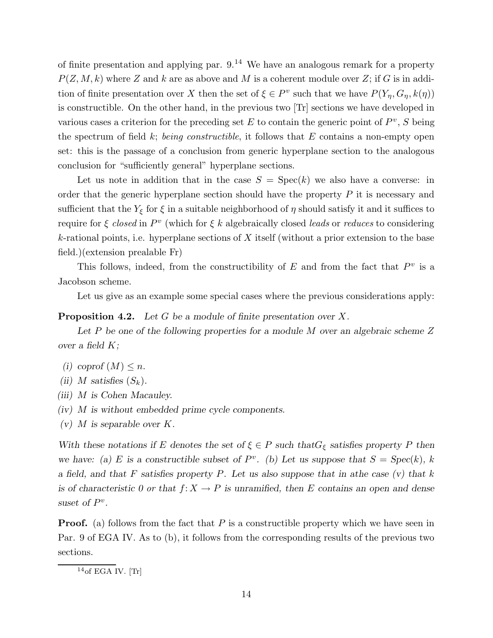of finite presentation and applying par.  $9^{14}$  We have an analogous remark for a property  $P(Z, M, k)$  where Z and k are as above and M is a coherent module over Z; if G is in addition of finite presentation over X then the set of  $\xi \in P^v$  such that we have  $P(Y_\eta, G_\eta, k(\eta))$ is constructible. On the other hand, in the previous two [Tr] sections we have developed in various cases a criterion for the preceding set  $E$  to contain the generic point of  $P^v$ , S being the spectrum of field  $k$ ; *being constructible*, it follows that  $E$  contains a non-empty open set: this is the passage of a conclusion from generic hyperplane section to the analogous conclusion for "sufficiently general" hyperplane sections.

Let us note in addition that in the case  $S = \text{Spec}(k)$  we also have a converse: in order that the generic hyperplane section should have the property  $P$  it is necessary and sufficient that the  $Y_\xi$  for  $\xi$  in a suitable neighborhood of<br>  $\eta$  should satisfy it and it suffices to require for  $\xi$  closed in  $P^v$  (which for  $\xi$  k algebraically closed leads or reduces to considering  $k$ -rational points, i.e. hyperplane sections of X itself (without a prior extension to the base field.)(extension prealable Fr)

This follows, indeed, from the constructibility of  $E$  and from the fact that  $P^v$  is a Jacobson scheme.

Let us give as an example some special cases where the previous considerations apply:

# **Proposition 4.2.** Let G be a module of finite presentation over X.

Let  $P$  be one of the following properties for a module  $M$  over an algebraic scheme  $Z$ over a field  $K$ ;

- (i) coprof  $(M) \leq n$ .
- (ii) M satisfies  $(S_k)$ .
- (iii) M is Cohen Macauley.
- (iv) M is without embedded prime cycle components.
- $(v)$  M is separable over K.

With these notations if E denotes the set of  $\xi \in P$  such that  $G_{\xi}$  satisfies property P then we have: (a) E is a constructible subset of  $P^v$ . (b) Let us suppose that  $S = Spec(k)$ , k a field, and that F satisfies property P. Let us also suppose that in athe case  $(v)$  that k is of characteristic 0 or that  $f: X \to P$  is unramified, then E contains an open and dense suset of  $P^v$ .

**Proof.** (a) follows from the fact that  $P$  is a constructible property which we have seen in Par. 9 of EGA IV. As to (b), it follows from the corresponding results of the previous two sections.

 $14$ of EGA IV. [Tr]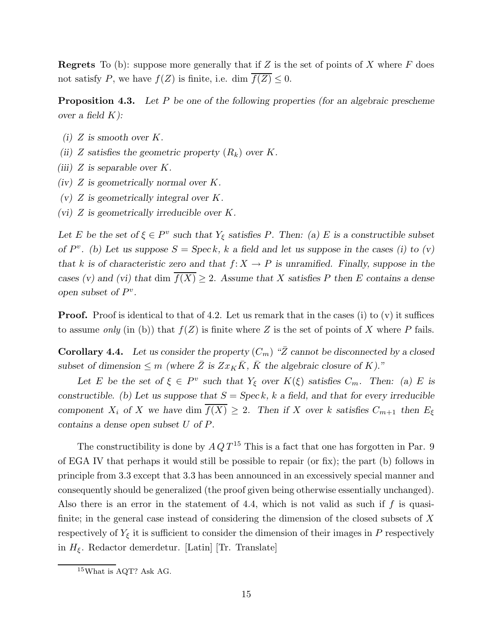**Regrets** To (b): suppose more generally that if Z is the set of points of X where  $F$  does not satisfy P, we have  $f(Z)$  is finite, i.e. dim  $\overline{f(Z)} \leq 0$ .

**Proposition 4.3.** Let P be one of the following properties (for an algebraic prescheme over a field  $K$ ):

- (i) Z is smooth over  $K$ .
- (ii) Z satisfies the geometric property  $(R_k)$  over K.
- (iii)  $Z$  is separable over  $K$ .
- $(iv)$  Z is geometrically normal over K.
- $(v)$  Z is geometrically integral over K.
- (vi)  $Z$  is geometrically irreducible over  $K$ .

Let E be the set of  $\xi \in P^v$  such that  $Y_{\xi}$  satisfies P. Then: (a) E is a constructible subset of  $P^v$ . (b) Let us suppose  $S = \text{Spec } k$ , k a field and let us suppose in the cases (i) to (v) that k is of characteristic zero and that  $f: X \to P$  is unramified. Finally, suppose in the cases (v) and (vi) that dim  $\overline{f(X)} \geq 2$ . Assume that X satisfies P then E contains a dense open subset of  $P^v$ .

**Proof.** Proof is identical to that of 4.2. Let us remark that in the cases (i) to (v) it suffices to assume only (in (b)) that  $f(Z)$  is finite where Z is the set of points of X where P fails.

**Corollary 4.4.** Let us consider the property  $(C_m)$  " $\bar{Z}$  cannot be disconnected by a closed subset of dimension  $\leq m$  (where  $\overline{Z}$  is  $Zx_K\overline{K}$ ,  $\overline{K}$  the algebraic closure of K)."

Let E be the set of  $\xi \in P^v$  such that  $Y_{\xi}$  over  $K(\xi)$  satisfies  $C_m$ . Then: (a) E is constructible. (b) Let us suppose that  $S = \text{Spec } k$ , k a field, and that for every irreducible component  $X_i$  of X we have dim  $\overline{f(X)} \geq 2$ . Then if X over k satisfies  $C_{m+1}$  then  $E_{\xi}$ contains a dense open subset U of P.

The constructibility is done by  $A Q T^{15}$  This is a fact that one has forgotten in Par. 9 of EGA IV that perhaps it would still be possible to repair (or fix); the part (b) follows in principle from 3.3 except that 3.3 has been announced in an excessively special manner and consequently should be generalized (the proof given being otherwise essentially unchanged). Also there is an error in the statement of 4.4, which is not valid as such if  $f$  is quasifinite; in the general case instead of considering the dimension of the closed subsets of X respectively of  $Y_{\xi}$  it is sufficient to consider the dimension of their images in P respectively in  $H_{\xi}$ . Redactor demerdetur. [Latin] [Tr. Translate]

<sup>15</sup>What is AQT? Ask AG.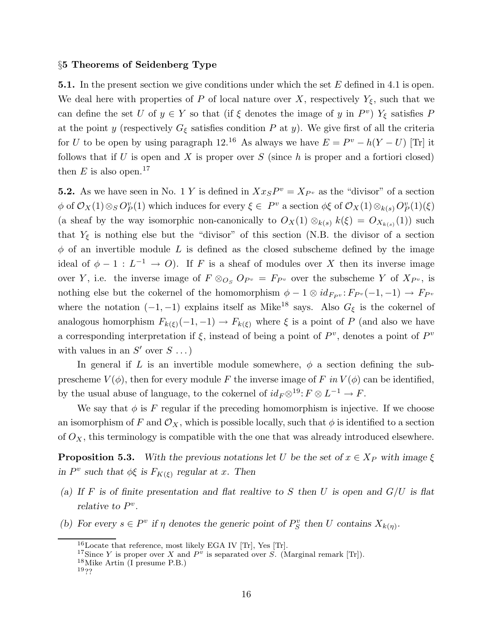#### §5 Theorems of Seidenberg Type

**5.1.** In the present section we give conditions under which the set  $E$  defined in 4.1 is open. We deal here with properties of P of local nature over X, respectively  $Y_{\xi}$ , such that we can define the set U of  $y \in Y$  so that (if  $\xi$  denotes the image of y in  $P^v$ )  $Y_{\xi}$  satisfies P at the point y (respectively  $G_{\xi}$  satisfies condition P at y). We give first of all the criteria for U to be open by using paragraph 12.<sup>16</sup> As always we have  $E = P^v - h(Y - U)$  [Tr] it follows that if U is open and X is proper over S (since h is proper and a fortiori closed) then E is also open.<sup>17</sup>

**5.2.** As we have seen in No. 1 Y is defined in  $Xx_{S}P^{v} = X_{P^{v}}$  as the "divisor" of a section  $\phi$  of  $\mathcal{O}_X(1) \otimes_S O_P^v(1)$  which induces for every  $\xi \in P^v$  a section  $\phi \xi$  of  $\mathcal{O}_X(1) \otimes_{k(s)} O_P^v(1)(\xi)$ (a sheaf by the way isomorphic non-canonically to  $O_X(1) \otimes_{k(s)} k(\xi) = O_{X_{k(s)}}(1)$ ) such that  $Y_{\xi}$  is nothing else but the "divisor" of this section (N.B. the divisor of a section  $\phi$  of an invertible module L is defined as the closed subscheme defined by the image ideal of  $\phi - 1 : L^{-1} \to O$ . If F is a sheaf of modules over X then its inverse image over Y, i.e. the inverse image of  $F \otimes_{O_S} O_{P^v} = F_{P^v}$  over the subscheme Y of  $X_{P^v}$ , is nothing else but the cokernel of the homomorphism  $\phi - 1 \otimes id_{F_{P'}}: F_{P'}(-1, -1) \to F_{P'}$ where the notation  $(-1, -1)$  explains itself as Mike<sup>18</sup> says. Also  $G_{\xi}$  is the cokernel of analogous homorphism  $F_{k(\xi)}(-1,-1) \to F_{k(\xi)}$  where  $\xi$  is a point of P (and also we have a corresponding interpretation if  $\xi$ , instead of being a point of  $P^v$ , denotes a point of  $P^v$ with values in an  $S'$  over  $S \dots$ )

In general if L is an invertible module somewhere,  $\phi$  a section defining the subprescheme  $V(\phi)$ , then for every module F the inverse image of F in  $V(\phi)$  can be identified, by the usual abuse of language, to the cokernel of  $id_F \otimes 1^9$ :  $F \otimes L^{-1} \to F$ .

We say that  $\phi$  is F regular if the preceding homomorphism is injective. If we choose an isomorphism of F and  $\mathcal{O}_X$ , which is possible locally, such that  $\phi$  is identified to a section of  $O_X$ , this terminology is compatible with the one that was already introduced elsewhere.

**Proposition 5.3.** With the previous notations let U be the set of  $x \in X_P$  with image  $\xi$ in  $P^v$  such that  $\phi \xi$  is  $F_{K(\xi)}$  regular at x. Then

- (a) If F is of finite presentation and flat realtive to S then U is open and  $G/U$  is flat relative to  $P^v$ .
- (b) For every  $s \in P^v$  if  $\eta$  denotes the generic point of  $P_S^v$  then U contains  $X_{k(\eta)}$ .

<sup>16</sup>Locate that reference, most likely EGA IV [Tr], Yes [Tr].

<sup>&</sup>lt;sup>17</sup>Since Y is proper over X and  $P^{\nu}$  is separated over S. (Marginal remark [Tr]).

<sup>18</sup>Mike Artin (I presume P.B.)

<sup>19</sup>??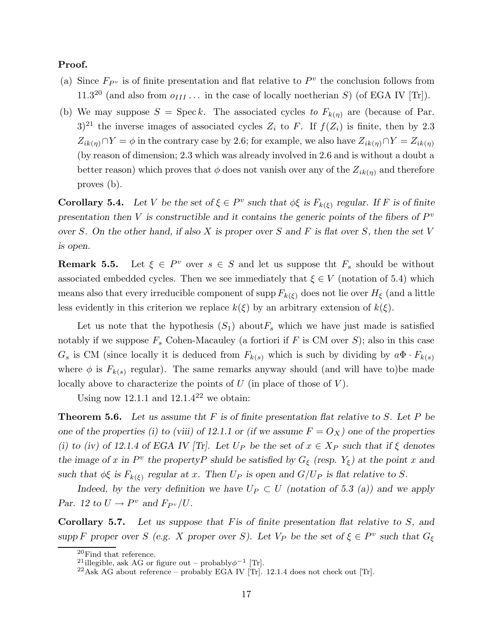# Proof.

- (a) Since  $F_{P^v}$  is of finite presentation and flat relative to  $P^v$  the conclusion follows from 11.3<sup>20</sup> (and also from  $o_{III} \dots$  in the case of locally noetherian S) (of EGA IV [Tr]).
- (b) We may suppose  $S = \text{Spec } k$ . The associated cycles to  $F_{k(\eta)}$  are (because of Par.  $(3)^{21}$  the inverse images of associated cycles  $Z_i$  to F. If  $f(Z_i)$  is finite, then by 2.3  $Z_{ik(\eta)} \cap Y = \phi$  in the contrary case by 2.6; for example, we also have  $Z_{ik(\eta)} \cap Y = Z_{ik(\eta)}$ (by reason of dimension; 2.3 which was already involved in 2.6 and is without a doubt a better reason) which proves that  $\phi$  does not vanish over any of the  $Z_{ik(\eta)}$  and therefore proves (b).

**Corollary 5.4.** Let V be the set of  $\xi \in P^v$  such that  $\phi \xi$  is  $F_{k(\xi)}$  regular. If F is of finite presentation then V is constructible and it contains the generic points of the fibers of  $P^v$ over S. On the other hand, if also X is proper over S and F is flat over S, then the set V is open.

Remark 5.5. Let  $\xi \in P^v$  over  $s \in S$  and let us suppose the  $F_s$  should be without associated embedded cycles. Then we see immediately that  $\xi \in V$  (notation of 5.4) which means also that every irreducible component of supp  $F_{k(\xi)}$  does not lie over  $H_{\xi}$  (and a little less evidently in this criterion we replace  $k(\xi)$  by an arbitrary extension of  $k(\xi)$ .

Let us note that the hypothesis  $(S_1)$  about  $F_s$  which we have just made is satisfied notably if we suppose  $F_s$  Cohen-Macauley (a fortiori if F is CM over S); also in this case  $G_s$  is CM (since locally it is deduced from  $F_{k(s)}$  which is such by dividing by  $a\Phi \cdot F_{k(s)}$ where  $\phi$  is  $F_{k(s)}$  regular). The same remarks anyway should (and will have to)be made locally above to characterize the points of  $U$  (in place of those of  $V$ ).

Using now 12.1.1 and  $12.1.4^{22}$  we obtain:

**Theorem 5.6.** Let us assume that F is of finite presentation flat relative to S. Let P be one of the properties (i) to (viii) of 12.1.1 or (if we assume  $F = O_X$ ) one of the properties (i) to (iv) of 12.1.4 of EGA IV [Tr]. Let  $U_P$  be the set of  $x \in X_P$  such that if  $\xi$  denotes the image of x in  $P^v$  the property shuld be satisfied by  $G_{\xi}$  (resp.  $Y_{\xi}$ ) at the point x and such that  $\phi \xi$  is  $F_{k(\xi)}$  regular at x. Then  $U_P$  is open and  $G/U_P$  is flat relative to S.

Indeed, by the very definition we have  $U_P \subset U$  (notation of 5.3 (a)) and we apply Par. 12 to  $U \to P^v$  and  $F_{P^v}/U$ .

Corollary 5.7. Let us suppose that F is of finite presentation flat relative to S, and supp F proper over S (e.g. X proper over S). Let  $V_P$  be the set of  $\xi \in P^v$  such that  $G_{\xi}$ 

 $^{20}\mathrm{Find}$  that reference.

<sup>&</sup>lt;sup>21</sup>illegible, ask AG or figure out – probably $\phi^{-1}$  [Tr].

 $^{22}$ Ask AG about reference – probably EGA IV [Tr]. 12.1.4 does not check out [Tr].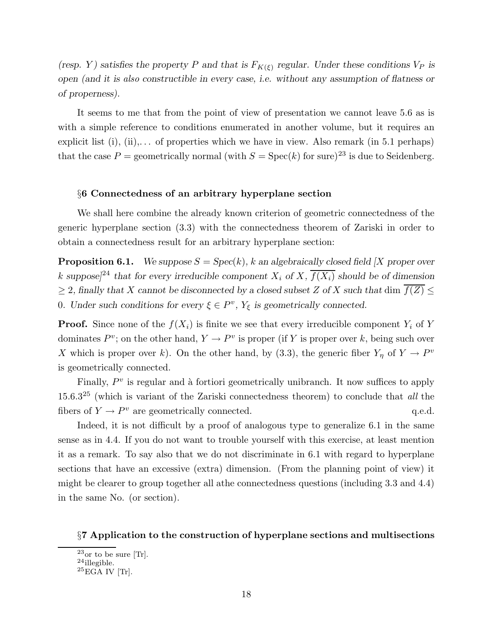(resp. Y) satisfies the property P and that is  $F_{K(\xi)}$  regular. Under these conditions  $V_P$  is open (and it is also constructible in every case, i.e. without any assumption of flatness or of properness).

It seems to me that from the point of view of presentation we cannot leave 5.6 as is with a simple reference to conditions enumerated in another volume, but it requires an explicit list  $(i)$ ,  $(ii)$ ,... of properties which we have in view. Also remark (in 5.1 perhaps) that the case  $P =$  geometrically normal (with  $S =$  Spec $(k)$  for sure)<sup>23</sup> is due to Seidenberg.

#### §6 Connectedness of an arbitrary hyperplane section

We shall here combine the already known criterion of geometric connectedness of the generic hyperplane section (3.3) with the connectedness theorem of Zariski in order to obtain a connectedness result for an arbitrary hyperplane section:

**Proposition 6.1.** We suppose  $S = \text{Spec}(k)$ , k an algebraically closed field [X proper over k suppose]<sup>24</sup> that for every irreducible component  $X_i$  of  $X$ ,  $\overline{f(X_i)}$  should be of dimension  $\geq$  2, finally that X cannot be disconnected by a closed subset Z of X such that dim  $\overline{f(Z)} \leq$ 0. Under such conditions for every  $\xi \in P^v$ ,  $Y_{\xi}$  is geometrically connected.

**Proof.** Since none of the  $f(X_i)$  is finite we see that every irreducible component  $Y_i$  of Y dominates  $P^v$ ; on the other hand,  $Y \to P^v$  is proper (if Y is proper over k, being such over X which is proper over k). On the other hand, by (3.3), the generic fiber  $Y_{\eta}$  of  $Y \to P^{\nu}$ is geometrically connected.

Finally,  $P<sup>v</sup>$  is regular and à fortiori geometrically unibranch. It now suffices to apply  $15.6.3^{25}$  (which is variant of the Zariski connectedness theorem) to conclude that all the fibers of  $Y \to P^v$  are geometrically connected. q.e.d.

Indeed, it is not difficult by a proof of analogous type to generalize 6.1 in the same sense as in 4.4. If you do not want to trouble yourself with this exercise, at least mention it as a remark. To say also that we do not discriminate in 6.1 with regard to hyperplane sections that have an excessive (extra) dimension. (From the planning point of view) it might be clearer to group together all athe connectedness questions (including 3.3 and 4.4) in the same No. (or section).

#### §7 Application to the construction of hyperplane sections and multisections

 $23$ or to be sure [Tr].

 $24$ illegible.

 $25\overline{\text{EGA}}$  IV [Tr].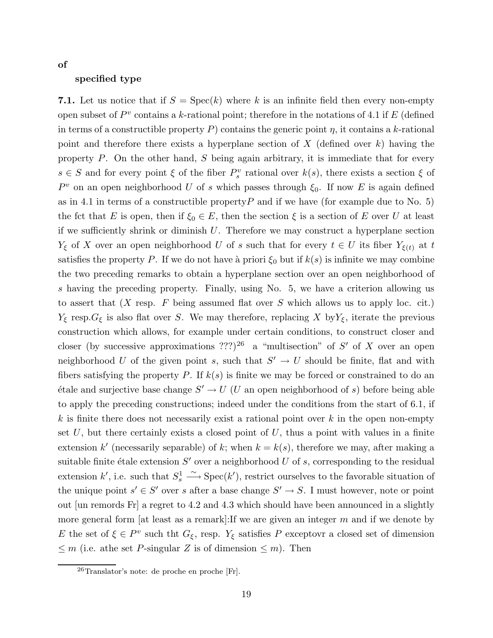of

# specified type

7.1. Let us notice that if  $S = \text{Spec}(k)$  where k is an infinite field then every non-empty open subset of  $P^v$  contains a k-rational point; therefore in the notations of 4.1 if E (defined in terms of a constructible property P) contains the generic point  $\eta$ , it contains a k-rational point and therefore there exists a hyperplane section of X (defined over  $k$ ) having the property  $P$ . On the other hand,  $S$  being again arbitrary, it is immediate that for every  $s \in S$  and for every point  $\xi$  of the fiber  $P_s^v$  rational over  $k(s)$ , there exists a section  $\xi$  of  $P<sup>v</sup>$  on an open neighborhood U of s which passes through  $\xi_0$ . If now E is again defined as in 4.1 in terms of a constructible property  $P$  and if we have (for example due to No. 5) the fct that E is open, then if  $\xi_0 \in E$ , then the section  $\xi$  is a section of E over U at least if we sufficiently shrink or diminish  $U$ . Therefore we may construct a hyperplane section  $Y_{\xi}$  of X over an open neighborhood U of s such that for every  $t \in U$  its fiber  $Y_{\xi(t)}$  at t satisfies the property P. If we do not have a priori  $\xi_0$  but if  $k(s)$  is infinite we may combine the two preceding remarks to obtain a hyperplane section over an open neighborhood of s having the preceding property. Finally, using No. 5, we have a criterion allowing us to assert that  $(X \text{ resp. } F \text{ being assumed flat over } S \text{ which allows us to apply loc. cit.)}$  $Y_{\xi}$  resp.  $G_{\xi}$  is also flat over S. We may therefore, replacing X by  $Y_{\xi}$ , iterate the previous construction which allows, for example under certain conditions, to construct closer and closer (by successive approximations ???)<sup>26</sup> a "multisection" of S' of X over an open neighborhood U of the given point s, such that  $S' \to U$  should be finite, flat and with fibers satisfying the property P. If  $k(s)$  is finite we may be forced or constrained to do an  $\text{étale}$  and surjective base change  $S' \to U$  (U an open neighborhood of s) before being able to apply the preceding constructions; indeed under the conditions from the start of 6.1, if k is finite there does not necessarily exist a rational point over  $k$  in the open non-empty set  $U$ , but there certainly exists a closed point of  $U$ , thus a point with values in a finite extension k' (necessarily separable) of k; when  $k = k(s)$ , therefore we may, after making a suitable finite étale extension  $S'$  over a neighborhood U of s, corresponding to the residual extension k', i.e. such that  $S_s^1 \xrightarrow{\sim} \text{Spec}(k')$ , restrict ourselves to the favorable situation of the unique point  $s' \in S'$  over s after a base change  $S' \to S$ . I must however, note or point out [un remords Fr] a regret to 4.2 and 4.3 which should have been announced in a slightly more general form [at least as a remark]: If we are given an integer  $m$  and if we denote by E the set of  $\xi \in P^v$  such tht  $G_{\xi}$ , resp.  $Y_{\xi}$  satisfies P exceptovr a closed set of dimension  $\leq m$  (i.e. athe set *P*-singular *Z* is of dimension  $\leq m$ ). Then

<sup>26</sup>Translator's note: de proche en proche [Fr].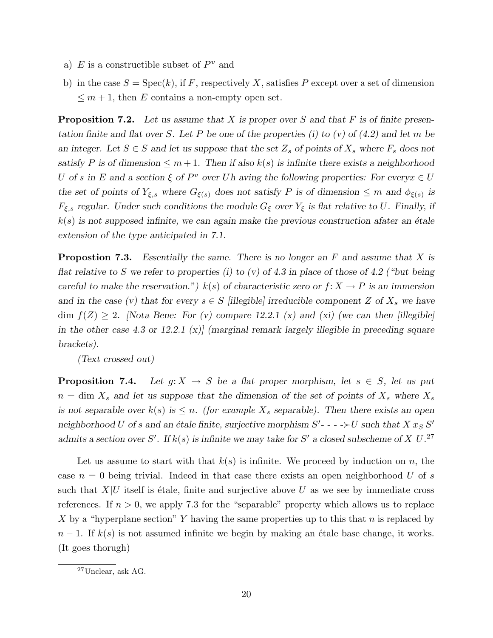- a)  $E$  is a constructible subset of  $P^v$  and
- b) in the case  $S = \text{Spec}(k)$ , if F, respectively X, satisfies P except over a set of dimension  $\leq m+1$ , then E contains a non-empty open set.

**Proposition 7.2.** Let us assume that  $X$  is proper over  $S$  and that  $F$  is of finite presentation finite and flat over S. Let P be one of the properties (i) to (v) of  $(4.2)$  and let m be an integer. Let  $S \in S$  and let us suppose that the set  $Z_s$  of points of  $X_s$  where  $F_s$  does not satisfy P is of dimension  $\leq m+1$ . Then if also  $k(s)$  is infinite there exists a neighborhood U of s in E and a section  $\xi$  of  $P^v$  over Uh aving the following properties: For every  $x \in U$ the set of points of  $Y_{\xi,s}$  where  $G_{\xi(s)}$  does not satisfy P is of dimension  $\leq m$  and  $\phi_{\xi(s)}$  is  $F_{\xi,s}$  regular. Under such conditions the module  $G_{\xi}$  over  $Y_{\xi}$  is flat relative to U. Finally, if  $k(s)$  is not supposed infinite, we can again make the previous construction afater an étale extension of the type anticipated in 7.1.

**Propostion 7.3.** Essentially the same. There is no longer an  $F$  and assume that  $X$  is flat relative to S we refer to properties (i) to (v) of 4.3 in place of those of 4.2 ("but being careful to make the reservation.")  $k(s)$  of characteristic zero or  $f: X \to P$  is an immersion and in the case (v) that for every  $s \in S$  [illegible] irreducible component Z of  $X_s$  we have dim  $f(Z) \ge 2$ . [Nota Bene: For (v) compare 12.2.1 (x) and (xi) (we can then [illegible] in the other case 4.3 or 12.2.1 (x) (marginal remark largely illegible in preceding square brackets).

(Text crossed out)

**Proposition 7.4.** Let  $g: X \to S$  be a flat proper morphism, let  $s \in S$ , let us put  $n = \dim X_s$  and let us suppose that the dimension of the set of points of  $X_s$  where  $X_s$ is not separable over  $k(s)$  is  $\leq n$ . (for example  $X_s$  separable). Then there exists an open neighborhood U of s and an étale finite, surjective morphism  $S'$ ---- $\succ U$  such that X  $x_S S'$ admits a section over S'. If  $k(s)$  is infinite we may take for S' a closed subscheme of X U.<sup>27</sup>

Let us assume to start with that  $k(s)$  is infinite. We proceed by induction on n, the case  $n = 0$  being trivial. Indeed in that case there exists an open neighborhood U of s such that  $X|U$  itself is étale, finite and surjective above U as we see by immediate cross references. If  $n > 0$ , we apply 7.3 for the "separable" property which allows us to replace X by a "hyperplane section" Y having the same properties up to this that n is replaced by  $n-1$ . If  $k(s)$  is not assumed infinite we begin by making an étale base change, it works. (It goes thorugh)

<sup>27</sup>Unclear, ask AG.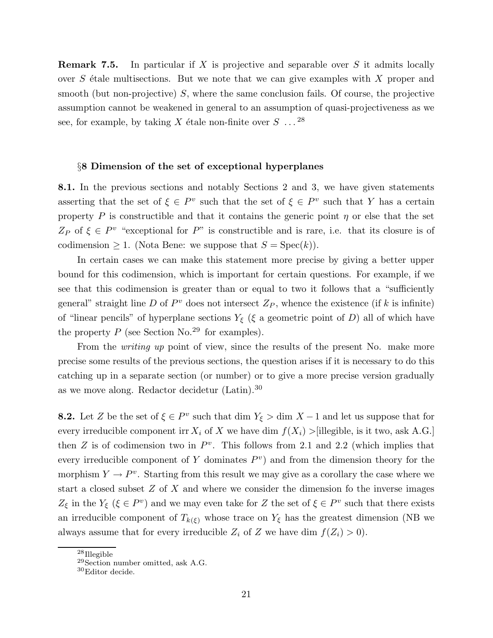Remark 7.5. In particular if X is projective and separable over S it admits locally over  $S$  étale multisections. But we note that we can give examples with  $X$  proper and smooth (but non-projective)  $S$ , where the same conclusion fails. Of course, the projective assumption cannot be weakened in general to an assumption of quasi-projectiveness as we see, for example, by taking X étale non-finite over  $S \dots^{28}$ 

#### §8 Dimension of the set of exceptional hyperplanes

8.1. In the previous sections and notably Sections 2 and 3, we have given statements asserting that the set of  $\xi \in P^v$  such that the set of  $\xi \in P^v$  such that Y has a certain property P is constructible and that it contains the generic point  $\eta$  or else that the set  $Z_P$  of  $\xi \in P^v$  "exceptional for P" is constructible and is rare, i.e. that its closure is of codimension  $\geq 1$ . (Nota Bene: we suppose that  $S = \text{Spec}(k)$ ).

In certain cases we can make this statement more precise by giving a better upper bound for this codimension, which is important for certain questions. For example, if we see that this codimension is greater than or equal to two it follows that a "sufficiently general" straight line D of  $P<sup>v</sup>$  does not intersect  $Z_P$ , whence the existence (if k is infinite) of "linear pencils" of hyperplane sections  $Y_{\xi}$  ( $\xi$  a geometric point of D) all of which have the property  $P$  (see Section No.<sup>29</sup> for examples).

From the *writing up* point of view, since the results of the present No. make more precise some results of the previous sections, the question arises if it is necessary to do this catching up in a separate section (or number) or to give a more precise version gradually as we move along. Redactor decidetur (Latin).<sup>30</sup>

**8.2.** Let Z be the set of  $\xi \in P^v$  such that dim  $Y_{\xi} > \dim X - 1$  and let us suppose that for every irreducible component irr  $X_i$  of X we have dim  $f(X_i) >$ [illegible, is it two, ask A.G.] then Z is of codimension two in  $P^v$ . This follows from 2.1 and 2.2 (which implies that every irreducible component of Y dominates  $P<sup>v</sup>$  and from the dimension theory for the morphism  $Y \to P^v$ . Starting from this result we may give as a corollary the case where we start a closed subset  $Z$  of  $X$  and where we consider the dimension fo the inverse images  $Z_{\xi}$  in the  $Y_{\xi}$  ( $\xi \in P^v$ ) and we may even take for Z the set of  $\xi \in P^v$  such that there exists an irreducible component of  $T_{k(\xi)}$  whose trace on  $Y_{\xi}$  has the greatest dimension (NB we always assume that for every irreducible  $Z_i$  of Z we have dim  $f(Z_i) > 0$ .

<sup>28</sup>Illegible

<sup>29</sup>Section number omitted, ask A.G.

<sup>30</sup>Editor decide.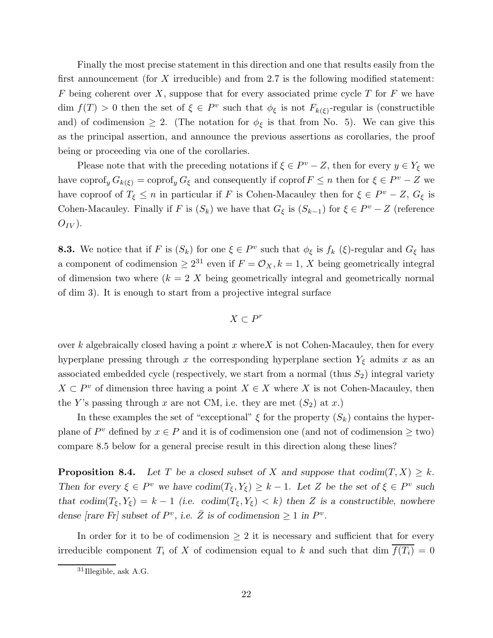Finally the most precise statement in this direction and one that results easily from the first announcement (for  $X$  irreducible) and from 2.7 is the following modified statement: F being coherent over X, suppose that for every associated prime cycle T for F we have dim  $f(T) > 0$  then the set of  $\xi \in P^v$  such that  $\phi_{\xi}$  is not  $F_{k(\xi)}$ -regular is (constructible and) of codimension  $\geq 2$ . (The notation for  $\phi_{\xi}$  is that from No. 5). We can give this as the principal assertion, and announce the previous assertions as corollaries, the proof being or proceeding via one of the corollaries.

Please note that with the preceding notations if  $\xi \in P^v - Z$ , then for every  $y \in Y_{\xi}$  we have coprof<sub>y</sub>  $G_{k(\xi)} = \text{coprof}_y G_{\xi}$  and consequently if coprof  $F \le n$  then for  $\xi \in P^v - Z$  we have coproof of  $T_{\xi} \leq n$  in particular if F is Cohen-Macauley then for  $\xi \in P^v - Z$ ,  $G_{\xi}$  is Cohen-Macauley. Finally if F is  $(S_k)$  we have that  $G_{\xi}$  is  $(S_{k-1})$  for  $\xi \in P^v - Z$  (reference  $O_{IV}$ ).

**8.3.** We notice that if F is  $(S_k)$  for one  $\xi \in P^v$  such that  $\phi_{\xi}$  is  $f_k(\xi)$ -regular and  $G_{\xi}$  has a component of codimension  $\geq 2^{31}$  even if  $F = \mathcal{O}_X$ ,  $k = 1$ , X being geometrically integral of dimension two where  $(k = 2 X)$  being geometrically integral and geometrically normal of dim 3). It is enough to start from a projective integral surface

$$
X\subset P^r
$$

over k algebraically closed having a point x where  $X$  is not Cohen-Macauley, then for every hyperplane pressing through x the corresponding hyperplane section  $Y_{\xi}$  admits x as an associated embedded cycle (respectively, we start from a normal (thus  $S_2$ ) integral variety  $X \subset P^v$  of dimension three having a point  $X \in X$  where X is not Cohen-Macauley, then the Y's passing through x are not CM, i.e. they are met  $(S_2)$  at x.)

In these examples the set of "exceptional"  $\xi$  for the property  $(S_k)$  contains the hyperplane of  $P^v$  defined by  $x \in P$  and it is of codimension one (and not of codimension  $\geq$  two) compare 8.5 below for a general precise result in this direction along these lines?

**Proposition 8.4.** Let T be a closed subset of X and suppose that  $\text{codim}(T, X) \geq k$ . Then for every  $\xi \in P^v$  we have  $\text{codim}(T_{\xi}, Y_{\xi}) \geq k-1$ . Let Z be the set of  $\xi \in P^v$  such that codim( $T_{\xi}, Y_{\xi}$ ) = k - 1 (i.e. codim( $T_{\xi}, Y_{\xi}$ ) < k) then Z is a constructible, nowhere dense [rare Fr] subset of  $P^v$ , i.e.  $\overline{Z}$  is of codimension  $\geq 1$  in  $P^v$ .

In order for it to be of codimension  $\geq 2$  it is necessary and sufficient that for every irreducible component  $T_i$  of X of codimension equal to k and such that dim  $\overline{f(T_i)} = 0$ 

<sup>31</sup>Illegible, ask A.G.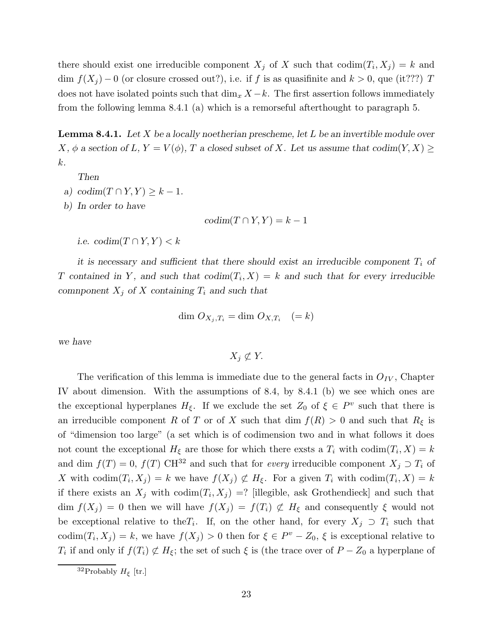there should exist one irreducible component  $X_j$  of X such that  $\text{codim}(T_i, X_j) = k$  and dim  $f(X_i) - 0$  (or closure crossed out?), i.e. if f is as quasifinite and  $k > 0$ , que (it???) T does not have isolated points such that  $\dim_x X - k$ . The first assertion follows immediately from the following lemma 8.4.1 (a) which is a remorseful afterthought to paragraph 5.

**Lemma 8.4.1.** Let  $X$  be a locally noetherian prescheme, let  $L$  be an invertible module over X,  $\phi$  a section of L,  $Y = V(\phi)$ , T a closed subset of X. Let us assume that codim(Y, X)  $\geq$ k.

Then

- a) codim $(T \cap Y, Y) \geq k 1$ .
- b) In order to have

 $codim(T \cap Y, Y) = k - 1$ 

i.e.  $codim(T \cap Y, Y) < k$ 

it is necessary and sufficient that there should exist an irreducible component  $T_i$  of T contained in Y, and such that  $\text{codim}(T_i, X) = k$  and such that for every irreducible comnponent  $X_j$  of X containing  $T_i$  and such that

$$
\dim O_{X_j, T_i} = \dim O_{X, T_i} \quad (=k)
$$

we have

 $X_i \not\subset Y$ .

The verification of this lemma is immediate due to the general facts in  $O_{IV}$ , Chapter IV about dimension. With the assumptions of 8.4, by 8.4.1 (b) we see which ones are the exceptional hyperplanes  $H_{\xi}$ . If we exclude the set  $Z_0$  of  $\xi \in P^v$  such that there is an irreducible component R of T or of X such that dim  $f(R) > 0$  and such that  $R_{\xi}$  is of "dimension too large" (a set which is of codimension two and in what follows it does not count the exceptional  $H_{\xi}$  are those for which there exsts a  $T_i$  with  $\text{codim}(T_i, X) = k$ and dim  $f(T) = 0$ ,  $f(T)$  CH<sup>32</sup> and such that for *every* irreducible component  $X_j \supset T_i$  of X with codim $(T_i, X_j) = k$  we have  $f(X_j) \not\subset H_\xi$ . For a given  $T_i$  with codim $(T_i, X) = k$ if there exists an  $X_j$  with  $\text{codim}(T_i, X_j) =?$  [illegible, ask Grothendieck] and such that dim  $f(X_j) = 0$  then we will have  $f(X_j) = f(T_i) \not\subset H_\xi$  and consequently  $\xi$  would not be exceptional relative to the  $T_i$ . If, on the other hand, for every  $X_j \supset T_i$  such that codim $(T_i, X_j) = k$ , we have  $f(X_j) > 0$  then for  $\xi \in P^v - Z_0$ ,  $\xi$  is exceptional relative to  $T_i$  if and only if  $f(T_i) \not\subset H_\xi$ ; the set of such  $\xi$  is (the trace over of  $P - Z_0$  a hyperplane of

<sup>&</sup>lt;sup>32</sup>Probably  $H_{\xi}$  [tr.]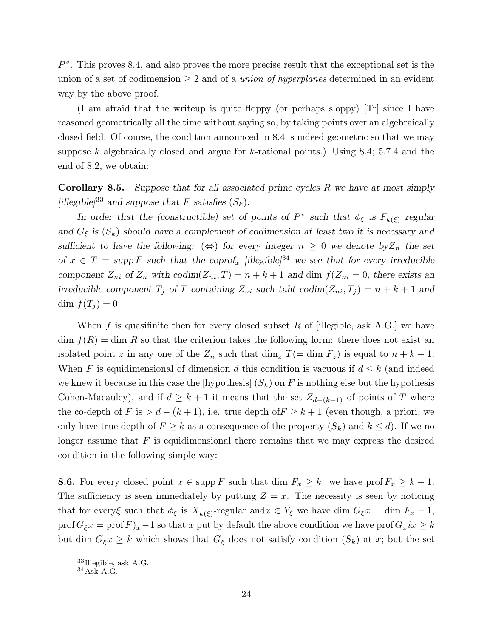$P<sup>v</sup>$ . This proves 8.4, and also proves the more precise result that the exceptional set is the union of a set of codimension  $\geq 2$  and of a *union of hyperplanes* determined in an evident way by the above proof.

(I am afraid that the writeup is quite floppy (or perhaps sloppy) [Tr] since I have reasoned geometrically all the time without saying so, by taking points over an algebraically closed field. Of course, the condition announced in 8.4 is indeed geometric so that we may suppose k algebraically closed and argue for k-rational points.) Using 8.4; 5.7.4 and the end of 8.2, we obtain:

**Corollary 8.5.** Suppose that for all associated prime cycles  $R$  we have at most simply [illegible]<sup>33</sup> and suppose that F satisfies  $(S_k)$ .

In order that the (constructible) set of points of  $P^v$  such that  $\phi_{\xi}$  is  $F_{k(\xi)}$  regular and  $G_{\xi}$  is  $(S_k)$  should have a complement of codimension at least two it is necessary and sufficient to have the following:  $(\Leftrightarrow)$  for every integer  $n \geq 0$  we denote by Z<sub>n</sub> the set of  $x \in T = \text{supp } F$  such that the coprof<sub>x</sub> [illegible]<sup>34</sup> we see that for every irreducible component  $Z_{ni}$  of  $Z_n$  with  $codim(Z_{ni}, T) = n + k + 1$  and dim  $f(Z_{ni} = 0$ , there exists an irreducible component  $T_j$  of T containing  $Z_{ni}$  such taht codim $(Z_{ni}, T_j) = n + k + 1$  and dim  $f(T_i) = 0$ .

When f is quasifinite then for every closed subset R of [illegible, ask A.G.] we have  $\dim f(R) = \dim R$  so that the criterion takes the following form: there does not exist an isolated point z in any one of the  $Z_n$  such that dim<sub>z</sub>  $T(=\dim F_z)$  is equal to  $n + k + 1$ . When F is equidimensional of dimension d this condition is vacuous if  $d \leq k$  (and indeed we knew it because in this case the [hypothesis]  $(S_k)$  on F is nothing else but the hypothesis Cohen-Macauley), and if  $d \geq k+1$  it means that the set  $Z_{d-(k+1)}$  of points of T where the co-depth of F is  $> d - (k + 1)$ , i.e. true depth of  $F \geq k + 1$  (even though, a priori, we only have true depth of  $F \geq k$  as a consequence of the property  $(S_k)$  and  $k \leq d$ . If we no longer assume that  $F$  is equidimensional there remains that we may express the desired condition in the following simple way:

**8.6.** For every closed point  $x \in \text{supp } F$  such that dim  $F_x \geq k_1$  we have prof  $F_x \geq k+1$ . The sufficiency is seen immediately by putting  $Z = x$ . The necessity is seen by noticing that for every $\xi$  such that  $\phi_{\xi}$  is  $X_{k(\xi)}$ -regular and  $x \in Y_{\xi}$  we have dim  $G_{\xi}x = \dim F_{x} - 1$ , prof  $G_{\xi}x = \text{prof } F_x - 1$  so that x put by default the above condition we have  $\text{prof } G_xix \geq k$ but dim  $G_{\xi} x \geq k$  which shows that  $G_{\xi}$  does not satisfy condition  $(S_k)$  at x; but the set

<sup>33</sup>Illegible, ask A.G.

 $^{34}\mathrm{As}\mathrm{\bar{K}}$  A.G.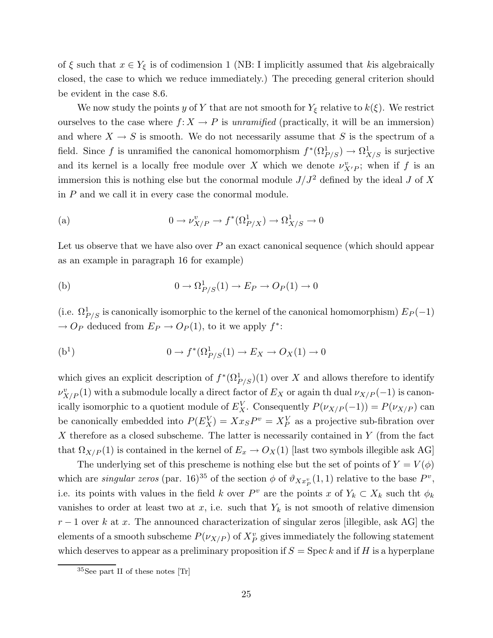of  $\xi$  such that  $x \in Y_{\xi}$  is of codimension 1 (NB: I implicitly assumed that kis algebraically closed, the case to which we reduce immediately.) The preceding general criterion should be evident in the case 8.6.

We now study the points y of Y that are not smooth for  $Y_{\xi}$  relative to  $k(\xi)$ . We restrict ourselves to the case where  $f: X \to P$  is unramified (practically, it will be an immersion) and where  $X \to S$  is smooth. We do not necessarily assume that S is the spectrum of a field. Since f is unramified the canonical homomorphism  $f^*(\Omega^1_{P/S}) \to \Omega^1_{X/S}$  is surjective and its kernel is a locally free module over X which we denote  $\nu^v_{X/P}$ ; when if f is an immersion this is nothing else but the conormal module  $J/J^2$  defined by the ideal J of X in  $P$  and we call it in every case the conormal module.

(a) 
$$
0 \to \nu_{X/P}^v \to f^*(\Omega_{P/X}^1) \to \Omega_{X/S}^1 \to 0
$$

Let us observe that we have also over  $P$  an exact canonical sequence (which should appear as an example in paragraph 16 for example)

(b) 
$$
0 \to \Omega^1_{P/S}(1) \to E_P \to O_P(1) \to 0
$$

(i.e.  $\Omega_{P/S}^1$  is canonically isomorphic to the kernel of the canonical homomorphism)  $E_P(-1)$  $\rightarrow$  O<sub>P</sub> deduced from  $E_P \rightarrow O_P(1)$ , to it we apply  $f^*$ :

(b<sup>1</sup>) 
$$
0 \to f^*(\Omega^1_{P/S}(1) \to E_X \to O_X(1) \to 0
$$

which gives an explicit description of  $f^*(\Omega^1_{P/S})(1)$  over X and allows therefore to identify  $\nu^v_{X/P}(1)$  with a submodule locally a direct factor of  $E_X$  or again th dual  $\nu_{X/P}(-1)$  is canonically isomorphic to a quotient module of  $E_X^V$ . Consequently  $P(\nu_{X/P}(-1)) = P(\nu_{X/P})$  can be canonically embedded into  $P(E_X^V) = Xx_S P^v = X_P^V$  as a projective sub-fibration over  $X$  therefore as a closed subscheme. The latter is necessarily contained in  $Y$  (from the fact that  $\Omega_{X/P}(1)$  is contained in the kernel of  $E_x \to O_X(1)$  [last two symbols illegible ask AG]

The underlying set of this prescheme is nothing else but the set of points of  $Y = V(\phi)$ which are *singular zeros* (par. 16)<sup>35</sup> of the section  $\phi$  of  $\vartheta_{Xx^v_P}(1,1)$  relative to the base  $P^v$ , i.e. its points with values in the field k over  $P^v$  are the points x of  $Y_k \subset X_k$  such tht  $\phi_k$ vanishes to order at least two at x, i.e. such that  $Y_k$  is not smooth of relative dimension  $r-1$  over k at x. The announced characterization of singular zeros [illegible, ask AG] the elements of a smooth subscheme  $P(\nu_{X/P})$  of  $X_P^v$  gives immediately the following statement which deserves to appear as a preliminary proposition if  $S = \text{Spec } k$  and if H is a hyperplane

<sup>35</sup>See part II of these notes [Tr]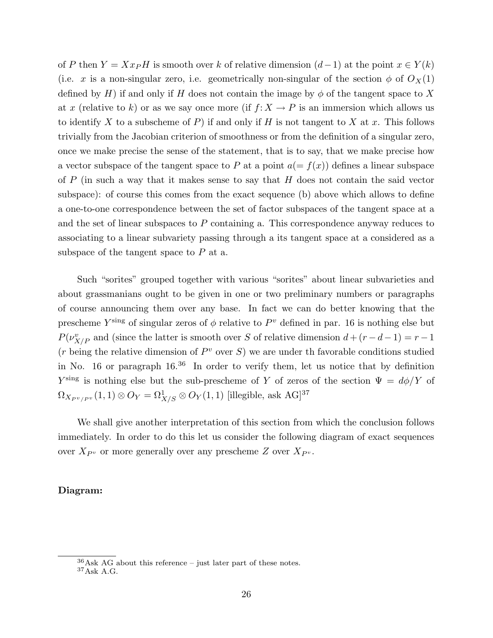of P then  $Y = Xx$ PH is smooth over k of relative dimension  $(d-1)$  at the point  $x \in Y(k)$ (i.e. x is a non-singular zero, i.e. geometrically non-singular of the section  $\phi$  of  $O_X(1)$ defined by H) if and only if H does not contain the image by  $\phi$  of the tangent space to X at x (relative to k) or as we say once more (if  $f: X \to P$  is an immersion which allows us to identify X to a subscheme of P) if and only if H is not tangent to X at x. This follows trivially from the Jacobian criterion of smoothness or from the definition of a singular zero, once we make precise the sense of the statement, that is to say, that we make precise how a vector subspace of the tangent space to P at a point  $a(=f(x))$  defines a linear subspace of  $P$  (in such a way that it makes sense to say that  $H$  does not contain the said vector subspace): of course this comes from the exact sequence (b) above which allows to define a one-to-one correspondence between the set of factor subspaces of the tangent space at a and the set of linear subspaces to  $P$  containing a. This correspondence anyway reduces to associating to a linear subvariety passing through a its tangent space at a considered as a subspace of the tangent space to  $P$  at a.

Such "sorites" grouped together with various "sorites" about linear subvarieties and about grassmanians ought to be given in one or two preliminary numbers or paragraphs of course announcing them over any base. In fact we can do better knowing that the prescheme  $Y^{\text{sing}}$  of singular zeros of  $\phi$  relative to  $P^v$  defined in par. 16 is nothing else but  $P(\nu_{X/P}^v)$  and (since the latter is smooth over S of relative dimension  $d + (r - d - 1) = r - 1$  $(r \text{ being the relative dimension of } P^v \text{ over } S)$  we are under th favorable conditions studied in No. 16 or paragraph  $16^{36}$  In order to verify them, let us notice that by definition  $Y^{\text{sing}}$  is nothing else but the sub-prescheme of Y of zeros of the section  $\Psi = d\phi/Y$  of  $\Omega_{X_{P^v/P^v}}(1,1)\otimes{\cal O}_Y=\Omega^1_{X/S}\otimes{\cal O}_Y(1,1)$  [illegible, ask AG]<sup>37</sup>

We shall give another interpretation of this section from which the conclusion follows immediately. In order to do this let us consider the following diagram of exact sequences over  $X_{P^v}$  or more generally over any prescheme Z over  $X_{P^v}$ .

# Diagram:

 $36$ Ask AG about this reference – just later part of these notes.  $^{37}\mathrm{Ask}$  A.G.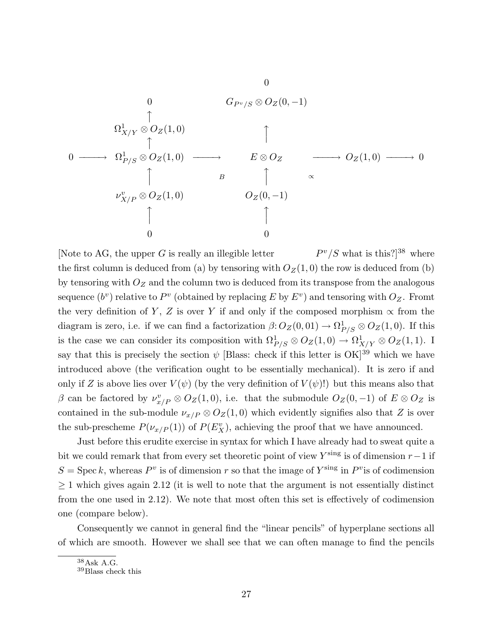0 0 G<sup>P</sup> <sup>v</sup>/S ⊗ OZ(0, −1) x Ω 1 X/Y ⊗ OZ(1, 0) x x 0 −−−−→ Ω 1 P/S ⊗ OZ(1, 0) −−−−→ E ⊗ O<sup>Z</sup> −−−−→ O<sup>Z</sup> (1, 0) −−−−→ 0 x B x <sup>∝</sup> ν v X/P ⊗ OZ(1, 0) O<sup>Z</sup> (0, −1) x x 0 0

[Note to AG, the upper  $G$  is really an illegible letter  $P^v/S$  what is this?]<sup>38</sup> where the first column is deduced from (a) by tensoring with  $O_Z(1, 0)$  the row is deduced from (b) by tensoring with  $O_Z$  and the column two is deduced from its transpose from the analogous sequence  $(b^v)$  relative to  $P^v$  (obtained by replacing E by  $E^v$ ) and tensoring with  $O_Z$ . Fromt the very definition of Y, Z is over Y if and only if the composed morphism  $\propto$  from the diagram is zero, i.e. if we can find a factorization  $\beta$ :  $O_Z(0, 01) \rightarrow \Omega_{P/S}^1 \otimes O_Z(1, 0)$ . If this is the case we can consider its composition with  $\Omega_{P/S}^1 \otimes O_Z(1,0) \to \Omega_{X/Y}^1 \otimes O_Z(1,1)$ . I say that this is precisely the section  $\psi$  [Blass: check if this letter is OK]<sup>39</sup> which we have introduced above (the verification ought to be essentially mechanical). It is zero if and only if Z is above lies over  $V(\psi)$  (by the very definition of  $V(\psi)!$ ) but this means also that  $\beta$  can be factored by  $\nu_{x/P}^v \otimes O_Z(1,0)$ , i.e. that the submodule  $O_Z(0,-1)$  of  $E \otimes O_Z$  is contained in the sub-module  $\nu_{x/P} \otimes O_Z(1,0)$  which evidently signifies also that Z is over the sub-prescheme  $P(\nu_{x/P}(1))$  of  $P(E_X^v)$ , achieving the proof that we have announced.

Just before this erudite exercise in syntax for which I have already had to sweat quite a bit we could remark that from every set theoretic point of view  $Y^{\text{sing}}$  is of dimension  $r-1$  if  $S = \text{Spec } k$ , whereas  $P^v$  is of dimension r so that the image of  $Y^{\text{sing}}$  in  $P^v$  is of codimension  $\geq$  1 which gives again 2.12 (it is well to note that the argument is not essentially distinct from the one used in 2.12). We note that most often this set is effectively of codimension one (compare below).

Consequently we cannot in general find the "linear pencils" of hyperplane sections all of which are smooth. However we shall see that we can often manage to find the pencils

<sup>38</sup>Ask A.G.

<sup>39</sup>Blass check this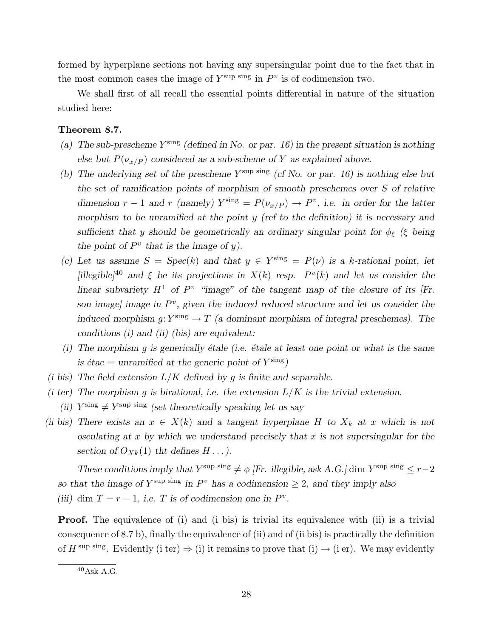formed by hyperplane sections not having any supersingular point due to the fact that in the most common cases the image of  $Y^{\text{sup}}$  sing in  $P^v$  is of codimension two.

We shall first of all recall the essential points differential in nature of the situation studied here:

# Theorem 8.7.

- (a) The sub-prescheme  $Y^{\text{sing}}$  (defined in No. or par. 16) in the present situation is nothing else but  $P(\nu_{x/P})$  considered as a sub-scheme of Y as explained above.
- (b) The underlying set of the prescheme  $Y^{\text{sup}}$  sing (cf No. or par. 16) is nothing else but the set of ramification points of morphism of smooth preschemes over S of relative dimension  $r-1$  and r (namely)  $Y^{\text{sing}} = P(\nu_{x/P}) \to P^v$ , i.e. in order for the latter morphism to be unramified at the point  $y$  (ref to the definition) it is necessary and sufficient that y should be geometrically an ordinary singular point for  $\phi_{\xi}$  (ξ being the point of  $P^v$  that is the image of y).
- (c) Let us assume  $S = Spec(k)$  and that  $y \in Y^{\text{sing}} = P(\nu)$  is a k-rational point, let [illegible]<sup>40</sup> and  $\xi$  be its projections in  $X(k)$  resp.  $P^v(k)$  and let us consider the linear subvariety  $H^1$  of  $P^v$  "image" of the tangent map of the closure of its [Fr. son image] image in  $P^v$ , given the induced reduced structure and let us consider the induced morphism g:  $Y^{\text{sing}} \to T$  (a dominant morphism of integral preschemes). The conditions (i) and (ii) (bis) are equivalent:
- (i) The morphism q is generically étale (i.e. étale at least one point or what is the same is étae = unramified at the generic point of  $Y^{\text{sing}}$ )
- (i bis) The field extension  $L/K$  defined by g is finite and separable.
- (i ter) The morphism q is birational, i.e. the extension  $L/K$  is the trivial extension.
	- (ii)  $Y^{\text{sing}} \neq Y^{\text{sup}}$  sing (set theoretically speaking let us say
- (ii bis) There exists an  $x \in X(k)$  and a tangent hyperplane H to  $X_k$  at x which is not osculating at  $x$  by which we understand precisely that  $x$  is not supersingular for the section of  $O_{Xk}(1)$  tht defines  $H \dots$ ).

These conditions imply that  $Y^{\text{sup}}$  sing  $\neq \phi$  [Fr. illegible, ask A.G.] dim  $Y^{\text{sup}}$  sing  $\leq r-2$ so that the image of  $Y^{\text{sup}}$  sing in  $P^v$  has a codimension  $\geq 2$ , and they imply also (iii) dim  $T = r - 1$ , i.e. T is of codimension one in  $P^v$ .

Proof. The equivalence of (i) and (i bis) is trivial its equivalence with (ii) is a trivial consequence of 8.7 b), finally the equivalence of (ii) and of (ii bis) is practically the definition of  $H^{\text{sup sing}}$ . Evidently (i ter)  $\Rightarrow$  (i) it remains to prove that (i)  $\rightarrow$  (i er). We may evidently

 $40$ Ask A.G.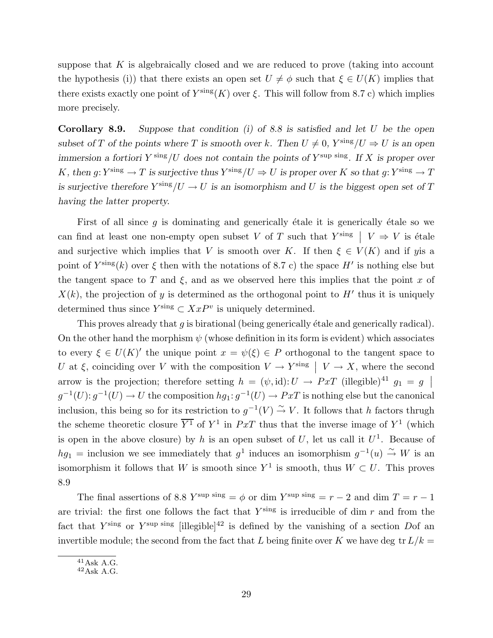suppose that  $K$  is algebraically closed and we are reduced to prove (taking into account the hypothesis (i)) that there exists an open set  $U \neq \phi$  such that  $\xi \in U(K)$  implies that there exists exactly one point of  $Y^{\text{sing}}(K)$  over  $\xi$ . This will follow from 8.7 c) which implies more precisely.

**Corollary 8.9.** Suppose that condition (i) of 8.8 is satisfied and let  $U$  be the open subset of T of the points where T is smooth over k. Then  $U \neq 0$ ,  $Y^{\text{sing}}/U \Rightarrow U$  is an open immersion a fortiori  $Y^{\text{sing}}/U$  does not contain the points of  $Y^{\text{sup}}$  sing. If X is proper over K, then  $g: Y^{\text{sing}} \to T$  is surjective thus  $Y^{\text{sing}}/U \Rightarrow U$  is proper over K so that  $g: Y^{\text{sing}} \to T$ is surjective therefore  $Y^{\text{sing}}/U \to U$  is an isomorphism and U is the biggest open set of T having the latter property.

First of all since  $g$  is dominating and generically étale it is generically étale so we can find at least one non-empty open subset V of T such that  $Y^{\text{sing}}$   $\mid V \Rightarrow V$  is étale and surjective which implies that V is smooth over K. If then  $\xi \in V(K)$  and if yis a point of  $Y^{\text{sing}}(k)$  over  $\xi$  then with the notations of 8.7 c) the space H' is nothing else but the tangent space to T and  $\xi$ , and as we observed here this implies that the point x of  $X(k)$ , the projection of y is determined as the orthogonal point to H<sup> $\prime$ </sup> thus it is uniquely determined thus since  $Y^{\text{sing}} \subset XxP^v$  is uniquely determined.

This proves already that  $g$  is birational (being generically  $\acute{e}$ tale and generically radical). On the other hand the morphism  $\psi$  (whose definition in its form is evident) which associates to every  $\xi \in U(K)'$  the unique point  $x = \psi(\xi) \in P$  orthogonal to the tangent space to U at  $\xi$ , coinciding over V with the composition  $V \to Y^{\text{sing}}$  |  $V \to X$ , where the second arrow is the projection; therefore setting  $h = (\psi, id): U \to PxT$  (illegible)<sup>41</sup>  $g_1 = g$  $g^{-1}(U)$ :  $g^{-1}(U) \to U$  the composition  $hg_1: g^{-1}(U) \to PxT$  is nothing else but the canonical inclusion, this being so for its restriction to  $g^{-1}(V) \stackrel{\sim}{\rightarrow} V$ . It follows that h factors thrugh the scheme theoretic closure  $\overline{Y^1}$  of  $Y^1$  in  $PxT$  thus that the inverse image of  $Y^1$  (which is open in the above closure) by h is an open subset of U, let us call it  $U^1$ . Because of  $hg_1 =$  inclusion we see immediately that  $g^1$  induces an isomorphism  $g^{-1}(u) \stackrel{\sim}{\rightarrow} W$  is an isomorphism it follows that W is smooth since  $Y^1$  is smooth, thus  $W \subset U$ . This proves 8.9

The final assertions of 8.8  $Y^{\text{sup}}$  sing =  $\phi$  or dim  $Y^{\text{sup}}$  sing =  $r - 2$  and dim  $T = r - 1$ are trivial: the first one follows the fact that  $Y^{\text{sing}}$  is irreducible of dim r and from the fact that  $Y^{\text{sing}}$  or  $Y^{\text{sup sing}}$  [illegible]<sup>42</sup> is defined by the vanishing of a section Dof an invertible module; the second from the fact that L being finite over K we have deg tr  $L/k =$ 

 $41$ Ask A.G.

 $^{42}\mathrm{Ask}$  A.G.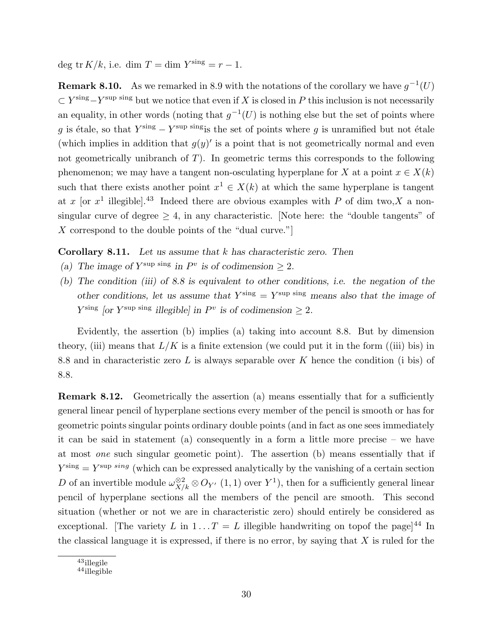deg tr  $K/k$ , i.e. dim  $T = \dim Y^{\text{sing}} = r - 1$ .

**Remark 8.10.** As we remarked in 8.9 with the notations of the corollary we have  $g^{-1}(U)$  $\subset Y^{\text{sing}}-Y^{\text{sup}}$  sing but we notice that even if X is closed in P this inclusion is not necessarily an equality, in other words (noting that  $g^{-1}(U)$  is nothing else but the set of points where g is étale, so that  $Y^{\text{sing}} - Y^{\text{sup}}$  singis the set of points where g is unramified but not étale (which implies in addition that  $g(y)'$  is a point that is not geometrically normal and even not geometrically unibranch of  $T$ ). In geometric terms this corresponds to the following phenomenon; we may have a tangent non-osculating hyperplane for X at a point  $x \in X(k)$ such that there exists another point  $x^1 \in X(k)$  at which the same hyperplane is tangent at x [or  $x^1$  illegible].<sup>43</sup> Indeed there are obvious examples with P of dim two, X a nonsingular curve of degree  $\geq 4$ , in any characteristic. Note here: the "double tangents" of X correspond to the double points of the "dual curve."

**Corollary 8.11.** Let us assume that  $k$  has characteristic zero. Then

- (a) The image of  $Y^{\text{sup}}$  sing in  $P^v$  is of codimension  $\geq 2$ .
- (b) The condition (iii) of 8.8 is equivalent to other conditions, i.e. the negation of the other conditions, let us assume that  $Y^{\text{sing}} = Y^{\text{sup sing}}$  means also that the image of  $Y^{\text{sing}}$  [or  $Y^{\text{sup}}$  sing illegible] in  $P^v$  is of codimension  $\geq 2$ .

Evidently, the assertion (b) implies (a) taking into account 8.8. But by dimension theory, (iii) means that  $L/K$  is a finite extension (we could put it in the form ((iii) bis) in 8.8 and in characteristic zero L is always separable over K hence the condition (i bis) of 8.8.

Remark 8.12. Geometrically the assertion (a) means essentially that for a sufficiently general linear pencil of hyperplane sections every member of the pencil is smooth or has for geometric points singular points ordinary double points (and in fact as one sees immediately it can be said in statement (a) consequently in a form a little more precise – we have at most one such singular geometic point). The assertion (b) means essentially that if  $Y^{\text{sing}} = Y^{\text{sup} \sin g}$  (which can be expressed analytically by the vanishing of a certain section D of an invertible module  $\omega_{X/k}^{\otimes 2} \otimes O_{Y'}$  (1, 1) over  $Y^1$ ), then for a sufficiently general linear pencil of hyperplane sections all the members of the pencil are smooth. This second situation (whether or not we are in characteristic zero) should entirely be considered as exceptional. The variety L in  $1...T = L$  illegible handwriting on topof the page<sup>[44</sup> In the classical language it is expressed, if there is no error, by saying that  $X$  is ruled for the

<sup>43</sup>illegile

<sup>44</sup>illegible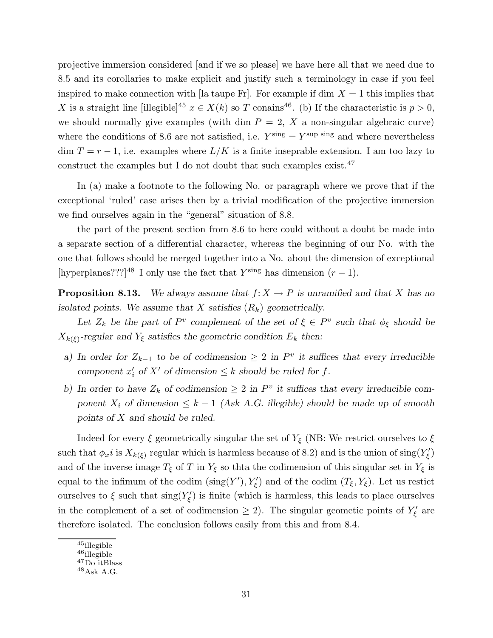projective immersion considered [and if we so please] we have here all that we need due to 8.5 and its corollaries to make explicit and justify such a terminology in case if you feel inspired to make connection with [la taupe Fr]. For example if dim  $X = 1$  this implies that X is a straight line [illegible]<sup>45</sup>  $x \in X(k)$  so T conains<sup>46</sup>. (b) If the characteristic is  $p > 0$ , we should normally give examples (with dim  $P = 2$ , X a non-singular algebraic curve) where the conditions of 8.6 are not satisfied, i.e.  $Y^{\text{sing}} = Y^{\text{sup sing}}$  and where nevertheless dim  $T = r - 1$ , i.e. examples where  $L/K$  is a finite inseprable extension. I am too lazy to construct the examples but I do not doubt that such examples exist.<sup>47</sup>

In (a) make a footnote to the following No. or paragraph where we prove that if the exceptional 'ruled' case arises then by a trivial modification of the projective immersion we find ourselves again in the "general" situation of 8.8.

the part of the present section from 8.6 to here could without a doubt be made into a separate section of a differential character, whereas the beginning of our No. with the one that follows should be merged together into a No. about the dimension of exceptional [hyperplanes???]<sup>48</sup> I only use the fact that  $Y^{\text{sing}}$  has dimension  $(r-1)$ .

**Proposition 8.13.** We always assume that  $f: X \to P$  is unramified and that X has no isolated points. We assume that X satisfies  $(R_k)$  geometrically.

Let  $Z_k$  be the part of  $P^v$  complement of the set of  $\xi \in P^v$  such that  $\phi_{\xi}$  should be  $X_{k(\xi)}$ -regular and  $Y_{\xi}$  satisfies the geometric condition  $E_k$  then:

- a) In order for  $Z_{k-1}$  to be of codimension  $\geq 2$  in  $P^v$  it suffices that every irreducible component  $x'_i$  of  $X'$  of dimension  $\leq k$  should be ruled for f.
- b) In order to have  $Z_k$  of codimension  $\geq 2$  in  $P^v$  it suffices that every irreducible component  $X_i$  of dimension  $\leq k-1$  (Ask A.G. illegible) should be made up of smooth points of  $X$  and should be ruled.

Indeed for every  $\xi$  geometrically singular the set of  $Y_{\xi}$  (NB: We restrict ourselves to  $\xi$ such that  $\phi_x i$  is  $X_{k(\xi)}$  regular which is harmless because of 8.2) and is the union of  $\text{sing}(Y'_\xi)$ and of the inverse image  $T_{\xi}$  of T in  $Y_{\xi}$  so thta the codimension of this singular set in  $Y_{\xi}$  is equal to the infimum of the codim  $(\text{sing}(Y'), Y'_{\xi})$  and of the codim  $(T_{\xi}, Y_{\xi})$ . Let us restict ourselves to  $\xi$  such that  $\text{sing}(Y'_{\xi})$  is finite (which is harmless, this leads to place ourselves in the complement of a set of codimension  $\geq 2$ ). The singular geometic points of  $Y'_\xi$  are therefore isolated. The conclusion follows easily from this and from 8.4.

<sup>45</sup>illegible

<sup>46</sup>illegible

<sup>47</sup>Do itBlass

<sup>48</sup>Ask A.G.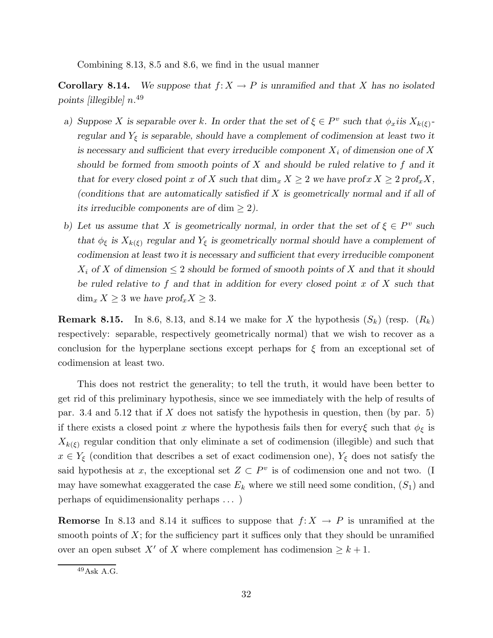Combining 8.13, 8.5 and 8.6, we find in the usual manner

**Corollary 8.14.** We suppose that  $f: X \to P$  is unramified and that X has no isolated points [illegible] n. 49

- a) Suppose X is separable over k. In order that the set of  $\xi \in P^v$  such that  $\phi_x$  is  $X_{k(\xi)}$ regular and  $Y_{\xi}$  is separable, should have a complement of codimension at least two it is necessary and sufficient that every irreducible component  $X_i$  of dimension one of X should be formed from smooth points of  $X$  and should be ruled relative to  $f$  and it that for every closed point x of X such that  $\dim_x X \geq 2$  we have  $\text{prof}_x X \geq 2 \text{prof}_x X$ , (conditions that are automatically satisfied if X is geometrically normal and if all of its irreducible components are of dim  $\geq 2$ ).
- b) Let us assume that X is geometrically normal, in order that the set of  $\xi \in P^v$  such that  $\phi_{\xi}$  is  $X_{k(\xi)}$  regular and  $Y_{\xi}$  is geometrically normal should have a complement of codimension at least two it is necessary and sufficient that every irreducible component  $X_i$  of X of dimension  $\leq 2$  should be formed of smooth points of X and that it should be ruled relative to  $f$  and that in addition for every closed point  $x$  of  $X$  such that  $\dim_x X \geq 3$  we have  $prof_x X \geq 3$ .

**Remark 8.15.** In 8.6, 8.13, and 8.14 we make for X the hypothesis  $(S_k)$  (resp.  $(R_k)$ ) respectively: separable, respectively geometrically normal) that we wish to recover as a conclusion for the hyperplane sections except perhaps for  $\xi$  from an exceptional set of codimension at least two.

This does not restrict the generality; to tell the truth, it would have been better to get rid of this preliminary hypothesis, since we see immediately with the help of results of par. 3.4 and 5.12 that if  $X$  does not satisfy the hypothesis in question, then (by par. 5) if there exists a closed point x where the hypothesis fails then for every $\xi$  such that  $\phi_{\xi}$  is  $X_{k(\xi)}$  regular condition that only eliminate a set of codimension (illegible) and such that  $x \in Y_{\xi}$  (condition that describes a set of exact codimension one),  $Y_{\xi}$  does not satisfy the said hypothesis at x, the exceptional set  $Z \subset P^v$  is of codimension one and not two. (I may have somewhat exaggerated the case  $E_k$  where we still need some condition,  $(S_1)$  and perhaps of equidimensionality perhaps . . . )

**Remorse** In 8.13 and 8.14 it suffices to suppose that  $f: X \rightarrow P$  is unramified at the smooth points of  $X$ ; for the sufficiency part it suffices only that they should be unramified over an open subset X' of X where complement has codimension  $\geq k+1$ .

<sup>49</sup>Ask A.G.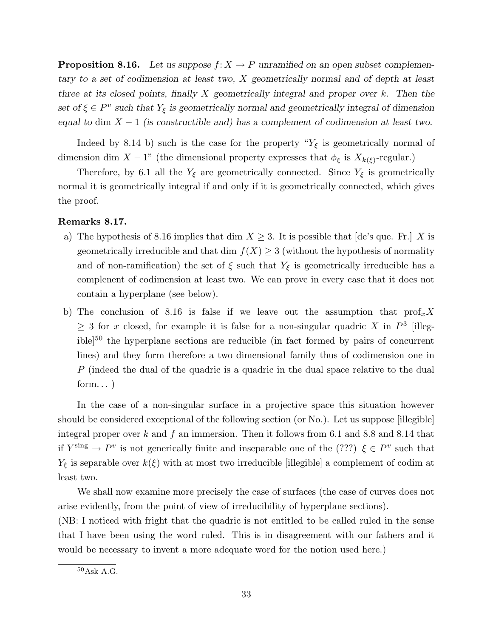**Proposition 8.16.** Let us suppose  $f: X \to P$  unramified on an open subset complementary to a set of codimension at least two, X geometrically normal and of depth at least three at its closed points, finally  $X$  geometrically integral and proper over  $k$ . Then the set of  $\xi \in P^v$  such that  $Y_{\xi}$  is geometrically normal and geometrically integral of dimension equal to dim  $X - 1$  (is constructible and) has a complement of codimension at least two.

Indeed by 8.14 b) such is the case for the property " $Y_{\xi}$  is geometrically normal of dimension dim  $X - 1$ " (the dimensional property expresses that  $\phi_{\xi}$  is  $X_{k(\xi)}$ -regular.)

Therefore, by 6.1 all the  $Y_{\xi}$  are geometrically connected. Since  $Y_{\xi}$  is geometrically normal it is geometrically integral if and only if it is geometrically connected, which gives the proof.

## Remarks 8.17.

- a) The hypothesis of 8.16 implies that dim  $X \geq 3$ . It is possible that [de's que. Fr.] X is geometrically irreducible and that dim  $f(X) \geq 3$  (without the hypothesis of normality and of non-ramification) the set of  $\xi$  such that  $Y_{\xi}$  is geometrically irreducible has a complenent of codimension at least two. We can prove in every case that it does not contain a hyperplane (see below).
- b) The conclusion of 8.16 is false if we leave out the assumption that  $\text{prof}_x X$  $\geq$  3 for x closed, for example it is false for a non-singular quadric X in  $P^3$  [illegible]<sup>50</sup> the hyperplane sections are reducible (in fact formed by pairs of concurrent lines) and they form therefore a two dimensional family thus of codimension one in P (indeed the dual of the quadric is a quadric in the dual space relative to the dual form...)

In the case of a non-singular surface in a projective space this situation however should be considered exceptional of the following section (or No.). Let us suppose [illegible] integral proper over  $k$  and  $f$  an immersion. Then it follows from 6.1 and 8.8 and 8.14 that if  $Y^{\text{sing}} \to P^v$  is not generically finite and inseparable one of the (???)  $\xi \in P^v$  such that  $Y_{\xi}$  is separable over  $k(\xi)$  with at most two irreducible [illegible] a complement of codim at least two.

We shall now examine more precisely the case of surfaces (the case of curves does not arise evidently, from the point of view of irreducibility of hyperplane sections).

(NB: I noticed with fright that the quadric is not entitled to be called ruled in the sense that I have been using the word ruled. This is in disagreement with our fathers and it would be necessary to invent a more adequate word for the notion used here.)

<sup>50</sup>Ask A.G.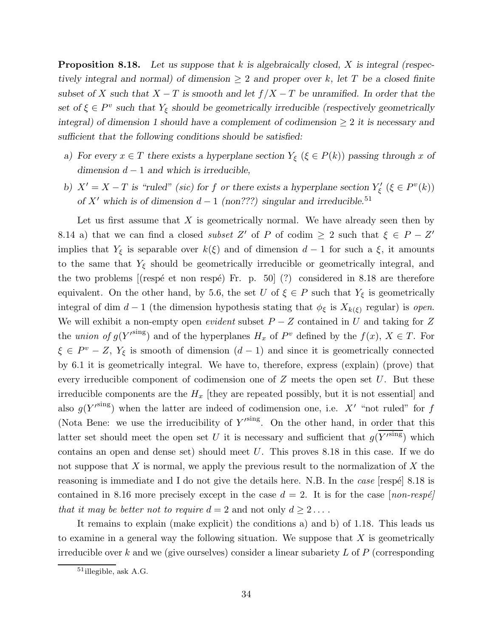**Proposition 8.18.** Let us suppose that k is algebraically closed, X is integral (respectively integral and normal) of dimension  $\geq 2$  and proper over k, let T be a closed finite subset of X such that  $X - T$  is smooth and let  $f/X - T$  be unramified. In order that the set of  $\xi \in P^v$  such that  $Y_{\xi}$  should be geometrically irreducible (respectively geometrically integral) of dimension 1 should have a complement of codimension  $\geq 2$  it is necessary and sufficient that the following conditions should be satisfied:

- a) For every  $x \in T$  there exists a hyperplane section  $Y_{\xi}$  ( $\xi \in P(k)$ ) passing through x of dimension  $d − 1$  and which is irreducible,
- b)  $X' = X T$  is "ruled" (sic) for f or there exists a hyperplane section  $Y'_{\xi}$  ( $\xi \in P^v(k)$ ) of X' which is of dimension  $d - 1$  (non???) singular and irreducible.<sup>51</sup>

Let us first assume that  $X$  is geometrically normal. We have already seen then by 8.14 a) that we can find a closed *subset*  $Z'$  of P of codim  $\geq 2$  such that  $\xi \in P - Z'$ implies that  $Y_{\xi}$  is separable over  $k(\xi)$  and of dimension  $d-1$  for such a  $\xi$ , it amounts to the same that  $Y_{\xi}$  should be geometrically irreducible or geometrically integral, and the two problems [(respé et non respé) Fr. p. 50]  $(?)$  considered in 8.18 are therefore equivalent. On the other hand, by 5.6, the set U of  $\xi \in P$  such that  $Y_{\xi}$  is geometrically integral of dim d − 1 (the dimension hypothesis stating that  $\phi_{\xi}$  is  $X_{k(\xi)}$  regular) is open. We will exhibit a non-empty open *evident* subset  $P - Z$  contained in U and taking for Z the union of  $g(Y'^{sing})$  and of the hyperplanes  $H_x$  of  $P^v$  defined by the  $f(x)$ ,  $X \in T$ . For  $\xi \in P^v - Z$ ,  $Y_{\xi}$  is smooth of dimension  $(d-1)$  and since it is geometrically connected by 6.1 it is geometrically integral. We have to, therefore, express (explain) (prove) that every irreducible component of codimension one of  $Z$  meets the open set  $U$ . But these irreducible components are the  $H_x$  [they are repeated possibly, but it is not essential] and also  $g(Y^{\text{sing}})$  when the latter are indeed of codimension one, i.e. X' "not ruled" for f (Nota Bene: we use the irreducibility of  $Y'^{sing}$ . On the other hand, in order that this latter set should meet the open set U it is necessary and sufficient that  $g(Y^{\text{sing}})$  which contains an open and dense set) should meet  $U$ . This proves 8.18 in this case. If we do not suppose that X is normal, we apply the previous result to the normalization of X the reasoning is immediate and I do not give the details here. N.B. In the case respect 8.18 is contained in 8.16 more precisely except in the case  $d = 2$ . It is for the case [non-respé] that it may be better not to require  $d = 2$  and not only  $d \geq 2 \ldots$ .

It remains to explain (make explicit) the conditions a) and b) of 1.18. This leads us to examine in a general way the following situation. We suppose that  $X$  is geometrically irreducible over  $k$  and we (give ourselves) consider a linear subariety  $L$  of  $P$  (corresponding

<sup>51</sup>illegible, ask A.G.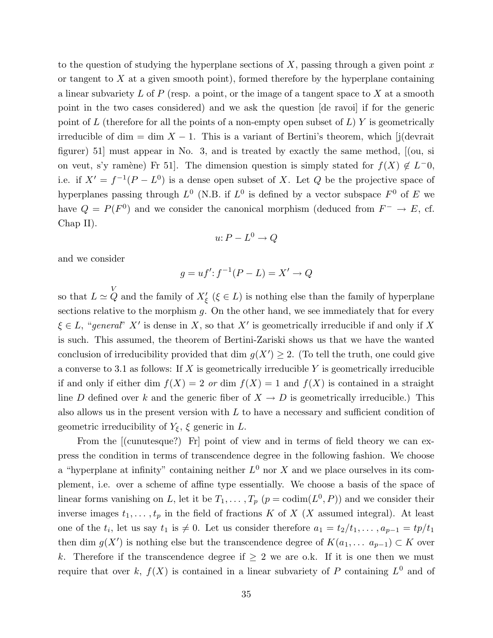to the question of studying the hyperplane sections of X, passing through a given point x or tangent to  $X$  at a given smooth point), formed therefore by the hyperplane containing a linear subvariety  $L$  of  $P$  (resp. a point, or the image of a tangent space to  $X$  at a smooth point in the two cases considered) and we ask the question [de ravoi] if for the generic point of L (therefore for all the points of a non-empty open subset of  $L$ ) Y is geometrically irreducible of dim = dim  $X - 1$ . This is a variant of Bertini's theorem, which [j(devrait figurer) 51] must appear in No. 3, and is treated by exactly the same method, [(ou, si on veut, s'y ramène) Fr 51. The dimension question is simply stated for  $f(X) \notin L^-0$ , i.e. if  $X' = f^{-1}(P - L^0)$  is a dense open subset of X. Let Q be the projective space of hyperplanes passing through  $L^0$  (N.B. if  $L^0$  is defined by a vector subspace  $F^0$  of E we have  $Q = P(F^0)$  and we consider the canonical morphism (deduced from  $F^- \to E$ , cf. Chap II).

$$
u: P - L^0 \to Q
$$

and we consider

$$
g = uf' : f^{-1}(P - L) = X' \to Q
$$

so that  $L \simeq Q$  and the family of  $X'_{\xi}$  ( $\xi \in L$ ) is nothing else than the family of hyperplane sections relative to the morphism  $g$ . On the other hand, we see immediately that for every  $\xi \in L$ , "general" X' is dense in X, so that X' is geometrically irreducible if and only if X is such. This assumed, the theorem of Bertini-Zariski shows us that we have the wanted conclusion of irreducibility provided that dim  $g(X') \geq 2$ . (To tell the truth, one could give a converse to 3.1 as follows: If  $X$  is geometrically irreducible Y is geometrically irreducible if and only if either dim  $f(X) = 2$  or dim  $f(X) = 1$  and  $f(X)$  is contained in a straight line D defined over k and the generic fiber of  $X \to D$  is geometrically irreducible.) This also allows us in the present version with  $L$  to have a necessary and sufficient condition of geometric irreducibility of  $Y_{\xi}$ ,  $\xi$  generic in L.

From the  $\lbrack$  (cunutesque?) Fr point of view and in terms of field theory we can express the condition in terms of transcendence degree in the following fashion. We choose a "hyperplane at infinity" containing neither  $L^0$  nor X and we place ourselves in its complement, i.e. over a scheme of affine type essentially. We choose a basis of the space of linear forms vanishing on L, let it be  $T_1, \ldots, T_p$   $(p = \text{codim}(L^0, P))$  and we consider their inverse images  $t_1, \ldots, t_p$  in the field of fractions K of X (X assumed integral). At least one of the  $t_i$ , let us say  $t_1$  is  $\neq 0$ . Let us consider therefore  $a_1 = t_2/t_1, \ldots, a_{p-1} = tp/t_1$ then dim  $g(X')$  is nothing else but the transcendence degree of  $K(a_1, \ldots, a_{p-1}) \subset K$  over k. Therefore if the transcendence degree if  $\geq 2$  we are o.k. If it is one then we must require that over k,  $f(X)$  is contained in a linear subvariety of P containing  $L^0$  and of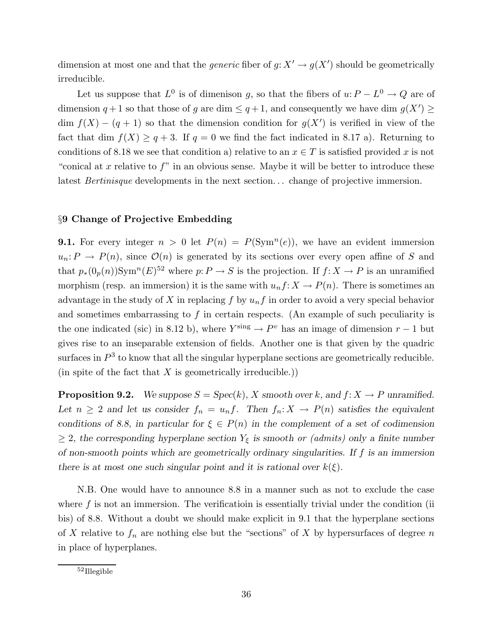dimension at most one and that the *generic* fiber of  $g: X' \to g(X')$  should be geometrically irreducible.

Let us suppose that  $L^0$  is of dimenison g, so that the fibers of  $u: P - L^0 \to Q$  are of dimension  $q+1$  so that those of g are dim  $\leq q+1$ , and consequently we have dim  $g(X') \geq$  $dim f(X) - (q + 1)$  so that the dimension condition for  $g(X')$  is verified in view of the fact that dim  $f(X) \geq q+3$ . If  $q=0$  we find the fact indicated in 8.17 a). Returning to conditions of 8.18 we see that condition a) relative to an  $x \in T$  is satisfied provided x is not "conical at x relative to  $f$ " in an obvious sense. Maybe it will be better to introduce these latest *Bertinisque* developments in the next section... change of projective immersion.

# §9 Change of Projective Embedding

**9.1.** For every integer  $n > 0$  let  $P(n) = P(\text{Sym}^n(e))$ , we have an evident immersion  $u_n: P \to P(n)$ , since  $\mathcal{O}(n)$  is generated by its sections over every open affine of S and that  $p_*(0_p(n))$ Sym<sup>n</sup>(E)<sup>52</sup> where  $p: P \to S$  is the projection. If  $f: X \to P$  is an unramified morphism (resp. an immersion) it is the same with  $u_n f: X \to P(n)$ . There is sometimes an advantage in the study of X in replacing f by  $u_n f$  in order to avoid a very special behavior and sometimes embarrassing to  $f$  in certain respects. (An example of such peculiarity is the one indicated (sic) in 8.12 b), where  $Y^{\text{sing}} \to P^v$  has an image of dimension  $r - 1$  but gives rise to an inseparable extension of fields. Another one is that given by the quadric surfaces in  $P<sup>3</sup>$  to know that all the singular hyperplane sections are geometrically reducible. (in spite of the fact that  $X$  is geometrically irreducible.))

**Proposition 9.2.** We suppose  $S = \text{Spec}(k)$ , X smooth over k, and  $f: X \to P$  unramified. Let  $n \geq 2$  and let us consider  $f_n = u_n f$ . Then  $f_n: X \to P(n)$  satisfies the equivalent conditions of 8.8, in particular for  $\xi \in P(n)$  in the complement of a set of codimension  $\geq$  2, the corresponding hyperplane section  $Y_{\xi}$  is smooth or (admits) only a finite number of non-smooth points which are geometrically ordinary singularities. If  $f$  is an immersion there is at most one such singular point and it is rational over  $k(\xi)$ .

N.B. One would have to announce 8.8 in a manner such as not to exclude the case where  $f$  is not an immersion. The verification is essentially trivial under the condition (ii) bis) of 8.8. Without a doubt we should make explicit in 9.1 that the hyperplane sections of X relative to  $f_n$  are nothing else but the "sections" of X by hypersurfaces of degree n in place of hyperplanes.

<sup>52</sup>Illegible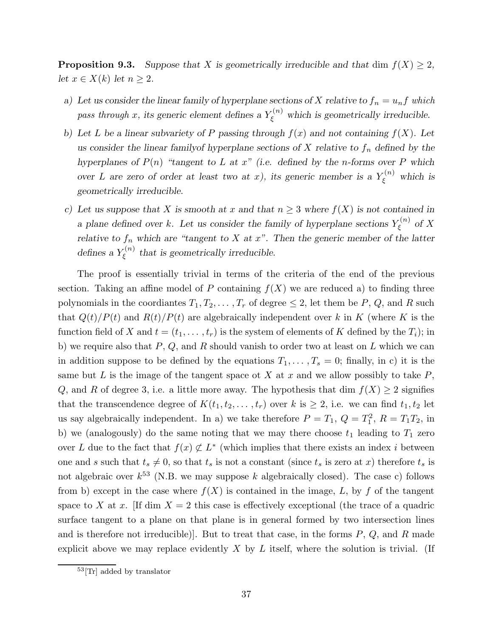**Proposition 9.3.** Suppose that X is geometrically irreducible and that dim  $f(X) \geq 2$ , let  $x \in X(k)$  let  $n \geq 2$ .

- a) Let us consider the linear family of hyperplane sections of X relative to  $f_n = u_n f$  which pass through x, its generic element defines a  $Y_{\xi}^{(n)}$  which is geometrically irreducible.
- b) Let L be a linear subvariety of P passing through  $f(x)$  and not containing  $f(X)$ . Let us consider the linear family of hyperplane sections of X relative to  $f_n$  defined by the hyperplanes of  $P(n)$  "tangent to L at x" (i.e. defined by the n-forms over P which over L are zero of order at least two at x), its generic member is a  $Y_{\xi}^{(n)}$  which is geometrically irreducible.
- c) Let us suppose that X is smooth at x and that  $n \geq 3$  where  $f(X)$  is not contained in a plane defined over k. Let us consider the family of hyperplane sections  $Y_{\epsilon}^{(n)}$  $\zeta^{(n)}$  of X relative to  $f_n$  which are "tangent to X at x". Then the generic member of the latter defines a  $Y_{\varepsilon}^{(n)}$  $\zeta^{(n)}$  that is geometrically irreducible.

The proof is essentially trivial in terms of the criteria of the end of the previous section. Taking an affine model of P containing  $f(X)$  we are reduced a) to finding three polynomials in the coordiantes  $T_1, T_2, \ldots, T_r$  of degree  $\leq 2$ , let them be P, Q, and R such that  $Q(t)/P(t)$  and  $R(t)/P(t)$  are algebraically independent over k in K (where K is the function field of X and  $t = (t_1, \ldots, t_r)$  is the system of elements of K defined by the  $T_i$ ; in b) we require also that  $P$ ,  $Q$ , and  $R$  should vanish to order two at least on  $L$  which we can in addition suppose to be defined by the equations  $T_1, \ldots, T_s = 0$ ; finally, in c) it is the same but L is the image of the tangent space ot X at x and we allow possibly to take  $P$ , Q, and R of degree 3, i.e. a little more away. The hypothesis that dim  $f(X) \geq 2$  signifies that the transcendence degree of  $K(t_1,t_2,\ldots,t_r)$  over k is  $\geq 2$ , i.e. we can find  $t_1,t_2$  let us say algebraically independent. In a) we take therefore  $P = T_1$ ,  $Q = T_1^2$ ,  $R = T_1T_2$ , in b) we (analogously) do the same noting that we may there choose  $t_1$  leading to  $T_1$  zero over L due to the fact that  $f(x) \not\subset L^*$  (which implies that there exists an index i between one and s such that  $t_s \neq 0$ , so that  $t_s$  is not a constant (since  $t_s$  is zero at x) therefore  $t_s$  is not algebraic over  $k^{53}$  (N.B. we may suppose k algebraically closed). The case c) follows from b) except in the case where  $f(X)$  is contained in the image, L, by f of the tangent space to X at x. If dim  $X = 2$  this case is effectively exceptional (the trace of a quadric surface tangent to a plane on that plane is in general formed by two intersection lines and is therefore not irreducible). But to treat that case, in the forms  $P, Q$ , and  $R$  made explicit above we may replace evidently  $X$  by  $L$  itself, where the solution is trivial. (If

<sup>53</sup>[Tr] added by translator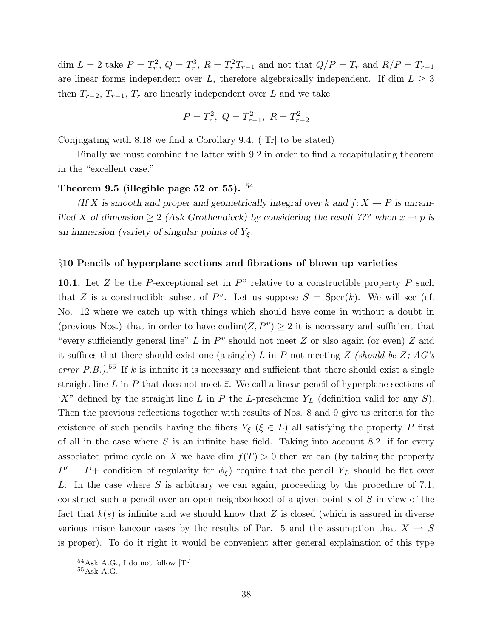dim  $L = 2$  take  $P = T_r^2$ ,  $Q = T_r^3$ ,  $R = T_r^2 T_{r-1}$  and not that  $Q/P = T_r$  and  $R/P = T_{r-1}$ are linear forms independent over L, therefore algebraically independent. If dim  $L \geq 3$ then  $T_{r-2}, T_{r-1}, T_r$  are linearly independent over L and we take

$$
P = T_r^2, \ Q = T_{r-1}^2, \ R = T_{r-2}^2
$$

Conjugating with 8.18 we find a Corollary 9.4. ([Tr] to be stated)

Finally we must combine the latter with 9.2 in order to find a recapitulating theorem in the "excellent case."

#### Theorem 9.5 (illegible page 52 or 55).  $^{54}$

(If X is smooth and proper and geometrically integral over k and  $f: X \to P$  is unramified X of dimension  $\geq 2$  (Ask Grothendieck) by considering the result ??? when  $x \to p$  is an immersion (variety of singular points of  $Y_{\xi}$ .

#### §10 Pencils of hyperplane sections and fibrations of blown up varieties

10.1. Let Z be the P-exceptional set in  $P<sup>v</sup>$  relative to a constructible property P such that Z is a constructible subset of  $P^v$ . Let us suppose  $S = \text{Spec}(k)$ . We will see (cf. No. 12 where we catch up with things which should have come in without a doubt in (previous Nos.) that in order to have  $\text{codim}(Z, P^v) \geq 2$  it is necessary and sufficient that "every sufficiently general line" L in  $P<sup>v</sup>$  should not meet Z or also again (or even) Z and it suffices that there should exist one (a single) L in P not meeting Z (should be Z;  $AG's$ error P.B.).<sup>55</sup> If k is infinite it is necessary and sufficient that there should exist a single straight line L in P that does not meet  $\bar{z}$ . We call a linear pencil of hyperplane sections of 'X" defined by the straight line L in P the L-prescheme  $Y_L$  (definition valid for any S). Then the previous reflections together with results of Nos. 8 and 9 give us criteria for the existence of such pencils having the fibers  $Y_{\xi}$  ( $\xi \in L$ ) all satisfying the property P first of all in the case where  $S$  is an infinite base field. Taking into account 8.2, if for every associated prime cycle on X we have dim  $f(T) > 0$  then we can (by taking the property  $P' = P +$  condition of regularity for  $\phi_{\xi}$  require that the pencil  $Y_L$  should be flat over L. In the case where  $S$  is arbitrary we can again, proceeding by the procedure of 7.1, construct such a pencil over an open neighborhood of a given point s of S in view of the fact that  $k(s)$  is infinite and we should know that Z is closed (which is assured in diverse various misce laneour cases by the results of Par. 5 and the assumption that  $X \to S$ is proper). To do it right it would be convenient after general explaination of this type

 $54$ Ask A.G., I do not follow [Tr]

 $^{55}\mathrm{Ask}$  A.G.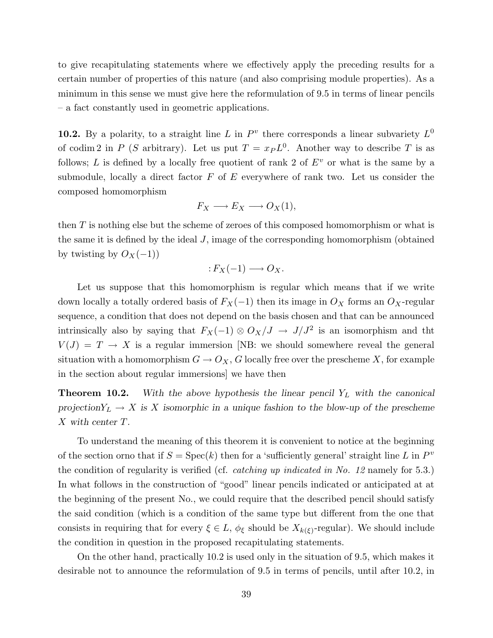to give recapitulating statements where we effectively apply the preceding results for a certain number of properties of this nature (and also comprising module properties). As a minimum in this sense we must give here the reformulation of 9.5 in terms of linear pencils – a fact constantly used in geometric applications.

10.2. By a polarity, to a straight line L in  $P<sup>v</sup>$  there corresponds a linear subvariety  $L<sup>0</sup>$ of codim 2 in P (S arbitrary). Let us put  $T = x_P L^0$ . Another way to describe T is as follows; L is defined by a locally free quotient of rank 2 of  $E^v$  or what is the same by a submodule, locally a direct factor  $F$  of  $E$  everywhere of rank two. Let us consider the composed homomorphism

$$
F_X \longrightarrow E_X \longrightarrow O_X(1),
$$

then  $T$  is nothing else but the scheme of zeroes of this composed homomorphism or what is the same it is defined by the ideal  $J$ , image of the corresponding homomorphism (obtained by twisting by  $O_X(-1)$ )

$$
:F_X(-1)\longrightarrow O_X.
$$

Let us suppose that this homomorphism is regular which means that if we write down locally a totally ordered basis of  $F_X(-1)$  then its image in  $O_X$  forms an  $O_X$ -regular sequence, a condition that does not depend on the basis chosen and that can be announced intrinsically also by saying that  $F_X(-1) \otimes O_X/J \to J/J^2$  is an isomorphism and the  $V(J) = T \rightarrow X$  is a regular immersion [NB: we should somewhere reveal the general situation with a homomorphism  $G \to O_X$ , G locally free over the prescheme X, for example in the section about regular immersions] we have then

**Theorem 10.2.** With the above hypothesis the linear pencil  $Y_L$  with the canonical  $projection Y_L \rightarrow X$  is X isomorphic in a unique fashion to the blow-up of the prescheme X with center T.

To understand the meaning of this theorem it is convenient to notice at the beginning of the section orno that if  $S = \text{Spec}(k)$  then for a 'sufficiently general' straight line L in  $P^v$ the condition of regularity is verified (cf. catching up indicated in No. 12 namely for 5.3.) In what follows in the construction of "good" linear pencils indicated or anticipated at at the beginning of the present No., we could require that the described pencil should satisfy the said condition (which is a condition of the same type but different from the one that consists in requiring that for every  $\xi \in L$ ,  $\phi_{\xi}$  should be  $X_{k(\xi)}$ -regular). We should include the condition in question in the proposed recapitulating statements.

On the other hand, practically 10.2 is used only in the situation of 9.5, which makes it desirable not to announce the reformulation of 9.5 in terms of pencils, until after 10.2, in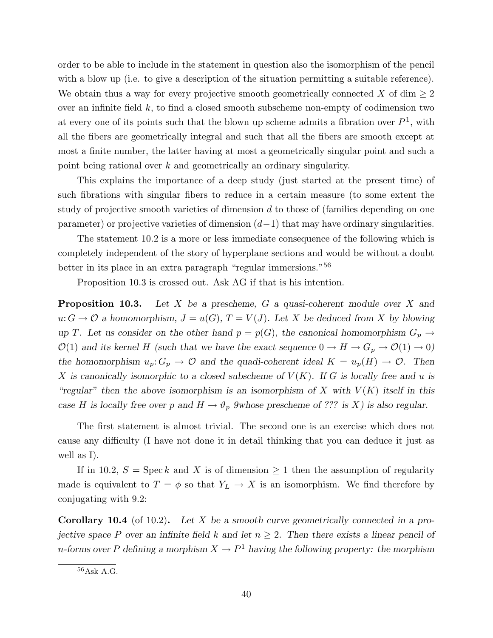order to be able to include in the statement in question also the isomorphism of the pencil with a blow up (i.e. to give a description of the situation permitting a suitable reference). We obtain thus a way for every projective smooth geometrically connected X of dim  $\geq 2$ over an infinite field  $k$ , to find a closed smooth subscheme non-empty of codimension two at every one of its points such that the blown up scheme admits a fibration over  $P^1$ , with all the fibers are geometrically integral and such that all the fibers are smooth except at most a finite number, the latter having at most a geometrically singular point and such a point being rational over k and geometrically an ordinary singularity.

This explains the importance of a deep study (just started at the present time) of such fibrations with singular fibers to reduce in a certain measure (to some extent the study of projective smooth varieties of dimension d to those of (families depending on one parameter) or projective varieties of dimension  $(d-1)$  that may have ordinary singularities.

The statement 10.2 is a more or less immediate consequence of the following which is completely independent of the story of hyperplane sections and would be without a doubt better in its place in an extra paragraph "regular immersions."<sup>56</sup>

Proposition 10.3 is crossed out. Ask AG if that is his intention.

**Proposition 10.3.** Let X be a prescheme, G a quasi-coherent module over X and  $u: G \to \mathcal{O}$  a homomorphism,  $J = u(G), T = V(J)$ . Let X be deduced from X by blowing up T. Let us consider on the other hand  $p = p(G)$ , the canonical homomorphism  $G_p \to$  $\mathcal{O}(1)$  and its kernel H (such that we have the exact sequence  $0 \to H \to G_p \to \mathcal{O}(1) \to 0$ ) the homomorphism  $u_p: G_p \to \mathcal{O}$  and the quadi-coherent ideal  $K = u_p(H) \to \mathcal{O}$ . Then X is canonically isomorphic to a closed subscheme of  $V(K)$ . If G is locally free and u is "regular" then the above isomorphism is an isomorphism of X with  $V(K)$  itself in this case H is locally free over p and  $H \to \vartheta_p$  9whose prescheme of ??? is X) is also regular.

The first statement is almost trivial. The second one is an exercise which does not cause any difficulty (I have not done it in detail thinking that you can deduce it just as well as I).

If in 10.2,  $S = \operatorname{Spec} k$  and X is of dimension  $\geq 1$  then the assumption of regularity made is equivalent to  $T = \phi$  so that  $Y_L \to X$  is an isomorphism. We find therefore by conjugating with 9.2:

**Corollary 10.4** (of 10.2). Let X be a smooth curve geometrically connected in a projective space P over an infinite field k and let  $n \geq 2$ . Then there exists a linear pencil of n-forms over P defining a morphism  $X \to P^1$  having the following property: the morphism

<sup>56</sup>Ask A.G.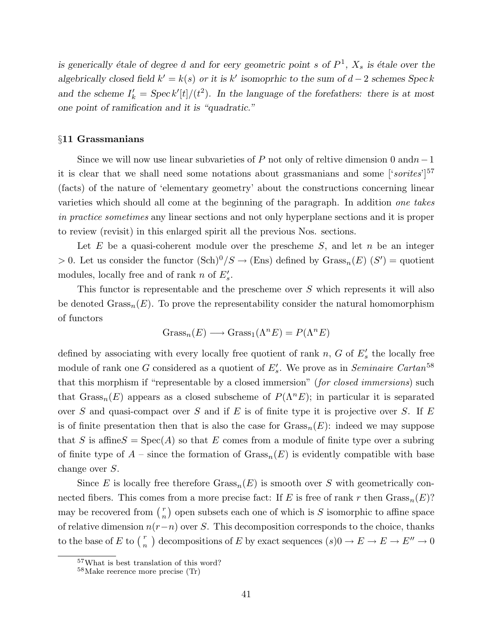is generically étale of degree d and for eery geometric point s of  $P^1$ ,  $X_s$  is étale over the algebrically closed field  $k' = k(s)$  or it is k' isomoprhic to the sum of  $d-2$  schemes Speck and the scheme  $I'_k = \text{Spec } k'[t]/(t^2)$ . In the language of the forefathers: there is at most one point of ramification and it is "quadratic."

#### §11 Grassmanians

Since we will now use linear subvarieties of P not only of reltive dimension 0 and  $n-1$ it is clear that we shall need some notations about grassmanians and some  $[6orites]^{57}$ (facts) of the nature of 'elementary geometry' about the constructions concerning linear varieties which should all come at the beginning of the paragraph. In addition one takes in practice sometimes any linear sections and not only hyperplane sections and it is proper to review (revisit) in this enlarged spirit all the previous Nos. sections.

Let  $E$  be a quasi-coherent module over the prescheme  $S$ , and let  $n$  be an integer > 0. Let us consider the functor  $(\text{Sch})^0/S \to (\text{Ens})$  defined by  $\text{Grass}_n(E)$   $(S') =$  quotient modules, locally free and of rank  $n$  of  $E_s'$ .

This functor is representable and the prescheme over S which represents it will also be denoted  $Grass_n(E)$ . To prove the representability consider the natural homomorphism of functors

$$
\mathrm{Grass}_n(E) \longrightarrow \mathrm{Grass}_1(\Lambda^n E) = P(\Lambda^n E)
$$

defined by associating with every locally free quotient of rank  $n$ ,  $G$  of  $E'_{s}$  the locally free module of rank one G considered as a quotient of  $E_s'$ . We prove as in Seminaire Cartan<sup>58</sup> that this morphism if "representable by a closed immersion" (for closed immersions) such that  $Grass_n(E)$  appears as a closed subscheme of  $P(\Lambda^n E)$ ; in particular it is separated over S and quasi-compact over S and if E is of finite type it is projective over S. If  $E$ is of finite presentation then that is also the case for  $Grass_n(E)$ : indeed we may suppose that S is affine  $S = Spec(A)$  so that E comes from a module of finite type over a subring of finite type of  $A$  – since the formation of  $Grass_n(E)$  is evidently compatible with base change over S.

Since E is locally free therefore  $Grass_n(E)$  is smooth over S with geometrically connected fibers. This comes from a more precise fact: If E is free of rank r then  $Grass_n(E)$ ? may be recovered from  $\binom{r}{n}$  $\binom{r}{n}$  open subsets each one of which is S isomorphic to affine space of relative dimension  $n(r-n)$  over S. This decomposition corresponds to the choice, thanks to the base of E to  $\binom{r}{n}$  decompositions of E by exact sequences  $(s)0 \to E \to E \to E'' \to 0$ 

<sup>57</sup>What is best translation of this word?

<sup>58</sup>Make reerence more precise (Tr)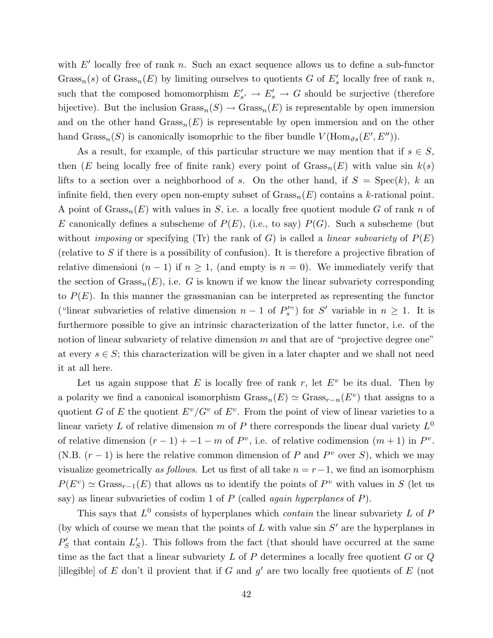with  $E'$  locally free of rank n. Such an exact sequence allows us to define a sub-functor Grass<sub>n</sub>(s) of Grass<sub>n</sub>(E) by limiting ourselves to quotients G of  $E'_{s}$  locally free of rank n, such that the composed homomorphism  $E'_{s'} \to E'_{s} \to G$  should be surjective (therefore bijective). But the inclusion  $Grass_n(S) \to Grass_n(E)$  is representable by open immersion and on the other hand  $Grass_n(E)$  is representable by open immersion and on the other hand  $Grass_n(S)$  is canonically isomoprhic to the fiber bundle  $V(\text{Hom}_{\vartheta s}(E', E''))$ .

As a result, for example, of this particular structure we may mention that if  $s \in S$ , then (E being locally free of finite rank) every point of  $Grass_n(E)$  with value sin  $k(s)$ lifts to a section over a neighborhood of s. On the other hand, if  $S = \text{Spec}(k)$ , k an infinite field, then every open non-empty subset of  $Grass_n(E)$  contains a k-rational point. A point of  $Grass_n(E)$  with values in S, i.e. a locally free quotient module G of rank n of E canonically defines a subscheme of  $P(E)$ , (i.e., to say)  $P(G)$ . Such a subscheme (but without *imposing* or specifying (Tr) the rank of G) is called a *linear subvariety* of  $P(E)$ (relative to S if there is a possibility of confusion). It is therefore a projective fibration of relative dimensioni  $(n-1)$  if  $n \geq 1$ , (and empty is  $n = 0$ ). We immediately verify that the section of  $Grass_n(E)$ , i.e. G is known if we know the linear subvariety corresponding to  $P(E)$ . In this manner the grassmanian can be interpreted as representing the functor ("linear subvarieties of relative dimension  $n-1$  of  $P_s^{\prime\prime}$ ") for S' variable in  $n \geq 1$ . It is furthermore possible to give an intrinsic characterization of the latter functor, i.e. of the notion of linear subvariety of relative dimension  $m$  and that are of "projective degree one" at every  $s \in S$ ; this characterization will be given in a later chapter and we shall not need it at all here.

Let us again suppose that E is locally free of rank r, let  $E^v$  be its dual. Then by a polarity we find a canonical isomorphism  $Grass_n(E) \simeq Grass_{r-n}(E^v)$  that assigns to a quotient G of E the quotient  $E^v/G^v$  of  $E^v$ . From the point of view of linear varieties to a linear variety L of relative dimension m of P there corresponds the linear dual variety  $L^0$ of relative dimension  $(r-1) + (-1 - m)$  of  $P^v$ , i.e. of relative codimension  $(m + 1)$  in  $P^v$ . (N.B.  $(r-1)$ ) is here the relative common dimension of P and  $P<sup>v</sup>$  over S), which we may visualize geometrically as follows. Let us first of all take  $n = r - 1$ , we find an isomorphism  $P(E^v) \simeq \text{Grass}_{r-1}(E)$  that allows us to identify the points of  $P^v$  with values in S (let us say) as linear subvarieties of codim 1 of  $P$  (called again hyperplanes of  $P$ ).

This says that  $L^0$  consists of hyperplanes which *contain* the linear subvariety L of P (by which of course we mean that the points of  $L$  with value sin  $S'$  are the hyperplanes in  $P'_{S}$  that contain  $L'_{S}$ ). This follows from the fact (that should have occurred at the same time as the fact that a linear subvariety  $L$  of  $P$  determines a locally free quotient  $G$  or  $Q$ [illegible] of E don't il provient that if G and  $g'$  are two locally free quotients of E (not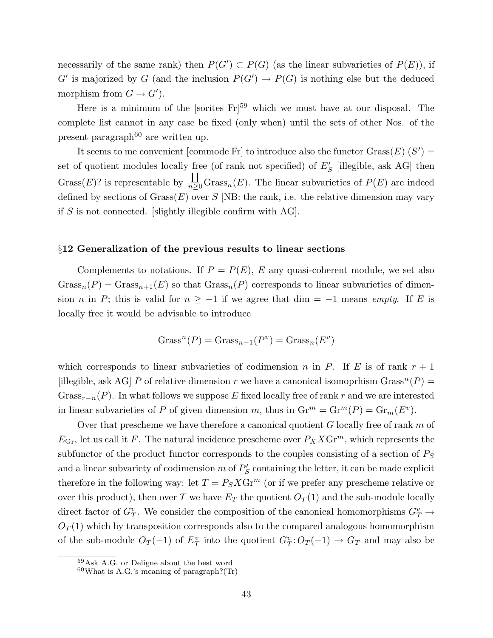necessarily of the same rank) then  $P(G') \subset P(G)$  (as the linear subvarieties of  $P(E)$ ), if  $G'$  is majorized by G (and the inclusion  $P(G') \to P(G)$  is nothing else but the deduced morphism from  $G \to G'$ ).

Here is a minimum of the [sorites  $Fr<sup>59</sup>$  which we must have at our disposal. The complete list cannot in any case be fixed (only when) until the sets of other Nos. of the present paragraph<sup>60</sup> are written up.

It seems to me convenient [commode Fr] to introduce also the functor  $Grass(E)$   $(S')$  = set of quotient modules locally free (of rank not specified) of  $E_S'$  [illegible, ask AG] then  $Grass(E)?$  is representable by  $\overline{I}$  $\frac{1}{n\geq 0}$ Grass<sub>n</sub> $(E)$ . The linear subvarieties of  $P(E)$  are indeed defined by sections of  $Grass(E)$  over S [NB: the rank, i.e. the relative dimension may vary if  $S$  is not connected. [slightly illegible confirm with AG].

#### §12 Generalization of the previous results to linear sections

Complements to notations. If  $P = P(E)$ , E any quasi-coherent module, we set also  $Grass_n(P) = Grass_{n+1}(E)$  so that  $Grass_n(P)$  corresponds to linear subvarieties of dimension n in P; this is valid for  $n \ge -1$  if we agree that dim = -1 means empty. If E is locally free it would be advisable to introduce

$$
Grassn(P) = Grassn-1(Pv) = Grassn(Ev)
$$

which corresponds to linear subvarieties of codimension n in P. If E is of rank  $r + 1$ [illegible, ask AG] P of relative dimension r we have a canonical isomoprhism  $Grass^{n}(P)$  = Grass<sub>r-n</sub>(P). In what follows we suppose E fixed locally free of rank r and we are interested in linear subvarieties of P of given dimension m, thus in  $\mathrm{Gr}^m = \mathrm{Gr}^m(P) = \mathrm{Gr}_m(E^v)$ .

Over that prescheme we have therefore a canonical quotient  $G$  locally free of rank  $m$  of  $E_{\text{Gr}}$ , let us call it F. The natural incidence prescheme over  $P_X X \text{Gr}^m$ , which represents the subfunctor of the product functor corresponds to the couples consisting of a section of  $P<sub>S</sub>$ and a linear subvariety of codimension  $m$  of  $P'_{S}$  containing the letter, it can be made explicit therefore in the following way: let  $T = P_S X Gr^m$  (or if we prefer any prescheme relative or over this product), then over T we have  $E_T$  the quotient  $O_T(1)$  and the sub-module locally direct factor of  $G_T^v$ . We consider the composition of the canonical homomorphisms  $G_T^v \to$  $O_T(1)$  which by transposition corresponds also to the compared analogous homomorphism of the sub-module  $O_T(-1)$  of  $E_T^v$  into the quotient  $G_T^v: O_T(-1) \to G_T$  and may also be

<sup>59</sup>Ask A.G. or Deligne about the best word

 $60$ What is A.G.'s meaning of paragraph?(Tr)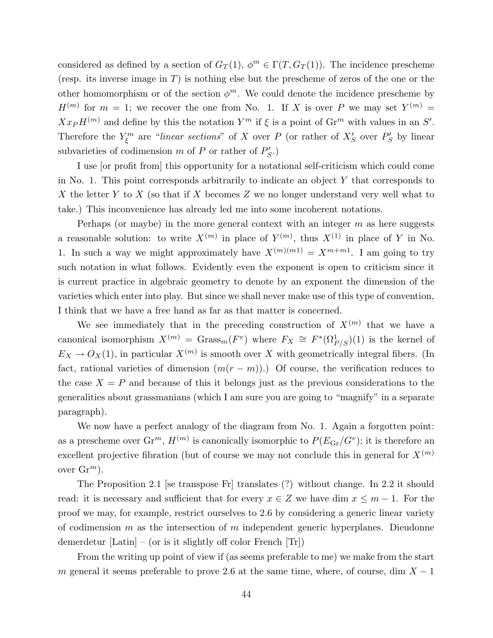considered as defined by a section of  $G_T(1)$ ,  $\phi^m \in \Gamma(T, G_T(1))$ . The incidence prescheme (resp. its inverse image in  $T$ ) is nothing else but the prescheme of zeros of the one or the other homomorphism or of the section  $\phi^m$ . We could denote the incidence prescheme by  $H^{(m)}$  for  $m = 1$ ; we recover the one from No. 1. If X is over P we may set  $Y^{(m)} =$  $Xx$ <sup> $(H<sup>(m)</sup>)$ </sup> and define by this the notation  $Y<sup>m</sup>$  if  $\xi$  is a point of  $\operatorname{Gr}^m$  with values in an  $S'$ . Therefore the  $Y_{\xi}^{m}$  are "linear sections" of X over P (or rather of  $X'_{S}$  over  $P'_{S}$  by linear subvarieties of codimension m of P or rather of  $P'_{S}$ .)

I use [or profit from] this opportunity for a notational self-criticism which could come in No. 1. This point corresponds arbitrarily to indicate an object  $Y$  that corresponds to X the letter Y to X (so that if X becomes Z we no longer understand very well what to take.) This inconvenience has already led me into some incoherent notations.

Perhaps (or maybe) in the more general context with an integer  $m$  as here suggests a reasonable solution: to write  $X^{(m)}$  in place of  $Y^{(m)}$ , thus  $X^{(1)}$  in place of Y in No. 1. In such a way we might approximately have  $X^{(m)(m)} = X^{m+m}$ . I am going to try such notation in what follows. Evidently even the exponent is open to criticism since it is current practice in algebraic geometry to denote by an exponent the dimension of the varieties which enter into play. But since we shall never make use of this type of convention, I think that we have a free hand as far as that matter is concerned.

We see immediately that in the preceding construction of  $X^{(m)}$  that we have a canonical isomorphism  $X^{(m)} = \text{Grass}_m(F^v)$  where  $F_X \cong F^*(\Omega^1_{P/S})(1)$  is the kernel of  $E_X \to O_X(1)$ , in particular  $X^{(m)}$  is smooth over X with geometrically integral fibers. (In fact, rational varieties of dimension  $(m(r - m))$ .) Of course, the verification reduces to the case  $X = P$  and because of this it belongs just as the previous considerations to the generalities about grassmanians (which I am sure you are going to "magnify" in a separate paragraph).

We now have a perfect analogy of the diagram from No. 1. Again a forgotten point: as a prescheme over  $\mathrm{Gr}^m$ ,  $H^{(m)}$  is canonically isomorphic to  $P(E_{\text{Gr}}/G^v)$ ; it is therefore an excellent projective fibration (but of course we may not conclude this in general for  $X^{(m)}$ over  $\mathrm{Gr}^m$ ).

The Proposition 2.1 [se transpose Fr] translates (?) without change. In 2.2 it should read: it is necessary and sufficient that for every  $x \in Z$  we have dim  $x \leq m-1$ . For the proof we may, for example, restrict ourselves to 2.6 by considering a generic linear variety of codimension  $m$  as the intersection of  $m$  independent generic hyperplanes. Dieudonne demerdetur  $\left[$ Latin $\right]$  – (or is it slightly off color French  $\left[$ Tr $\right]$ )

From the writing up point of view if (as seems preferable to me) we make from the start m general it seems preferable to prove 2.6 at the same time, where, of course, dim  $X - 1$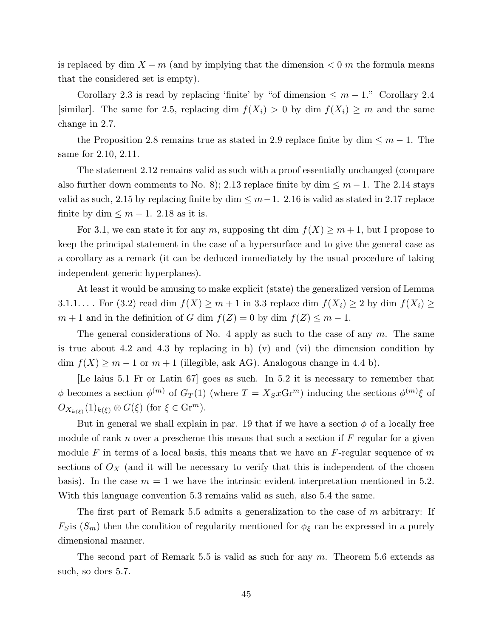is replaced by dim  $X - m$  (and by implying that the dimension  $\lt 0$  m the formula means that the considered set is empty).

Corollary 2.3 is read by replacing 'finite' by "of dimension  $\leq m-1$ ." Corollary 2.4 [similar]. The same for 2.5, replacing dim  $f(X_i) > 0$  by dim  $f(X_i) \geq m$  and the same change in 2.7.

the Proposition 2.8 remains true as stated in 2.9 replace finite by dim  $\leq m-1$ . The same for 2.10, 2.11.

The statement 2.12 remains valid as such with a proof essentially unchanged (compare also further down comments to No. 8); 2.13 replace finite by dim  $\leq m-1$ . The 2.14 stays valid as such, 2.15 by replacing finite by dim  $\leq m-1$ . 2.16 is valid as stated in 2.17 replace finite by dim  $\leq m-1$ . 2.18 as it is.

For 3.1, we can state it for any m, supposing tht dim  $f(X) \ge m+1$ , but I propose to keep the principal statement in the case of a hypersurface and to give the general case as a corollary as a remark (it can be deduced immediately by the usual procedure of taking independent generic hyperplanes).

At least it would be amusing to make explicit (state) the generalized version of Lemma 3.1.1... . For (3.2) read dim  $f(X) \ge m+1$  in 3.3 replace dim  $f(X_i) \ge 2$  by dim  $f(X_i) \ge$  $m + 1$  and in the definition of G dim  $f(Z) = 0$  by dim  $f(Z) \leq m - 1$ .

The general considerations of No. 4 apply as such to the case of any  $m$ . The same is true about 4.2 and 4.3 by replacing in b) (v) and (vi) the dimension condition by dim  $f(X) \geq m - 1$  or  $m + 1$  (illegible, ask AG). Analogous change in 4.4 b).

[Le laius 5.1 Fr or Latin 67] goes as such. In 5.2 it is necessary to remember that  $\phi$  becomes a section  $\phi^{(m)}$  of  $G_T(1)$  (where  $T = X_S x G r^m$ ) inducing the sections  $\phi^{(m)}\xi$  of  $O_{X_{k(\xi)}}(1)_{k(\xi)} \otimes G(\xi)$  (for  $\xi \in \mathrm{Gr}^m$ ).

But in general we shall explain in par. 19 that if we have a section  $\phi$  of a locally free module of rank n over a prescheme this means that such a section if  $F$  regular for a given module F in terms of a local basis, this means that we have an  $F$ -regular sequence of m sections of  $O_X$  (and it will be necessary to verify that this is independent of the chosen basis). In the case  $m = 1$  we have the intrinsic evident interpretation mentioned in 5.2. With this language convention 5.3 remains valid as such, also 5.4 the same.

The first part of Remark 5.5 admits a generalization to the case of m arbitrary: If  $F_S$  is  $(S_m)$  then the condition of regularity mentioned for  $\phi_{\xi}$  can be expressed in a purely dimensional manner.

The second part of Remark 5.5 is valid as such for any  $m$ . Theorem 5.6 extends as such, so does 5.7.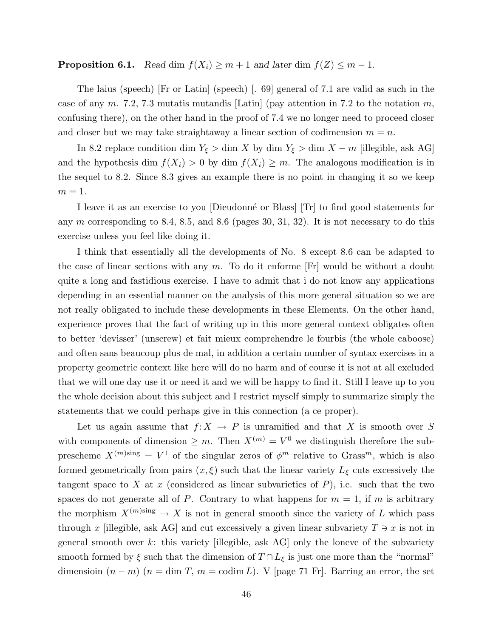# **Proposition 6.1.** Read dim  $f(X_i) \geq m+1$  and later dim  $f(Z) \leq m-1$ .

The laius (speech) [Fr or Latin] (speech) [. 69] general of 7.1 are valid as such in the case of any m. 7.2, 7.3 mutatis mutandis [Latin] (pay attention in 7.2 to the notation m, confusing there), on the other hand in the proof of 7.4 we no longer need to proceed closer and closer but we may take straightaway a linear section of codimension  $m = n$ .

In 8.2 replace condition dim  $Y_{\xi} > \dim X$  by dim  $Y_{\xi} > \dim X - m$  [illegible, ask AG] and the hypothesis dim  $f(X_i) > 0$  by dim  $f(X_i) \geq m$ . The analogous modification is in the sequel to 8.2. Since 8.3 gives an example there is no point in changing it so we keep  $m=1$ .

I leave it as an exercise to you Dieudonné or Blass Tr to find good statements for any  $m$  corresponding to 8.4, 8.5, and 8.6 (pages 30, 31, 32). It is not necessary to do this exercise unless you feel like doing it.

I think that essentially all the developments of No. 8 except 8.6 can be adapted to the case of linear sections with any  $m$ . To do it enforme [Fr] would be without a doubt quite a long and fastidious exercise. I have to admit that i do not know any applications depending in an essential manner on the analysis of this more general situation so we are not really obligated to include these developments in these Elements. On the other hand, experience proves that the fact of writing up in this more general context obligates often to better 'devisser' (unscrew) et fait mieux comprehendre le fourbis (the whole caboose) and often sans beaucoup plus de mal, in addition a certain number of syntax exercises in a property geometric context like here will do no harm and of course it is not at all excluded that we will one day use it or need it and we will be happy to find it. Still I leave up to you the whole decision about this subject and I restrict myself simply to summarize simply the statements that we could perhaps give in this connection (a ce proper).

Let us again assume that  $f: X \to P$  is unramified and that X is smooth over S with components of dimension  $\geq m$ . Then  $X^{(m)} = V^0$  we distinguish therefore the subprescheme  $X^{(m) \text{sing}} = V^1$  of the singular zeros of  $\phi^m$  relative to Grass<sup>m</sup>, which is also formed geometrically from pairs  $(x, \xi)$  such that the linear variety  $L_{\xi}$  cuts excessively the tangent space to X at x (considered as linear subvarieties of  $P$ ), i.e. such that the two spaces do not generate all of P. Contrary to what happens for  $m = 1$ , if m is arbitrary the morphism  $X^{(m) \text{sing}} \to X$  is not in general smooth since the variety of L which pass through x [illegible, ask AG] and cut excessively a given linear subvariety  $T \ni x$  is not in general smooth over  $k$ : this variety [illegible, ask AG] only the loneve of the subvariety smooth formed by  $\xi$  such that the dimension of  $T \cap L_{\xi}$  is just one more than the "normal" dimensioin  $(n - m)$   $(n = \dim T, m = \text{codim } L)$ . V [page 71 Fr]. Barring an error, the set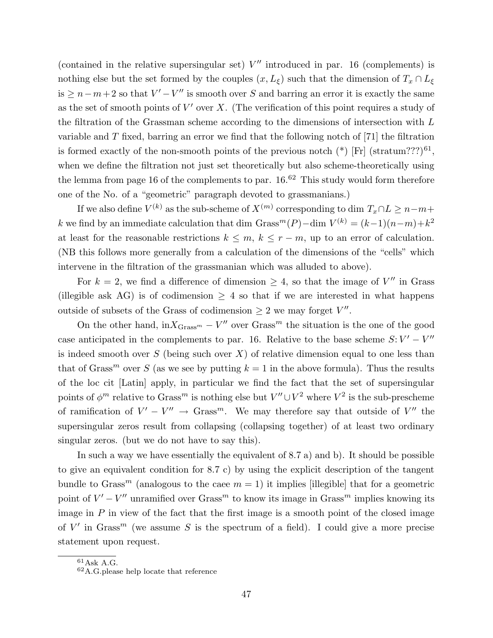(contained in the relative supersingular set)  $V''$  introduced in par. 16 (complements) is nothing else but the set formed by the couples  $(x, L_{\xi})$  such that the dimension of  $T_x \cap L_{\xi}$  $\text{is } \geq n-m+2 \text{ so that } V'-V'' \text{ is smooth over } S \text{ and barrier an error it is exactly the same.}$ as the set of smooth points of  $V'$  over X. (The verification of this point requires a study of the filtration of the Grassman scheme according to the dimensions of intersection with L variable and T fixed, barring an error we find that the following notch of [71] the filtration is formed exactly of the non-smooth points of the previous notch  $(*)$  [Fr] (stratum???)<sup>61</sup>, when we define the filtration not just set theoretically but also scheme-theoretically using the lemma from page 16 of the complements to par.  $16.62$  This study would form therefore one of the No. of a "geometric" paragraph devoted to grassmanians.)

If we also define  $V^{(k)}$  as the sub-scheme of  $X^{(m)}$  corresponding to dim  $T_x \cap L \geq n-m+$ k we find by an immediate calculation that dim Grass<sup>m</sup>(P) – dim  $V^{(k)} = (k-1)(n-m)+k^2$ at least for the reasonable restrictions  $k \leq m, k \leq r - m$ , up to an error of calculation. (NB this follows more generally from a calculation of the dimensions of the "cells" which intervene in the filtration of the grassmanian which was alluded to above).

For  $k = 2$ , we find a difference of dimension  $\geq 4$ , so that the image of V'' in Grass (illegible ask AG) is of codimension  $\geq 4$  so that if we are interested in what happens outside of subsets of the Grass of codimension  $\geq 2$  we may forget  $V''$ .

On the other hand,  $\ln X_{\text{Grass}^m} - V''$  over  $\text{Grass}^m$  the situation is the one of the good case anticipated in the complements to par. 16. Relative to the base scheme  $S: V' - V''$ is indeed smooth over  $S$  (being such over  $X$ ) of relative dimension equal to one less than that of Grass<sup>m</sup> over S (as we see by putting  $k = 1$  in the above formula). Thus the results of the loc cit [Latin] apply, in particular we find the fact that the set of supersingular points of  $\phi^m$  relative to Grass<sup>m</sup> is nothing else but  $V'' \cup V^2$  where  $V^2$  is the sub-prescheme of ramification of  $V' - V'' \rightarrow$  Grass<sup>m</sup>. We may therefore say that outside of V'' the supersingular zeros result from collapsing (collapsing together) of at least two ordinary singular zeros. (but we do not have to say this).

In such a way we have essentially the equivalent of 8.7 a) and b). It should be possible to give an equivalent condition for 8.7 c) by using the explicit description of the tangent bundle to Grass<sup>m</sup> (analogous to the caee  $m = 1$ ) it implies [illegible] that for a geometric point of  $V' - V''$  unramified over Grass<sup>m</sup> to know its image in Grass<sup>m</sup> implies knowing its image in  $P$  in view of the fact that the first image is a smooth point of the closed image of  $V'$  in Grass<sup>m</sup> (we assume S is the spectrum of a field). I could give a more precise statement upon request.

 $61$ Ask A.G.

<sup>62</sup>A.G.please help locate that reference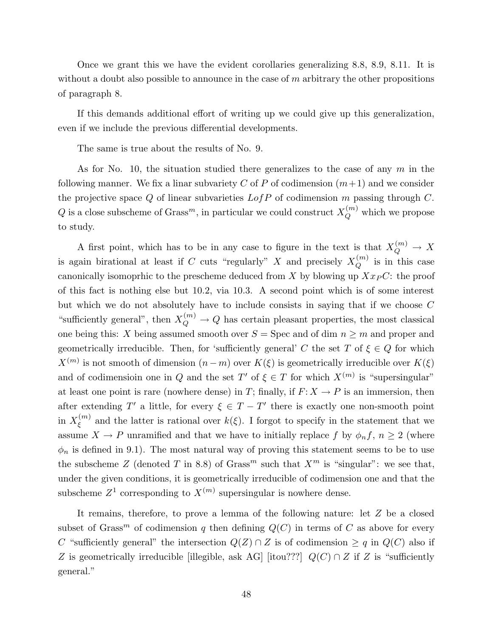Once we grant this we have the evident corollaries generalizing 8.8, 8.9, 8.11. It is without a doubt also possible to announce in the case of  $m$  arbitrary the other propositions of paragraph 8.

If this demands additional effort of writing up we could give up this generalization, even if we include the previous differential developments.

The same is true about the results of No. 9.

As for No. 10, the situation studied there generalizes to the case of any  $m$  in the following manner. We fix a linar subvariety C of P of codimension  $(m+1)$  and we consider the projective space  $Q$  of linear subvarieties  $LofP$  of codimension m passing through  $C$ . Q is a close subscheme of Grass<sup>m</sup>, in particular we could construct  $X_Q^{(m)}$  which we propose to study.

A first point, which has to be in any case to figure in the text is that  $X_Q^{(m)} \to X$ is again birational at least if C cuts "regularly" X and precisely  $X_Q^{(m)}$  is in this case canonically isomoprhic to the prescheme deduced from  $X$  by blowing up  $Xx_P C$ : the proof of this fact is nothing else but 10.2, via 10.3. A second point which is of some interest but which we do not absolutely have to include consists in saying that if we choose C "sufficiently general", then  $X_Q^{(m)} \to Q$  has certain pleasant properties, the most classical one being this: X being assumed smooth over  $S = \text{Spec}$  and of dim  $n \geq m$  and proper and geometrically irreducible. Then, for 'sufficiently general' C the set T of  $\xi \in Q$  for which  $X^{(m)}$  is not smooth of dimension  $(n-m)$  over  $K(\xi)$  is geometrically irreducible over  $K(\xi)$ and of codimension one in Q and the set T' of  $\xi \in T$  for which  $X^{(m)}$  is "supersingular" at least one point is rare (nowhere dense) in T; finally, if  $F: X \to P$  is an immersion, then after extending T' a little, for every  $\xi \in T - T'$  there is exactly one non-smooth point in  $X_{\varepsilon}^{(m)}$  $\zeta^{(m)}$  and the latter is rational over  $k(\xi)$ . I forgot to specify in the statement that we assume  $X \to P$  unramified and that we have to initially replace f by  $\phi_n f$ ,  $n \geq 2$  (where  $\phi_n$  is defined in 9.1). The most natural way of proving this statement seems to be to use the subscheme Z (denoted T in 8.8) of Grass<sup>m</sup> such that  $X^m$  is "singular": we see that, under the given conditions, it is geometrically irreducible of codimension one and that the subscheme  $Z^1$  corresponding to  $X^{(m)}$  supersingular is nowhere dense.

It remains, therefore, to prove a lemma of the following nature: let Z be a closed subset of Grass<sup>m</sup> of codimension q then defining  $Q(C)$  in terms of C as above for every C "sufficiently general" the intersection  $Q(Z) \cap Z$  is of codimension  $\geq q$  in  $Q(C)$  also if Z is geometrically irreducible [illegible, ask AG] [itou???]  $Q(C) \cap Z$  if Z is "sufficiently general."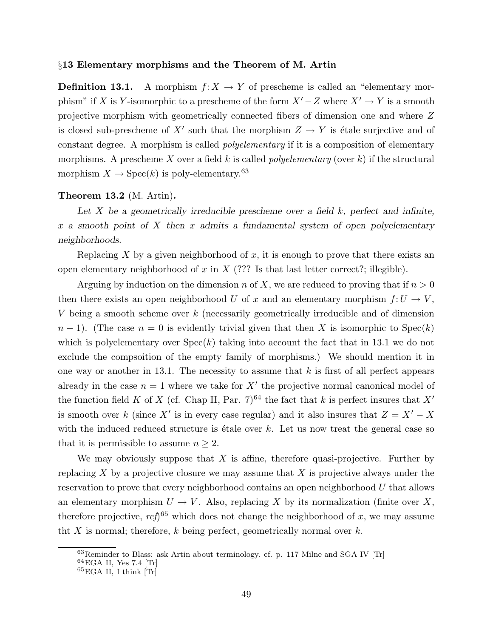#### §13 Elementary morphisms and the Theorem of M. Artin

**Definition 13.1.** A morphism  $f: X \to Y$  of prescheme is called an "elementary morphism" if X is Y-isomorphic to a prescheme of the form  $X'-Z$  where  $X' \to Y$  is a smooth projective morphism with geometrically connected fibers of dimension one and where Z is closed sub-prescheme of X' such that the morphism  $Z \to Y$  is étale surjective and of constant degree. A morphism is called polyelementary if it is a composition of elementary morphisms. A prescheme X over a field k is called *polyelementary* (over k) if the structural morphism  $X \to \text{Spec}(k)$  is poly-elementary.<sup>63</sup>

#### Theorem 13.2 (M. Artin).

Let X be a geometrically irreducible prescheme over a field  $k$ , perfect and infinite, x a smooth point of X then x admits a fundamental system of open polyelementary neighborhoods.

Replacing X by a given neighborhood of x, it is enough to prove that there exists an open elementary neighborhood of x in  $X$  (??? Is that last letter correct?; illegible).

Arguing by induction on the dimension n of X, we are reduced to proving that if  $n > 0$ then there exists an open neighborhood U of x and an elementary morphism  $f: U \to V$ , V being a smooth scheme over k (necessarily geometrically irreducible and of dimension  $n-1$ ). (The case  $n=0$  is evidently trivial given that then X is isomorphic to  $Spec(k)$ ) which is polyelementary over  $Spec(k)$  taking into account the fact that in 13.1 we do not exclude the compsoition of the empty family of morphisms.) We should mention it in one way or another in 13.1. The necessity to assume that  $k$  is first of all perfect appears already in the case  $n = 1$  where we take for  $X'$  the projective normal canonical model of the function field K of X (cf. Chap II, Par. 7)<sup>64</sup> the fact that k is perfect insures that X' is smooth over k (since X' is in every case regular) and it also insures that  $Z = X' - X$ with the induced reduced structure is  $\epsilon$ tale over k. Let us now treat the general case so that it is permissible to assume  $n \geq 2$ .

We may obviously suppose that  $X$  is affine, therefore quasi-projective. Further by replacing  $X$  by a projective closure we may assume that  $X$  is projective always under the reservation to prove that every neighborhood contains an open neighborhood  $U$  that allows an elementary morphism  $U \to V$ . Also, replacing X by its normalization (finite over X, therefore projective,  $ref$ <sup>65</sup> which does not change the neighborhood of x, we may assume tht X is normal; therefore, k being perfect, geometrically normal over  $k$ .

<sup>63</sup>Reminder to Blass: ask Artin about terminology. cf. p. 117 Milne and SGA IV [Tr]

<sup>64</sup>EGA II, Yes 7.4 [Tr]

 ${}^{65}$ EGA II, I think  $[Tr]$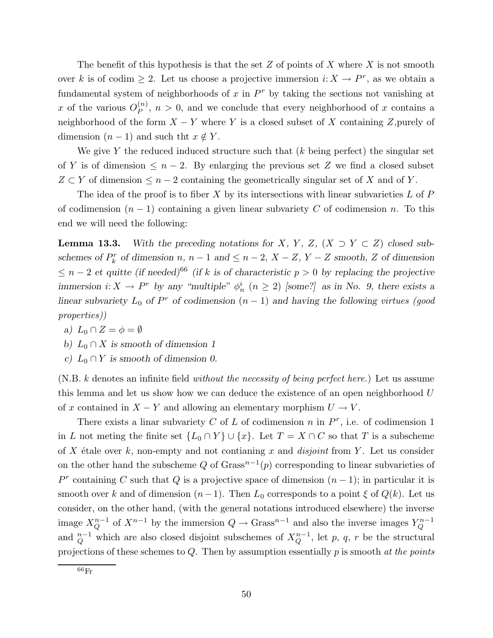The benefit of this hypothesis is that the set  $Z$  of points of  $X$  where  $X$  is not smooth over k is of codim  $\geq 2$ . Let us choose a projective immersion  $i: X \to P^r$ , as we obtain a fundamental system of neighborhoods of  $x$  in  $P^r$  by taking the sections not vanishing at x of the various  $O_P^{(n)}$  $P_P^{(n)}$ ,  $n > 0$ , and we conclude that every neighborhood of x contains a neighborhood of the form  $X - Y$  where Y is a closed subset of X containing Z, purely of dimension  $(n-1)$  and such tht  $x \notin Y$ .

We give Y the reduced induced structure such that  $(k \text{ being perfect})$  the singular set of Y is of dimension  $\leq n-2$ . By enlarging the previous set Z we find a closed subset  $Z \subset Y$  of dimension  $\leq n-2$  containing the geometrically singular set of X and of Y.

The idea of the proof is to fiber  $X$  by its intersections with linear subvarieties  $L$  of  $P$ of codimension  $(n - 1)$  containing a given linear subvariety C of codimension n. To this end we will need the following:

**Lemma 13.3.** With the preceding notations for X, Y, Z,  $(X \supset Y \subset Z)$  closed subschemes of  $P_k^r$  of dimension  $n, n-1$  and  $\leq n-2, X-Z, Y-Z$  smooth, Z of dimension  $\leq n-2$  et quitte (if needed)<sup>66</sup> (if k is of characteristic p > 0 by replacing the projective immersion  $i: X \to P^r$  by any "multiple"  $\phi_n^i$   $(n \geq 2)$  [some?] as in No. 9, there exists a linear subvariety  $L_0$  of  $P^r$  of codimension  $(n-1)$  and having the following virtues (good properties))

- a)  $L_0 \cap Z = \phi = \emptyset$
- b)  $L_0 \cap X$  is smooth of dimension 1
- c)  $L_0 \cap Y$  is smooth of dimension 0.

 $(N.B. k$  denotes an infinite field *without the necessity of being perfect here.*) Let us assume this lemma and let us show how we can deduce the existence of an open neighborhood U of x contained in  $X - Y$  and allowing an elementary morphism  $U \to V$ .

There exists a linar subvariety C of L of codimension n in  $P^r$ , i.e. of codimension 1 in L not meting the finite set  $\{L_0 \cap Y\} \cup \{x\}$ . Let  $T = X \cap C$  so that T is a subscheme of X étale over k, non-empty and not contianing x and *disjoint* from Y. Let us consider on the other hand the subscheme Q of Grass<sup>n-1</sup> $(p)$  corresponding to linear subvarieties of  $P<sup>r</sup>$  containing C such that Q is a projective space of dimension  $(n-1)$ ; in particular it is smooth over k and of dimension  $(n-1)$ . Then  $L_0$  corresponds to a point  $\xi$  of  $Q(k)$ . Let us consider, on the other hand, (with the general notations introduced elsewhere) the inverse image  $X_Q^{n-1}$  of  $X^{n-1}$  by the immersion  $Q \to \text{Grass}^{n-1}$  and also the inverse images  $Y_Q^{n-1}$ and  $_{Q}^{n-1}$  which are also closed disjoint subschemes of  $X_{Q}^{n-1}$ , let p, q, r be the structural projections of these schemes to  $Q$ . Then by assumption essentially  $p$  is smooth at the points

 $66<sub>Fr</sub>$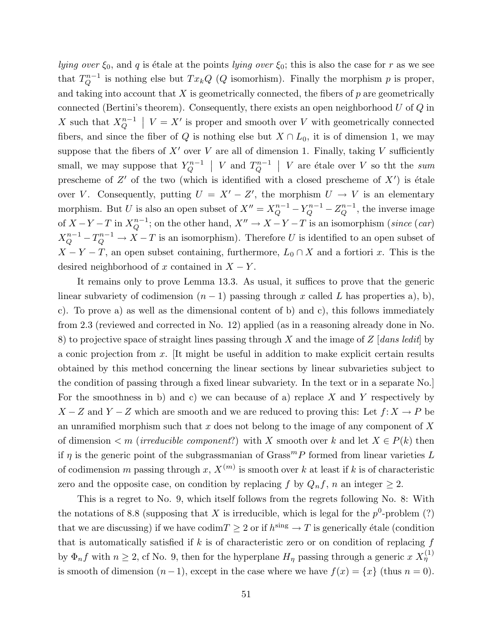lying over  $\xi_0$ , and q is étale at the points lying over  $\xi_0$ ; this is also the case for r as we see that  $T_Q^{n-1}$  is nothing else but  $Tx_kQ$  (Q isomorhism). Finally the morphism p is proper, and taking into account that  $X$  is geometrically connected, the fibers of  $p$  are geometrically connected (Bertini's theorem). Consequently, there exists an open neighborhood  $U$  of  $Q$  in X such that  $X_Q^{n-1}$  |  $V = X'$  is proper and smooth over V with geometrically connected fibers, and since the fiber of Q is nothing else but  $X \cap L_0$ , it is of dimension 1, we may suppose that the fibers of  $X'$  over V are all of dimension 1. Finally, taking V sufficiently small, we may suppose that  $Y_Q^{n-1}$  | V and  $T_Q^{n-1}$  | V are étale over V so tht the sum prescheme of  $Z'$  of the two (which is identified with a closed prescheme of  $X'$ ) is étale over V. Consequently, putting  $U = X' - Z'$ , the morphism  $U \to V$  is an elementary morphism. But U is also an open subset of  $X'' = X_Q^{n-1} - Y_Q^{n-1} - Z_Q^{n-1}$ , the inverse image of  $X - Y - T$  in  $X_Q^{n-1}$ ; on the other hand,  $X'' \to X - Y - T$  is an isomorphism (since (car)  $X_Q^{n-1} - T_Q^{n-1} \to X - T$  is an isomorphism). Therefore U is identified to an open subset of  $X - Y - T$ , an open subset containing, furthermore,  $L_0 \cap X$  and a fortiori x. This is the desired neighborhood of x contained in  $X - Y$ .

It remains only to prove Lemma 13.3. As usual, it suffices to prove that the generic linear subvariety of codimension  $(n - 1)$  passing through x called L has properties a), b), c). To prove a) as well as the dimensional content of b) and c), this follows immediately from 2.3 (reviewed and corrected in No. 12) applied (as in a reasoning already done in No. 8) to projective space of straight lines passing through  $X$  and the image of  $Z$  [dans ledit] by a conic projection from  $x$ . It might be useful in addition to make explicit certain results obtained by this method concerning the linear sections by linear subvarieties subject to the condition of passing through a fixed linear subvariety. In the text or in a separate No.] For the smoothness in b) and c) we can because of a) replace  $X$  and  $Y$  respectively by  $X - Z$  and  $Y - Z$  which are smooth and we are reduced to proving this: Let  $f: X \to P$  be an unramified morphism such that x does not belong to the image of any component of  $X$ of dimension  $\leq m$  (*irreducible component*?) with X smooth over k and let  $X \in P(k)$  then if  $\eta$  is the generic point of the subgrassmanian of Grass<sup>m</sup>P formed from linear varieties L of codimension m passing through x,  $X^{(m)}$  is smooth over k at least if k is of characteristic zero and the opposite case, on condition by replacing f by  $Q_n f$ , n an integer  $\geq 2$ .

This is a regret to No. 9, which itself follows from the regrets following No. 8: With the notations of 8.8 (supposing that X is irreducible, which is legal for the  $p^0$ -problem (?) that we are discussing) if we have  $\text{codim} T \geq 2$  or if  $h^{\text{sing}} \to T$  is generically étale (condition that is automatically satisfied if  $k$  is of characteristic zero or on condition of replacing  $f$ by  $\Phi_n f$  with  $n \geq 2$ , cf No. 9, then for the hyperplane  $H_\eta$  passing through a generic  $x X_\eta^{(1)}$ is smooth of dimension  $(n-1)$ , except in the case where we have  $f(x) = \{x\}$  (thus  $n = 0$ ).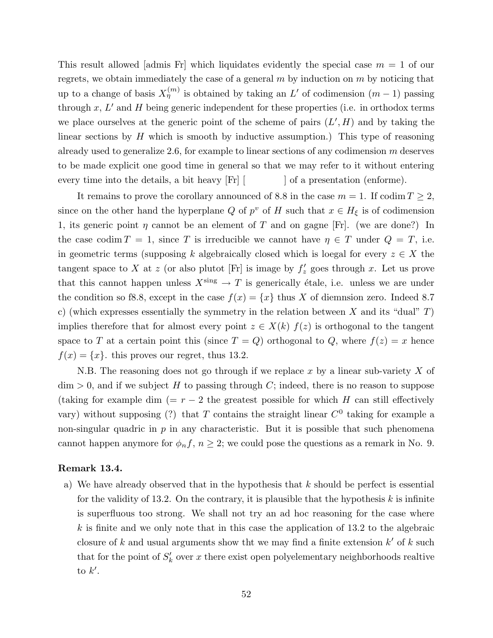This result allowed [admis Fr] which liquidates evidently the special case  $m = 1$  of our regrets, we obtain immediately the case of a general  $m$  by induction on  $m$  by noticing that up to a change of basis  $X_{\eta}^{(m)}$  is obtained by taking an L' of codimension  $(m-1)$  passing through  $x, L'$  and H being generic independent for these properties (i.e. in orthodox terms we place ourselves at the generic point of the scheme of pairs  $(L', H)$  and by taking the linear sections by  $H$  which is smooth by inductive assumption.) This type of reasoning already used to generalize 2.6, for example to linear sections of any codimension  $m$  deserves to be made explicit one good time in general so that we may refer to it without entering every time into the details, a bit heavy [Fr] [ ] of a presentation (enforme).

It remains to prove the corollary announced of 8.8 in the case  $m = 1$ . If codim  $T \geq 2$ , since on the other hand the hyperplane Q of  $p^v$  of H such that  $x \in H_\xi$  is of codimension 1, its generic point  $\eta$  cannot be an element of T and on gagne [Fr]. (we are done?) In the case codim  $T = 1$ , since T is irreducible we cannot have  $\eta \in T$  under  $Q = T$ , i.e. in geometric terms (supposing k algebraically closed which is loegal for every  $z \in X$  the tangent space to X at z (or also plut ot [Fr] is image by  $f'_z$  goes through x. Let us prove that this cannot happen unless  $X^{\text{sing}} \to T$  is generically étale, i.e. unless we are under the condition so f8.8, except in the case  $f(x) = \{x\}$  thus X of diemnsion zero. Indeed 8.7 c) (which expresses essentially the symmetry in the relation between X and its "dual"  $T$ ) implies therefore that for almost every point  $z \in X(k)$   $f(z)$  is orthogonal to the tangent space to T at a certain point this (since  $T = Q$ ) orthogonal to Q, where  $f(z) = x$  hence  $f(x) = \{x\}$ . this proves our regret, thus 13.2.

N.B. The reasoning does not go through if we replace x by a linear sub-variety  $X$  of  $\dim > 0$ , and if we subject H to passing through C; indeed, there is no reason to suppose (taking for example dim (=  $r - 2$  the greatest possible for which H can still effectively vary) without supposing (?) that T contains the straight linear  $C^0$  taking for example a non-singular quadric in  $p$  in any characteristic. But it is possible that such phenomena cannot happen anymore for  $\phi_n f$ ,  $n \geq 2$ ; we could pose the questions as a remark in No. 9.

#### Remark 13.4.

a) We have already observed that in the hypothesis that  $k$  should be perfect is essential for the validity of 13.2. On the contrary, it is plausible that the hypothesis  $k$  is infinite is superfluous too strong. We shall not try an ad hoc reasoning for the case where  $k$  is finite and we only note that in this case the application of 13.2 to the algebraic closure of k and usual arguments show tht we may find a finite extension  $k'$  of k such that for the point of  $S'_k$  over x there exist open polyelementary neighborhoods realtive to  $k'$ .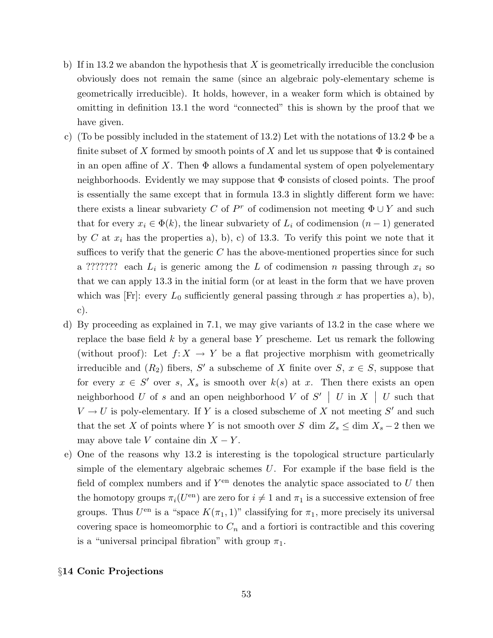- b) If in 13.2 we abandon the hypothesis that X is geometrically irreducible the conclusion obviously does not remain the same (since an algebraic poly-elementary scheme is geometrically irreducible). It holds, however, in a weaker form which is obtained by omitting in definition 13.1 the word "connected" this is shown by the proof that we have given.
- c) (To be possibly included in the statement of 13.2) Let with the notations of 13.2  $\Phi$  be a finite subset of X formed by smooth points of X and let us suppose that  $\Phi$  is contained in an open affine of X. Then  $\Phi$  allows a fundamental system of open polyelementary neighborhoods. Evidently we may suppose that  $\Phi$  consists of closed points. The proof is essentially the same except that in formula 13.3 in slightly different form we have: there exists a linear subvariety C of  $P^r$  of codimension not meeting  $\Phi \cup Y$  and such that for every  $x_i \in \Phi(k)$ , the linear subvariety of  $L_i$  of codimension  $(n-1)$  generated by C at  $x_i$  has the properties a), b), c) of 13.3. To verify this point we note that it suffices to verify that the generic  $C$  has the above-mentioned properties since for such a ??????? each  $L_i$  is generic among the L of codimension n passing through  $x_i$  so that we can apply 13.3 in the initial form (or at least in the form that we have proven which was [Fr]: every  $L_0$  sufficiently general passing through x has properties a), b), c).
- d) By proceeding as explained in 7.1, we may give variants of 13.2 in the case where we replace the base field  $k$  by a general base Y prescheme. Let us remark the following (without proof): Let  $f: X \to Y$  be a flat projective morphism with geometrically irreducible and  $(R_2)$  fibers, S' a subscheme of X finite over  $S, x \in S$ , suppose that for every  $x \in S'$  over s,  $X_s$  is smooth over  $k(s)$  at x. Then there exists an open neighborhood U of s and an open neighborhood V of  $S'$  | U in X | U such that  $V \to U$  is poly-elementary. If Y is a closed subscheme of X not meeting S' and such that the set X of points where Y is not smooth over S dim  $Z_s \le \dim X_s - 2$  then we may above tale V containe din  $X - Y$ .
- e) One of the reasons why 13.2 is interesting is the topological structure particularly simple of the elementary algebraic schemes  $U$ . For example if the base field is the field of complex numbers and if  $Y^{\text{en}}$  denotes the analytic space associated to U then the homotopy groups  $\pi_i(U^{\text{en}})$  are zero for  $i \neq 1$  and  $\pi_1$  is a successive extension of free groups. Thus  $U^{\text{en}}$  is a "space  $K(\pi_1, 1)$ " classifying for  $\pi_1$ , more precisely its universal covering space is homeomorphic to  $C_n$  and a fortiori is contractible and this covering is a "universal principal fibration" with group  $\pi_1$ .

## §14 Conic Projections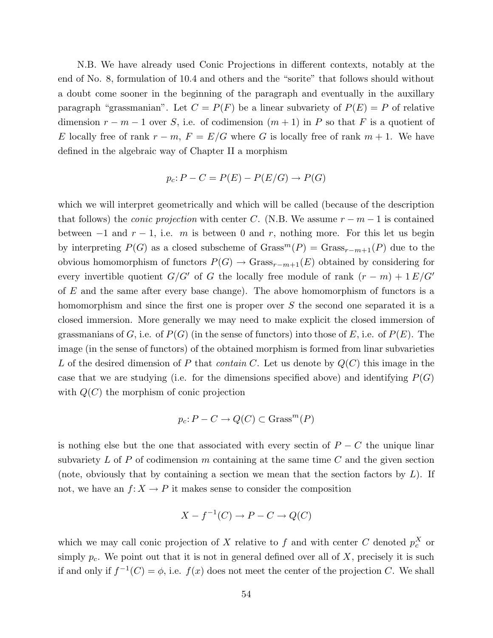N.B. We have already used Conic Projections in different contexts, notably at the end of No. 8, formulation of 10.4 and others and the "sorite" that follows should without a doubt come sooner in the beginning of the paragraph and eventually in the auxillary paragraph "grassmanian". Let  $C = P(F)$  be a linear subvariety of  $P(E) = P$  of relative dimension  $r - m - 1$  over S, i.e. of codimension  $(m + 1)$  in P so that F is a quotient of E locally free of rank  $r - m$ ,  $F = E/G$  where G is locally free of rank  $m + 1$ . We have defined in the algebraic way of Chapter II a morphism

$$
p_c: P - C = P(E) - P(E/G) \rightarrow P(G)
$$

which we will interpret geometrically and which will be called (because of the description that follows) the *conic projection* with center C. (N.B. We assume  $r - m - 1$  is contained between  $-1$  and  $r - 1$ , i.e. m is between 0 and r, nothing more. For this let us begin by interpreting  $P(G)$  as a closed subscheme of  $Grass^{m}(P) = Grass_{r-m+1}(P)$  due to the obvious homomorphism of functors  $P(G) \to Grass_{r-m+1}(E)$  obtained by considering for every invertible quotient  $G/G'$  of G the locally free module of rank  $(r - m) + 1 E/G'$ of  $E$  and the same after every base change). The above homomorphism of functors is a homomorphism and since the first one is proper over S the second one separated it is a closed immersion. More generally we may need to make explicit the closed immersion of grassmanians of G, i.e. of  $P(G)$  (in the sense of functors) into those of E, i.e. of  $P(E)$ . The image (in the sense of functors) of the obtained morphism is formed from linar subvarieties L of the desired dimension of P that *contain C*. Let us denote by  $Q(C)$  this image in the case that we are studying (i.e. for the dimensions specified above) and identifying  $P(G)$ with  $Q(C)$  the morphism of conic projection

$$
p_c: P - C \to Q(C) \subset \text{Grass}^m(P)
$$

is nothing else but the one that associated with every sectin of  $P - C$  the unique linar subvariety  $L$  of  $P$  of codimension  $m$  containing at the same time  $C$  and the given section (note, obviously that by containing a section we mean that the section factors by  $L$ ). If not, we have an  $f: X \to P$  it makes sense to consider the composition

$$
X - f^{-1}(C) \to P - C \to Q(C)
$$

which we may call conic projection of X relative to f and with center C denoted  $p_c^X$  or simply  $p_c$ . We point out that it is not in general defined over all of X, precisely it is such if and only if  $f^{-1}(C) = \phi$ , i.e.  $f(x)$  does not meet the center of the projection C. We shall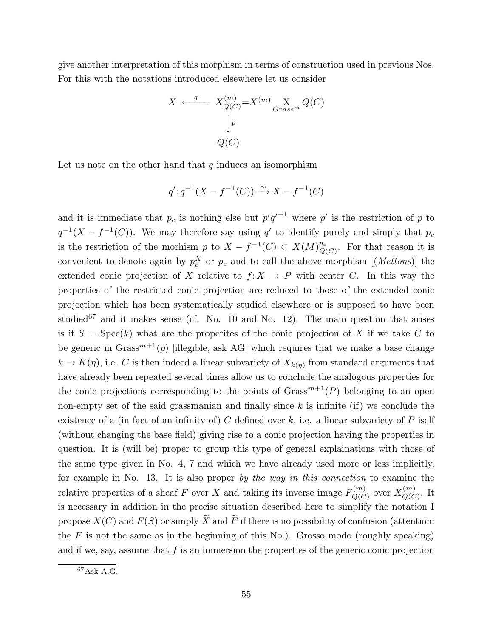give another interpretation of this morphism in terms of construction used in previous Nos. For this with the notations introduced elsewhere let us consider

$$
X \xleftarrow{q} X_{Q(C)}^{(m)} = X^{(m)} \underset{Grass^{m}}{\underset{X}{\times}} Q(C)
$$

$$
\downarrow^{p}
$$

$$
Q(C)
$$

Let us note on the other hand that  $q$  induces an isomorphism

$$
q': q^{-1}(X - f^{-1}(C)) \xrightarrow{\sim} X - f^{-1}(C)
$$

and it is immediate that  $p_c$  is nothing else but  $p'q'^{-1}$  where  $p'$  is the restriction of p to  $q^{-1}(X - f^{-1}(C))$ . We may therefore say using q' to identify purely and simply that  $p_c$ is the restriction of the morhism p to  $X - f^{-1}(C) \subset X(M)_{Q}^{p_c}$  $_{Q(C)}^{p_c}$ . For that reason it is convenient to denote again by  $p_c^X$  or  $p_c$  and to call the above morphism [(*Mettons*)] the extended conic projection of X relative to  $f: X \to P$  with center C. In this way the properties of the restricted conic projection are reduced to those of the extended conic projection which has been systematically studied elsewhere or is supposed to have been studied<sup>67</sup> and it makes sense (cf. No. 10 and No. 12). The main question that arises is if  $S = \text{Spec}(k)$  what are the properites of the conic projection of X if we take C to be generic in  $Grass^{m+1}(p)$  [illegible, ask AG] which requires that we make a base change  $k \to K(\eta)$ , i.e. C is then indeed a linear subvariety of  $X_{k(\eta)}$  from standard arguments that have already been repeated several times allow us to conclude the analogous properties for the conic projections corresponding to the points of  $Grass^{m+1}(P)$  belonging to an open non-empty set of the said grassmanian and finally since  $k$  is infinite (if) we conclude the existence of a (in fact of an infinity of) C defined over  $k$ , i.e. a linear subvariety of P iself (without changing the base field) giving rise to a conic projection having the properties in question. It is (will be) proper to group this type of general explainations with those of the same type given in No. 4, 7 and which we have already used more or less implicitly, for example in No. 13. It is also proper by the way in this connection to examine the relative properties of a sheaf F over X and taking its inverse image  $F_{O(C)}^{(m)}$  $\chi_{Q(C)}^{(m)}$  over  $X_{Q(C)}^{(m)}$  $Q(C)$ . It is necessary in addition in the precise situation described here to simplify the notation I propose  $X(C)$  and  $F(S)$  or simply  $\widetilde{X}$  and  $\widetilde{F}$  if there is no possibility of confusion (attention: the  $F$  is not the same as in the beginning of this No.). Grosso modo (roughly speaking) and if we, say, assume that  $f$  is an immersion the properties of the generic conic projection

<sup>67</sup>Ask A.G.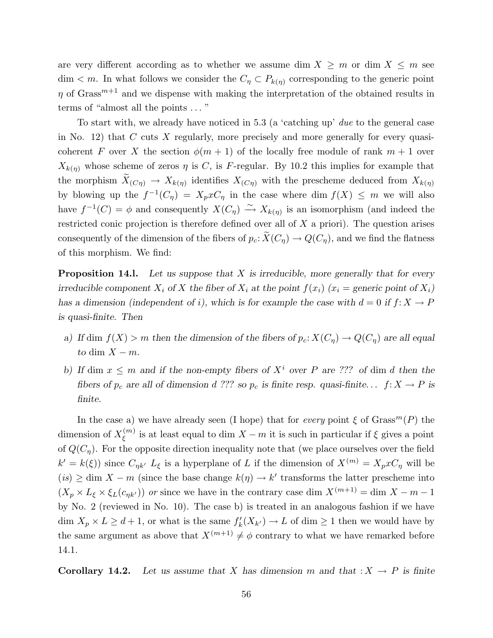are very different according as to whether we assume dim  $X \geq m$  or dim  $X \leq m$  see  $\dim < m$ . In what follows we consider the  $C_{\eta} \subset P_{k(\eta)}$  corresponding to the generic point  $\eta$  of Grass<sup>m+1</sup> and we dispense with making the interpretation of the obtained results in terms of "almost all the points . . . "

To start with, we already have noticed in 5.3 (a 'catching up' due to the general case in No. 12) that  $C$  cuts  $X$  regularly, more precisely and more generally for every quasicoherent F over X the section  $\phi(m+1)$  of the locally free module of rank  $m+1$  over  $X_{k(\eta)}$  whose scheme of zeros  $\eta$  is C, is F-regular. By 10.2 this implies for example that the morphism  $X_{(C\eta)} \to X_{k(\eta)}$  identifies  $X_{(C\eta)}$  with the prescheme deduced from  $X_{k(\eta)}$ by blowing up the  $f^{-1}(C_\eta) = X_p x C_\eta$  in the case where dim  $f(X) \leq m$  we will also have  $f^{-1}(C) = \phi$  and consequently  $X(C_{\eta}) \stackrel{\sim}{\longrightarrow} X_{k(\eta)}$  is an isomorphism (and indeed the restricted conic projection is therefore defined over all of X a priori). The question arises consequently of the dimension of the fibers of  $p_c \colon \widetilde{X}(C_n) \to Q(C_n)$ , and we find the flatness of this morphism. We find:

**Proposition 14.1.** Let us suppose that X is irreducible, more generally that for every irreducible component  $X_i$  of X the fiber of  $X_i$  at the point  $f(x_i)$  ( $x_i$  = generic point of  $X_i$ ) has a dimension (independent of i), which is for example the case with  $d = 0$  if  $f: X \to P$ is quasi-finite. Then

- a) If dim  $f(X) > m$  then the dimension of the fibers of  $p_c: X(C_n) \to Q(C_n)$  are all equal to dim  $X - m$ .
- b) If dim  $x \leq m$  and if the non-empty fibers of  $X^i$  over P are ??? of dim d then the fibers of  $p_c$  are all of dimension d ??? so  $p_c$  is finite resp. quasi-finite...  $f: X \to P$  is finite.

In the case a) we have already seen (I hope) that for every point  $\xi$  of  $Grass^{m}(P)$  the dimension of  $X_{\xi}^{(m)}$  $\zeta^{(m)}$  is at least equal to dim  $X - m$  it is such in particular if  $\xi$  gives a point of  $Q(C_n)$ . For the opposite direction inequality note that (we place ourselves over the field  $k' = k(\xi)$ ) since  $C_{\eta k'} L_{\xi}$  is a hyperplane of L if the dimension of  $X^{(m)} = X_p x C_{\eta}$  will be  $(is) \geq \dim X - m$  (since the base change  $k(\eta) \to k'$  transforms the latter prescheme into  $(X_p \times L_{\xi} \times \xi_L(c_{nk'}))$  or since we have in the contrary case dim  $X^{(m+1)} = \dim X - m - 1$ by No. 2 (reviewed in No. 10). The case b) is treated in an analogous fashion if we have dim  $X_p \times L \geq d+1$ , or what is the same  $f'_k(X_{k'}) \to L$  of dim  $\geq 1$  then we would have by the same argument as above that  $X^{(m+1)} \neq \phi$  contrary to what we have remarked before 14.1.

Corollary 14.2. Let us assume that X has dimension m and that  $:X \to P$  is finite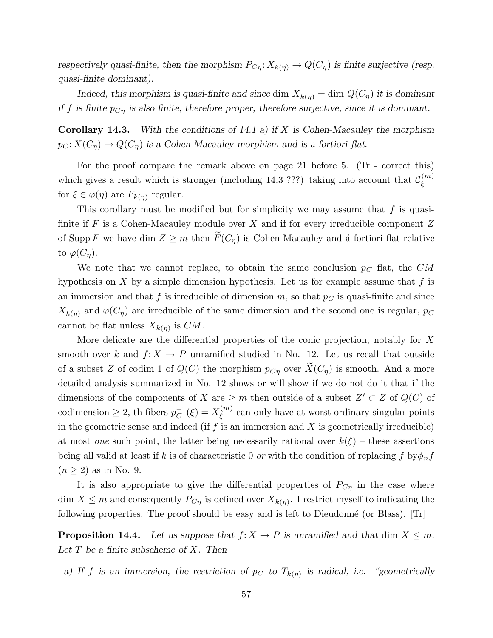respectively quasi-finite, then the morphism  $P_{C\eta}: X_{k(\eta)} \to Q(C_{\eta})$  is finite surjective (resp. quasi-finite dominant).

Indeed, this morphism is quasi-finite and since dim  $X_{k(\eta)} = \dim Q(C_{\eta})$  it is dominant if f is finite  $p_{C\eta}$  is also finite, therefore proper, therefore surjective, since it is dominant.

**Corollary 14.3.** With the conditions of 14.1 a) if X is Cohen-Macauley the morphism  $p_C: X(C_\eta) \to Q(C_\eta)$  is a Cohen-Macauley morphism and is a fortiori flat.

For the proof compare the remark above on page 21 before 5. (Tr - correct this) which gives a result which is stronger (including 14.3 ???) taking into account that  $\mathcal{C}_{\xi}^{(m)}$ ξ for  $\xi \in \varphi(\eta)$  are  $F_{k(\eta)}$  regular.

This corollary must be modified but for simplicity we may assume that  $f$  is quasifinite if F is a Cohen-Macauley module over X and if for every irreducible component  $Z$ of Supp F we have dim  $Z \geq m$  then  $\widetilde{F}(C_n)$  is Cohen-Macauley and a fortiori flat relative to  $\varphi(C_n)$ .

We note that we cannot replace, to obtain the same conclusion  $p<sub>C</sub>$  flat, the  $CM$ hypothesis on X by a simple dimension hypothesis. Let us for example assume that  $f$  is an immersion and that f is irreducible of dimension m, so that  $p<sub>C</sub>$  is quasi-finite and since  $X_{k(\eta)}$  and  $\varphi(C_{\eta})$  are irreducible of the same dimension and the second one is regular,  $p_C$ cannot be flat unless  $X_{k(\eta)}$  is  $CM$ .

More delicate are the differential properties of the conic projection, notably for X smooth over k and  $f: X \to P$  unramified studied in No. 12. Let us recall that outside of a subset Z of codim 1 of  $Q(C)$  the morphism  $p_{C\eta}$  over  $\widetilde{X}(C_{\eta})$  is smooth. And a more detailed analysis summarized in No. 12 shows or will show if we do not do it that if the dimensions of the components of X are  $\geq m$  then outside of a subset  $Z' \subset Z$  of  $Q(C)$  of codimension  $\geq 2$ , th fibers  $p_C^{-1}(\xi) = X_{\xi}^{(m)}$  $\zeta^{(m)}$  can only have at worst ordinary singular points in the geometric sense and indeed (if  $f$  is an immersion and  $X$  is geometrically irreducible) at most one such point, the latter being necessarily rational over  $k(\xi)$  – these assertions being all valid at least if k is of characteristic 0 or with the condition of replacing f by $\phi_n f$  $(n \geq 2)$  as in No. 9.

It is also appropriate to give the differential properties of  $P_{C\eta}$  in the case where dim  $X \leq m$  and consequently  $P_{C\eta}$  is defined over  $X_{k(\eta)}$ . I restrict myself to indicating the following properties. The proof should be easy and is left to Dieudonné (or Blass).  $[Tr]$ 

**Proposition 14.4.** Let us suppose that  $f: X \to P$  is unramified and that dim  $X \leq m$ . Let  $T$  be a finite subscheme of  $X$ . Then

a) If f is an immersion, the restriction of  $p_C$  to  $T_{k(\eta)}$  is radical, i.e. "geometrically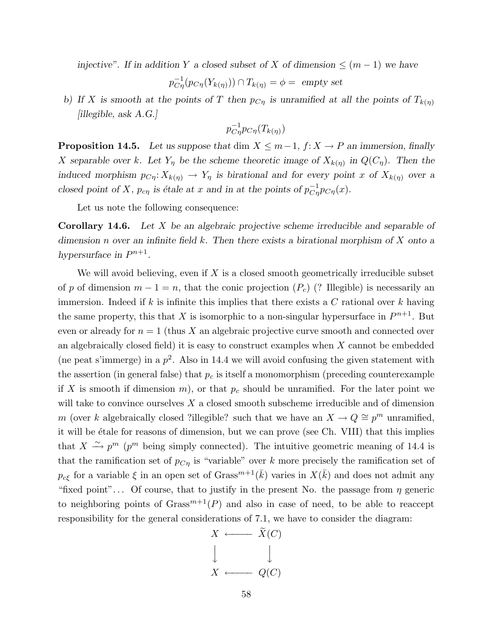injective". If in addition Y a closed subset of X of dimension  $\leq (m-1)$  we have

$$
p_{C\eta}^{-1}(p_{C\eta}(Y_{k(\eta)})) \cap T_{k(\eta)} = \phi = \text{ empty set}
$$

b) If X is smooth at the points of T then  $p_{C\eta}$  is unramified at all the points of  $T_{k(\eta)}$ [illegible, ask A.G.]

$$
p_{C\eta}^{-1}p_{C\eta}(T_{k(\eta)})
$$

**Proposition 14.5.** Let us suppose that dim  $X \leq m-1$ ,  $f: X \to P$  an immersion, finally X separable over k. Let  $Y_{\eta}$  be the scheme theoretic image of  $X_{k(\eta)}$  in  $Q(C_{\eta})$ . Then the induced morphism  $p_{C\eta}: X_{k(\eta)} \to Y_{\eta}$  is birational and for every point x of  $X_{k(\eta)}$  over a closed point of X,  $p_{c\eta}$  is étale at x and in at the points of  $p_{C\eta}^{-1}p_{C\eta}(x)$ .

Let us note the following consequence:

**Corollary 14.6.** Let  $X$  be an algebraic projective scheme irreducible and separable of dimension n over an infinite field k. Then there exists a birational morphism of X onto a hypersurface in  $P^{n+1}$ .

We will avoid believing, even if  $X$  is a closed smooth geometrically irreducible subset of p of dimension  $m-1=n$ , that the conic projection  $(P_c)$  (? Illegible) is necessarily an immersion. Indeed if k is infinite this implies that there exists a  $C$  rational over k having the same property, this that X is isomorphic to a non-singular hypersurface in  $P^{n+1}$ . But even or already for  $n = 1$  (thus X an algebraic projective curve smooth and connected over an algebraically closed field) it is easy to construct examples when  $X$  cannot be embedded (ne peat s'immerge) in a  $p^2$ . Also in 14.4 we will avoid confusing the given statement with the assertion (in general false) that  $p_c$  is itself a monomorphism (preceding counterexample if X is smooth if dimension  $m$ , or that  $p_c$  should be unramified. For the later point we will take to convince ourselves  $X$  a closed smooth subscheme irreducible and of dimension m (over k algebraically closed ?illegible? such that we have an  $X \to Q \cong p^m$  unramified, it will be étale for reasons of dimension, but we can prove (see Ch. VIII) that this implies that  $X \xrightarrow{\sim} p^m$  ( $p^m$  being simply connected). The intuitive geometric meaning of 14.4 is that the ramification set of  $p_{C\eta}$  is "variable" over k more precisely the ramification set of  $p_{c\xi}$  for a variable  $\xi$  in an open set of Grass<sup> $m+1$ </sup>( $\bar{k}$ ) varies in  $X(\bar{k})$  and does not admit any "fixed point"... Of course, that to justify in the present No. the passage from  $\eta$  generic to neighboring points of  $Grass^{m+1}(P)$  and also in case of need, to be able to reaccept responsibility for the general considerations of 7.1, we have to consider the diagram:

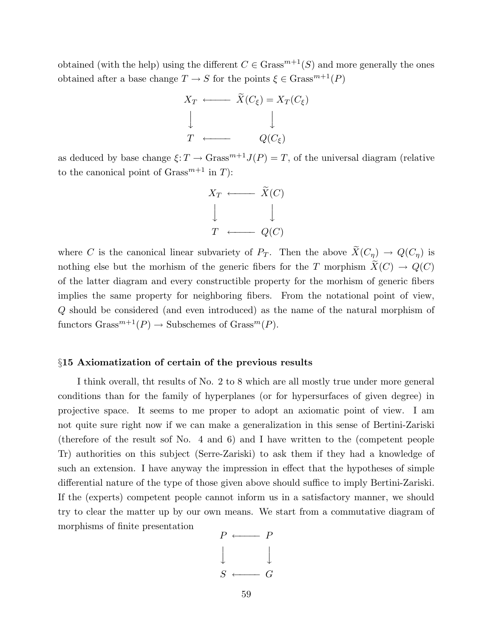obtained (with the help) using the different  $C \in \text{Grass}^{m+1}(S)$  and more generally the ones obtained after a base change  $T \to S$  for the points  $\xi \in \text{Grass}^{m+1}(P)$ 



as deduced by base change  $\xi: T \to \text{Grass}^{m+1} J(P) = T$ , of the universal diagram (relative to the canonical point of  $Grass^{m+1}$  in T):



where C is the canonical linear subvariety of  $P_T$ . Then the above  $\widetilde{X}(C_\eta) \to Q(C_\eta)$  is nothing else but the morhism of the generic fibers for the T morphism  $\widetilde{X}(C) \to Q(C)$ of the latter diagram and every constructible property for the morhism of generic fibers implies the same property for neighboring fibers. From the notational point of view, Q should be considered (and even introduced) as the name of the natural morphism of functors  $Grass^{m+1}(P) \to Subschemes of  $Grass^{m}(P)$ .$ 

#### §15 Axiomatization of certain of the previous results

I think overall, tht results of No. 2 to 8 which are all mostly true under more general conditions than for the family of hyperplanes (or for hypersurfaces of given degree) in projective space. It seems to me proper to adopt an axiomatic point of view. I am not quite sure right now if we can make a generalization in this sense of Bertini-Zariski (therefore of the result sof No. 4 and 6) and I have written to the (competent people Tr) authorities on this subject (Serre-Zariski) to ask them if they had a knowledge of such an extension. I have anyway the impression in effect that the hypotheses of simple differential nature of the type of those given above should suffice to imply Bertini-Zariski. If the (experts) competent people cannot inform us in a satisfactory manner, we should try to clear the matter up by our own means. We start from a commutative diagram of morphisms of finite presentation

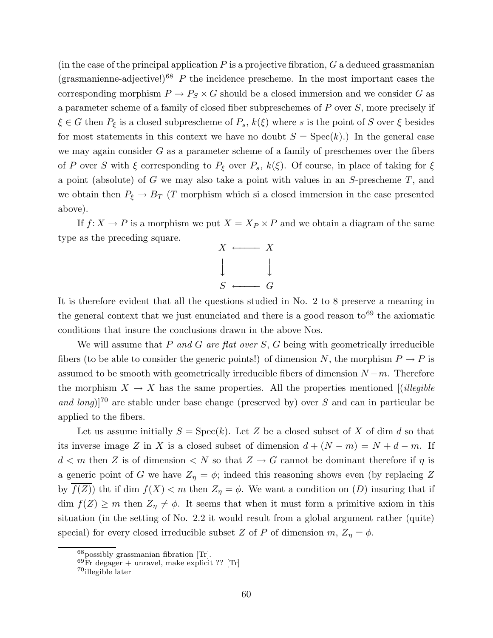(in the case of the principal application  $P$  is a projective fibration,  $G$  a deduced grassmanian (grasmanienne-adjective!)<sup>68</sup> P the incidence prescheme. In the most important cases the corresponding morphism  $P \to P_S \times G$  should be a closed immersion and we consider G as a parameter scheme of a family of closed fiber subpreschemes of  $P$  over  $S$ , more precisely if  $\xi \in G$  then  $P_{\xi}$  is a closed subprescheme of  $P_{s}$ ,  $k(\xi)$  where s is the point of S over  $\xi$  besides for most statements in this context we have no doubt  $S = \text{Spec}(k)$ . In the general case we may again consider  $G$  as a parameter scheme of a family of preschemes over the fibers of P over S with  $\xi$  corresponding to  $P_{\xi}$  over  $P_s$ ,  $k(\xi)$ . Of course, in place of taking for  $\xi$ a point (absolute) of G we may also take a point with values in an S-prescheme T, and we obtain then  $P_{\xi} \to B_T$  (T morphism which si a closed immersion in the case presented above).

If  $f: X \to P$  is a morphism we put  $X = X_P \times P$  and we obtain a diagram of the same type as the preceding square.



It is therefore evident that all the questions studied in No. 2 to 8 preserve a meaning in the general context that we just enunciated and there is a good reason  $\text{to}^{69}$  the axiomatic conditions that insure the conclusions drawn in the above Nos.

We will assume that  $P$  and  $G$  are flat over  $S$ ,  $G$  being with geometrically irreducible fibers (to be able to consider the generic points!) of dimension N, the morphism  $P \to P$  is assumed to be smooth with geometrically irreducible fibers of dimension  $N - m$ . Therefore the morphism  $X \to X$  has the same properties. All the properties mentioned [*(illegible*) and long)]<sup>70</sup> are stable under base change (preserved by) over S and can in particular be applied to the fibers.

Let us assume initially  $S = \text{Spec}(k)$ . Let Z be a closed subset of X of dim d so that its inverse image Z in X is a closed subset of dimension  $d + (N - m) = N + d - m$ . If  $d < m$  then Z is of dimension  $\langle N \rangle$  so that  $Z \to G$  cannot be dominant therefore if  $\eta$  is a generic point of G we have  $Z_{\eta} = \phi$ ; indeed this reasoning shows even (by replacing Z by  $f(Z)$ ) tht if dim  $f(X) < m$  then  $Z_{\eta} = \phi$ . We want a condition on  $(D)$  insuring that if  $\dim f(Z) \geq m$  then  $Z_{\eta} \neq \phi$ . It seems that when it must form a primitive axiom in this situation (in the setting of No. 2.2 it would result from a global argument rather (quite) special) for every closed irreducible subset Z of P of dimension  $m, Z_{\eta} = \phi$ .

<sup>68</sup>possibly grassmanian fibration [Tr].

 $^{69}$ Fr degager + unravel, make explicit ?? [Tr]

<sup>70</sup>illegible later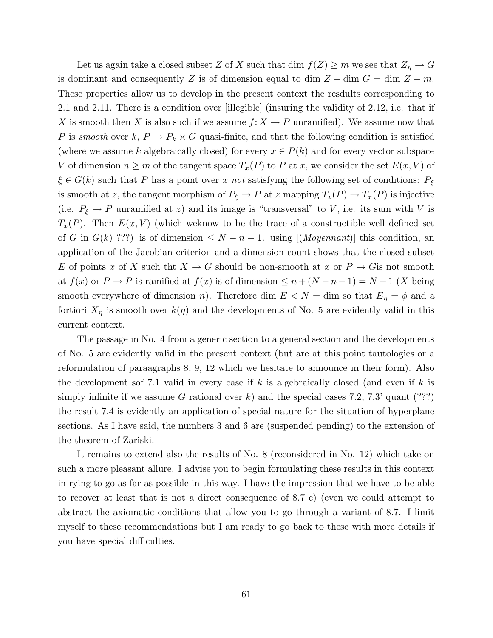Let us again take a closed subset Z of X such that dim  $f(Z) \ge m$  we see that  $Z_{\eta} \to G$ is dominant and consequently Z is of dimension equal to dim  $Z - \dim G = \dim Z - m$ . These properties allow us to develop in the present context the resdults corresponding to 2.1 and 2.11. There is a condition over [illegible] (insuring the validity of 2.12, i.e. that if X is smooth then X is also such if we assume  $f: X \to P$  unramified). We assume now that P is smooth over k,  $P \to P_k \times G$  quasi-finite, and that the following condition is satisfied (where we assume k algebraically closed) for every  $x \in P(k)$  and for every vector subspace V of dimension  $n \geq m$  of the tangent space  $T_x(P)$  to P at x, we consider the set  $E(x, V)$  of  $\xi \in G(k)$  such that P has a point over x not satisfying the following set of conditions:  $P_{\xi}$ is smooth at z, the tangent morphism of  $P_{\xi} \to P$  at z mapping  $T_z(P) \to T_x(P)$  is injective (i.e.  $P_{\xi} \to P$  unramified at z) and its image is "transversal" to V, i.e. its sum with V is  $T_x(P)$ . Then  $E(x, V)$  (which weknow to be the trace of a constructible well defined set of G in  $G(k)$  ???) is of dimension  $\leq N-n-1$ . using  $[(Moyennant)]$  this condition, an application of the Jacobian criterion and a dimension count shows that the closed subset E of points x of X such that  $X \to G$  should be non-smooth at x or  $P \to G$  is not smooth at  $f(x)$  or  $P \to P$  is ramified at  $f(x)$  is of dimension  $\leq n + (N - n - 1) = N - 1$  (X being smooth everywhere of dimension n). Therefore dim  $E < N =$  dim so that  $E_{\eta} = \phi$  and a fortiori  $X_{\eta}$  is smooth over  $k(\eta)$  and the developments of No. 5 are evidently valid in this current context.

The passage in No. 4 from a generic section to a general section and the developments of No. 5 are evidently valid in the present context (but are at this point tautologies or a reformulation of paraagraphs 8, 9, 12 which we hesitate to announce in their form). Also the development sof 7.1 valid in every case if k is algebraically closed (and even if k is simply infinite if we assume G rational over k) and the special cases 7.2, 7.3' quant (???) the result 7.4 is evidently an application of special nature for the situation of hyperplane sections. As I have said, the numbers 3 and 6 are (suspended pending) to the extension of the theorem of Zariski.

It remains to extend also the results of No. 8 (reconsidered in No. 12) which take on such a more pleasant allure. I advise you to begin formulating these results in this context in rying to go as far as possible in this way. I have the impression that we have to be able to recover at least that is not a direct consequence of 8.7 c) (even we could attempt to abstract the axiomatic conditions that allow you to go through a variant of 8.7. I limit myself to these recommendations but I am ready to go back to these with more details if you have special difficulties.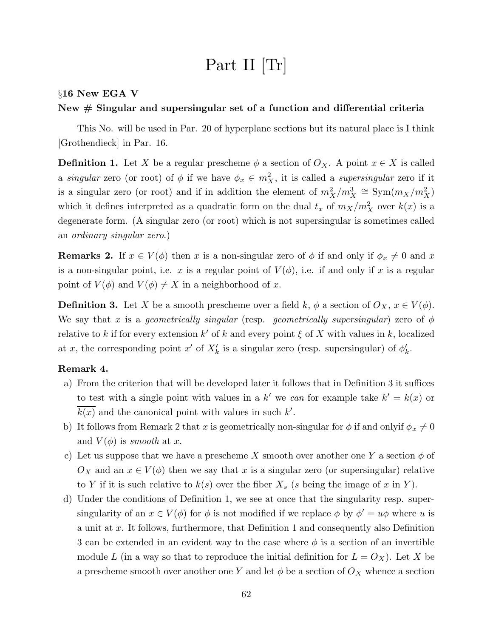# Part II [Tr]

## §16 New EGA V

# New # Singular and supersingular set of a function and differential criteria

This No. will be used in Par. 20 of hyperplane sections but its natural place is I think [Grothendieck] in Par. 16.

**Definition 1.** Let X be a regular prescheme  $\phi$  a section of  $O_X$ . A point  $x \in X$  is called a singular zero (or root) of  $\phi$  if we have  $\phi_x \in m_X^2$ , it is called a supersingular zero if it is a singular zero (or root) and if in addition the element of  $m_X^2/m_X^3 \cong \text{Sym}(m_X/m_X^2)$ which it defines interpreted as a quadratic form on the dual  $t_x$  of  $m_X/m_X^2$  over  $k(x)$  is a degenerate form. (A singular zero (or root) which is not supersingular is sometimes called an ordinary singular zero.)

**Remarks 2.** If  $x \in V(\phi)$  then x is a non-singular zero of  $\phi$  if and only if  $\phi_x \neq 0$  and x is a non-singular point, i.e. x is a regular point of  $V(\phi)$ , i.e. if and only if x is a regular point of  $V(\phi)$  and  $V(\phi) \neq X$  in a neighborhood of x.

**Definition 3.** Let X be a smooth prescheme over a field k,  $\phi$  a section of  $O_X$ ,  $x \in V(\phi)$ . We say that x is a geometrically singular (resp. geometrically supersingular) zero of  $\phi$ relative to k if for every extension k' of k and every point  $\xi$  of X with values in k, localized at x, the corresponding point x' of  $X'_k$  is a singular zero (resp. supersingular) of  $\phi'_k$ .

## Remark 4.

- a) From the criterion that will be developed later it follows that in Definition 3 it suffices to test with a single point with values in a k' we can for example take  $k' = k(x)$  or  $k(x)$  and the canonical point with values in such  $k'$ .
- b) It follows from Remark 2 that x is geometrically non-singular for  $\phi$  if and onlyif  $\phi_x \neq 0$ and  $V(\phi)$  is smooth at x.
- c) Let us suppose that we have a prescheme X smooth over another one Y a section  $\phi$  of  $O_X$  and an  $x \in V(\phi)$  then we say that x is a singular zero (or supersingular) relative to Y if it is such relative to  $k(s)$  over the fiber  $X_s$  (s being the image of x in Y).
- d) Under the conditions of Definition 1, we see at once that the singularity resp. supersingularity of an  $x \in V(\phi)$  for  $\phi$  is not modified if we replace  $\phi$  by  $\phi' = u\phi$  where u is a unit at x. It follows, furthermore, that Definition 1 and consequently also Definition 3 can be extended in an evident way to the case where  $\phi$  is a section of an invertible module L (in a way so that to reproduce the initial definition for  $L = O_X$ ). Let X be a prescheme smooth over another one Y and let  $\phi$  be a section of  $O_X$  whence a section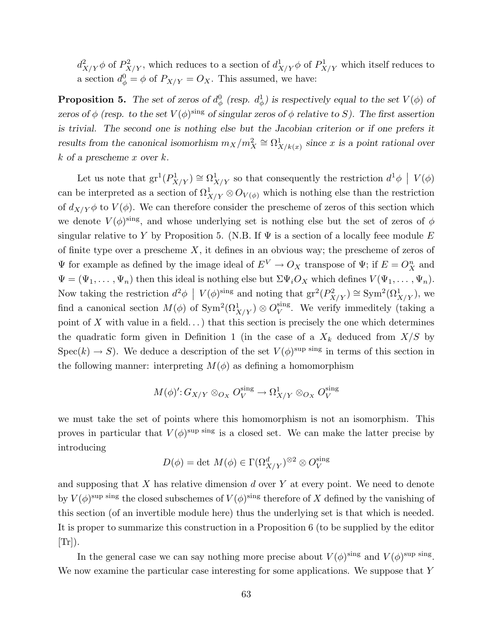$d_{\lambda}^2$  $\frac{2}{X/Y}\phi$  of  $P_X^2$  $\chi^2_{X/Y}$ , which reduces to a section of  $d^1_X$  $\frac{1}{X/Y}\phi$  of  $P^1_{X/Y}$  which itself reduces to a section  $d_{\phi}^0 = \phi$  of  $P_{X/Y} = O_X$ . This assumed, we have:

**Proposition 5.** The set of zeros of  $d^0_\phi$  (resp.  $d^1_\phi$ ) is respectively equal to the set  $V(\phi)$  of zeros of  $\phi$  (resp. to the set  $V(\phi)$ <sup>sing</sup> of singular zeros of  $\phi$  relative to S). The first assertion is trivial. The second one is nothing else but the Jacobian criterion or if one prefers it results from the canonical isomorhism  $m_X/m_X^2 \cong \Omega^1_X$  $X/k(x)$  since x is a point rational over k of a prescheme x over k.

Let us note that  $gr^1(P_X^1)$  $\Omega^1_{X/Y})\cong \Omega^1_X$  $\frac{1}{X/Y}$  so that consequently the restriction  $d^1\phi \mid V(\phi)$ can be interpreted as a section of  $\Omega^1_{X/Y} \otimes O_{V(\phi)}$  which is nothing else than the restriction of  $d_{X/Y}\phi$  to  $V(\phi)$ . We can therefore consider the prescheme of zeros of this section which we denote  $V(\phi)$ <sup>sing</sup>, and whose underlying set is nothing else but the set of zeros of  $\phi$ singular relative to Y by Proposition 5. (N.B. If  $\Psi$  is a section of a locally feee module E of finite type over a prescheme  $X$ , it defines in an obvious way; the prescheme of zeros of  $\Psi$  for example as defined by the image ideal of  $E^V \to O_X$  transpose of  $\Psi$ ; if  $E = O_X^n$  and  $\Psi = (\Psi_1, \ldots, \Psi_n)$  then this ideal is nothing else but  $\Sigma \Psi_i O_X$  which defines  $V(\Psi_1, \ldots, \Psi_n)$ . Now taking the restriction  $d^2\phi \mid V(\phi)^{\text{sing}}$  and noting that  $gr^2(P_X^2)$  $(S_{X/Y}^2) \cong \text{Sym}^2(\Omega^1_{X/Y}),$  we find a canonical section  $M(\phi)$  of  $\text{Sym}^2(\Omega^1_{X/Y}) \otimes O_V^{\text{sing}}$  $V$ <sup>sing</sup>. We verify immeditely (taking a point of X with value in a field...) that this section is precisely the one which determines the quadratic form given in Definition 1 (in the case of a  $X_k$  deduced from  $X/S$  by  $Spec(k) \to S$ ). We deduce a description of the set  $V(\phi)^{sup \text{ sing}}$  in terms of this section in the following manner: interpreting  $M(\phi)$  as defining a homomorphism

$$
M(\phi)': G_{X/Y} \otimes_{O_X} O_V^{\text{sing}} \to \Omega^1_{X/Y} \otimes_{O_X} O_V^{\text{sing}}
$$

we must take the set of points where this homomorphism is not an isomorphism. This proves in particular that  $V(\phi)$ <sup>sup sing</sup> is a closed set. We can make the latter precise by introducing

$$
D(\phi) = \det M(\phi) \in \Gamma(\Omega_{X/Y}^d)^{\otimes 2} \otimes O_V^{\text{sing}}
$$

and supposing that  $X$  has relative dimension  $d$  over  $Y$  at every point. We need to denote by  $V(\phi)$ <sup>sup sing</sup> the closed subschemes of  $V(\phi)$ <sup>sing</sup> therefore of X defined by the vanishing of this section (of an invertible module here) thus the underlying set is that which is needed. It is proper to summarize this construction in a Proposition 6 (to be supplied by the editor  $[Tr]$ ).

In the general case we can say nothing more precise about  $V(\phi)$ <sup>sing</sup> and  $V(\phi)$ <sup>sup sing</sup>. We now examine the particular case interesting for some applications. We suppose that Y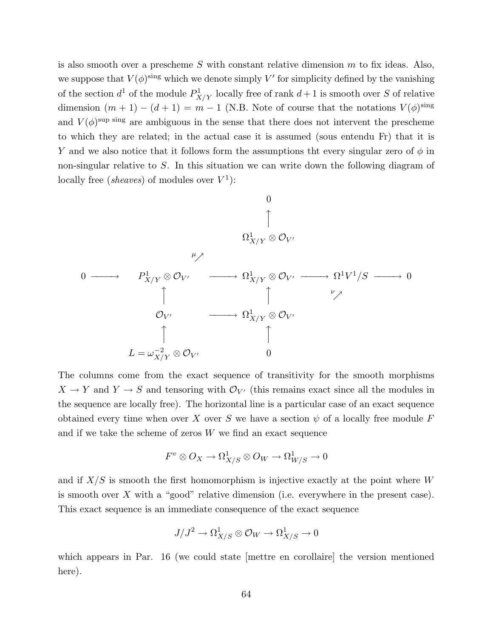is also smooth over a prescheme  $S$  with constant relative dimension  $m$  to fix ideas. Also, we suppose that  $V(\phi)^{\text{sing}}$  which we denote simply V' for simplicity defined by the vanishing of the section  $d^1$  of the module  $P^1_X$  $X/Y$  locally free of rank  $d+1$  is smooth over S of relative dimension  $(m + 1) - (d + 1) = m - 1$  (N.B. Note of course that the notations  $V(\phi)$ <sup>sing</sup> and  $V(\phi)$ <sup>sup sing</sup> are ambiguous in the sense that there does not intervent the prescheme to which they are related; in the actual case it is assumed (sous entendu Fr) that it is Y and we also notice that it follows form the assumptions the every singular zero of  $\phi$  in non-singular relative to S. In this situation we can write down the following diagram of locally free (sheaves) of modules over  $V^1$ ):



The columns come from the exact sequence of transitivity for the smooth morphisms  $X \to Y$  and  $Y \to S$  and tensoring with  $\mathcal{O}_{V'}$  (this remains exact since all the modules in the sequence are locally free). The horizontal line is a particular case of an exact sequence obtained every time when over X over S we have a section  $\psi$  of a locally free module F and if we take the scheme of zeros  $W$  we find an exact sequence

$$
F^v\otimes O_X\to \Omega^1_{X/S}\otimes O_W\to \Omega^1_{W/S}\to 0
$$

and if  $X/S$  is smooth the first homomorphism is injective exactly at the point where  $W$ is smooth over X with a "good" relative dimension (i.e. everywhere in the present case). This exact sequence is an immediate consequence of the exact sequence

$$
J/J^2\to \Omega^1_{X/S}\otimes \mathcal{O}_W\to \Omega^1_{X/S}\to 0
$$

which appears in Par. 16 (we could state metter en corollaire) the version mentioned here).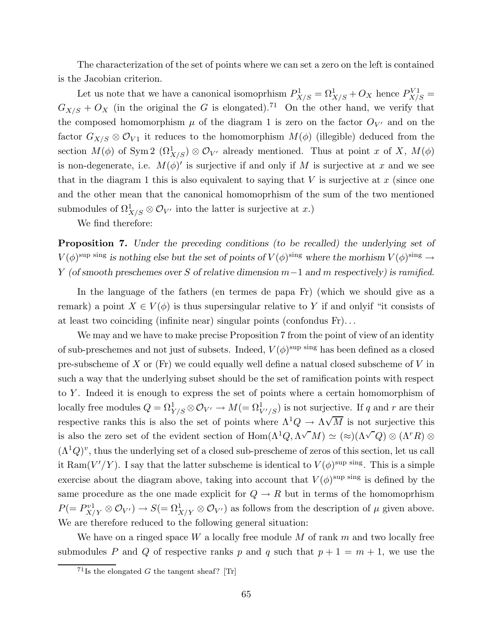The characterization of the set of points where we can set a zero on the left is contained is the Jacobian criterion.

Let us note that we have a canonical isomoprhism  $P_{X/S}^1 = \Omega_{X/S}^1 + O_X$  hence  $P_{X/S}^{V1} =$  $G_{X/S} + O_X$  (in the original the G is elongated).<sup>71</sup> On the other hand, we verify that the composed homomorphism  $\mu$  of the diagram 1 is zero on the factor  $O_{V'}$  and on the factor  $G_{X/S} \otimes \mathcal{O}_{V1}$  it reduces to the homomorphism  $M(\phi)$  (illegible) deduced from the section  $M(\phi)$  of Sym 2  $(\Omega^1_{X/S}) \otimes \mathcal{O}_{V'}$  already mentioned. Thus at point x of X,  $M(\phi)$ is non-degenerate, i.e.  $M(\phi)'$  is surjective if and only if M is surjective at x and we see that in the diagram 1 this is also equivalent to saying that  $V$  is surjective at  $x$  (since one and the other mean that the canonical homomoprhism of the sum of the two mentioned submodules of  $\Omega^1_{X/S} \otimes \mathcal{O}_{V'}$  into the latter is surjective at x.)

We find therefore:

Proposition 7. Under the preceding conditions (to be recalled) the underlying set of  $V(\phi)$ <sup>sup sing</sup> is nothing else but the set of points of  $V(\phi)$ <sup>sing</sup> where the morhism  $V(\phi)$ <sup>sing</sup>  $\rightarrow$ Y (of smooth preschemes over S of relative dimension  $m-1$  and m respectively) is ramified.

In the language of the fathers (en termes de papa Fr) (which we should give as a remark) a point  $X \in V(\phi)$  is thus supersingular relative to Y if and only if "it consists of at least two coinciding (infinite near) singular points (confondus Fr). . .

We may and we have to make precise Proposition 7 from the point of view of an identity of sub-preschemes and not just of subsets. Indeed,  $V(\phi)$ <sup>sup sing</sup> has been defined as a closed pre-subscheme of X or  $(Fr)$  we could equally well define a natual closed subscheme of V in such a way that the underlying subset should be the set of ramification points with respect to Y . Indeed it is enough to express the set of points where a certain homomorphism of locally free modules  $Q = \Omega^1_{Y/S} \otimes \mathcal{O}_{V'} \to M (= \Omega^1_{V'/S})$  is not surjective. If q and r are their respective ranks this is also the set of points where  $\Lambda^1 Q \to \Lambda \sqrt{M}$  is not surjective this is also the zero set of the evident section of  $\text{Hom}(\Lambda^1 Q, \Lambda^{\sqrt{M}}) \simeq (\approx) (\Lambda^{\sqrt{Q}}) \otimes (\Lambda^r R) \otimes$  $(\Lambda^1 Q)^v$ , thus the underlying set of a closed sub-prescheme of zeros of this section, let us call it Ram $(V'/Y)$ . I say that the latter subscheme is identical to  $V(\phi)$ <sup>sup sing</sup>. This is a simple exercise about the diagram above, taking into account that  $V(\phi)$ <sup>sup sing</sup> is defined by the same procedure as the one made explicit for  $Q \to R$  but in terms of the homomoprhism  $P(=P_{X/Y}^{v1} \otimes \mathcal{O}_{V'}) \to S(=\Omega^1_{X/Y} \otimes \mathcal{O}_{V'})$  as follows from the description of  $\mu$  given above. We are therefore reduced to the following general situation:

We have on a ringed space W a locally free module M of rank  $m$  and two locally free submodules P and Q of respective ranks p and q such that  $p + 1 = m + 1$ , we use the

<sup>&</sup>lt;sup>71</sup>Is the elongated G the tangent sheaf? [Tr]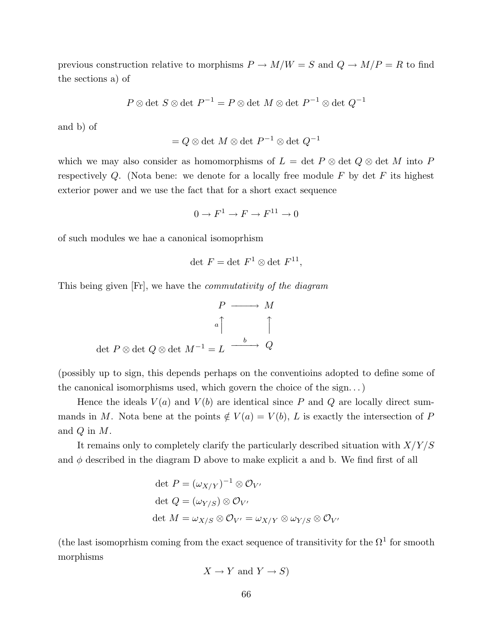previous construction relative to morphisms  $P \to M/W = S$  and  $Q \to M/P = R$  to find the sections a) of

$$
P \otimes \det S \otimes \det P^{-1} = P \otimes \det M \otimes \det P^{-1} \otimes \det Q^{-1}
$$

and b) of

$$
= Q \otimes \det M \otimes \det P^{-1} \otimes \det Q^{-1}
$$

which we may also consider as homomorphisms of  $L = \det P \otimes \det Q \otimes \det M$  into P respectively Q. (Nota bene: we denote for a locally free module  $F$  by det  $F$  its highest exterior power and we use the fact that for a short exact sequence

$$
0 \to F^1 \to F \to F^{11} \to 0
$$

of such modules we hae a canonical isomoprhism

$$
\det F = \det F^1 \otimes \det F^{11},
$$

This being given [Fr], we have the commutativity of the diagram

$$
\begin{array}{ccc}\nP & \longrightarrow & M \\
 & & a \uparrow & & \uparrow \\
\text{det } P \otimes \text{det } Q \otimes \text{det } M^{-1} = L & \xrightarrow{b} & Q\n\end{array}
$$

(possibly up to sign, this depends perhaps on the conventioins adopted to define some of the canonical isomorphisms used, which govern the choice of the sign. . .)

Hence the ideals  $V(a)$  and  $V(b)$  are identical since P and Q are locally direct summands in M. Nota bene at the points  $\notin V(a) = V(b)$ , L is exactly the intersection of P and  $Q$  in  $M$ .

It remains only to completely clarify the particularly described situation with  $X/Y/S$ and  $\phi$  described in the diagram D above to make explicit a and b. We find first of all

$$
\begin{aligned}\n\det P &= (\omega_{X/Y})^{-1} \otimes \mathcal{O}_{V'} \\
\det Q &= (\omega_{Y/S}) \otimes \mathcal{O}_{V'} \\
\det M &= \omega_{X/S} \otimes \mathcal{O}_{V'} = \omega_{X/Y} \otimes \omega_{Y/S} \otimes \mathcal{O}_{V'}\n\end{aligned}
$$

(the last isomoprhism coming from the exact sequence of transitivity for the  $\Omega^1$  for smooth morphisms

$$
X \to Y \text{ and } Y \to S)
$$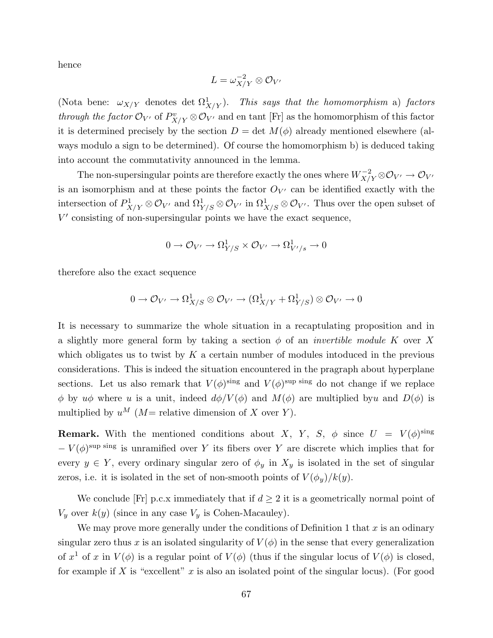hence

$$
L=\omega_{X/Y}^{-2}\otimes \mathcal{O}_{V'}
$$

(Nota bene:  $\omega_{X/Y}$  denotes det  $\Omega^1_X$  $(X/X/Y)$ . This says that the homomorphism a) factors through the factor  $\mathcal{O}_{V'}$  of  $P_{X/Y}^v \otimes \mathcal{O}_{V'}$  and en tant [Fr] as the homomorphism of this factor it is determined precisely by the section  $D = \det M(\phi)$  already mentioned elsewhere (always modulo a sign to be determined). Of course the homomorphism b) is deduced taking into account the commutativity announced in the lemma.

The non-supersingular points are therefore exactly the ones where  $W_{X/Y}^{-2}\otimes \mathcal{O}_{V'}\to \mathcal{O}_{V'}$ is an isomorphism and at these points the factor  $O_{V'}$  can be identified exactly with the intersection of  $P_{X/Y}^1 \otimes \mathcal{O}_{V'}$  and  $\Omega_{Y/S}^1 \otimes \mathcal{O}_{V'}$  in  $\Omega_{X/S}^1 \otimes \mathcal{O}_{V'}$ . Thus over the open subset of  $V'$  consisting of non-supersingular points we have the exact sequence,

$$
0 \to \mathcal{O}_{V'} \to \Omega^1_{Y/S} \times \mathcal{O}_{V'} \to \Omega^1_{V'/s} \to 0
$$

therefore also the exact sequence

$$
0\to \mathcal{O}_{V'}\to \Omega^1_{X/S}\otimes \mathcal{O}_{V'}\to (\Omega^1_{X/Y}+\Omega^1_{Y/S})\otimes \mathcal{O}_{V'}\to 0
$$

It is necessary to summarize the whole situation in a recaptulating proposition and in a slightly more general form by taking a section  $\phi$  of an *invertible module K* over X which obligates us to twist by  $K$  a certain number of modules intoduced in the previous considerations. This is indeed the situation encountered in the pragraph about hyperplane sections. Let us also remark that  $V(\phi)^{\text{sing}}$  and  $V(\phi)^{\text{sup}}$  sing do not change if we replace φ by uφ where u is a unit, indeed  $d\phi/V(\phi)$  and  $M(\phi)$  are multiplied byu and  $D(\phi)$  is multiplied by  $u^M$  (M = relative dimension of X over Y).

**Remark.** With the mentioned conditions about X, Y, S,  $\phi$  since  $U = V(\phi)^{\text{sing}}$  $-V(\phi)$ <sup>sup sing</sup> is unramified over Y its fibers over Y are discrete which implies that for every  $y \in Y$ , every ordinary singular zero of  $\phi_y$  in  $X_y$  is isolated in the set of singular zeros, i.e. it is isolated in the set of non-smooth points of  $V(\phi_y)/k(y)$ .

We conclude [Fr] p.c.x immediately that if  $d \geq 2$  it is a geometrically normal point of  $V_y$  over  $k(y)$  (since in any case  $V_y$  is Cohen-Macauley).

We may prove more generally under the conditions of Definition 1 that  $x$  is an odinary singular zero thus x is an isolated singularity of  $V(\phi)$  in the sense that every generalization of  $x^1$  of x in  $V(\phi)$  is a regular point of  $V(\phi)$  (thus if the singular locus of  $V(\phi)$  is closed, for example if X is "excellent" x is also an isolated point of the singular locus). (For good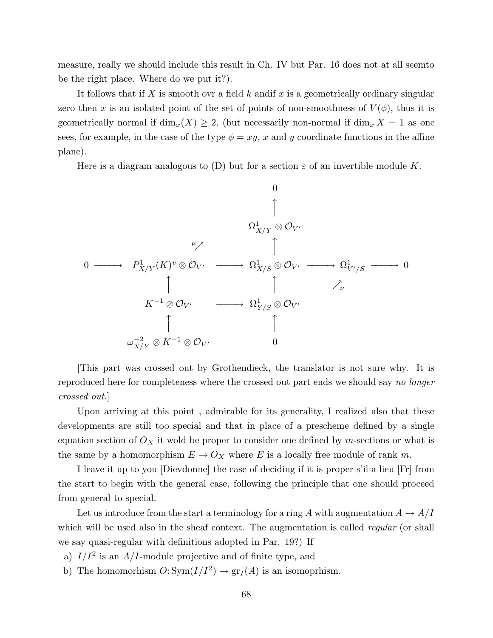measure, really we should include this result in Ch. IV but Par. 16 does not at all seemto be the right place. Where do we put it?).

It follows that if X is smooth ovr a field  $k$  and if  $x$  is a geometrically ordinary singular zero then x is an isolated point of the set of points of non-smoothness of  $V(\phi)$ , thus it is geometrically normal if  $\dim_x(X) \geq 2$ , (but necessarily non-normal if  $\dim_x X = 1$  as one sees, for example, in the case of the type  $\phi = xy$ , x and y coordinate functions in the affine plane).

Here is a diagram analogous to (D) but for a section  $\varepsilon$  of an invertible module K.



[This part was crossed out by Grothendieck, the translator is not sure why. It is reproduced here for completeness where the crossed out part ends we should say no longer crossed out.]

Upon arriving at this point , admirable for its generality, I realized also that these developments are still too special and that in place of a prescheme defined by a single equation section of  $O_X$  it wold be proper to consider one defined by m-sections or what is the same by a homomorphism  $E \to O_X$  where E is a locally free module of rank m.

I leave it up to you [Dievdonne] the case of deciding if it is proper s'il a lieu [Fr] from the start to begin with the general case, following the principle that one should proceed from general to special.

Let us introduce from the start a terminology for a ring A with augmentation  $A \to A/I$ which will be used also in the sheaf context. The augmentation is called regular (or shall we say quasi-regular with definitions adopted in Par. 19?) If

- a)  $I/I^2$  is an  $A/I$ -module projective and of finite type, and
- b) The homomorhism  $O: Sym(I/I^2) \to gr_I(A)$  is an isomoprhism.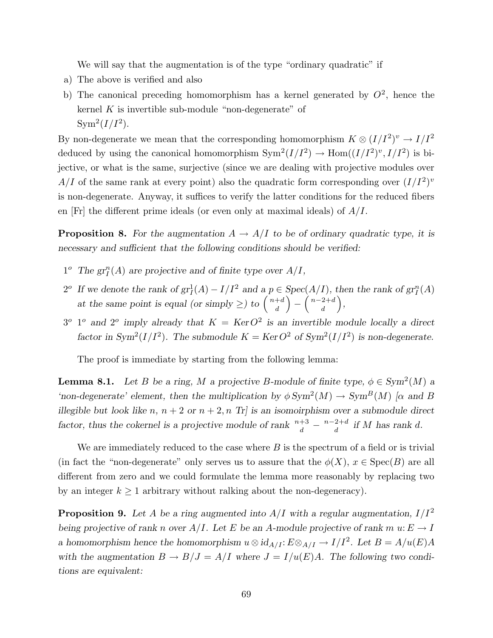We will say that the augmentation is of the type "ordinary quadratic" if

- a) The above is verified and also
- b) The canonical preceding homomorphism has a kernel generated by  $O^2$ , hence the kernel  $K$  is invertible sub-module "non-degenerate" of  $Sym^2(I/I^2)$ .

By non-degenerate we mean that the corresponding homomorphism  $K \otimes (I/I^2)^v \to I/I^2$ deduced by using the canonical homomorphism  $Sym^2(I/I^2) \to Hom((I/I^2)^v, I/I^2)$  is bijective, or what is the same, surjective (since we are dealing with projective modules over  $A/I$  of the same rank at every point) also the quadratic form corresponding over  $(I/I<sup>2</sup>)<sup>v</sup>$ is non-degenerate. Anyway, it suffices to verify the latter conditions for the reduced fibers en  $[Fr]$  the different prime ideals (or even only at maximal ideals) of  $A/I$ .

**Proposition 8.** For the augmentation  $A \rightarrow A/I$  to be of ordinary quadratic type, it is necessary and sufficient that the following conditions should be verified:

- $1^o$  The  $gr_I^n(A)$  are projective and of finite type over  $A/I$ ,
- 2<sup>o</sup> If we denote the rank of  $gr_I^1(A) I/I^2$  and  $a \cdot p \in Spec(A/I)$ , then the rank of  $gr_I^n(A)$ at the same point is equal (or simply  $\geq$ ) to  $\begin{pmatrix} n+d \\ d \end{pmatrix}$ d  $\sqrt{2}$ −  $\int n-2+d$ d ,
- $3^{\circ}$  1<sup>o</sup> and  $2^{\circ}$  imply already that  $K = \text{Ker} \cdot O^2$  is an invertible module locally a direct factor in Sym<sup>2</sup>( $I/I^2$ ). The submodule  $K = \text{Ker } O^2$  of Sym<sup>2</sup>( $I/I^2$ ) is non-degenerate.

The proof is immediate by starting from the following lemma:

**Lemma 8.1.** Let B be a ring, M a projective B-module of finite type,  $\phi \in \text{Sym}^2(M)$  a 'non-degenerate' element, then the multiplication by  $\phi Sym^2(M) \to Sym^B(M)$  [ $\alpha$  and B illegible but look like n,  $n + 2$  or  $n + 2$ , n Tr] is an isomoirphism over a submodule direct factor, thus the cokernel is a projective module of rank  $\frac{n+3}{d} - \frac{n-2+d}{d}$  $\int_{d}^{2+a}$  if M has rank d.

We are immediately reduced to the case where  $B$  is the spectrum of a field or is trivial (in fact the "non-degenerate" only serves us to assure that the  $\phi(X)$ ,  $x \in \text{Spec}(B)$  are all different from zero and we could formulate the lemma more reasonably by replacing two by an integer  $k \geq 1$  arbitrary without ralking about the non-degeneracy).

**Proposition 9.** Let A be a ring augmented into  $A/I$  with a regular augmentation,  $I/I^2$ being projective of rank n over  $A/I$ . Let E be an A-module projective of rank m  $u: E \to I$ a homomorphism hence the homomorphism  $u \otimes id_{A/I} : E \otimes_{A/I} \to I/I^2$ . Let  $B = A/u(E)A$ with the augmentation  $B \to B/J = A/I$  where  $J = I/u(E)A$ . The following two conditions are equivalent: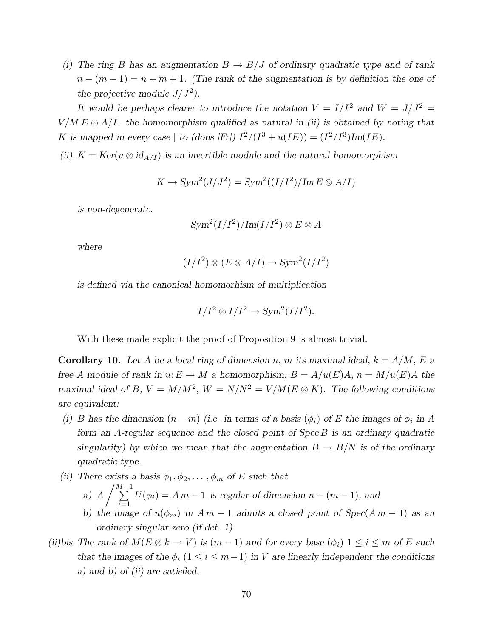(i) The ring B has an augmentation  $B \to B/J$  of ordinary quadratic type and of rank  $n - (m - 1) = n - m + 1$ . (The rank of the augmentation is by definition the one of the projective module  $J/J^2$ ).

It would be perhaps clearer to introduce the notation  $V = I/I^2$  and  $W = J/J^2 =$  $V/M E \otimes A/I$ . the homomorphism qualified as natural in (ii) is obtained by noting that K is mapped in every case | to (dons [Fr])  $I^2/(I^3 + u(IE)) = (I^2/I^3)Im(IE)$ .

(ii)  $K = \text{Ker}(u \otimes id_{A/I})$  is an invertible module and the natural homomorphism

$$
K \to \text{Sym}^2(J/J^2) = \text{Sym}^2((I/I^2)/\text{Im}\,E \otimes A/I)
$$

is non-degenerate.

$$
\text{Sym}^2(I/I^2)/\text{Im}(I/I^2)\otimes E\otimes A
$$

where

$$
(I/I^2) \otimes (E \otimes A/I) \to \text{Sym}^2(I/I^2)
$$

is defined via the canonical homomorhism of multiplication

$$
I/I^2 \otimes I/I^2 \to \text{Sym}^2(I/I^2).
$$

With these made explicit the proof of Proposition 9 is almost trivial.

**Corollary 10.** Let A be a local ring of dimension n, m its maximal ideal,  $k = A/M$ , E a free A module of rank in  $u: E \to M$  a homomorphism,  $B = A/u(E)A$ ,  $n = M/u(E)A$  the maximal ideal of B,  $V = M/M^2$ ,  $W = N/N^2 = V/M(E \otimes K)$ . The following conditions are equivalent:

- (i) B has the dimension  $(n m)$  (i.e. in terms of a basis  $(\phi_i)$  of E the images of  $\phi_i$  in A form an A-regular sequence and the closed point of Spec B is an ordinary quadratic singularity) by which we mean that the augmentation  $B \to B/N$  is of the ordinary quadratic type.
- (ii) There exists a basis  $\phi_1, \phi_2, \dots, \phi_m$  of E such that
	- a) A  $\sqrt{\frac{M-1}{\sum}}$  $\sum_{i=1}$   $U(\phi_i) = Am - 1$  is regular of dimension  $n - (m - 1)$ , and
	- b) the image of  $u(\phi_m)$  in  $Am-1$  admits a closed point of  $Spec(A m-1)$  as an ordinary singular zero (if def. 1).
- (ii)bis The rank of  $M(E \otimes k \to V)$  is  $(m-1)$  and for every base  $(\phi_i)$   $1 \leq i \leq m$  of E such that the images of the  $\phi_i$  (1  $\leq i \leq m-1$ ) in V are linearly independent the conditions a) and b) of (ii) are satisfied.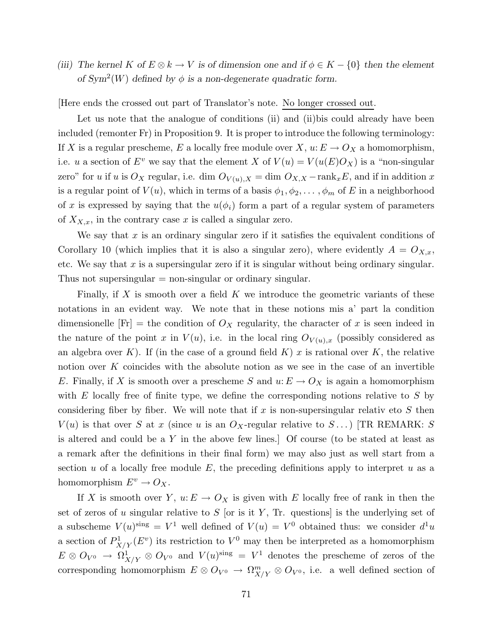(iii) The kernel K of  $E \otimes k \to V$  is of dimension one and if  $\phi \in K - \{0\}$  then the element of  $Sym^2(W)$  defined by  $\phi$  is a non-degenerate quadratic form.

[Here ends the crossed out part of Translator's note. No longer crossed out.

Let us note that the analogue of conditions (ii) and (ii) bis could already have been included (remonter Fr) in Proposition 9. It is proper to introduce the following terminology: If X is a regular prescheme, E a locally free module over X,  $u: E \to O_X$  a homomorphism, i.e. u a section of  $E^v$  we say that the element X of  $V(u) = V(u(E)O_X)$  is a "non-singular" zero" for u if u is  $O_X$  regular, i.e. dim  $O_{V(u),X} = \dim O_{X,X} - \text{rank}_x E$ , and if in addition x is a regular point of  $V(u)$ , which in terms of a basis  $\phi_1, \phi_2, \ldots, \phi_m$  of E in a neighborhood of x is expressed by saying that the  $u(\phi_i)$  form a part of a regular system of parameters of  $X_{X,x}$ , in the contrary case x is called a singular zero.

We say that x is an ordinary singular zero if it satisfies the equivalent conditions of Corollary 10 (which implies that it is also a singular zero), where evidently  $A = O_{X,x}$ , etc. We say that  $x$  is a supersingular zero if it is singular without being ordinary singular. Thus not supersingular  $=$  non-singular or ordinary singular.

Finally, if  $X$  is smooth over a field  $K$  we introduce the geometric variants of these notations in an evident way. We note that in these notions mis a' part la condition dimensionelle  $[Fr]$  = the condition of  $O<sub>X</sub>$  regularity, the character of x is seen indeed in the nature of the point x in  $V(u)$ , i.e. in the local ring  $O_{V(u),x}$  (possibly considered as an algebra over K). If (in the case of a ground field K) x is rational over K, the relative notion over  $K$  coincides with the absolute notion as we see in the case of an invertible E. Finally, if X is smooth over a prescheme S and  $u: E \to O_X$  is again a homomorphism with  $E$  locally free of finite type, we define the corresponding notions relative to  $S$  by considering fiber by fiber. We will note that if x is non-supersingular relativ eto S then  $V(u)$  is that over S at x (since u is an  $O_X$ -regular relative to  $S \dots$ ) [TR REMARK: S is altered and could be a Y in the above few lines.] Of course (to be stated at least as a remark after the definitions in their final form) we may also just as well start from a section  $u$  of a locally free module  $E$ , the preceding definitions apply to interpret  $u$  as a homomorphism  $E^v \to O_X$ .

If X is smooth over Y,  $u: E \to O_X$  is given with E locally free of rank in then the set of zeros of u singular relative to  $S$  [or is it  $Y$ , Tr. questions] is the underlying set of a subscheme  $V(u)$ <sup>sing</sup> =  $V^1$  well defined of  $V(u) = V^0$  obtained thus: we consider  $d^1u$ a section of  $P_X^1$  $X/Y(E^v)$  its restriction to  $V^0$  may then be interpreted as a homomorphism  $E\otimes O_{V^0} \to \Omega^1_{X/Y}\otimes O_{V^0}$  and  $V(u)^{\text{sing}} = V^1$  denotes the prescheme of zeros of the corresponding homomorphism  $E \otimes O_{V^0} \to \Omega^m_{X/Y} \otimes O_{V^0}$ , i.e. a well defined section of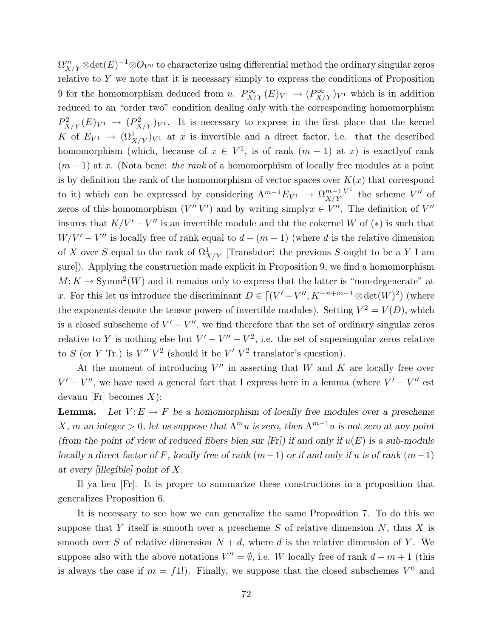$\Omega^m_{X/Y} \otimes {\rm det} (E)^{-1} \otimes O_{V^0}$  to characterize using differential method the ordinary singular zeros relative to  $Y$  we note that it is necessary simply to express the conditions of Proposition 9 for the homomorphism deduced from u.  $P_{X/Y}^{\infty}(E)_{V^1} \to (P_{X/Y}^{\infty})_{V^1}$  which is in addition reduced to an "order two" condition dealing only with the corresponding homomorphism  $P_X^2$  $X/Y(E)_{V^1} \to (P_X^2)$  $(X/X/Y)^2$  i. It is necessary to express in the first place that the kernel K of  $E_{V^1} \to (\Omega^1_{X/Y})_{V^1}$  at x is invertible and a direct factor, i.e. that the described homomorphism (which, because of  $x \in V^1$ , is of rank  $(m-1)$  at x) is exactly of rank  $(m-1)$  at x. (Nota bene: the rank of a homomorphism of locally free modules at a point is by definition the rank of the homomorphism of vector spaces over  $K(x)$  that correspond to it) which can be expressed by considering  $\Lambda^{m-1}E_{V^1} \rightarrow \Omega^{m-1}_{X/Y}$  $X/Y$  the scheme V'' of zeros of this homomorphism  $(V''V')$  and by writing simply  $x \in V''$ . The definition of  $V''$ insures that  $K/V' - V''$  is an invertible module and the the cokernel W of (\*) is such that  $W/V' - V''$  is locally free of rank equal to  $d - (m - 1)$  (where d is the relative dimension of X over S equal to the rank of  $\Omega^1$  $\frac{1}{X/Y}$  [Translator: the previous S ought to be a Y I am sure]). Applying the construction made explicit in Proposition 9, we find a homomorphism  $M: K \to \text{Symm}^2(W)$  and it remains only to express that the latter is "non-degenerate" at x. For this let us introduce the discriminant  $D \in [(V'-V'', K^{-n+m-1} \otimes \det(W)^2)]$  (where the exponents denote the tensor powers of invertible modules). Setting  $V^2 = V(D)$ , which is a closed subscheme of  $V' - V''$ , we find therefore that the set of ordinary singular zeros relative to Y is nothing else but  $V' - V'' - V^2$ , i.e. the set of supersingular zeros relative to S (or Y Tr.) is  $V'' V^2$  (should it be  $V' V^2$  translator's question).

At the moment of introducing  $V''$  in asserting that W and K are locally free over  $V' - V''$ , we have used a general fact that I express here in a lemma (where  $V' - V''$  est devauu [Fr] becomes  $X$ ):

**Lemma.** Let  $V: E \to F$  be a homomorphism of locally free modules over a prescheme X, m an integer > 0, let us suppose that  $\Lambda^m u$  is zero, then  $\Lambda^{m-1} u$  is not zero at any point (from the point of view of reduced fibers bien sur [Fr]) if and only if  $u(E)$  is a sub-module locally a direct factor of F, locally free of rank  $(m-1)$  or if and only if u is of rank  $(m-1)$ at every [illegible] point of X.

Il ya lieu [Fr]. It is proper to summarize these constructions in a proposition that generalizes Proposition 6.

It is necessary to see how we can generalize the same Proposition 7. To do this we suppose that Y itself is smooth over a prescheme S of relative dimension  $N$ , thus X is smooth over S of relative dimension  $N + d$ , where d is the relative dimension of Y. We suppose also with the above notations  $V'' = \emptyset$ , i.e. W locally free of rank  $d - m + 1$  (this is always the case if  $m = f(1)$ . Finally, we suppose that the closed subschemes  $V^0$  and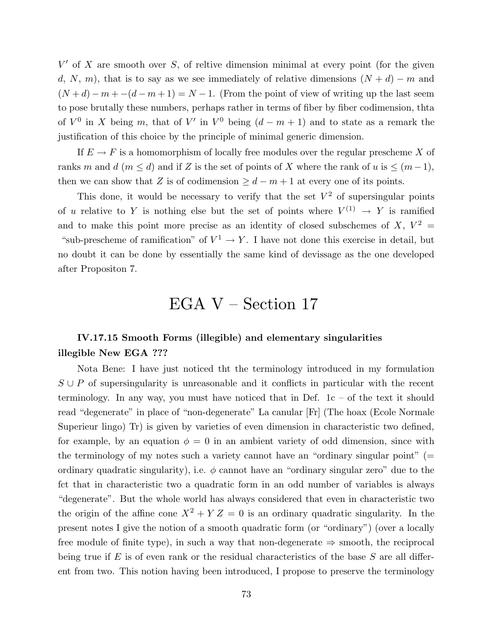$V'$  of X are smooth over S, of reltive dimension minimal at every point (for the given d, N, m), that is to say as we see immediately of relative dimensions  $(N + d) - m$  and  $(N+d) - m + -(d-m+1) = N-1$ . (From the point of view of writing up the last seem to pose brutally these numbers, perhaps rather in terms of fiber by fiber codimension, thta of  $V^0$  in X being m, that of  $V'$  in  $V^0$  being  $(d-m+1)$  and to state as a remark the justification of this choice by the principle of minimal generic dimension.

If  $E \to F$  is a homomorphism of locally free modules over the regular prescheme X of ranks m and d (m  $\leq$  d) and if Z is the set of points of X where the rank of u is  $\leq$   $(m-1)$ , then we can show that Z is of codimension  $\geq d-m+1$  at every one of its points.

This done, it would be necessary to verify that the set  $V^2$  of supersingular points of u relative to Y is nothing else but the set of points where  $V^{(1)} \to Y$  is ramified and to make this point more precise as an identity of closed subschemes of  $X, V^2 =$ "sub-prescheme of ramification" of  $V^1 \to Y$ . I have not done this exercise in detail, but no doubt it can be done by essentially the same kind of devissage as the one developed after Propositon 7.

# EGA V – Section 17

## IV.17.15 Smooth Forms (illegible) and elementary singularities illegible New EGA ???

Nota Bene: I have just noticed tht the terminology introduced in my formulation  $S \cup P$  of supersingularity is unreasonable and it conflicts in particular with the recent terminology. In any way, you must have noticed that in Def.  $1c - of$  the text it should read "degenerate" in place of "non-degenerate" La canular [Fr] (The hoax (Ecole Normale Superieur lingo) Tr) is given by varieties of even dimension in characteristic two defined, for example, by an equation  $\phi = 0$  in an ambient variety of odd dimension, since with the terminology of my notes such a variety cannot have an "ordinary singular point" (= ordinary quadratic singularity), i.e.  $\phi$  cannot have an "ordinary singular zero" due to the fct that in characteristic two a quadratic form in an odd number of variables is always "degenerate". But the whole world has always considered that even in characteristic two the origin of the affine cone  $X^2 + YZ = 0$  is an ordinary quadratic singularity. In the present notes I give the notion of a smooth quadratic form (or "ordinary") (over a locally free module of finite type), in such a way that non-degenerate  $\Rightarrow$  smooth, the reciprocal being true if E is of even rank or the residual characteristics of the base  $S$  are all different from two. This notion having been introduced, I propose to preserve the terminology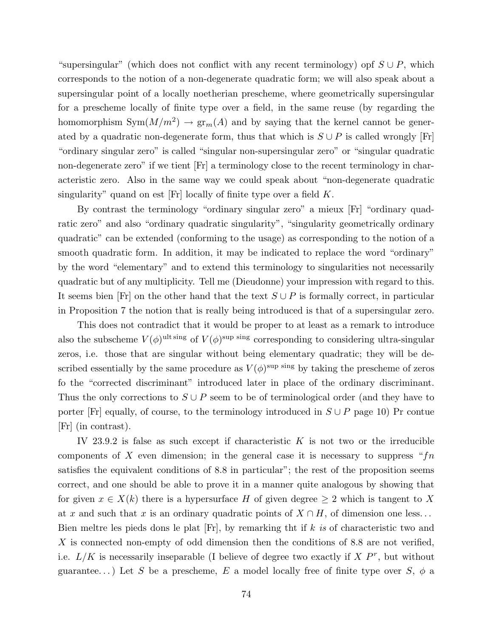"supersingular" (which does not conflict with any recent terminology) opf  $S \cup P$ , which corresponds to the notion of a non-degenerate quadratic form; we will also speak about a supersingular point of a locally noetherian prescheme, where geometrically supersingular for a prescheme locally of finite type over a field, in the same reuse (by regarding the homomorphism  $Sym(M/m^2) \to gr_m(A)$  and by saying that the kernel cannot be generated by a quadratic non-degenerate form, thus that which is  $S \cup P$  is called wrongly [Fr] "ordinary singular zero" is called "singular non-supersingular zero" or "singular quadratic non-degenerate zero" if we tient [Fr] a terminology close to the recent terminology in characteristic zero. Also in the same way we could speak about "non-degenerate quadratic singularity" quand on est  $[Fr]$  locally of finite type over a field  $K$ .

By contrast the terminology "ordinary singular zero" a mieux [Fr] "ordinary quadratic zero" and also "ordinary quadratic singularity", "singularity geometrically ordinary quadratic" can be extended (conforming to the usage) as corresponding to the notion of a smooth quadratic form. In addition, it may be indicated to replace the word "ordinary" by the word "elementary" and to extend this terminology to singularities not necessarily quadratic but of any multiplicity. Tell me (Dieudonne) your impression with regard to this. It seems bien [Fr] on the other hand that the text  $S \cup P$  is formally correct, in particular in Proposition 7 the notion that is really being introduced is that of a supersingular zero.

This does not contradict that it would be proper to at least as a remark to introduce also the subscheme  $V(\phi)$ <sup>ult sing</sup> of  $V(\phi)$ <sup>sup sing</sup> corresponding to considering ultra-singular zeros, i.e. those that are singular without being elementary quadratic; they will be described essentially by the same procedure as  $V(\phi)$ <sup>sup sing</sup> by taking the prescheme of zeros fo the "corrected discriminant" introduced later in place of the ordinary discriminant. Thus the only corrections to  $S \cup P$  seem to be of terminological order (and they have to porter [Fr] equally, of course, to the terminology introduced in  $S \cup P$  page 10) Pr contue [Fr] (in contrast).

IV 23.9.2 is false as such except if characteristic  $K$  is not two or the irreducible components of X even dimension; in the general case it is necessary to suppress " $fn$ satisfies the equivalent conditions of 8.8 in particular"; the rest of the proposition seems correct, and one should be able to prove it in a manner quite analogous by showing that for given  $x \in X(k)$  there is a hypersurface H of given degree  $\geq 2$  which is tangent to X at x and such that x is an ordinary quadratic points of  $X \cap H$ , of dimension one less... Bien meltre les pieds dons le plat [Fr], by remarking tht if k is of characteristic two and  $X$  is connected non-empty of odd dimension then the conditions of 8.8 are not verified, i.e.  $L/K$  is necessarily inseparable (I believe of degree two exactly if  $X P^r$ , but without guarantee...) Let S be a prescheme, E a model locally free of finite type over S,  $\phi$  a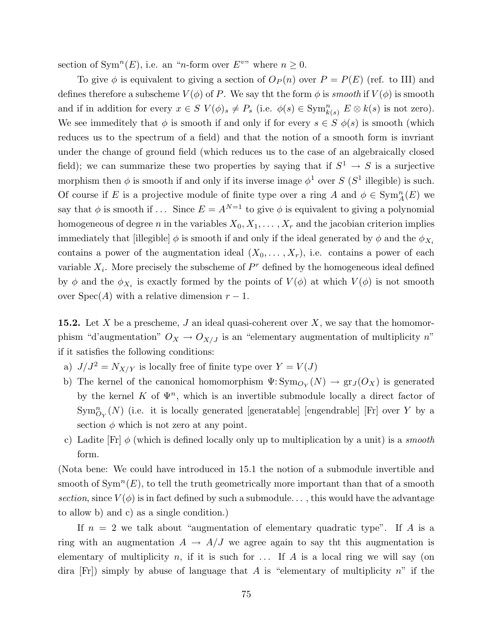section of Sym<sup>n</sup>(E), i.e. an "n-form over  $E^{v}$ " where  $n \ge 0$ .

To give  $\phi$  is equivalent to giving a section of  $O_P(n)$  over  $P = P(E)$  (ref. to III) and defines therefore a subscheme  $V(\phi)$  of P. We say tht the form  $\phi$  is smooth if  $V(\phi)$  is smooth and if in addition for every  $x \in S$   $V(\phi)_s \neq P_s$  (i.e.  $\phi(s) \in \text{Sym}_{k(s)}^n E \otimes k(s)$  is not zero). We see immeditely that  $\phi$  is smooth if and only if for every  $s \in S$   $\phi(s)$  is smooth (which reduces us to the spectrum of a field) and that the notion of a smooth form is invriant under the change of ground field (which reduces us to the case of an algebraically closed field); we can summarize these two properties by saying that if  $S^1 \to S$  is a surjective morphism then  $\phi$  is smooth if and only if its inverse image  $\phi^1$  over S (S<sup>1</sup> illegible) is such. Of course if E is a projective module of finite type over a ring A and  $\phi \in \text{Sym}_A^n(E)$  we say that  $\phi$  is smooth if ... Since  $E = A^{N=1}$  to give  $\phi$  is equivalent to giving a polynomial homogeneous of degree n in the variables  $X_0, X_1, \ldots, X_r$  and the jacobian criterion implies immediately that [illegible]  $\phi$  is smooth if and only if the ideal generated by  $\phi$  and the  $\phi_{X_i}$ contains a power of the augmentation ideal  $(X_0, \ldots, X_r)$ , i.e. contains a power of each variable  $X_i$ . More precisely the subscheme of  $P^r$  defined by the homogeneous ideal defined by  $\phi$  and the  $\phi_{X_i}$  is exactly formed by the points of  $V(\phi)$  at which  $V(\phi)$  is not smooth over  $Spec(A)$  with a relative dimension  $r-1$ .

**15.2.** Let X be a prescheme, J an ideal quasi-coherent over X, we say that the homomorphism "d'augmentation"  $O_X \rightarrow O_{X/J}$  is an "elementary augmentation of multiplicity n" if it satisfies the following conditions:

- a)  $J/J^2 = N_{X/Y}$  is locally free of finite type over  $Y = V(J)$
- b) The kernel of the canonical homomorphism  $\Psi: \mathrm{Sym}_{O_Y}(N) \to \mathrm{gr}_J(O_X)$  is generated by the kernel K of  $\Psi^n$ , which is an invertible submodule locally a direct factor of  $\text{Sym}_{O_Y}^n(N)$  (i.e. it is locally generated [generatable] [engendrable] [Fr] over Y by a section  $\phi$  which is not zero at any point.
- c) Ladite  $[Fr] \phi$  (which is defined locally only up to multiplication by a unit) is a *smooth* form.

(Nota bene: We could have introduced in 15.1 the notion of a submodule invertible and smooth of  $\text{Sym}^n(E)$ , to tell the truth geometrically more important than that of a smooth section, since  $V(\phi)$  is in fact defined by such a submodule..., this would have the advantage to allow b) and c) as a single condition.)

If  $n = 2$  we talk about "augmentation of elementary quadratic type". If A is a ring with an augmentation  $A \rightarrow A/J$  we agree again to say the this augmentation is elementary of multiplicity n, if it is such for  $\dots$  If A is a local ring we will say (on dira  $[Fr]$  simply by abuse of language that A is "elementary of multiplicity n" if the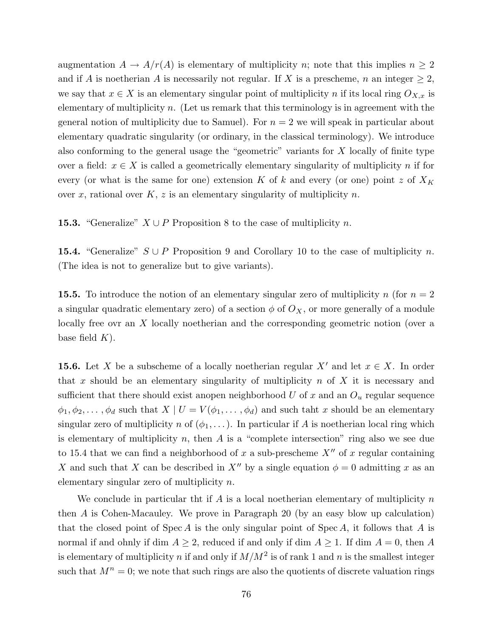augmentation  $A \to A/r(A)$  is elementary of multiplicity n; note that this implies  $n \geq 2$ and if A is noetherian A is necessarily not regular. If X is a prescheme, n an integer  $\geq 2$ , we say that  $x \in X$  is an elementary singular point of multiplicity n if its local ring  $O_{X,x}$  is elementary of multiplicity  $n$ . (Let us remark that this terminology is in agreement with the general notion of multiplicity due to Samuel). For  $n = 2$  we will speak in particular about elementary quadratic singularity (or ordinary, in the classical terminology). We introduce also conforming to the general usage the "geometric" variants for X locally of finite type over a field:  $x \in X$  is called a geometrically elementary singularity of multiplicity n if for every (or what is the same for one) extension K of k and every (or one) point z of  $X_K$ over x, rational over  $K, z$  is an elementary singularity of multiplicity n.

**15.3.** "Generalize"  $X \cup P$  Proposition 8 to the case of multiplicity n.

15.4. "Generalize"  $S \cup P$  Proposition 9 and Corollary 10 to the case of multiplicity n. (The idea is not to generalize but to give variants).

**15.5.** To introduce the notion of an elementary singular zero of multiplicity n (for  $n = 2$ ) a singular quadratic elementary zero) of a section  $\phi$  of  $O_X$ , or more generally of a module locally free ovr an X locally noetherian and the corresponding geometric notion (over a base field  $K$ ).

**15.6.** Let X be a subscheme of a locally noetherian regular  $X'$  and let  $x \in X$ . In order that x should be an elementary singularity of multiplicity  $n$  of  $X$  it is necessary and sufficient that there should exist anopen neighborhood  $U$  of  $x$  and an  $O_u$  regular sequence  $\phi_1, \phi_2, \ldots, \phi_d$  such that  $X \mid U = V(\phi_1, \ldots, \phi_d)$  and such taht x should be an elementary singular zero of multiplicity n of  $(\phi_1, \ldots)$ . In particular if A is noetherian local ring which is elementary of multiplicity n, then  $A$  is a "complete intersection" ring also we see due to 15.4 that we can find a neighborhood of x a sub-prescheme  $X''$  of x regular containing X and such that X can be described in X<sup>n</sup> by a single equation  $\phi = 0$  admitting x as an elementary singular zero of multiplicity n.

We conclude in particular that if A is a local noetherian elementary of multiplicity  $n$ then A is Cohen-Macauley. We prove in Paragraph 20 (by an easy blow up calculation) that the closed point of  $Spec A$  is the only singular point of  $Spec A$ , it follows that A is normal if and ohnly if dim  $A \geq 2$ , reduced if and only if dim  $A \geq 1$ . If dim  $A = 0$ , then A is elementary of multiplicity n if and only if  $M/M^2$  is of rank 1 and n is the smallest integer such that  $M^n = 0$ ; we note that such rings are also the quotients of discrete valuation rings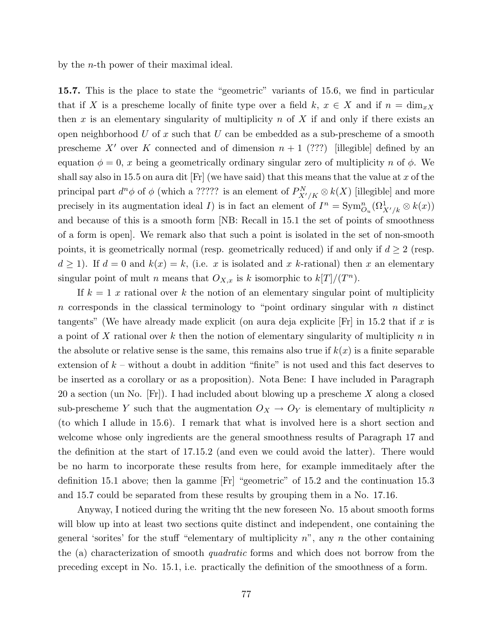by the n-th power of their maximal ideal.

15.7. This is the place to state the "geometric" variants of 15.6, we find in particular that if X is a prescheme locally of finite type over a field k,  $x \in X$  and if  $n = \dim_{x}x$ then x is an elementary singularity of multiplicity  $n$  of X if and only if there exists an open neighborhood U of x such that U can be embedded as a sub-prescheme of a smooth prescheme X' over K connected and of dimension  $n + 1$  (???) [illegible] defined by an equation  $\phi = 0$ , x being a geometrically ordinary singular zero of multiplicity n of  $\phi$ . We shall say also in 15.5 on aura dit [Fr] (we have said) that this means that the value at x of the principal part  $d^n\phi$  of  $\phi$  (which a ????? is an element of  $P^N_{X'/K} \otimes k(X)$  [illegible] and more precisely in its augmentation ideal *I*) is in fact an element of  $I^n = \text{Sym}_{O_u}^n(\Omega^1_{X'/k} \otimes k(x))$ and because of this is a smooth form [NB: Recall in 15.1 the set of points of smoothness of a form is open]. We remark also that such a point is isolated in the set of non-smooth points, it is geometrically normal (resp. geometrically reduced) if and only if  $d \geq 2$  (resp.  $d \ge 1$ ). If  $d = 0$  and  $k(x) = k$ , (i.e. x is isolated and x k-rational) then x an elementary singular point of mult *n* means that  $O_{X,x}$  is k isomorphic to  $k[T]/(T^n)$ .

If  $k = 1$  x rational over k the notion of an elementary singular point of multiplicity n corresponds in the classical terminology to "point ordinary singular with  $n$  distinct tangents" (We have already made explicit (on aura deja explicite  $|F_r|$  in 15.2 that if x is a point of X rational over  $k$  then the notion of elementary singularity of multiplicity  $n$  in the absolute or relative sense is the same, this remains also true if  $k(x)$  is a finite separable extension of  $k$  – without a doubt in addition "finite" is not used and this fact deserves to be inserted as a corollary or as a proposition). Nota Bene: I have included in Paragraph 20 a section (un No.  $[Fr]$ ). I had included about blowing up a prescheme X along a closed sub-prescheme Y such that the augmentation  $O_X \to O_Y$  is elementary of multiplicity n (to which I allude in 15.6). I remark that what is involved here is a short section and welcome whose only ingredients are the general smoothness results of Paragraph 17 and the definition at the start of 17.15.2 (and even we could avoid the latter). There would be no harm to incorporate these results from here, for example immeditaely after the definition 15.1 above; then la gamme [Fr] "geometric" of 15.2 and the continuation 15.3 and 15.7 could be separated from these results by grouping them in a No. 17.16.

Anyway, I noticed during the writing tht the new foreseen No. 15 about smooth forms will blow up into at least two sections quite distinct and independent, one containing the general 'sorites' for the stuff "elementary of multiplicity  $n$ ", any n the other containing the (a) characterization of smooth quadratic forms and which does not borrow from the preceding except in No. 15.1, i.e. practically the definition of the smoothness of a form.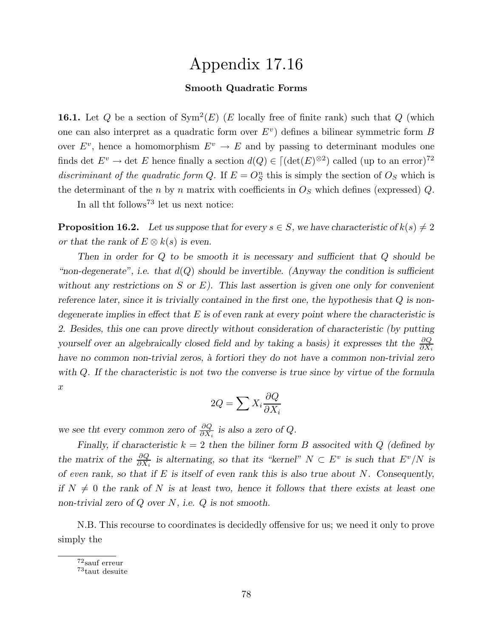## Appendix 17.16

### Smooth Quadratic Forms

**16.1.** Let Q be a section of  $Sym^2(E)$  (E locally free of finite rank) such that Q (which one can also interpret as a quadratic form over  $E^v$ ) defines a bilinear symmetric form B over  $E^v$ , hence a homomorphism  $E^v \to E$  and by passing to determinant modules one finds det  $E^v \to \text{det } E$  hence finally a section  $d(Q) \in [(\text{det}(E)^{\otimes 2})$  called (up to an error)<sup>72</sup> discriminant of the quadratic form Q. If  $E = O_S^n$  this is simply the section of  $O_S$  which is the determinant of the n by n matrix with coefficients in  $O<sub>S</sub>$  which defines (expressed) Q.

In all tht follows<sup>73</sup> let us next notice:

**Proposition 16.2.** Let us suppose that for every  $s \in S$ , we have characteristic of  $k(s) \neq 2$ or that the rank of  $E \otimes k(s)$  is even.

Then in order for Q to be smooth it is necessary and sufficient that Q should be "non-degenerate", i.e. that  $d(Q)$  should be invertible. (Anyway the condition is sufficient without any restrictions on S or E). This last assertion is given one only for convenient reference later, since it is trivially contained in the first one, the hypothesis that Q is nondegenerate implies in effect that  $E$  is of even rank at every point where the characteristic is 2. Besides, this one can prove directly without consideration of characteristic (by putting yourself over an algebraically closed field and by taking a basis) it expresses that the  $\frac{\partial Q}{\partial X_i}$ have no common non-trivial zeros, à fortiori they do not have a common non-trivial zero with Q. If the characteristic is not two the converse is true since by virtue of the formula  $\boldsymbol{x}$ 

$$
2Q = \sum X_i \frac{\partial Q}{\partial X_i}
$$

we see tht every common zero of  $\frac{\partial Q}{\partial X_i}$  is also a zero of Q.

Finally, if characteristic  $k = 2$  then the biliner form B associted with Q (defined by the matrix of the  $\frac{\partial Q}{\partial X_i}$  is alternating, so that its "kernel"  $N \subset E^v$  is such that  $E^v/N$  is of even rank, so that if  $E$  is itself of even rank this is also true about  $N$ . Consequently, if  $N \neq 0$  the rank of N is at least two, hence it follows that there exists at least one non-trivial zero of  $Q$  over  $N$ , i.e.  $Q$  is not smooth.

N.B. This recourse to coordinates is decidedly offensive for us; we need it only to prove simply the

<sup>72</sup>sauf erreur

<sup>73</sup>taut desuite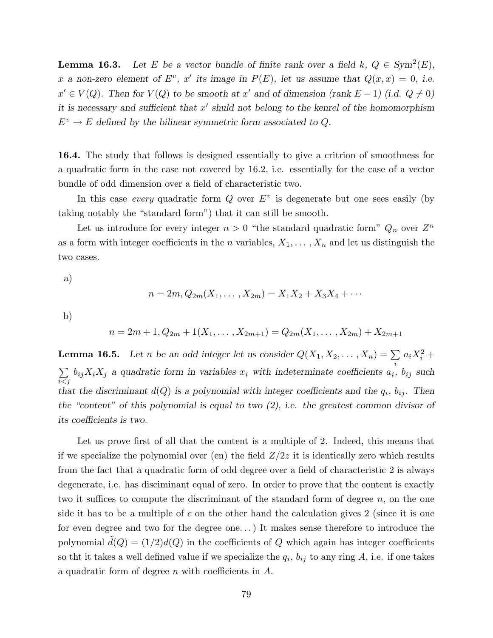**Lemma 16.3.** Let E be a vector bundle of finite rank over a field  $k, Q \in Sym^2(E)$ , x a non-zero element of  $E^v$ , x' its image in  $P(E)$ , let us assume that  $Q(x, x) = 0$ , i.e.  $x' \in V(Q)$ . Then for  $V(Q)$  to be smooth at  $x'$  and of dimension (rank  $E-1$ ) (i.d.  $Q \neq 0$ ) it is necessary and sufficient that  $x'$  shuld not belong to the kenrel of the homomorphism  $E^v \to E$  defined by the bilinear symmetric form associated to Q.

16.4. The study that follows is designed essentially to give a critrion of smoothness for a quadratic form in the case not covered by 16.2, i.e. essentially for the case of a vector bundle of odd dimension over a field of characteristic two.

In this case *every* quadratic form  $Q$  over  $E^v$  is degenerate but one sees easily (by taking notably the "standard form") that it can still be smooth.

Let us introduce for every integer  $n > 0$  "the standard quadratic form"  $Q_n$  over  $Z^n$ as a form with integer coefficients in the *n* variables,  $X_1, \ldots, X_n$  and let us distinguish the two cases.

a)

$$
n = 2m, Q_{2m}(X_1, \dots, X_{2m}) = X_1 X_2 + X_3 X_4 + \dots
$$

b)

$$
n = 2m + 1, Q_{2m} + 1(X_1, \dots, X_{2m+1}) = Q_{2m}(X_1, \dots, X_{2m}) + X_{2m+1}
$$

**Lemma 16.5.** Let n be an odd integer let us consider  $Q(X_1, X_2, \ldots, X_n) = \sum$ i  $a_i X_i^2 +$  $\sum$  $i < j$  $b_{ij}X_iX_j$  a quadratic form in variables  $x_i$  with indeterminate coefficients  $a_i$ ,  $b_{ij}$  such that the discriminant  $d(Q)$  is a polynomial with integer coefficients and the  $q_i$ ,  $b_{ij}$ . Then the "content" of this polynomial is equal to two  $(2)$ , i.e. the greatest common divisor of its coefficients is two.

Let us prove first of all that the content is a multiple of 2. Indeed, this means that if we specialize the polynomial over (en) the field  $Z/2z$  it is identically zero which results from the fact that a quadratic form of odd degree over a field of characteristic 2 is always degenerate, i.e. has disciminant equal of zero. In order to prove that the content is exactly two it suffices to compute the discriminant of the standard form of degree  $n$ , on the one side it has to be a multiple of c on the other hand the calculation gives 2 (since it is one for even degree and two for the degree one. . .) It makes sense therefore to introduce the polynomial  $\tilde{d}(Q) = (1/2)d(Q)$  in the coefficients of Q which again has integer coefficients so the it takes a well defined value if we specialize the  $q_i$ ,  $b_{ij}$  to any ring A, i.e. if one takes a quadratic form of degree n with coefficients in A.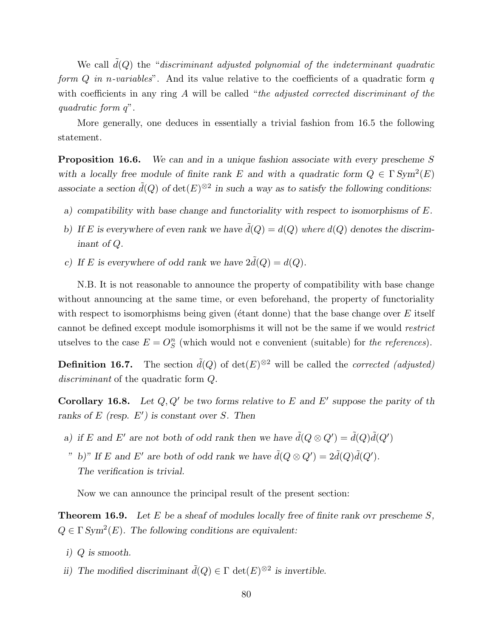We call  $d(Q)$  the "discriminant adjusted polynomial of the indeterminant quadratic form  $Q$  in n-variables". And its value relative to the coefficients of a quadratic form  $q$ with coefficients in any ring A will be called "the adjusted corrected discriminant of the quadratic form q".

More generally, one deduces in essentially a trivial fashion from 16.5 the following statement.

**Proposition 16.6.** We can and in a unique fashion associate with every prescheme S with a locally free module of finite rank E and with a quadratic form  $Q \in \Gamma \text{Sym}^2(E)$ associate a section  $\tilde{d}(Q)$  of  $\det(E)^{\otimes 2}$  in such a way as to satisfy the following conditions:

- a) compatibility with base change and functoriality with respect to isomorphisms of E.
- b) If E is everywhere of even rank we have  $\tilde{d}(Q) = d(Q)$  where  $d(Q)$  denotes the discriminant of Q.
- c) If E is everywhere of odd rank we have  $2\tilde{d}(Q) = d(Q)$ .

N.B. It is not reasonable to announce the property of compatibility with base change without announcing at the same time, or even beforehand, the property of functoriality with respect to isomorphisms being given ( $\acute{e}$ tant donne) that the base change over E itself cannot be defined except module isomorphisms it will not be the same if we would restrict utselves to the case  $E = O_S^n$  (which would not e convenient (suitable) for the references).

**Definition 16.7.** The section  $\tilde{d}(Q)$  of  $\det(E)^{\otimes 2}$  will be called the *corrected (adjusted)* discriminant of the quadratic form  $Q$ .

**Corollary 16.8.** Let  $Q, Q'$  be two forms relative to E and E' suppose the parity of the ranks of  $E$  (resp.  $E'$ ) is constant over S. Then

- a) if E and E' are not both of odd rank then we have  $\tilde{d}(Q \otimes Q') = \tilde{d}(Q)\tilde{d}(Q')$
- " b)" If E and E' are both of odd rank we have  $\tilde{d}(Q \otimes Q') = 2\tilde{d}(Q)\tilde{d}(Q')$ . The verification is trivial.

Now we can announce the principal result of the present section:

**Theorem 16.9.** Let E be a sheaf of modules locally free of finite rank ovr prescheme  $S$ ,  $Q \in \Gamma \, Sym^2(E)$ . The following conditions are equivalent:

- i) Q is smooth.
- ii) The modified discriminant  $\tilde{d}(Q) \in \Gamma$  det $(E)^{\otimes 2}$  is invertible.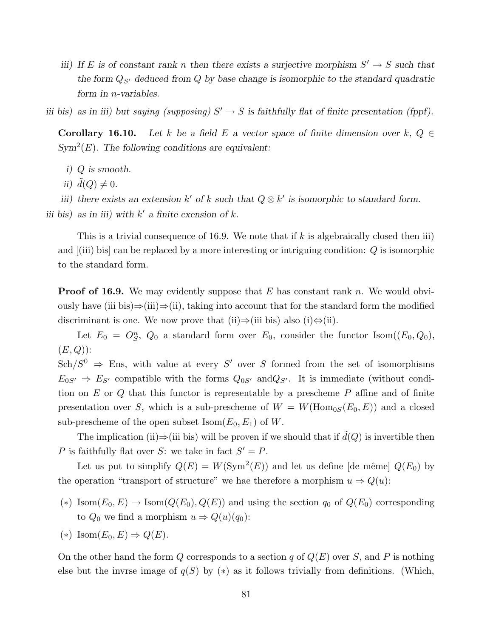iii) If E is of constant rank n then there exists a surjective morphism  $S' \to S$  such that the form  $Q_{S'}$  deduced from Q by base change is isomorphic to the standard quadratic form in n-variables.

iii bis) as in iii) but saying (supposing)  $S' \to S$  is faithfully flat of finite presentation (fppf).

**Corollary 16.10.** Let k be a field E a vector space of finite dimension over k,  $Q \in$  $Sym<sup>2</sup>(E)$ . The following conditions are equivalent:

- i) Q is smooth.
- ii)  $d(Q) \neq 0$ .

iii) there exists an extension  $k'$  of k such that  $Q \otimes k'$  is isomorphic to standard form. iii bis) as in iii) with  $k'$  a finite exension of k.

This is a trivial consequence of 16.9. We note that if k is algebraically closed then iii) and [(iii) bis] can be replaced by a more interesting or intriguing condition: Q is isomorphic

to the standard form.

**Proof of 16.9.** We may evidently suppose that E has constant rank n. We would obviously have (iii bis)⇒(iii)⇒(ii), taking into account that for the standard form the modified discriminant is one. We now prove that (ii)⇒(iii bis) also (i)⇔(ii).

Let  $E_0 = O_S^n$ ,  $Q_0$  a standard form over  $E_0$ , consider the functor Isom $((E_0, Q_0),$  $(E, Q)$ :

 $Sch/S^{0} \Rightarrow Ens$ , with value at every S' over S formed from the set of isomorphisms  $E_{0S'} \Rightarrow E_{S'}$  compatible with the forms  $Q_{0S'}$  and  $Q_{S'}$ . It is immediate (without condition on E or Q that this functor is representable by a prescheme  $P$  affine and of finite presentation over S, which is a sub-prescheme of  $W = W(\text{Hom}_{0S}(E_0, E))$  and a closed sub-prescheme of the open subset  $\text{Isom}(E_0, E_1)$  of W.

The implication (ii) $\Rightarrow$ (iii bis) will be proven if we should that if  $d(Q)$  is invertible then P is faithfully flat over S: we take in fact  $S' = P$ .

Let us put to simplify  $Q(E) = W(\text{Sym}^2(E))$  and let us define [de même]  $Q(E_0)$  by the operation "transport of structure" we hae therefore a morphism  $u \Rightarrow Q(u)$ :

- (\*) Isom $(E_0, E) \to \text{Isom}(Q(E_0), Q(E))$  and using the section  $q_0$  of  $Q(E_0)$  corresponding to  $Q_0$  we find a morphism  $u \Rightarrow Q(u)(q_0)$ :
- (\*) Isom $(E_0, E) \Rightarrow Q(E)$ .

On the other hand the form Q corresponds to a section q of  $Q(E)$  over S, and P is nothing else but the invrse image of  $q(S)$  by  $(*)$  as it follows trivially from definitions. (Which,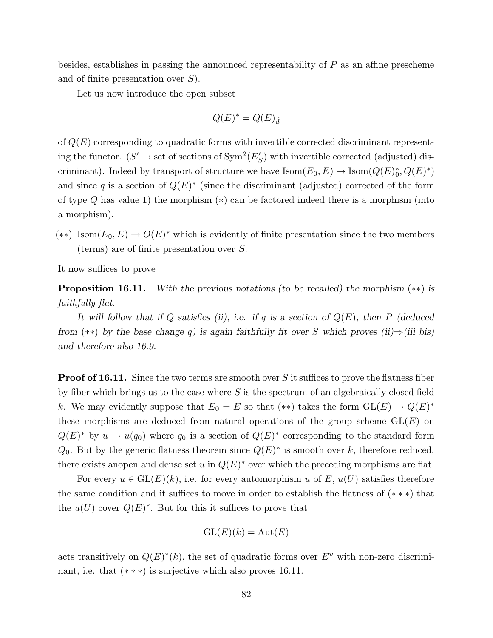besides, establishes in passing the announced representability of P as an affine prescheme and of finite presentation over S).

Let us now introduce the open subset

$$
Q(E)^* = Q(E)_{\tilde{d}}
$$

of  $Q(E)$  corresponding to quadratic forms with invertible corrected discriminant representing the functor.  $(S' \to \text{set of sections of } \text{Sym}^2(E_S')$  with invertible corrected (adjusted) discriminant). Indeed by transport of structure we have  $\text{Isom}(E_0, E) \to \text{Isom}(Q(E)^*, Q(E)^*)$ and since q is a section of  $Q(E)^*$  (since the discriminant (adjusted) corrected of the form of type  $Q$  has value 1) the morphism  $(*)$  can be factored indeed there is a morphism (into a morphism).

 $(**)$  Isom $(E_0, E) \to O(E)^*$  which is evidently of finite presentation since the two members (terms) are of finite presentation over S.

It now suffices to prove

Proposition 16.11. With the previous notations (to be recalled) the morphism (∗∗) is faithfully flat.

It will follow that if Q satisfies (ii), i.e. if q is a section of  $Q(E)$ , then P (deduced from (\*\*) by the base change q) is again faithfully flt over S which proves (ii)⇒(iii bis) and therefore also 16.9.

**Proof of 16.11.** Since the two terms are smooth over S it suffices to prove the flatness fiber by fiber which brings us to the case where  $S$  is the spectrum of an algebraically closed field k. We may evidently suppose that  $E_0 = E$  so that  $(**)$  takes the form  $GL(E) \to Q(E)^*$ these morphisms are deduced from natural operations of the group scheme  $GL(E)$  on  $Q(E)^*$  by  $u \to u(q_0)$  where  $q_0$  is a section of  $Q(E)^*$  corresponding to the standard form  $Q_0$ . But by the generic flatness theorem since  $Q(E)^*$  is smooth over k, therefore reduced, there exists anopen and dense set u in  $Q(E)^*$  over which the preceding morphisms are flat.

For every  $u \in GL(E)(k)$ , i.e. for every automorphism u of E,  $u(U)$  satisfies therefore the same condition and it suffices to move in order to establish the flatness of (∗ ∗ ∗) that the  $u(U)$  cover  $Q(E)^*$ . But for this it suffices to prove that

$$
\operatorname{GL}(E)(k) = \operatorname{Aut}(E)
$$

acts transitively on  $Q(E)^*(k)$ , the set of quadratic forms over  $E^v$  with non-zero discriminant, i.e. that  $(***)$  is surjective which also proves 16.11.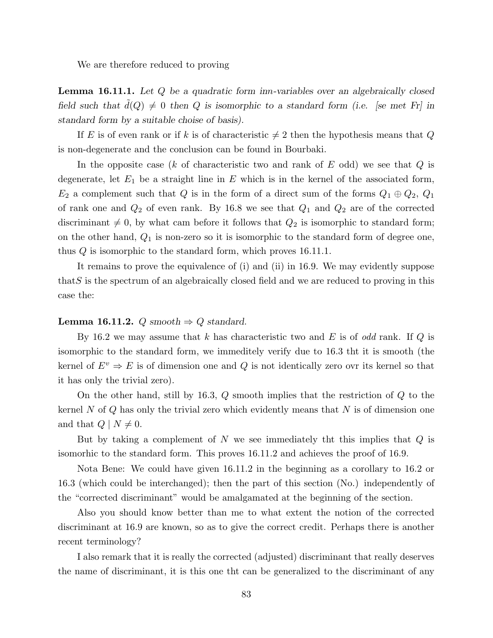We are therefore reduced to proving

**Lemma 16.11.1.** Let Q be a quadratic form inn-variables over an algebraically closed field such that  $d(Q) \neq 0$  then Q is isomorphic to a standard form (i.e. [se met Fr] in standard form by a suitable choise of basis).

If E is of even rank or if k is of characteristic  $\neq 2$  then the hypothesis means that Q is non-degenerate and the conclusion can be found in Bourbaki.

In the opposite case (k of characteristic two and rank of  $E$  odd) we see that  $Q$  is degenerate, let  $E_1$  be a straight line in E which is in the kernel of the associated form,  $E_2$  a complement such that Q is in the form of a direct sum of the forms  $Q_1 \oplus Q_2$ ,  $Q_1$ of rank one and  $Q_2$  of even rank. By 16.8 we see that  $Q_1$  and  $Q_2$  are of the corrected discriminant  $\neq 0$ , by what cam before it follows that  $Q_2$  is isomorphic to standard form; on the other hand,  $Q_1$  is non-zero so it is isomorphic to the standard form of degree one, thus  $Q$  is isomorphic to the standard form, which proves 16.11.1.

It remains to prove the equivalence of (i) and (ii) in 16.9. We may evidently suppose that  $S$  is the spectrum of an algebraically closed field and we are reduced to proving in this case the:

#### **Lemma 16.11.2.** Q smooth  $\Rightarrow$  Q standard.

By 16.2 we may assume that k has characteristic two and E is of odd rank. If  $Q$  is isomorphic to the standard form, we immeditely verify due to 16.3 tht it is smooth (the kernel of  $E^v \Rightarrow E$  is of dimension one and Q is not identically zero ovr its kernel so that it has only the trivial zero).

On the other hand, still by 16.3,  $Q$  smooth implies that the restriction of  $Q$  to the kernel N of Q has only the trivial zero which evidently means that  $N$  is of dimension one and that  $Q \mid N \neq 0$ .

But by taking a complement of  $N$  we see immediately the this implies that  $Q$  is isomorhic to the standard form. This proves 16.11.2 and achieves the proof of 16.9.

Nota Bene: We could have given 16.11.2 in the beginning as a corollary to 16.2 or 16.3 (which could be interchanged); then the part of this section (No.) independently of the "corrected discriminant" would be amalgamated at the beginning of the section.

Also you should know better than me to what extent the notion of the corrected discriminant at 16.9 are known, so as to give the correct credit. Perhaps there is another recent terminology?

I also remark that it is really the corrected (adjusted) discriminant that really deserves the name of discriminant, it is this one tht can be generalized to the discriminant of any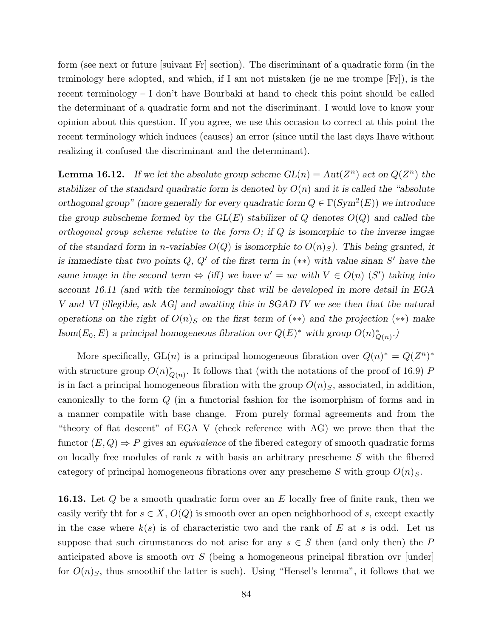form (see next or future [suivant Fr] section). The discriminant of a quadratic form (in the trminology here adopted, and which, if I am not mistaken (je ne me trompe [Fr]), is the recent terminology – I don't have Bourbaki at hand to check this point should be called the determinant of a quadratic form and not the discriminant. I would love to know your opinion about this question. If you agree, we use this occasion to correct at this point the recent terminology which induces (causes) an error (since until the last days Ihave without realizing it confused the discriminant and the determinant).

**Lemma 16.12.** If we let the absolute group scheme  $GL(n) = Aut(Z^n)$  act on  $Q(Z^n)$  the stabilizer of the standard quadratic form is denoted by  $O(n)$  and it is called the "absolute" orthogonal group" (more generally for every quadratic form  $Q \in \Gamma(\mathrm{Sym}^2(E))$  we introduce the group subscheme formed by the  $GL(E)$  stabilizer of Q denotes  $O(Q)$  and called the orthogonal group scheme relative to the form  $O$ ; if  $Q$  is isomorphic to the inverse imgae of the standard form in n-variables  $O(Q)$  is isomorphic to  $O(n)_S$ ). This being granted, it is immediate that two points  $Q, Q'$  of the first term in (\*\*) with value sinan S' have the same image in the second term  $\Leftrightarrow$  (iff) we have  $u' = uv$  with  $V \in O(n)$  (S') taking into account 16.11 (and with the terminology that will be developed in more detail in EGA V and VI [illegible, ask AG] and awaiting this in SGAD IV we see then that the natural operations on the right of  $O(n)<sub>S</sub>$  on the first term of (\*\*) and the projection (\*\*) make  $\text{Isom}(E_0, E)$  a principal homogeneous fibration ovr  $Q(E)^*$  with group  $O(n)_{Q(n)}^*$ .

More specifically,  $GL(n)$  is a principal homogeneous fibration over  $Q(n)^* = Q(Z^n)^*$ with structure group  $O(n)_{Q(n)}^*$ . It follows that (with the notations of the proof of 16.9) P is in fact a principal homogeneous fibration with the group  $O(n)<sub>S</sub>$ , associated, in addition, canonically to the form Q (in a functorial fashion for the isomorphism of forms and in a manner compatile with base change. From purely formal agreements and from the "theory of flat descent" of EGA V (check reference with AG) we prove then that the functor  $(E, Q) \Rightarrow P$  gives an *equivalence* of the fibered category of smooth quadratic forms on locally free modules of rank n with basis an arbitrary prescheme  $S$  with the fibered category of principal homogeneous fibrations over any prescheme S with group  $O(n)<sub>S</sub>$ .

**16.13.** Let  $Q$  be a smooth quadratic form over an  $E$  locally free of finite rank, then we easily verify tht for  $s \in X$ ,  $O(Q)$  is smooth over an open neighborhood of s, except exactly in the case where  $k(s)$  is of characteristic two and the rank of E at s is odd. Let us suppose that such cirumstances do not arise for any  $s \in S$  then (and only then) the P anticipated above is smooth ovr  $S$  (being a homogeneous principal fibration ovr [under] for  $O(n)_S$ , thus smoothif the latter is such). Using "Hensel's lemma", it follows that we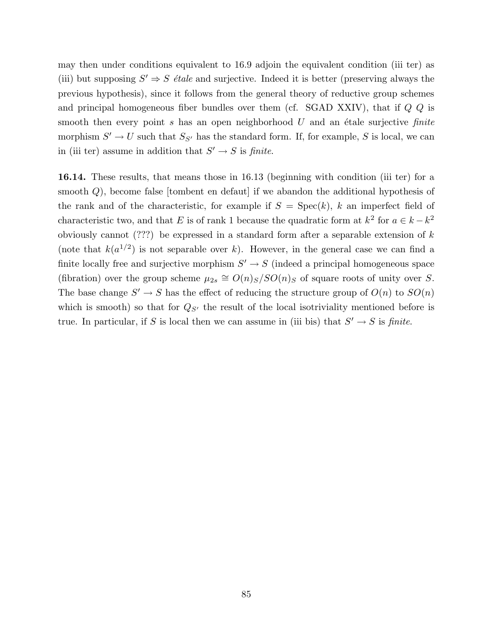may then under conditions equivalent to 16.9 adjoin the equivalent condition (iii ter) as (iii) but supposing  $S' \Rightarrow S$  *étale* and surjective. Indeed it is better (preserving always the previous hypothesis), since it follows from the general theory of reductive group schemes and principal homogeneous fiber bundles over them (cf. SGAD XXIV), that if  $Q$   $Q$  is smooth then every point s has an open neighborhood  $U$  and an étale surjective finite morphism  $S' \to U$  such that  $S_{S'}$  has the standard form. If, for example, S is local, we can in (iii ter) assume in addition that  $S' \to S$  is *finite*.

16.14. These results, that means those in 16.13 (beginning with condition (iii ter) for a smooth Q), become false [tombent en defaut] if we abandon the additional hypothesis of the rank and of the characteristic, for example if  $S = \text{Spec}(k)$ , k an imperfect field of characteristic two, and that E is of rank 1 because the quadratic form at  $k^2$  for  $a \in k - k^2$ obviously cannot (???) be expressed in a standard form after a separable extension of  $k$ (note that  $k(a^{1/2})$  is not separable over k). However, in the general case we can find a finite locally free and surjective morphism  $S' \to S$  (indeed a principal homogeneous space (fibration) over the group scheme  $\mu_{2s} \cong O(n)_{S}/SO(n)_{S}$  of square roots of unity over S. The base change  $S' \to S$  has the effect of reducing the structure group of  $O(n)$  to  $SO(n)$ which is smooth) so that for  $Q_{S'}$  the result of the local isotriviality mentioned before is true. In particular, if S is local then we can assume in (iii bis) that  $S' \to S$  is *finite*.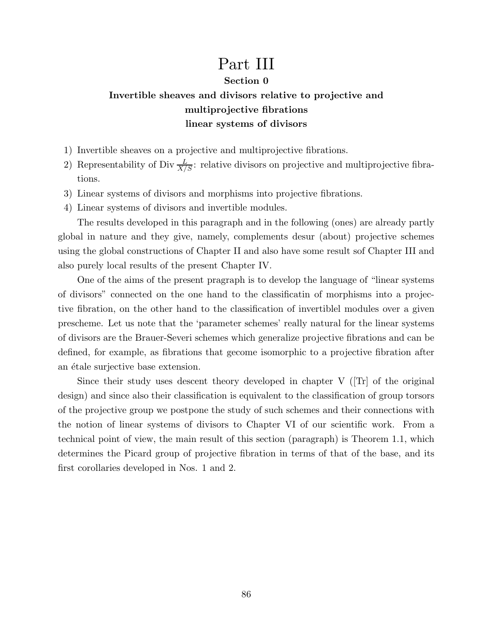# Part III

### Section 0

## Invertible sheaves and divisors relative to projective and multiprojective fibrations linear systems of divisors

- 1) Invertible sheaves on a projective and multiprojective fibrations.
- 2) Representability of Div  $\frac{L}{X/S}$ : relative divisors on projective and multiprojective fibrations.
- 3) Linear systems of divisors and morphisms into projective fibrations.
- 4) Linear systems of divisors and invertible modules.

The results developed in this paragraph and in the following (ones) are already partly global in nature and they give, namely, complements desur (about) projective schemes using the global constructions of Chapter II and also have some result sof Chapter III and also purely local results of the present Chapter IV.

One of the aims of the present pragraph is to develop the language of "linear systems of divisors" connected on the one hand to the classificatin of morphisms into a projective fibration, on the other hand to the classification of invertiblel modules over a given prescheme. Let us note that the 'parameter schemes' really natural for the linear systems of divisors are the Brauer-Severi schemes which generalize projective fibrations and can be defined, for example, as fibrations that gecome isomorphic to a projective fibration after an étale surjective base extension.

Since their study uses descent theory developed in chapter  $V$  ([Tr] of the original design) and since also their classification is equivalent to the classification of group torsors of the projective group we postpone the study of such schemes and their connections with the notion of linear systems of divisors to Chapter VI of our scientific work. From a technical point of view, the main result of this section (paragraph) is Theorem 1.1, which determines the Picard group of projective fibration in terms of that of the base, and its first corollaries developed in Nos. 1 and 2.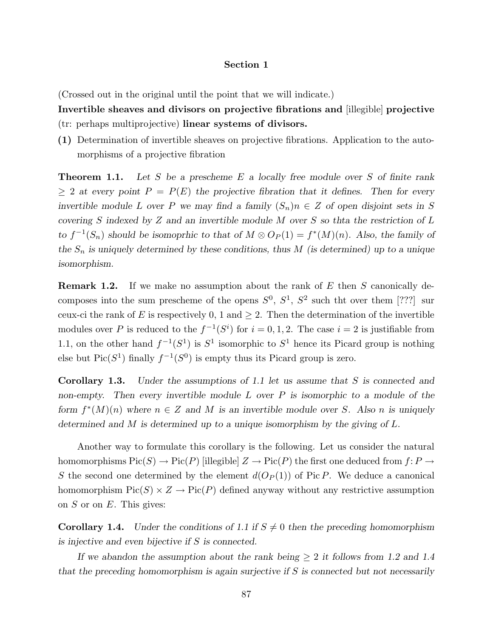#### Section 1

(Crossed out in the original until the point that we will indicate.)

Invertible sheaves and divisors on projective fibrations and [illegible] projective (tr: perhaps multiprojective) linear systems of divisors.

(1) Determination of invertible sheaves on projective fibrations. Application to the automorphisms of a projective fibration

**Theorem 1.1.** Let S be a prescheme E a locally free module over S of finite rank  $\geq 2$  at every point  $P = P(E)$  the projective fibration that it defines. Then for every invertible module L over P we may find a family  $(S_n)n \in Z$  of open disjoint sets in S covering S indexed by Z and an invertible module M over S so that the restriction of  $L$ to  $f^{-1}(S_n)$  should be isomoprhic to that of  $M \otimes O_P(1) = f^*(M)(n)$ . Also, the family of the  $S_n$  is uniquely determined by these conditions, thus M (is determined) up to a unique isomorphism.

**Remark 1.2.** If we make no assumption about the rank of E then S canonically decomposes into the sum prescheme of the opens  $S^0$ ,  $S^1$ ,  $S^2$  such the over them [???] sur ceux-ci the rank of E is respectively 0, 1 and  $\geq$  2. Then the determination of the invertible modules over P is reduced to the  $f^{-1}(S^i)$  for  $i = 0, 1, 2$ . The case  $i = 2$  is justifiable from 1.1, on the other hand  $f^{-1}(S^1)$  is  $S^1$  isomorphic to  $S^1$  hence its Picard group is nothing else but  $Pic(S^1)$  finally  $f^{-1}(S^0)$  is empty thus its Picard group is zero.

Corollary 1.3. Under the assumptions of 1.1 let us assume that S is connected and non-empty. Then every invertible module  $L$  over  $P$  is isomorphic to a module of the form  $f^*(M)(n)$  where  $n \in \mathbb{Z}$  and M is an invertible module over S. Also n is uniquely determined and M is determined up to a unique isomorphism by the giving of L.

Another way to formulate this corollary is the following. Let us consider the natural homomorphisms  $Pic(S) \to Pic(P)$  [illegible]  $Z \to Pic(P)$  the first one deduced from  $f: P \to$ S the second one determined by the element  $d(O_P(1))$  of Pic P. We deduce a canonical homomorphism  $Pic(S) \times Z \rightarrow Pic(P)$  defined anyway without any restrictive assumption on  $S$  or on  $E$ . This gives:

**Corollary 1.4.** Under the conditions of 1.1 if  $S \neq 0$  then the preceding homomorphism is injective and even bijective if S is connected.

If we abandon the assumption about the rank being  $\geq 2$  it follows from 1.2 and 1.4 that the preceding homomorphism is again surjective if  $S$  is connected but not necessarily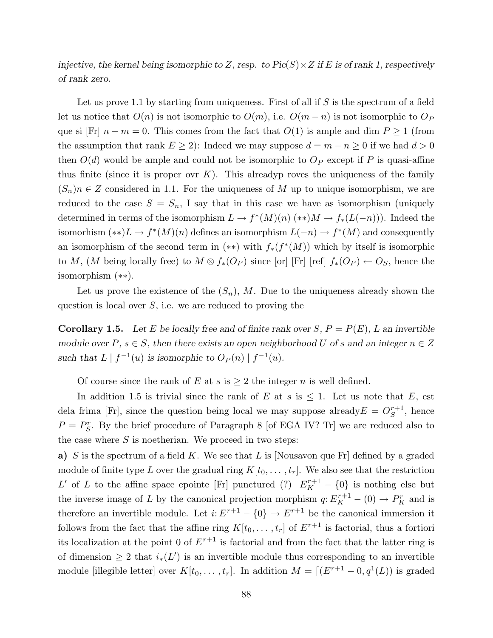injective, the kernel being isomorphic to Z, resp. to  $Pic(S) \times Z$  if E is of rank 1, respectively of rank zero.

Let us prove 1.1 by starting from uniqueness. First of all if  $S$  is the spectrum of a field let us notice that  $O(n)$  is not isomorphic to  $O(m)$ , i.e.  $O(m-n)$  is not isomorphic to  $O_p$ que si [Fr]  $n - m = 0$ . This comes from the fact that  $O(1)$  is ample and dim  $P \ge 1$  (from the assumption that rank  $E \geq 2$ : Indeed we may suppose  $d = m - n \geq 0$  if we had  $d > 0$ then  $O(d)$  would be ample and could not be isomorphic to  $O_P$  except if P is quasi-affine thus finite (since it is proper over K). This alreadyp roves the uniqueness of the family  $(S_n)n \in \mathbb{Z}$  considered in 1.1. For the uniqueness of M up to unique isomorphism, we are reduced to the case  $S = S_n$ , I say that in this case we have as isomorphism (uniquely determined in terms of the isomorphism  $L \to f^*(M)(n)$  (\*\*) $M \to f_*(L(-n))$ ). Indeed the isomorhism  $(**)L \to f^*(M)(n)$  defines an isomorphism  $L(-n) \to f^*(M)$  and consequently an isomorphism of the second term in  $(**)$  with  $f_*(f^*(M))$  which by itself is isomorphic to M, (M being locally free) to  $M \otimes f_*(O_P)$  since [or] [Fr] [ref]  $f_*(O_P) \leftarrow O_S$ , hence the isomorphism (∗∗).

Let us prove the existence of the  $(S_n)$ , M. Due to the uniqueness already shown the question is local over  $S$ , i.e. we are reduced to proving the

**Corollary 1.5.** Let E be locally free and of finite rank over  $S, P = P(E), L$  an invertible module over  $P, s \in S$ , then there exists an open neighborhood U of s and an integer  $n \in Z$ such that  $L \mid f^{-1}(u)$  is isomorphic to  $O_P(n) \mid f^{-1}(u)$ .

Of course since the rank of E at s is  $\geq 2$  the integer n is well defined.

In addition 1.5 is trivial since the rank of E at s is  $\leq$  1. Let us note that E, est dela frima [Fr], since the question being local we may suppose already  $E = O_S^{r+1}$  $s^{r+1}$ , hence  $P = P_S^r$ . By the brief procedure of Paragraph 8 [of EGA IV? Tr] we are reduced also to the case where  $S$  is noetherian. We proceed in two steps:

a) S is the spectrum of a field K. We see that L is [Nousavon que Fr] defined by a graded module of finite type L over the gradual ring  $K[t_0, \ldots, t_r]$ . We also see that the restriction L' of L to the affine space epointe [Fr] punctured (?)  $E_K^{r+1} - \{0\}$  is nothing else but the inverse image of L by the canonical projection morphism  $q: E_K^{r+1} - (0) \to P_K^r$  and is therefore an invertible module. Let  $i: E^{r+1} - \{0\} \to E^{r+1}$  be the canonical immersion it follows from the fact that the affine ring  $K[t_0, \ldots, t_r]$  of  $E^{r+1}$  is factorial, thus a fortiori its localization at the point 0 of  $E^{r+1}$  is factorial and from the fact that the latter ring is of dimension  $\geq 2$  that  $i_*(L')$  is an invertible module thus corresponding to an invertible module [illegible letter] over  $K[t_0, \ldots, t_r]$ . In addition  $M = [(E^{r+1} - 0, q^1(L))$  is graded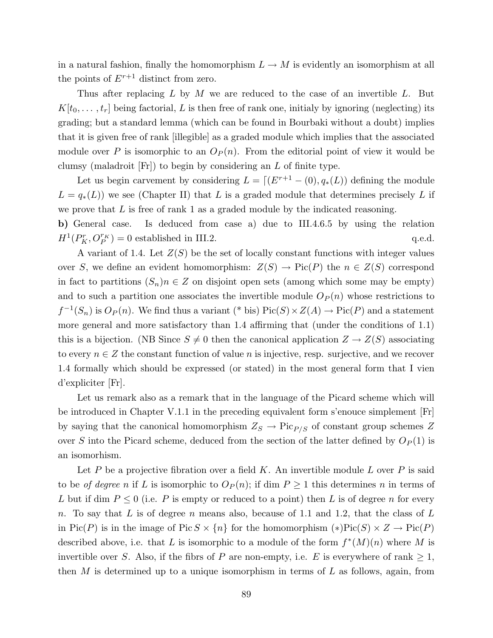in a natural fashion, finally the homomorphism  $L \to M$  is evidently an isomorphism at all the points of  $E^{r+1}$  distinct from zero.

Thus after replacing  $L$  by  $M$  we are reduced to the case of an invertible  $L$ . But  $K[t_0, \ldots, t_r]$  being factorial, L is then free of rank one, initialy by ignoring (neglecting) its grading; but a standard lemma (which can be found in Bourbaki without a doubt) implies that it is given free of rank [illegible] as a graded module which implies that the associated module over P is isomorphic to an  $O_P(n)$ . From the editorial point of view it would be clumsy (maladroit  $[Fr]$ ) to begin by considering an  $L$  of finite type.

Let us begin carvement by considering  $L = [(E^{r+1} - (0), q_*(L))$  defining the module  $L = q_*(L)$  we see (Chapter II) that L is a graded module that determines precisely L if we prove that  $L$  is free of rank 1 as a graded module by the indicated reasoning. b) General case. Is deduced from case a) due to III.4.6.5 by using the relation

 $H^1(P_K^r, O_P^{r_K})$  $P_F^{r_K}$  = 0 established in III.2. q.e.d.

A variant of 1.4. Let  $Z(S)$  be the set of locally constant functions with integer values over S, we define an evident homomorphism:  $Z(S) \to Pic(P)$  the  $n \in Z(S)$  correspond in fact to partitions  $(S_n)n \in \mathbb{Z}$  on disjoint open sets (among which some may be empty) and to such a partition one associates the invertible module  $O_P(n)$  whose restrictions to  $f^{-1}(S_n)$  is  $O_P(n)$ . We find thus a variant (\* bis)  $Pic(S) \times Z(A) \rightarrow Pic(P)$  and a statement more general and more satisfactory than 1.4 affirming that (under the conditions of 1.1) this is a bijection. (NB Since  $S \neq 0$  then the canonical application  $Z \rightarrow Z(S)$  associating to every  $n \in \mathbb{Z}$  the constant function of value n is injective, resp. surjective, and we recover 1.4 formally which should be expressed (or stated) in the most general form that I vien d'expliciter [Fr].

Let us remark also as a remark that in the language of the Picard scheme which will be introduced in Chapter V.1.1 in the preceding equivalent form s'enouce simplement [Fr] by saying that the canonical homomorphism  $Z_S \to Pic_{P/S}$  of constant group schemes Z over S into the Picard scheme, deduced from the section of the latter defined by  $O_P(1)$  is an isomorhism.

Let  $P$  be a projective fibration over a field  $K$ . An invertible module  $L$  over  $P$  is said to be of degree n if L is isomorphic to  $O_P(n)$ ; if dim  $P \geq 1$  this determines n in terms of L but if dim  $P \leq 0$  (i.e. P is empty or reduced to a point) then L is of degree n for every n. To say that L is of degree n means also, because of 1.1 and 1.2, that the class of L in Pic(P) is in the image of Pic  $S \times \{n\}$  for the homomorphism  $(*)Pic(S) \times Z \rightarrow Pic(P)$ described above, i.e. that L is isomorphic to a module of the form  $f^*(M)(n)$  where M is invertible over S. Also, if the fibrs of P are non-empty, i.e. E is everywhere of rank  $\geq 1$ , then  $M$  is determined up to a unique isomorphism in terms of  $L$  as follows, again, from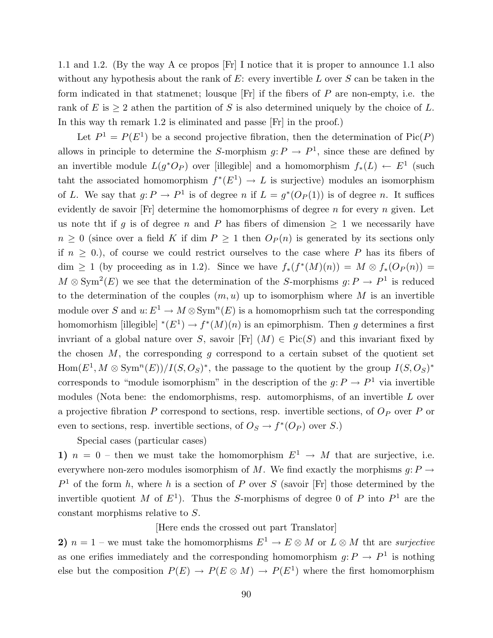1.1 and 1.2. (By the way A ce propos [Fr] I notice that it is proper to announce 1.1 also without any hypothesis about the rank of  $E$ : every invertible  $L$  over  $S$  can be taken in the form indicated in that statmenet; lousque  $[Fr]$  if the fibers of  $P$  are non-empty, i.e. the rank of E is  $\geq 2$  athen the partition of S is also determined uniquely by the choice of L. In this way th remark 1.2 is eliminated and passe [Fr] in the proof.)

Let  $P^1 = P(E^1)$  be a second projective fibration, then the determination of  $Pic(P)$ allows in principle to determine the S-morphism  $g: P \to P^1$ , since these are defined by an invertible module  $L(g^*O_P)$  over [illegible] and a homomorphism  $f_*(L) \leftarrow E^1$  (such taht the associated homomorphism  $f^*(E^1) \to L$  is surjective) modules an isomorphism of L. We say that  $g: P \to P^1$  is of degree n if  $L = g^*(O_P(1))$  is of degree n. It suffices evidently de savoir  $[Fr]$  determine the homomorphisms of degree n for every n given. Let us note that if g is of degree n and P has fibers of dimension  $\geq 1$  we necessarily have  $n \geq 0$  (since over a field K if dim  $P \geq 1$  then  $O_P(n)$  is generated by its sections only if  $n \geq 0$ .), of course we could restrict ourselves to the case where P has its fibers of  $dim \geq 1$  (by proceeding as in 1.2). Since we have  $f_*(f^*(M)(n)) = M \otimes f_*(Op(n)) =$  $M \otimes \text{Sym}^2(E)$  we see that the determination of the S-morphisms  $g: P \to P^1$  is reduced to the determination of the couples  $(m, u)$  up to isomorphism where M is an invertible module over S and  $u: E^1 \to M \otimes \text{Sym}^n(E)$  is a homomoprhism such tat the corresponding homomorhism [illegible]  $^*(E^1) \to f^*(M)(n)$  is an epimorphism. Then g determines a first invriant of a global nature over S, savoir [Fr]  $(M) \in Pic(S)$  and this invariant fixed by the chosen  $M$ , the corresponding  $g$  correspond to a certain subset of the quotient set  $Hom(E^1, M \otimes \text{Sym}^n(E))/I(S, O_S)^*$ , the passage to the quotient by the group  $I(S, O_S)^*$ corresponds to "module isomorphism" in the description of the  $g: P \to P^1$  via invertible modules (Nota bene: the endomorphisms, resp. automorphisms, of an invertible L over a projective fibration  $P$  correspond to sections, resp. invertible sections, of  $O_P$  over  $P$  or even to sections, resp. invertible sections, of  $O_s \to f^*(O_P)$  over S.)

Special cases (particular cases)

1)  $n = 0$  – then we must take the homomorphism  $E^1 \rightarrow M$  that are surjective, i.e. everywhere non-zero modules isomorphism of M. We find exactly the morphisms  $g: P \to$  $P<sup>1</sup>$  of the form h, where h is a section of P over S (savoir [Fr] those determined by the invertible quotient M of  $E^1$ ). Thus the S-morphisms of degree 0 of P into  $P^1$  are the constant morphisms relative to S.

[Here ends the crossed out part Translator]

2)  $n = 1$  – we must take the homomorphisms  $E^1 \to E \otimes M$  or  $L \otimes M$  tht are surjective as one erifies immediately and the corresponding homomorphism  $g: P \to P^1$  is nothing else but the composition  $P(E) \to P(E \otimes M) \to P(E^1)$  where the first homomorphism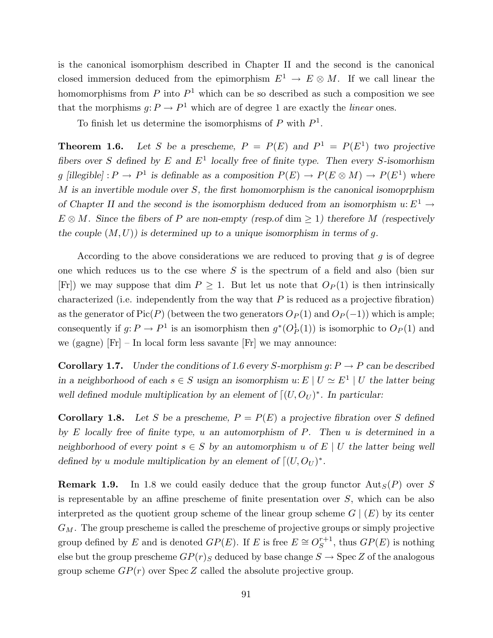is the canonical isomorphism described in Chapter II and the second is the canonical closed immersion deduced from the epimorphism  $E^1 \to E \otimes M$ . If we call linear the homomorphisms from  $P$  into  $P<sup>1</sup>$  which can be so described as such a composition we see that the morphisms  $g: P \to P^1$  which are of degree 1 are exactly the *linear* ones.

To finish let us determine the isomorphisms of  $P$  with  $P<sup>1</sup>$ .

**Theorem 1.6.** Let S be a prescheme,  $P = P(E)$  and  $P<sup>1</sup> = P(E<sup>1</sup>)$  two projective fibers over S defined by E and  $E^1$  locally free of finite type. Then every S-isomorhism g [illegible] :  $P \to P^1$  is definable as a composition  $P(E) \to P(E \otimes M) \to P(E^1)$  where  $M$  is an invertible module over  $S$ , the first homomorphism is the canonical isomoprphism of Chapter II and the second is the isomorphism deduced from an isomorphism  $u: E^1 \to$  $E \otimes M$ . Since the fibers of P are non-empty (resp.of dim > 1) therefore M (respectively the couple  $(M, U)$  is determined up to a unique isomorphism in terms of g.

According to the above considerations we are reduced to proving that  $g$  is of degree one which reduces us to the cse where  $S$  is the spectrum of a field and also (bien sur [Fr]) we may suppose that dim  $P \geq 1$ . But let us note that  $O_P(1)$  is then intrinsically characterized (i.e. independently from the way that  $P$  is reduced as a projective fibration) as the generator of Pic(P) (between the two generators  $O_P(1)$  and  $O_P(-1)$ ) which is ample; consequently if  $g: P \to P^1$  is an isomorphism then  $g^*(O_P^1(1))$  is isomorphic to  $O_P(1)$  and we (gagne) [Fr] – In local form less savante [Fr] we may announce:

**Corollary 1.7.** Under the conditions of 1.6 every S-morphism g:  $P \rightarrow P$  can be described in a neighborhood of each  $s \in S$  usign an isomorphism  $u: E \mid U \simeq E^1 \mid U$  the latter being well defined module multiplication by an element of  $\lceil (U, O_U )^*$ . In particular:

**Corollary 1.8.** Let S be a prescheme,  $P = P(E)$  a projective fibration over S defined by  $E$  locally free of finite type,  $u$  an automorphism of  $P$ . Then  $u$  is determined in a neighborhood of every point  $s \in S$  by an automorphism u of  $E \mid U$  the latter being well defined by u module multiplication by an element of  $\lceil (U, O_U)^* \rceil$ .

**Remark 1.9.** In 1.8 we could easily deduce that the group functor  $\text{Aut}_S(P)$  over S is representable by an affine prescheme of finite presentation over S, which can be also interpreted as the quotient group scheme of the linear group scheme  $G | (E)$  by its center  $G_M$ . The group prescheme is called the prescheme of projective groups or simply projective group defined by E and is denoted  $GP(E)$ . If E is free  $E \cong O_S^{r+1}$  $S^{r+1}$ , thus  $GP(E)$  is nothing else but the group prescheme  $GP(r)_{S}$  deduced by base change  $S \rightarrow \text{Spec } Z$  of the analogous group scheme  $GP(r)$  over  $Spec Z$  called the absolute projective group.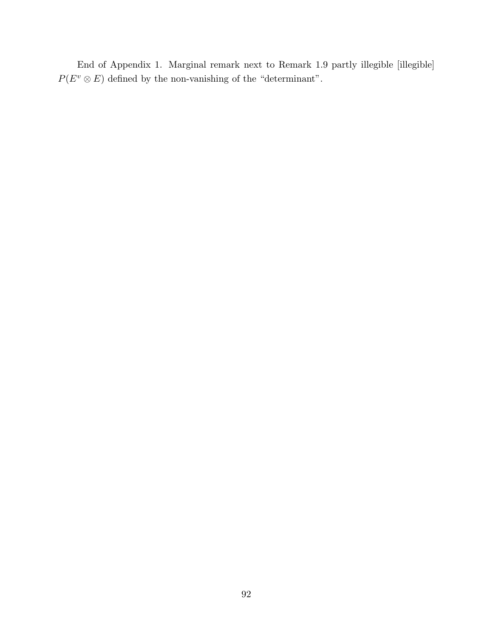End of Appendix 1. Marginal remark next to Remark 1.9 partly illegible [illegible]  $P(E^v \otimes E)$  defined by the non-vanishing of the "determinant".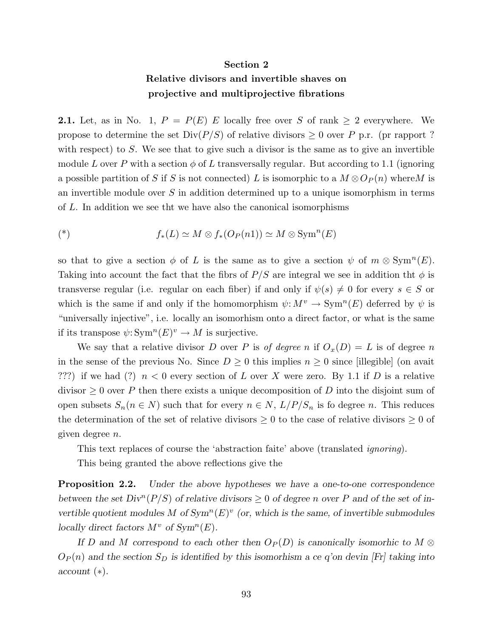#### Section 2

### Relative divisors and invertible shaves on projective and multiprojective fibrations

**2.1.** Let, as in No. 1,  $P = P(E)$  E locally free over S of rank  $\geq 2$  everywhere. We propose to determine the set  $Div(P/S)$  of relative divisors  $\geq 0$  over P p.r. (pr rapport ? with respect) to S. We see that to give such a divisor is the same as to give an invertible module L over P with a section  $\phi$  of L transversally regular. But according to 1.1 (ignoring a possible partition of S if S is not connected) L is isomorphic to a  $M \otimes O_P(n)$  where M is an invertible module over S in addition determined up to a unique isomorphism in terms of L. In addition we see tht we have also the canonical isomorphisms

$$
(*)\qquad f_*(L) \simeq M \otimes f_*(O_P(n1)) \simeq M \otimes \text{Sym}^n(E)
$$

so that to give a section  $\phi$  of L is the same as to give a section  $\psi$  of  $m \otimes \mathrm{Sym}^n(E)$ . Taking into account the fact that the fibrs of  $P/S$  are integral we see in addition the  $\phi$  is transverse regular (i.e. regular on each fiber) if and only if  $\psi(s) \neq 0$  for every  $s \in S$  or which is the same if and only if the homomorphism  $\psi: M^v \to \text{Sym}^n(E)$  deferred by  $\psi$  is "universally injective", i.e. locally an isomorhism onto a direct factor, or what is the same if its transpose  $\psi: \text{Sym}^n(E)^v \to M$  is surjective.

We say that a relative divisor D over P is of degree n if  $O_x(D) = L$  is of degree n in the sense of the previous No. Since  $D \geq 0$  this implies  $n \geq 0$  since [illegible] (on avait ???) if we had (?)  $n < 0$  every section of L over X were zero. By 1.1 if D is a relative divisor  $\geq 0$  over P then there exists a unique decomposition of D into the disjoint sum of open subsets  $S_n(n \in N)$  such that for every  $n \in N$ ,  $L/P/S_n$  is fo degree n. This reduces the determination of the set of relative divisors  $\geq 0$  to the case of relative divisors  $\geq 0$  of given degree n.

This text replaces of course the 'abstraction faite' above (translated ignoring).

This being granted the above reflections give the

**Proposition 2.2.** Under the above hypotheses we have a one-to-one correspondence between the set  $Div^{n}(P/S)$  of relative divisors  $\geq 0$  of degree n over P and of the set of invertible quotient modules M of  $Sym<sup>n</sup>(E)<sup>v</sup>$  (or, which is the same, of invertible submodules locally direct factors  $M^v$  of  $Sym^n(E)$ .

If D and M correspond to each other then  $O_P(D)$  is canonically isomorhic to  $M \otimes$  $O_P(n)$  and the section  $S_D$  is identified by this isomorhism a ce q'on devin [Fr] taking into account (∗).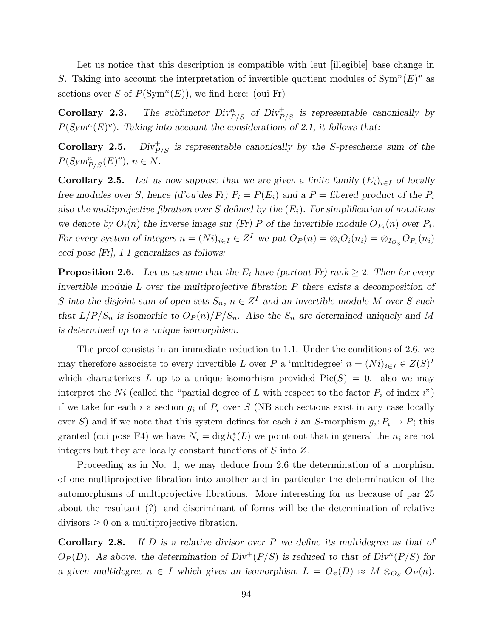Let us notice that this description is compatible with leut [illegible] base change in S. Taking into account the interpretation of invertible quotient modules of  $\text{Sym}^n(E)^v$  as sections over S of  $P(\text{Sym}^n(E))$ , we find here: (oui Fr)

**Corollary 2.3.** The subfunctor  $Div_{P/S}^n$  of  $Div_{P/S}^+$  is representable canonically by  $P(\text{Sym}^n(E)^v)$ . Taking into account the considerations of 2.1, it follows that:

Corollary 2.5.  $Div_{P/S}^+$  is representable canonically by the S-prescheme sum of the  $P(\text{Sym}_{P/S}^n(E)^v), n \in N.$ 

**Corollary 2.5.** Let us now suppose that we are given a finite family  $(E_i)_{i\in I}$  of locally free modules over S, hence (d'ou'des Fr)  $P_i = P(E_i)$  and a  $P =$  fibered product of the  $P_i$ also the multiprojective fibration over S defined by the  $(E_i)$ . For simplification of notations we denote by  $O_i(n)$  the inverse image sur (Fr) P of the invertible module  $O_{P_i}(n)$  over  $P_i$ . For every system of integers  $n = (Ni)_{i \in I} \in Z^I$  we put  $O_P(n) = \otimes_i O_i(n_i) = \otimes_{I_{O_S}} O_{P_i}(n_i)$ ceci pose [Fr], 1.1 generalizes as follows:

**Proposition 2.6.** Let us assume that the  $E_i$  have (partout Fr) rank  $\geq 2$ . Then for every invertible module  $L$  over the multiprojective fibration  $P$  there exists a decomposition of S into the disjoint sum of open sets  $S_n$ ,  $n \in \mathbb{Z}^I$  and an invertible module M over S such that  $L/P/S_n$  is isomorhic to  $O_P(n)/P/S_n$ . Also the  $S_n$  are determined uniquely and M is determined up to a unique isomorphism.

The proof consists in an immediate reduction to 1.1. Under the conditions of 2.6, we may therefore associate to every invertible L over P a 'multidegree'  $n = (Ni)_{i \in I} \in Z(S)^{I}$ which characterizes L up to a unique isomorhism provided  $Pic(S) = 0$ . also we may interpret the Ni (called the "partial degree of L with respect to the factor  $P_i$  of index i") if we take for each i a section  $g_i$  of  $P_i$  over S (NB such sections exist in any case locally over S) and if we note that this system defines for each i an S-morphism  $g_i: P_i \to P$ ; this granted (cui pose F4) we have  $N_i = \text{dig } h_i^*(L)$  we point out that in general the  $n_i$  are not integers but they are locally constant functions of S into Z.

Proceeding as in No. 1, we may deduce from 2.6 the determination of a morphism of one multiprojective fibration into another and in particular the determination of the automorphisms of multiprojective fibrations. More interesting for us because of par 25 about the resultant (?) and discriminant of forms will be the determination of relative divisors  $\geq 0$  on a multiprojective fibration.

**Corollary 2.8.** If  $D$  is a relative divisor over  $P$  we define its multidegree as that of  $O_P(D)$ . As above, the determination of  $Div^+(P/S)$  is reduced to that of  $Div^n(P/S)$  for a given multidegree  $n \in I$  which gives an isomorphism  $L = O_x(D) \approx M \otimes_{O_S} O_P(n)$ .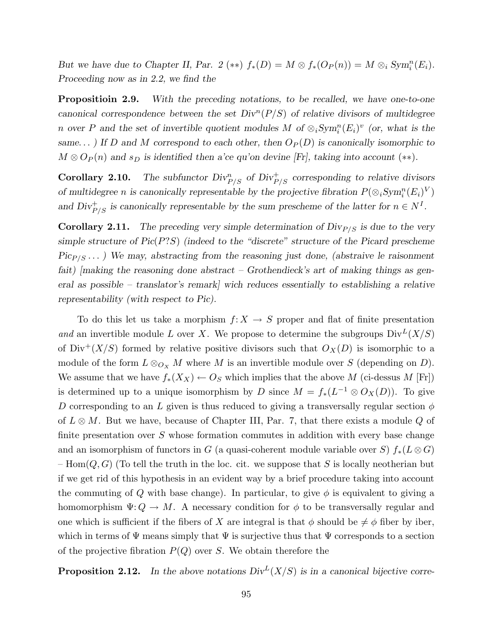But we have due to Chapter II, Par. 2 (\*\*)  $f_*(D) = M \otimes f_*(O_P(n)) = M \otimes_i Sym_i^n(E_i)$ . Proceeding now as in 2.2, we find the

**Propositioin 2.9.** With the preceding notations, to be recalled, we have one-to-one canonical correspondence between the set  $Div<sup>n</sup>(P/S)$  of relative divisors of multidegree n over P and the set of invertible quotient modules M of  $\otimes_i Sym_i^n(E_i)^v$  (or, what is the same...) If D and M correspond to each other, then  $O_P(D)$  is canonically isomorphic to  $M \otimes O_P(n)$  and  $s_D$  is identified then a'ce qu'on devine [Fr], taking into account (\*\*).

**Corollary 2.10.** The subfunctor  $Div_{P/S}^n$  of  $Div_{P/S}^+$  corresponding to relative divisors of multidegree *n* is canonically representable by the projective fibration  $P(\otimes_i Sym_i^n(E_i)^V)$ and  $Div_{P/S}^+$  is canonically representable by the sum prescheme of the latter for  $n \in N<sup>I</sup>$ .

**Corollary 2.11.** The preceding very simple determination of  $\text{Div}_{P/S}$  is due to the very simple structure of  $Pic(P?S)$  (indeed to the "discrete" structure of the Picard prescheme  $Pic_{P/S} \dots$ ) We may, abstracting from the reasoning just done, (abstraive le raisonment fait)  $[m\alpha]$  fmaking the reasoning done abstract – Grothendieck's art of making things as general as possible – translator's remark] wich reduces essentially to establishing a relative representability (with respect to Pic).

To do this let us take a morphism  $f: X \to S$  proper and flat of finite presentation and an invertible module L over X. We propose to determine the subgroups  $Div^L(X/S)$ of  $Div^+(X/S)$  formed by relative positive divisors such that  $O_X(D)$  is isomorphic to a module of the form  $L \otimes_{O_X} M$  where M is an invertible module over S (depending on D). We assume that we have  $f_*(X_X) \leftarrow O_S$  which implies that the above M (ci-dessus M [Fr]) is determined up to a unique isomorphism by D since  $M = f_*(L^{-1} \otimes O_X(D))$ . To give D corresponding to an L given is thus reduced to giving a transversally regular section  $\phi$ of  $L \otimes M$ . But we have, because of Chapter III, Par. 7, that there exists a module Q of finite presentation over  $S$  whose formation commutes in addition with every base change and an isomorphism of functors in G (a quasi-coherent module variable over S)  $f_*(L \otimes G)$ – Hom $(Q, G)$  (To tell the truth in the loc. cit. we suppose that S is locally neotherian but if we get rid of this hypothesis in an evident way by a brief procedure taking into account the commuting of Q with base change). In particular, to give  $\phi$  is equivalent to giving a homomorphism  $\Psi: Q \to M$ . A necessary condition for  $\phi$  to be transversally regular and one which is sufficient if the fibers of X are integral is that  $\phi$  should be  $\neq \phi$  fiber by iber, which in terms of  $\Psi$  means simply that  $\Psi$  is surjective thus that  $\Psi$  corresponds to a section of the projective fibration  $P(Q)$  over S. We obtain therefore the

**Proposition 2.12.** In the above notations  $Div^L(X/S)$  is in a canonical bijective corre-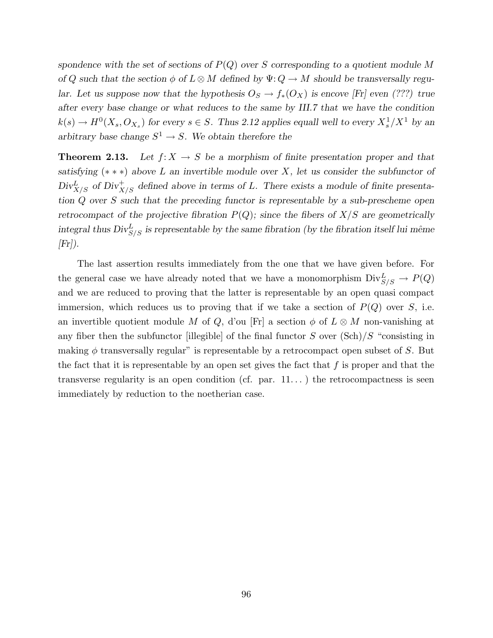spondence with the set of sections of  $P(Q)$  over S corresponding to a quotient module M of Q such that the section  $\phi$  of  $L \otimes M$  defined by  $\Psi: Q \to M$  should be transversally regular. Let us suppose now that the hypothesis  $O_s \to f_*(O_X)$  is encove [Fr] even (???) true after every base change or what reduces to the same by III.7 that we have the condition  $k(s) \to H^0(X_s, O_{X_s})$  for every  $s \in S$ . Thus 2.12 applies equall well to every  $X_s^1/X^1$  by an arbitrary base change  $S^1 \to S$ . We obtain therefore the

**Theorem 2.13.** Let  $f: X \to S$  be a morphism of finite presentation proper and that satisfying  $(* * *)$  above L an invertible module over X, let us consider the subfunctor of  $Div_{X/S}^L$  of  $Div_{X/S}^+$  defined above in terms of L. There exists a module of finite presentation Q over S such that the preceding functor is representable by a sub-prescheme open retrocompact of the projective fibration  $P(Q)$ ; since the fibers of  $X/S$  are geometrically integral thus  $Div_{S/S}^L$  is representable by the same fibration (by the fibration itself lui même  $[Fr]$ .

The last assertion results immediately from the one that we have given before. For the general case we have already noted that we have a monomorphism  $Div_{S/S}^L \to P(Q)$ and we are reduced to proving that the latter is representable by an open quasi compact immersion, which reduces us to proving that if we take a section of  $P(Q)$  over S, i.e. an invertible quotient module M of Q, d'ou [Fr] a section  $\phi$  of  $L \otimes M$  non-vanishing at any fiber then the subfunctor [illegible] of the final functor  $S$  over  $(\text{Sch})/S$  "consisting in making  $\phi$  transversally regular" is representable by a retrocompact open subset of S. But the fact that it is representable by an open set gives the fact that  $f$  is proper and that the transverse regularity is an open condition (cf. par.  $11...$ ) the retrocompactness is seen immediately by reduction to the noetherian case.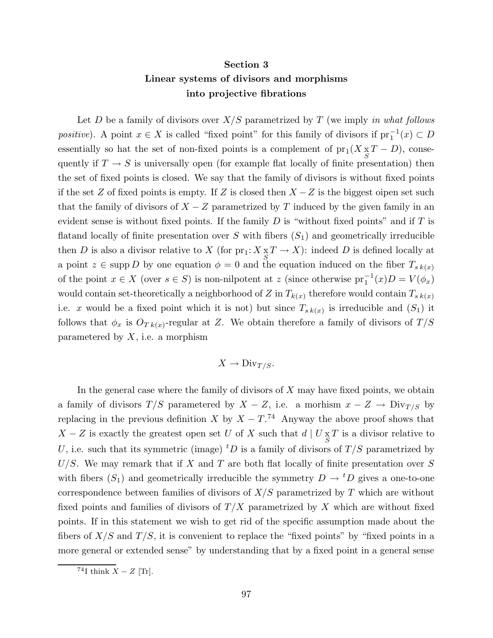## Section 3 Linear systems of divisors and morphisms into projective fibrations

Let D be a family of divisors over  $X/S$  parametrized by T (we imply in what follows positive). A point  $x \in X$  is called "fixed point" for this family of divisors if  $pr_1^{-1}(x) \subset D$ essentially so hat the set of non-fixed points is a complement of  $pr_1(X \underset{S}{\times} T - D)$ , consequently if  $T \to S$  is universally open (for example flat locally of finite presentation) then the set of fixed points is closed. We say that the family of divisors is without fixed points if the set Z of fixed points is empty. If Z is closed then  $X - Z$  is the biggest oipen set such that the family of divisors of  $X - Z$  parametrized by T induced by the given family in an evident sense is without fixed points. If the family  $D$  is "without fixed points" and if  $T$  is flatand locally of finite presentation over S with fibers  $(S_1)$  and geometrically irreducible then D is also a divisor relative to X (for  $\text{pr}_1: X_{\underset{S}{S}} T \to X$ ): indeed D is defined locally at a point  $z \in \text{supp } D$  by one equation  $\phi = 0$  and the equation induced on the fiber  $T_{s k(x)}$ of the point  $x \in X$  (over  $s \in S$ ) is non-nilpotent at z (since otherwise  $pr_1^{-1}(x)D = V(\phi_x)$ would contain set-theoretically a neighborhood of Z in  $T_{k(x)}$  therefore would contain  $T_{s k(x)}$ i.e. x would be a fixed point which it is not) but since  $T_{s k(x)}$  is irreducible and  $(S_1)$  it follows that  $\phi_x$  is  $O_{T k(x)}$ -regular at Z. We obtain therefore a family of divisors of  $T/S$ parametered by  $X$ , i.e. a morphism

$$
X \to \text{Div}_{T/S}.
$$

In the general case where the family of divisors of  $X$  may have fixed points, we obtain a family of divisors  $T/S$  parametered by  $X - Z$ , i.e. a morhism  $x - Z \rightarrow Div_{T/S}$  by replacing in the previous definition X by  $X - T$ .<sup>74</sup> Anyway the above proof shows that  $X - Z$  is exactly the greatest open set U of X such that  $d | U \underset{S}{\times} T$  is a divisor relative to U, i.e. such that its symmetric (image) <sup>t</sup>D is a family of divisors of  $T/S$  parametrized by  $U/S$ . We may remark that if X and T are both flat locally of finite presentation over S with fibers  $(S_1)$  and geometrically irreducible the symmetry  $D \to {}^t D$  gives a one-to-one correspondence between families of divisors of  $X/S$  parametrized by T which are without fixed points and families of divisors of  $T/X$  parametrized by X which are without fixed points. If in this statement we wish to get rid of the specific assumption made about the fibers of  $X/S$  and  $T/S$ , it is convenient to replace the "fixed points" by "fixed points in a more general or extended sense" by understanding that by a fixed point in a general sense

 $74$ I think  $X - Z$  [Tr].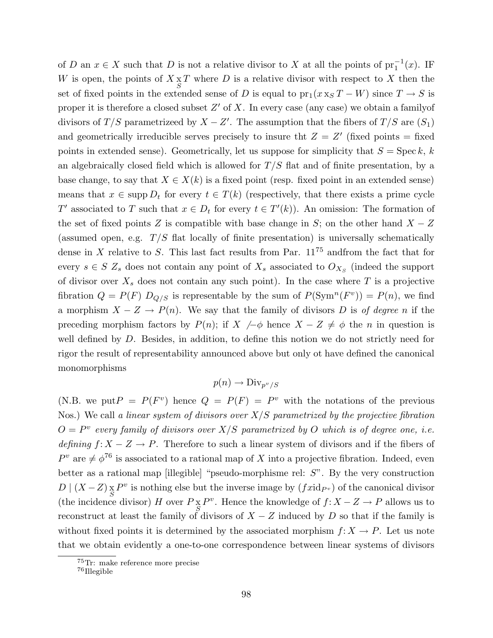of D an  $x \in X$  such that D is not a relative divisor to X at all the points of  $\text{pr}_1^{-1}(x)$ . IF W is open, the points of  $X \underset{S}{\times} T$  where D is a relative divisor with respect to X then the set of fixed points in the extended sense of D is equal to  $pr_1(x x_S T - W)$  since  $T \to S$  is proper it is therefore a closed subset  $Z'$  of X. In every case (any case) we obtain a family of divisors of  $T/S$  parametrizeed by  $X - Z'$ . The assumption that the fibers of  $T/S$  are  $(S_1)$ and geometrically irreducible serves precisely to insure tht  $Z = Z'$  (fixed points = fixed points in extended sense). Geometrically, let us suppose for simplicity that  $S = \text{Spec } k, k$ an algebraically closed field which is allowed for  $T/S$  flat and of finite presentation, by a base change, to say that  $X \in X(k)$  is a fixed point (resp. fixed point in an extended sense) means that  $x \in \text{supp } D_t$  for every  $t \in T(k)$  (respectively, that there exists a prime cycle T' associated to T such that  $x \in D_t$  for every  $t \in T'(k)$ ). An omission: The formation of the set of fixed points Z is compatible with base change in S; on the other hand  $X - Z$ (assumed open, e.g.  $T/S$  flat locally of finite presentation) is universally schematically dense in  $X$  relative to  $S$ . This last fact results from Par.  $11^{75}$  and from the fact that for every  $s \in S$   $Z_s$  does not contain any point of  $X_s$  associated to  $O_{X_s}$  (indeed the support of divisor over  $X_s$  does not contain any such point). In the case where T is a projective fibration  $Q = P(F) D_{Q/S}$  is representable by the sum of  $P(\text{Sym}^n(F^v)) = P(n)$ , we find a morphism  $X - Z \to P(n)$ . We say that the family of divisors D is of degree n if the preceding morphism factors by  $P(n)$ ; if  $X \neq \phi$  hence  $X - Z \neq \phi$  the n in question is well defined by  $D$ . Besides, in addition, to define this notion we do not strictly need for rigor the result of representability announced above but only ot have defined the canonical monomorphisms

## $p(n) \rightarrow Div_{p^v/S}$

(N.B. we put  $P = P(F^v)$  hence  $Q = P(F) = P^v$  with the notations of the previous Nos.) We call a linear system of divisors over  $X/S$  parametrized by the projective fibration  $O = P^v$  every family of divisors over  $X/S$  parametrized by O which is of degree one, i.e. defining  $f: X - Z \to P$ . Therefore to such a linear system of divisors and if the fibers of  $P^v$  are  $\neq \phi^{76}$  is associated to a rational map of X into a projective fibration. Indeed, even better as a rational map [illegible] "pseudo-morphisme rel: S". By the very construction  $D \mid (X - Z) \times P^v$  is nothing else but the inverse image by  $(f \, id_{P^v})$  of the canonical divisor (the incidence divisor) H over  $P_X P^v$ . Hence the knowledge of  $f: X - Z \to P$  allows us to reconstruct at least the family of divisors of  $X - Z$  induced by D so that if the family is without fixed points it is determined by the associated morphism  $f: X \to P$ . Let us note that we obtain evidently a one-to-one correspondence between linear systems of divisors

<sup>75</sup>Tr: make reference more precise

<sup>76</sup>Illegible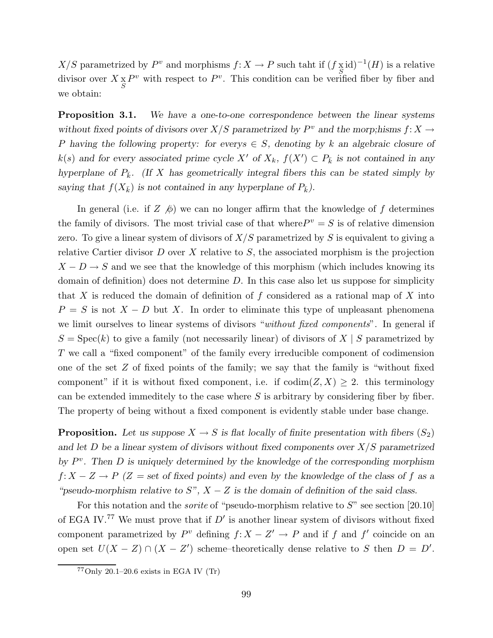$X/S$  parametrized by  $P^v$  and morphisms  $f: X \to P$  such taht if  $(f \underset{S}{\times} id)^{-1}(H)$  is a relative divisor over  $X \underset{S}{\times} P^v$  with respect to  $P^v$ . This condition can be verified fiber by fiber and we obtain:

**Proposition 3.1.** We have a one-to-one correspondence between the linear systems without fixed points of divisors over  $X/S$  parametrized by  $P^v$  and the morp;hisms  $f\colon X\to Y$ P having the following property: for every  $\in S$ , denoting by k an algebraic closure of  $k(s)$  and for every associated prime cycle X' of  $X_k$ ,  $f(X') \subset P_{\overline{k}}$  is not contained in any hyperplane of  $P_{\overline{k}}$ . (If X has geometrically integral fibers this can be stated simply by saying that  $f(X_{\bar{k}})$  is not contained in any hyperplane of  $P_{\bar{k}}$ ).

In general (i.e. if  $Z \not\!\phi$ ) we can no longer affirm that the knowledge of f determines the family of divisors. The most trivial case of that where  $P^v = S$  is of relative dimension zero. To give a linear system of divisors of  $X/S$  parametrized by S is equivalent to giving a relative Cartier divisor  $D$  over  $X$  relative to  $S$ , the associated morphism is the projection  $X - D \rightarrow S$  and we see that the knowledge of this morphism (which includes knowing its domain of definition) does not determine D. In this case also let us suppose for simplicity that X is reduced the domain of definition of f considered as a rational map of X into  $P = S$  is not  $X - D$  but X. In order to eliminate this type of unpleasant phenomena we limit ourselves to linear systems of divisors "without fixed components". In general if  $S = \text{Spec}(k)$  to give a family (not necessarily linear) of divisors of  $X \mid S$  parametrized by T we call a "fixed component" of the family every irreducible component of codimension one of the set  $Z$  of fixed points of the family; we say that the family is "without fixed component" if it is without fixed component, i.e. if  $\text{codim}(Z, X) \geq 2$ . this terminology can be extended immeditely to the case where  $S$  is arbitrary by considering fiber by fiber. The property of being without a fixed component is evidently stable under base change.

**Proposition.** Let us suppose  $X \to S$  is flat locally of finite presentation with fibers  $(S_2)$ and let  $D$  be a linear system of divisors without fixed components over  $X/S$  parametrized by  $P^v$ . Then D is uniquely determined by the knowledge of the corresponding morphism  $f: X - Z \to P$  (Z = set of fixed points) and even by the knowledge of the class of f as a "pseudo-morphism relative to  $S$ ",  $X - Z$  is the domain of definition of the said class.

For this notation and the *sorite* of "pseudo-morphism relative to  $S$ " see section [20.10] of EGA IV.<sup>77</sup> We must prove that if  $D'$  is another linear system of divisors without fixed component parametrized by  $P^v$  defining  $f: X - Z' \to P$  and if f and f' coincide on an open set  $U(X - Z) \cap (X - Z')$  scheme–theoretically dense relative to S then  $D = D'$ .

 $77$ Only 20.1–20.6 exists in EGA IV (Tr)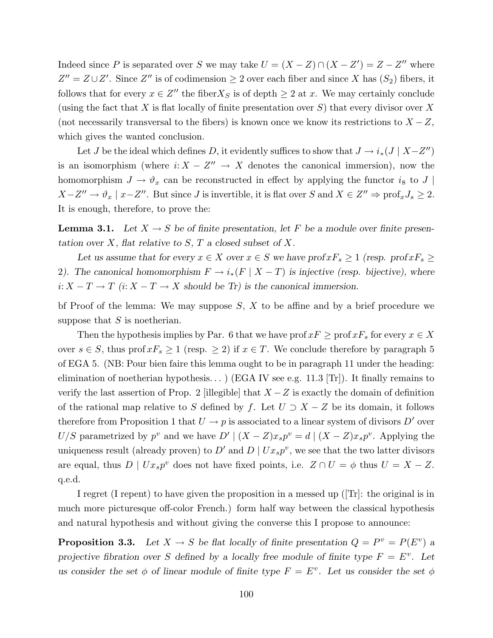Indeed since P is separated over S we may take  $U = (X - Z) \cap (X - Z') = Z - Z''$  where  $Z'' = Z \cup Z'$ . Since  $Z''$  is of codimension  $\geq 2$  over each fiber and since X has  $(S_2)$  fibers, it follows that for every  $x \in Z''$  the fiber  $X_S$  is of depth  $\geq 2$  at x. We may certainly conclude (using the fact that X is flat locally of finite presentation over  $S$ ) that every divisor over X (not necessarily transversal to the fibers) is known once we know its restrictions to  $X - Z$ , which gives the wanted conclusion.

Let *J* be the ideal which defines D, it evidently suffices to show that  $J \rightarrow i_*(J \mid X-Z'')$ is an isomorphism (where  $i: X - Z'' \to X$  denotes the canonical immersion), now the homomorphism  $J \to \vartheta_x$  can be reconstructed in effect by applying the functor  $i_8$  to J  $X - Z'' \to \vartheta_x \mid x - Z''$ . But since J is invertible, it is flat over S and  $X \in Z'' \Rightarrow \text{prof}_x J_s \ge 2$ . It is enough, therefore, to prove the:

**Lemma 3.1.** Let  $X \to S$  be of finite presentation, let F be a module over finite presentation over  $X$ , flat relative to  $S$ ,  $T$  a closed subset of  $X$ .

Let us assume that for every  $x \in X$  over  $x \in S$  we have  $\text{prof}_s \geq 1$  (resp.  $\text{prof}_s \geq 1$ ) 2). The canonical homomorphism  $F \to i_*(F \mid X - T)$  is injective (resp. bijective), where  $i: X - T \to T$  (i:  $X - T \to X$  should be Tr) is the canonical immersion.

bf Proof of the lemma: We may suppose  $S, X$  to be affine and by a brief procedure we suppose that  $S$  is noetherian.

Then the hypothesis implies by Par. 6 that we have prof  $xF \geq \text{prof }xF_s$  for every  $x \in X$ over  $s \in S$ , thus prof  $xF_s \ge 1$  (resp.  $\ge 2$ ) if  $x \in T$ . We conclude therefore by paragraph 5 of EGA 5. (NB: Pour bien faire this lemma ought to be in paragraph 11 under the heading: elimination of noetherian hypothesis...) (EGA IV see e.g. 11.3 [Tr]). It finally remains to verify the last assertion of Prop. 2 [illegible] that  $X - Z$  is exactly the domain of definition of the rational map relative to S defined by f. Let  $U \supset X - Z$  be its domain, it follows therefore from Proposition 1 that  $U \to p$  is associated to a linear system of divisors D' over  $U/S$  parametrized by  $p^v$  and we have  $D' | (X - Z)x_s p^v = d | (X - Z)x_s p^v$ . Applying the uniqueness result (already proven) to  $D'$  and  $D \mid Ux_sp^v$ , we see that the two latter divisors are equal, thus  $D \mid Ux_s p^v$  does not have fixed points, i.e.  $Z \cap U = \phi$  thus  $U = X - Z$ . q.e.d.

I regret (I repent) to have given the proposition in a messed up ( $\text{Tr}$ : the original is in much more picturesque off-color French.) form half way between the classical hypothesis and natural hypothesis and without giving the converse this I propose to announce:

**Proposition 3.3.** Let  $X \to S$  be flat locally of finite presentation  $Q = P^v = P(E^v)$  a projective fibration over S defined by a locally free module of finite type  $F = E^v$ . Let us consider the set  $\phi$  of linear module of finite type  $F = E^v$ . Let us consider the set  $\phi$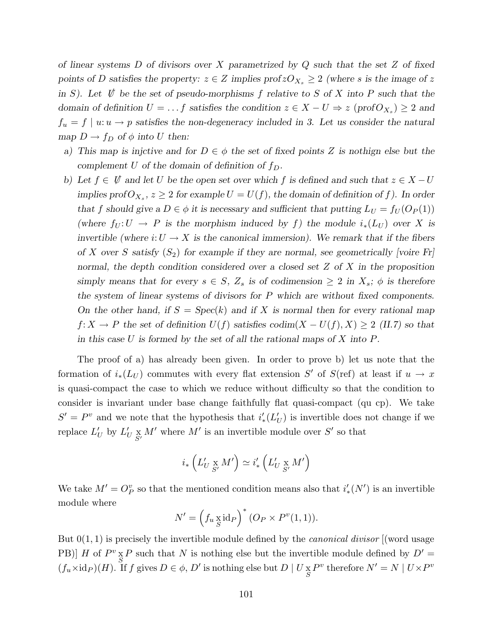of linear systems  $D$  of divisors over  $X$  parametrized by  $Q$  such that the set  $Z$  of fixed points of D satisfies the property:  $z \in Z$  implies  $\text{profzO}_{X_s} \geq 2$  (where s is the image of z in S). Let  $\psi$  be the set of pseudo-morphisms f relative to S of X into P such that the domain of definition  $U = \ldots f$  satisfies the condition  $z \in X - U \Rightarrow z \pmod{T_{X_s}} \geq 2$  and  $f_u = f | u: u \to p$  satisfies the non-degeneracy included in 3. Let us consider the natural map  $D \to f_D$  of  $\phi$  into U then:

- a) This map is injctive and for  $D \in \phi$  the set of fixed points Z is nothign else but the complement U of the domain of definition of  $f_D$ .
- b) Let  $f \in V$  and let U be the open set over which f is defined and such that  $z \in X-U$ implies prof $O_{X_s}$ ,  $z \geq 2$  for example  $U = U(f)$ , the domain of definition of f). In order that f should give a  $D \in \phi$  it is necessary and sufficient that putting  $L_U = f_U(O_P(1))$ (where  $f_U: U \to P$  is the morphism induced by f) the module  $i_*(L_U)$  over X is invertible (where  $i: U \to X$  is the canonical immersion). We remark that if the fibers of X over S satisfy  $(S_2)$  for example if they are normal, see geometrically [voire Fr] normal, the depth condition considered over a closed set  $Z$  of  $X$  in the proposition simply means that for every  $s \in S$ ,  $Z_s$  is of codimension  $\geq 2$  in  $X_s$ ;  $\phi$  is therefore the system of linear systems of divisors for P which are without fixed components. On the other hand, if  $S = Spec(k)$  and if X is normal then for every rational map  $f: X \to P$  the set of definition  $U(f)$  satisfies  $\text{codim}(X - U(f), X) \geq 2$  (II.7) so that in this case U is formed by the set of all the rational maps of X into  $P$ .

The proof of a) has already been given. In order to prove b) let us note that the formation of  $i_*(L_U)$  commutes with every flat extension S' of  $S($ ref) at least if  $u \to x$ is quasi-compact the case to which we reduce without difficulty so that the condition to consider is invariant under base change faithfully flat quasi-compact (qu cp). We take  $S' = P^v$  and we note that the hypothesis that  $i'_{*}(L'_{U})$  is invertible does not change if we replace  $L'_U$  by  $L'_U \underset{S'}{\times} M'$  where  $M'$  is an invertible module over  $S'$  so that

$$
i_*\left(L'_U \underset{S'}{\ge} M'\right) \simeq i'_*\left(L'_U \underset{S'}{\times} M'\right)
$$

We take  $M' = O_P^v$  so that the mentioned condition means also that  $i'_{*}(N')$  is an invertible module where

$$
N' = \left(f_u \underset{S}{\times} \mathrm{id}_P\right)^* \left(O_P \times P^v(1,1)\right).
$$

But  $0(1, 1)$  is precisely the invertible module defined by the *canonical divisor* (word usage PB)] H of  $P^v \times P$  such that N is nothing else but the invertible module defined by  $D' =$  $(f_u \times id_P)(H)$ . If f gives  $D \in \phi$ ,  $D'$  is nothing else but  $D \mid U \underset{S}{\times} P^v$  therefore  $N' = N \mid U \times P^v$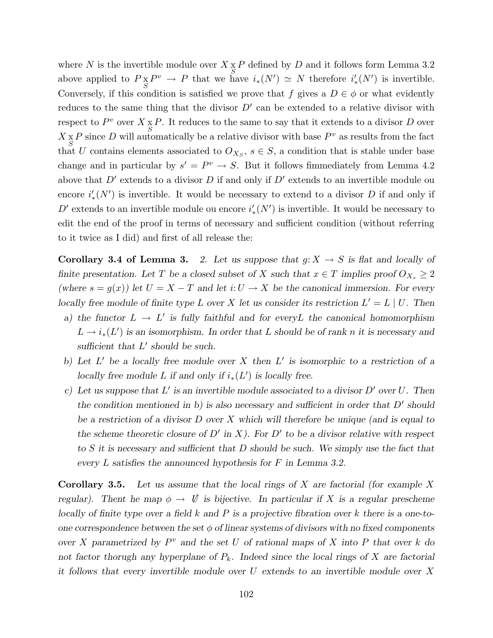where N is the invertible module over  $X \times P$  defined by D and it follows form Lemma 3.2 above applied to  $P_{S}^{X}P^{v} \to P$  that we have  $i_{*}(N') \simeq N$  therefore  $i'_{*}(N')$  is invertible. Conversely, if this condition is satisfied we prove that f gives a  $D \in \phi$  or what evidently reduces to the same thing that the divisor  $D'$  can be extended to a relative divisor with respect to  $P^v$  over  $X \underset{S}{\times} P$ . It reduces to the same to say that it extends to a divisor D over  $X_{S} X_{S} P$  since D will automatically be a relative divisor with base  $P^{v}$  as results from the fact that U contains elements associated to  $O_{X_S}$ ,  $s \in S$ , a condition that is stable under base change and in particular by  $s' = P^v \rightarrow S$ . But it follows fimmediately from Lemma 4.2 above that  $D'$  extends to a divisor  $D$  if and only if  $D'$  extends to an invertible module ou encore  $i'_{*}(N')$  is invertible. It would be necessary to extend to a divisor D if and only if D' extends to an invertible module ou encore  $i'_{*}(N')$  is invertible. It would be necessary to edit the end of the proof in terms of necessary and sufficient condition (without referring to it twice as I did) and first of all release the:

**Corollary 3.4 of Lemma 3.** 2. Let us suppose that  $g: X \to S$  is flat and locally of finite presentation. Let T be a closed subset of X such that  $x \in T$  implies proof  $O_{X_s} \geq 2$ (where  $s = g(x)$ ) let  $U = X - T$  and let  $i: U \to X$  be the canonical immersion. For every locally free module of finite type L over X let us consider its restriction  $L' = L \mid U$ . Then

- a) the functor  $L \to L'$  is fully faithful and for every L the canonical homomorphism  $L \to i_*(L')$  is an isomorphism. In order that L should be of rank n it is necessary and sufficient that  $L'$  should be such.
- b) Let  $L'$  be a locally free module over X then  $L'$  is isomorphic to a restriction of a locally free module L if and only if  $i_*(L')$  is locally free.
- c) Let us suppose that L' is an invertible module associated to a divisor  $D'$  over U. Then the condition mentioned in b) is also necessary and sufficient in order that  $D'$  should be a restriction of a divisor  $D$  over  $X$  which will therefore be unique (and is equal to the scheme theoretic closure of D' in X). For D' to be a divisor relative with respect to S it is necessary and sufficient that D should be such. We simply use the fact that every L satisfies the announced hypothesis for F in Lemma 3.2.

**Corollary 3.5.** Let us assume that the local rings of X are factorial (for example X regular). Thent he map  $\phi \to \psi$  is bijective. In particular if X is a regular prescheme locally of finite type over a field  $k$  and  $P$  is a projective fibration over  $k$  there is a one-toone correspondence between the set  $\phi$  of linear systems of divisors with no fixed components over X parametrized by  $P^v$  and the set U of rational maps of X into P that over k do not factor thorugh any hyperplane of  $P_k$ . Indeed since the local rings of X are factorial it follows that every invertible module over  $U$  extends to an invertible module over  $X$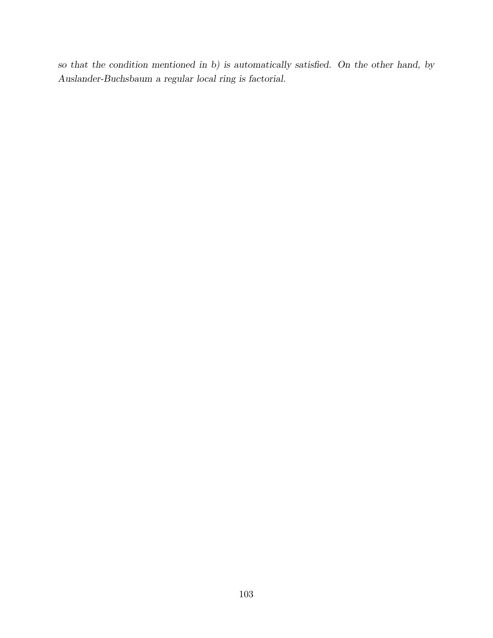so that the condition mentioned in b) is automatically satisfied. On the other hand, by Auslander-Buchsbaum a regular local ring is factorial.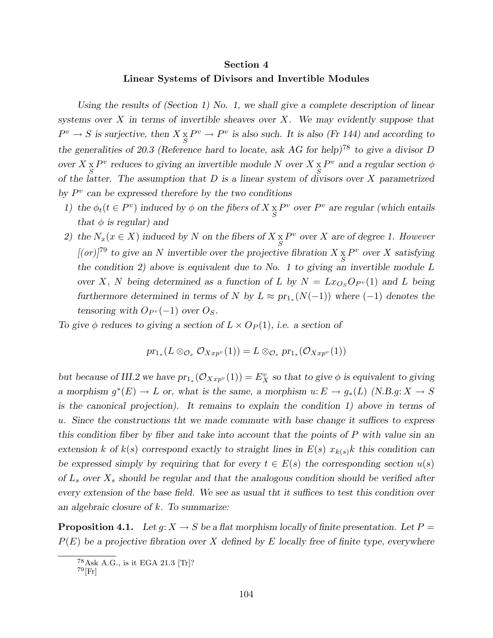#### Section 4

#### Linear Systems of Divisors and Invertible Modules

Using the results of (Section 1) No. 1, we shall give a complete description of linear systems over  $X$  in terms of invertible sheaves over  $X$ . We may evidently suppose that  $P^v \to S$  is surjective, then  $X \underset{S}{\times} P^v \to P^v$  is also such. It is also (Fr 144) and according to the generalities of 20.3 (Reference hard to locate, ask AG for help)<sup>78</sup> to give a divisor D over  $X \underset{S}{\times} P^v$  reduces to giving an invertible module N over  $X \underset{S}{\times} P^v$  and a regular section  $\phi$ of the latter. The assumption that  $D$  is a linear system of divisors over  $X$  parametrized by  $P^v$  can be expressed therefore by the two conditions

- 1) the  $\phi_t(t \in P^v)$  induced by  $\phi$  on the fibers of  $X \underset{S}{\times} P^v$  over  $P^v$  are regular (which entails that  $\phi$  is regular) and
- 2) the  $N_x(x \in X)$  induced by N on the fibers of  $X \underset{S}{\times} P^v$  over X are of degree 1. However  $[(or)]^{79}$  to give an N invertible over the projective fibration  $X \underset{S}{\times} P^v$  over X satisfying the condition 2) above is equivalent due to No. 1 to giving an invertible module  $L$ over X, N being determined as a function of L by  $N = Lx_{O<sub>S</sub>} O_{P<sup>v</sup>} (1)$  and L being furthermore determined in terms of N by  $L \approx pr_{1*}(N(-1))$  where  $(-1)$  denotes the tensoring with  $O_{P<sup>v</sup>}(-1)$  over  $O_S$ .

To give  $\phi$  reduces to giving a section of  $L \times O_P(1)$ , i.e. a section of

$$
pr_{1*}(L\otimes_{\mathcal{O}_x}\mathcal{O}_{Xxp^v}(1))=L\otimes_{\mathcal{O}_s}pr_{1*}(\mathcal{O}_{Xxp^v}(1))
$$

but because of III.2 we have  $pr_{1*}(\mathcal{O}_{Xxp^v}(1)) = E_X^v$  so that to give  $\phi$  is equivalent to giving a morphism  $g^*(E) \to L$  or, what is the same, a morphism  $u: E \to g_*(L)$  (N.B.g:  $X \to S$ is the canonical projection). It remains to explain the condition 1) above in terms of u. Since the constructions tht we made commute with base change it suffices to express this condition fiber by fiber and take into account that the points of P with value sin an extension k of  $k(s)$  correspond exactly to straight lines in  $E(s)$   $x_{k(s)}k$  this condition can be expressed simply by requiring that for every  $t \in E(s)$  the corresponding section  $u(s)$ of  $L_s$  over  $X_s$  should be regular and that the analogous condition should be verified after every extension of the base field. We see as usual tht it suffices to test this condition over an algebraic closure of k. To summarize:

**Proposition 4.1.** Let  $g: X \to S$  be a flat morphism locally of finite presentation. Let  $P =$  $P(E)$  be a projective fibration over X defined by E locally free of finite type, everywhere

<sup>78</sup>Ask A.G., is it EGA 21.3 [Tr]?

 $^{79}$ [Fr]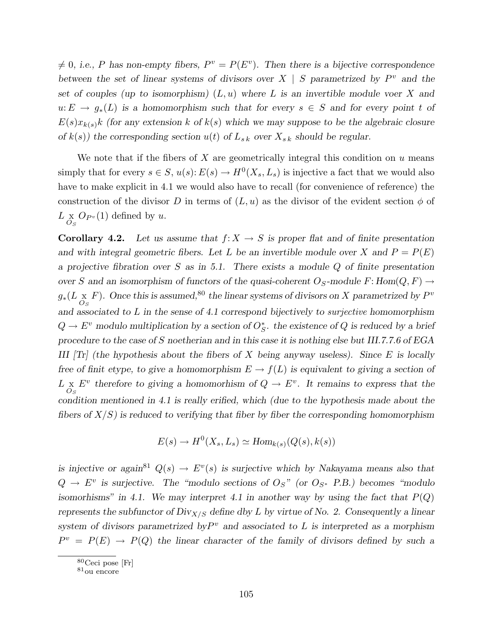$\neq$  0, i.e., P has non-empty fibers,  $P^v = P(E^v)$ . Then there is a bijective correspondence between the set of linear systems of divisors over  $X \mid S$  parametrized by  $P^v$  and the set of couples (up to isomorphism)  $(L, u)$  where L is an invertible module voer X and  $u: E \to g_*(L)$  is a homomorphism such that for every  $s \in S$  and for every point t of  $E(s)x_{k(s)}$ k (for any extension k of  $k(s)$  which we may suppose to be the algebraic closure of  $k(s)$ ) the corresponding section  $u(t)$  of  $L_{sk}$  over  $X_{sk}$  should be regular.

We note that if the fibers of X are geometrically integral this condition on  $u$  means simply that for every  $s \in S$ ,  $u(s)$ :  $E(s) \to H^0(X_s, L_s)$  is injective a fact that we would also have to make explicit in 4.1 we would also have to recall (for convenience of reference) the construction of the divisor D in terms of  $(L, u)$  as the divisor of the evident section  $\phi$  of  $L\underset{O_S}{\times} O_{P^v}(1)$  defined by u.

**Corollary 4.2.** Let us assume that  $f: X \to S$  is proper flat and of finite presentation and with integral geometric fibers. Let L be an invertible module over X and  $P = P(E)$ a projective fibration over  $S$  as in 5.1. There exists a module  $Q$  of finite presentation over S and an isomorphism of functors of the quasi-coherent  $O_s$ -module F: Hom $(Q, F) \rightarrow$  $g_*(L\underset{O_S}{\times}F)$ . Once this is assumed,<sup>80</sup> the linear systems of divisors on X parametrized by  $P^v$ and associated to  $L$  in the sense of 4.1 correspond bijectively to surjective homomorphism  $Q \to E^v$  modulo multiplication by a section of  $O_S^*$ . the existence of Q is reduced by a brief procedure to the case of S noetherian and in this case it is nothing else but III.7.7.6 of EGA III  $\text{Tr}$  (the hypothesis about the fibers of X being anyway useless). Since E is locally free of finit etype, to give a homomorphism  $E \to f(L)$  is equivalent to giving a section of  $L_{\alpha_S} E^v$  therefore to giving a homomorhism of  $Q \to E^v$ . It remains to express that the condition mentioned in 4.1 is really erified, which (due to the hypothesis made about the fibers of  $X/S$ ) is reduced to verifying that fiber by fiber the corresponding homomorphism

$$
E(s) \to H^0(X_s, L_s) \simeq Hom_{k(s)}(Q(s), k(s))
$$

is injective or again<sup>81</sup>  $Q(s) \rightarrow E^v(s)$  is surjective which by Nakayama means also that  $Q \rightarrow E^v$  is surjective. The "modulo sections of  $O_S$ " (or  $O_{S^*}$  P.B.) becomes "modulo isomorhisms" in 4.1. We may interpret 4.1 in another way by using the fact that  $P(Q)$ represents the subfunctor of  $Div_{X/S}$  define dby L by virtue of No. 2. Consequently a linear system of divisors parametrized by  $P^v$  and associated to L is interpreted as a morphism  $P^v = P(E) \rightarrow P(Q)$  the linear character of the family of divisors defined by such a

<sup>80</sup>Ceci pose [Fr]

 $^{81}{\rm ou}$ encore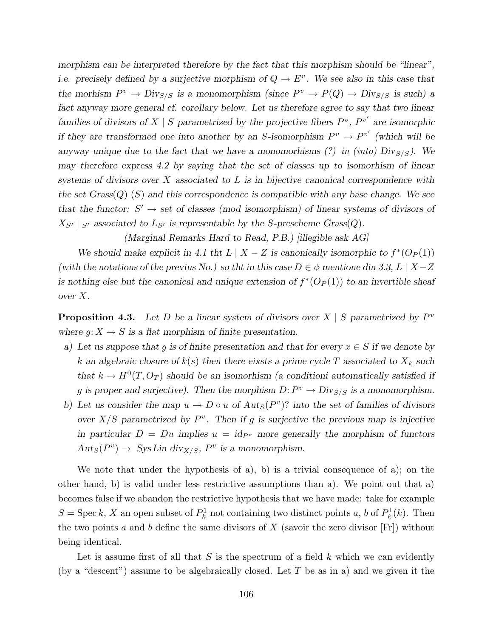morphism can be interpreted therefore by the fact that this morphism should be "linear", i.e. precisely defined by a surjective morphism of  $Q \to E^v$ . We see also in this case that the morhism  $P^v \to Div_{S/S}$  is a monomorphism (since  $P^v \to P(Q) \to Div_{S/S}$  is such) a fact anyway more general cf. corollary below. Let us therefore agree to say that two linear families of divisors of  $X \mid S$  parametrized by the projective fibers  $P^v$ ,  $P^{v'}$  are isomorphic if they are transformed one into another by an S-isomorphism  $P^v \to P^{v'}$  (which will be anyway unique due to the fact that we have a monomorhisms (?) in (into)  $Div_{S/S}$ ). We may therefore express 4.2 by saying that the set of classes up to isomorhism of linear systems of divisors over X associated to  $L$  is in bijective canonical correspondence with the set  $Grass(Q)$  (S) and this correspondence is compatible with any base change. We see that the functor:  $S' \to \text{set}$  of classes (mod isomorphism) of linear systems of divisors of  $X_{S'} |_{S'}$  associated to  $L_{S'}$  is representable by the S-prescheme Grass(Q).

(Marginal Remarks Hard to Read, P.B.) [illegible ask AG]

We should make explicit in 4.1 tht  $L \mid X - Z$  is canonically isomorphic to  $f^*(O_P(1))$ (with the notations of the previus No.) so tht in this case  $D \in \phi$  mentione din 3.3, L | X-Z is nothing else but the canonical and unique extension of  $f^*(O_P(1))$  to an invertible sheaf over X.

**Proposition 4.3.** Let D be a linear system of divisors over  $X \mid S$  parametrized by  $P^v$ where  $g: X \to S$  is a flat morphism of finite presentation.

- a) Let us suppose that g is of finite presentation and that for every  $x \in S$  if we denote by k an algebraic closure of  $k(s)$  then there eixsts a prime cycle T associated to  $X_k$  such that  $k \to H^0(T, O_T)$  should be an isomorhism (a conditioni automatically satisfied if g is proper and surjective). Then the morphism  $D: P^v \to Div_{S/S}$  is a monomorphism.
- b) Let us consider the map  $u \to D \circ u$  of  $Aut_S(P^v)$ ? into the set of families of divisors over  $X/S$  parametrized by  $P^v$ . Then if g is surjective the previous map is injective in particular  $D = Du$  implies  $u = id_{P<sup>v</sup>}$  more generally the morphism of functors  $Aut_S(P^v) \to Sys Lin \, \text{div}_{X/S}, P^v \text{ is a monomorphism.}$

We note that under the hypothesis of a), b) is a trivial consequence of a); on the other hand, b) is valid under less restrictive assumptions than a). We point out that a) becomes false if we abandon the restrictive hypothesis that we have made: take for example  $S = \operatorname{Spec} k$ , X an open subset of  $P_k^1$  not containing two distinct points a, b of  $P_k^1(k)$ . Then the two points a and b define the same divisors of X (savoir the zero divisor  $[Fr]$ ) without being identical.

Let is assume first of all that  $S$  is the spectrum of a field  $k$  which we can evidently (by a "descent") assume to be algebraically closed. Let  $T$  be as in a) and we given it the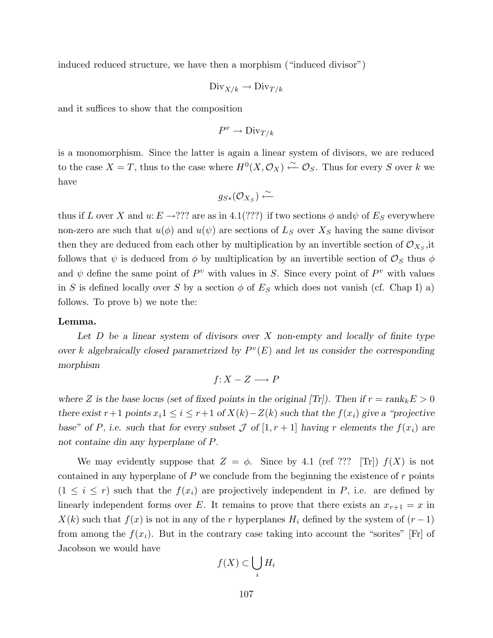induced reduced structure, we have then a morphism ("induced divisor")

$$
\text{Div}_{X/k} \to \text{Div}_{T/k}
$$

and it suffices to show that the composition

$$
P^v\to \text{Div}_{T/k}
$$

is a monomorphism. Since the latter is again a linear system of divisors, we are reduced to the case  $X = T$ , thus to the case where  $H^0(X, \mathcal{O}_X) \stackrel{\sim}{\leftarrow} \mathcal{O}_S$ . Thus for every S over k we have

$$
g_{S*}(\mathcal{O}_{X_S}) \xleftarrow{\sim}
$$

thus if L over X and  $u: E \to ???$  are as in 4.1(???) if two sections  $\phi$  and  $\psi$  of  $E_S$  everywhere non-zero are such that  $u(\phi)$  and  $u(\psi)$  are sections of  $L<sub>S</sub>$  over  $X<sub>S</sub>$  having the same divisor then they are deduced from each other by multiplication by an invertible section of  $\mathcal{O}_{X_S}$ , it follows that  $\psi$  is deduced from  $\phi$  by multiplication by an invertible section of  $\mathcal{O}_S$  thus  $\phi$ and  $\psi$  define the same point of  $P^v$  with values in S. Since every point of  $P^v$  with values in S is defined locally over S by a section  $\phi$  of  $E_S$  which does not vanish (cf. Chap I) a) follows. To prove b) we note the:

#### Lemma.

Let  $D$  be a linear system of divisors over  $X$  non-empty and locally of finite type over k algebraically closed parametrized by  $P^v(E)$  and let us consider the corresponding morphism

$$
f\colon X-Z\longrightarrow P
$$

where Z is the base locus (set of fixed points in the original [Tr]). Then if  $r = \text{rank}_k E > 0$ there exist r+1 points  $x_i$ 1 ≤ i ≤ r+1 of  $X(k) - Z(k)$  such that the  $f(x_i)$  give a "projective base" of P, i.e. such that for every subset  $\mathcal J$  of  $[1, r+1]$  having r elements the  $f(x_i)$  are not containe din any hyperplane of P.

We may evidently suppose that  $Z = \phi$ . Since by 4.1 (ref ??? [Tr])  $f(X)$  is not contained in any hyperplane of  $P$  we conclude from the beginning the existence of  $r$  points  $(1 \leq i \leq r)$  such that the  $f(x_i)$  are projectively independent in P, i.e. are defined by linearly independent forms over E. It remains to prove that there exists an  $x_{r+1} = x$  in  $X(k)$  such that  $f(x)$  is not in any of the r hyperplanes  $H_i$  defined by the system of  $(r-1)$ from among the  $f(x_i)$ . But in the contrary case taking into account the "sorites" [Fr] of Jacobson we would have

$$
f(X) \subset \bigcup_i H_i
$$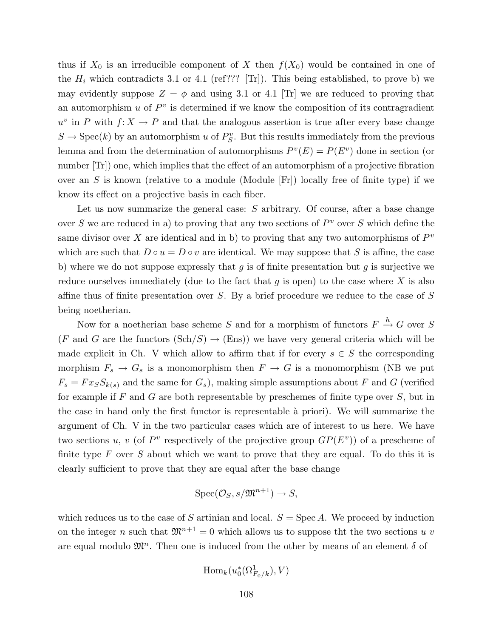thus if  $X_0$  is an irreducible component of X then  $f(X_0)$  would be contained in one of the  $H_i$  which contradicts 3.1 or 4.1 (ref??? [Tr]). This being established, to prove b) we may evidently suppose  $Z = \phi$  and using 3.1 or 4.1 [Tr] we are reduced to proving that an automorphism  $u$  of  $P^v$  is determined if we know the composition of its contragradient  $u^v$  in P with  $f: X \to P$  and that the analogous assertion is true after every base change  $S \to \text{Spec}(k)$  by an automorphism u of  $P_S^v$ . But this results immediately from the previous lemma and from the determination of automorphisms  $P^v(E) = P(E^v)$  done in section (or number  $Tr$ ) one, which implies that the effect of an automorphism of a projective fibration over an S is known (relative to a module (Module  $|F_r|$ ) locally free of finite type) if we know its effect on a projective basis in each fiber.

Let us now summarize the general case: S arbitrary. Of course, after a base change over S we are reduced in a) to proving that any two sections of  $P^v$  over S which define the same divisor over X are identical and in b) to proving that any two automorphisms of  $P^v$ which are such that  $D \circ u = D \circ v$  are identical. We may suppose that S is affine, the case b) where we do not suppose expressly that  $g$  is of finite presentation but  $g$  is surjective we reduce ourselves immediately (due to the fact that  $g$  is open) to the case where  $X$  is also affine thus of finite presentation over S. By a brief procedure we reduce to the case of S being noetherian.

Now for a noetherian base scheme S and for a morphism of functors  $F \stackrel{h}{\rightarrow} G$  over S (F and G are the functors  $(\text{Sch}/S) \rightarrow (\text{Ens})$ ) we have very general criteria which will be made explicit in Ch. V which allow to affirm that if for every  $s \in S$  the corresponding morphism  $F_s \to G_s$  is a monomorphism then  $F \to G$  is a monomorphism (NB we put  $F_s = Fx_SS_{k(s)}$  and the same for  $G_s$ , making simple assumptions about F and G (verified for example if F and G are both representable by preschemes of finite type over  $S$ , but in the case in hand only the first functor is representable a` priori). We will summarize the argument of Ch. V in the two particular cases which are of interest to us here. We have two sections u, v (of  $P^v$  respectively of the projective group  $GP(E^v)$ ) of a prescheme of finite type  $F$  over  $S$  about which we want to prove that they are equal. To do this it is clearly sufficient to prove that they are equal after the base change

$$
\mathrm{Spec}(\mathcal{O}_S, s/\mathfrak{M}^{n+1}) \to S,
$$

which reduces us to the case of S artinian and local.  $S = \text{Spec } A$ . We proceed by induction on the integer n such that  $\mathfrak{M}^{n+1} = 0$  which allows us to suppose the two sections u v are equal modulo  $\mathfrak{M}^n$ . Then one is induced from the other by means of an element  $\delta$  of

$$
\operatorname{Hom}_k(u_0^*(\Omega^1_{F_0/k}), V)
$$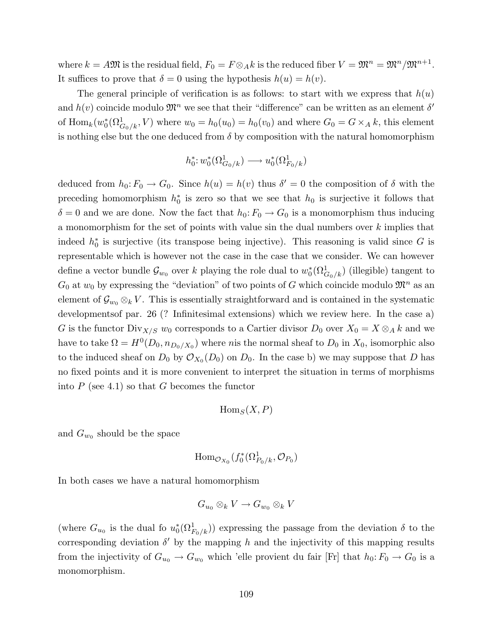where  $k = A \mathfrak{M}$  is the residual field,  $F_0 = F \otimes_A k$  is the reduced fiber  $V = \mathfrak{M}^n = \mathfrak{M}^n / \mathfrak{M}^{n+1}$ . It suffices to prove that  $\delta = 0$  using the hypothesis  $h(u) = h(v)$ .

The general principle of verification is as follows: to start with we express that  $h(u)$ and  $h(v)$  coincide modulo  $\mathfrak{M}^n$  we see that their "difference" can be written as an element  $\delta'$ of  $\text{Hom}_k(w_0^*(\Omega^1_{G_0/k}, V)$  where  $w_0 = h_0(w_0) = h_0(v_0)$  and where  $G_0 = G \times_A k$ , this element is nothing else but the one deduced from  $\delta$  by composition with the natural homomorphism

$$
h_0^* \colon w_0^*(\Omega^1_{G_0/k}) \longrightarrow u_0^*(\Omega^1_{F_0/k})
$$

deduced from  $h_0: F_0 \to G_0$ . Since  $h(u) = h(v)$  thus  $\delta' = 0$  the composition of  $\delta$  with the preceding homomorphism  $h_0^*$  is zero so that we see that  $h_0$  is surjective it follows that  $\delta = 0$  and we are done. Now the fact that  $h_0: F_0 \to G_0$  is a monomorphism thus inducing a monomorphism for the set of points with value sin the dual numbers over k implies that indeed  $h_0^*$  is surjective (its transpose being injective). This reasoning is valid since G is representable which is however not the case in the case that we consider. We can however define a vector bundle  $\mathcal{G}_{w_0}$  over k playing the role dual to  $w_0^*(\Omega_{G_0/k}^1)$  (illegible) tangent to  $G_0$  at  $w_0$  by expressing the "deviation" of two points of G which coincide modulo  $\mathfrak{M}^n$  as an element of  $\mathcal{G}_{w_0} \otimes_k V$ . This is essentially straightforward and is contained in the systematic developmentsof par. 26 (? Infinitesimal extensions) which we review here. In the case a) G is the functor  $\text{Div}_{X/S}$   $w_0$  corresponds to a Cartier divisor  $D_0$  over  $X_0 = X \otimes_A k$  and we have to take  $\Omega = H^0(D_0, n_{D_0/X_0})$  where nis the normal sheaf to  $D_0$  in  $X_0$ , isomorphic also to the induced sheaf on  $D_0$  by  $\mathcal{O}_{X_0}(D_0)$  on  $D_0$ . In the case b) we may suppose that D has no fixed points and it is more convenient to interpret the situation in terms of morphisms into  $P$  (see 4.1) so that  $G$  becomes the functor

$$
\mathrm{Hom}_S(X,P)
$$

and  $G_{w_0}$  should be the space

$$
\operatorname{Hom}_{\mathcal{O}_{X_0}}(f_0^*(\Omega^1_{P_0/k}, \mathcal{O}_{P_0})
$$

In both cases we have a natural homomorphism

$$
G_{u_0}\otimes_k V\to G_{w_0}\otimes_k V
$$

(where  $G_{u_0}$  is the dual fo  $u_0^*(\Omega_{F_0/k}^1)$ ) expressing the passage from the deviation  $\delta$  to the corresponding deviation  $\delta'$  by the mapping h and the injectivity of this mapping results from the injectivity of  $G_{u_0} \to G_{w_0}$  which 'elle provient du fair [Fr] that  $h_0: F_0 \to G_0$  is a monomorphism.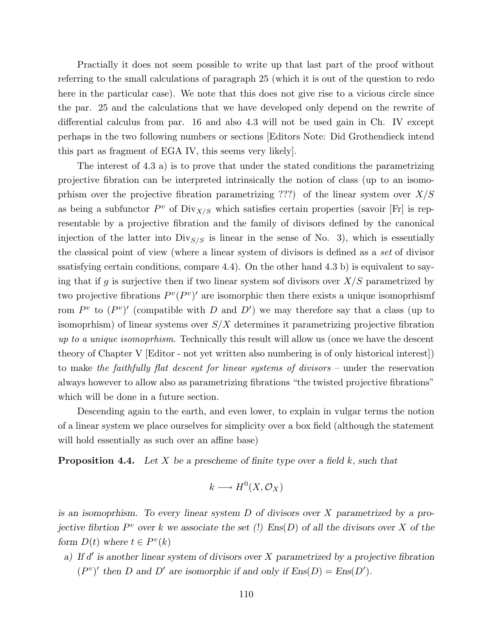Practially it does not seem possible to write up that last part of the proof without referring to the small calculations of paragraph 25 (which it is out of the question to redo here in the particular case). We note that this does not give rise to a vicious circle since the par. 25 and the calculations that we have developed only depend on the rewrite of differential calculus from par. 16 and also 4.3 will not be used gain in Ch. IV except perhaps in the two following numbers or sections [Editors Note: Did Grothendieck intend this part as fragment of EGA IV, this seems very likely].

The interest of 4.3 a) is to prove that under the stated conditions the parametrizing projective fibration can be interpreted intrinsically the notion of class (up to an isomoprhism over the projective fibration parametrizing ???) of the linear system over  $X/S$ as being a subfunctor  $P^v$  of  $\text{Div}_{X/S}$  which satisfies certain properties (savoir [Fr] is representable by a projective fibration and the family of divisors defined by the canonical injection of the latter into  $\text{Div}_{S/S}$  is linear in the sense of No. 3), which is essentially the classical point of view (where a linear system of divisors is defined as a set of divisor ssatisfying certain conditions, compare  $(4.4)$ . On the other hand  $(4.3)$  b) is equivalent to saying that if g is surjective then if two linear system sof divisors over  $X/S$  parametrized by two projective fibrations  $P^v(P^v)'$  are isomorphic then there exists a unique isomoprhismf rom  $P^v$  to  $(P^v)'$  (compatible with D and D') we may therefore say that a class (up to isomoprhism) of linear systems over  $S/X$  determines it parametrizing projective fibration up to a unique isomoprhism. Technically this result will allow us (once we have the descent theory of Chapter V [Editor - not yet written also numbering is of only historical interest]) to make the faithfully flat descent for linear systems of divisors – under the reservation always however to allow also as parametrizing fibrations "the twisted projective fibrations" which will be done in a future section.

Descending again to the earth, and even lower, to explain in vulgar terms the notion of a linear system we place ourselves for simplicity over a box field (although the statement will hold essentially as such over an affine base)

**Proposition 4.4.** Let X be a prescheme of finite type over a field k, such that

$$
k \longrightarrow H^0(X, \mathcal{O}_X)
$$

is an isomoprhism. To every linear system D of divisors over X parametrized by a projective fibrtion  $P^v$  over k we associate the set (!)  $Ens(D)$  of all the divisors over X of the form  $D(t)$  where  $t \in P^v(k)$ 

a) If  $d'$  is another linear system of divisors over X parametrized by a projective fibration  $(P^v)'$  then D and D' are isomorphic if and only if  $Ens(D) = Ens(D')$ .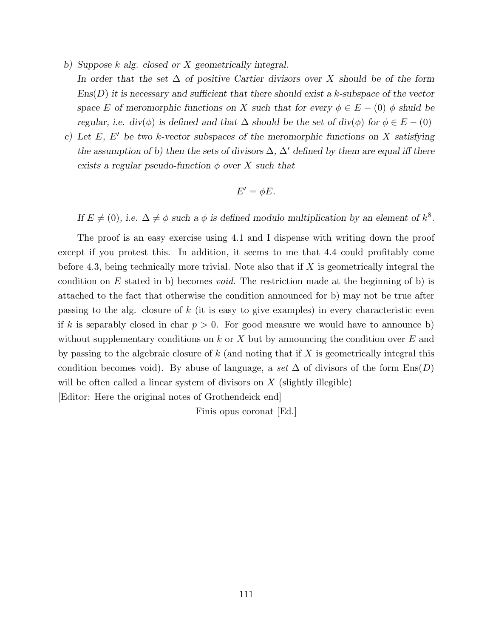- b) Suppose k alg. closed or X geometrically integral. In order that the set  $\Delta$  of positive Cartier divisors over X should be of the form  $\text{Ens}(D)$  it is necessary and sufficient that there should exist a k-subspace of the vector space E of meromorphic functions on X such that for every  $\phi \in E - (0)$   $\phi$  shuld be regular, i.e. div( $\phi$ ) is defined and that  $\Delta$  should be the set of div( $\phi$ ) for  $\phi \in E - (0)$
- c) Let  $E, E'$  be two k-vector subspaces of the meromorphic functions on X satisfying the assumption of b) then the sets of divisors  $\Delta$ ,  $\Delta'$  defined by them are equal iff there exists a regular pseudo-function  $\phi$  over X such that

$$
E' = \phi E.
$$

If  $E \neq (0)$ , i.e.  $\Delta \neq \phi$  such a  $\phi$  is defined modulo multiplication by an element of  $k^8$ .

The proof is an easy exercise using 4.1 and I dispense with writing down the proof except if you protest this. In addition, it seems to me that 4.4 could profitably come before 4.3, being technically more trivial. Note also that if  $X$  is geometrically integral the condition on E stated in b) becomes *void*. The restriction made at the beginning of b) is attached to the fact that otherwise the condition announced for b) may not be true after passing to the alg. closure of  $k$  (it is easy to give examples) in every characteristic even if k is separably closed in char  $p > 0$ . For good measure we would have to announce b) without supplementary conditions on  $k$  or  $X$  but by announcing the condition over  $E$  and by passing to the algebraic closure of  $k$  (and noting that if  $X$  is geometrically integral this condition becomes void). By abuse of language, a set  $\Delta$  of divisors of the form  $\text{Ens}(D)$ will be often called a linear system of divisors on  $X$  (slightly illegible)

[Editor: Here the original notes of Grothendeick end]

Finis opus coronat [Ed.]